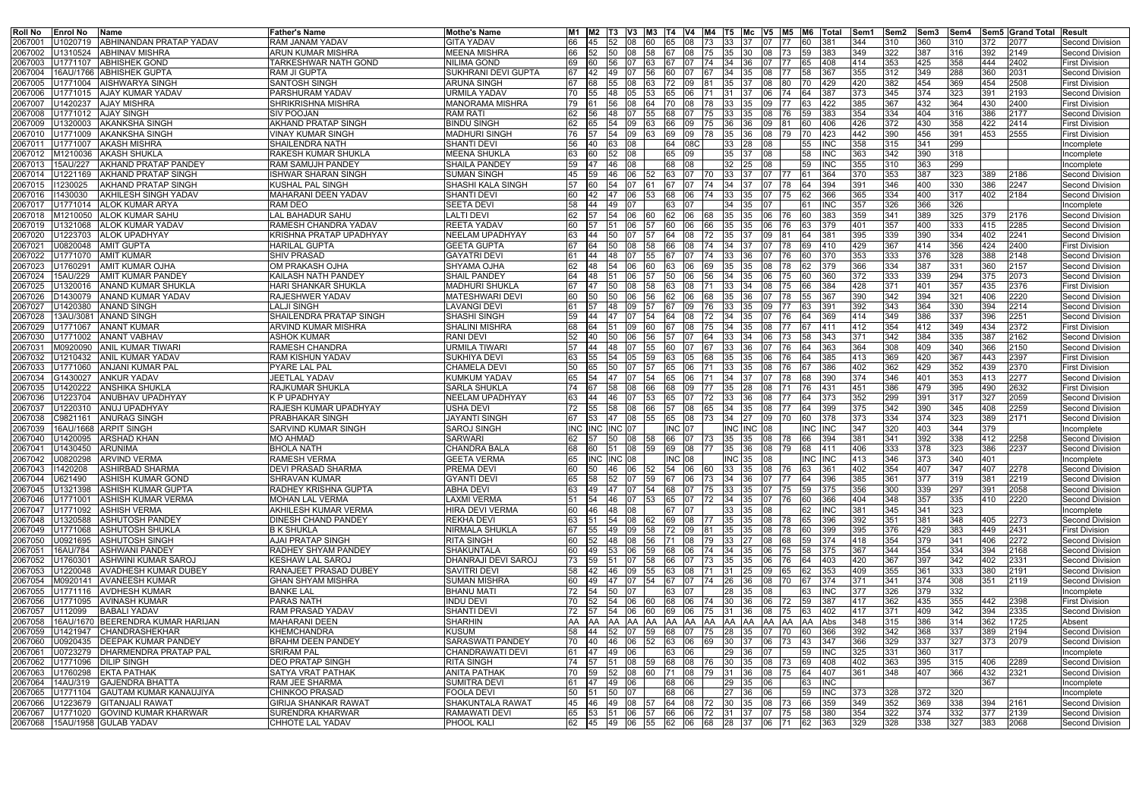| <b>Roll No</b><br>lEnrol No | lName                             | <b>Father's Name</b>           | Mothe's Name             | IM1       |            | M2  T3  V3  M3  T4  V4  M4  T5  Mc  V5  M5  M6            |              |           |                    |     |                        |            |              |            | Total            | ISem1 | ISem2 | lSem3 | lSem4 |      | <b>ISem5 Grand Total Result</b> |                        |
|-----------------------------|-----------------------------------|--------------------------------|--------------------------|-----------|------------|-----------------------------------------------------------|--------------|-----------|--------------------|-----|------------------------|------------|--------------|------------|------------------|-------|-------|-------|-------|------|---------------------------------|------------------------|
| 2067001<br>U1020719         | <b>ABHINANDAN PRATAP YADAV</b>    | <b>RAM JANAM YADAV</b>         | <b>GITA YADAV</b>        | 66        | 45         | 52                                                        | 08           | 60        | 65 08              |     | 73 33                  | 37.        | 107          | 177        | 381              | 344   | 310   | 360   | 310   | 372  | 2077                            | Second Division        |
| 2067002<br>J1310524         | <b>ABHINAV MISHRA</b>             | <b>ARUN KUMAR MISHRA</b>       | <b>MEENA MISHRA</b>      | 66        |            | 50                                                        | 08           | 158       | I67.               | IO8 | 35<br>175              | 30-        | IO8          |            | 383              | 349   | 322   | 387   | 316   | 392  | 2149                            | Second Division        |
| 2067003<br>J1771107         | <b>ABHISHEK GOND</b>              | <b>TARKESHWAR NATH GOND</b>    | NILIMA GOND              |           |            |                                                           |              |           |                    |     | 34                     | 36         |              |            |                  | 414   | 353   | 425   | 358   | 444  | 2402                            | First Division         |
| 2067004                     | 16AU/1766  ABHISHEK GUPTA         | RAM JI GUPTA                   | SUKHRANI DEVI GUPTA      | 67        |            | 49                                                        |              |           | 60                 |     | 34                     | 35         |              |            | 36.              | 355   | 312   | 349   | 288   | 360  | 2031                            | Second Division        |
| U1771004<br>2067005         | <b>AISHWARYA SINGH</b>            | <b>SANTOSH SINGH</b>           | <b>ARUNA SINGH</b>       | 67        |            |                                                           | 08           |           |                    |     | 35                     |            |              |            | 429              | 420   | 382   | 454   | 369   | 454  | 2508                            | <b>First Division</b>  |
| J1771015<br>2067006         | <b>AJAY KUMAR YADAV</b>           | PARSHURAM YADAV                | URMILA YADAV             | 70        |            | 48                                                        | 05           | 153.      | 65                 |     |                        |            | 106          |            | 387              | 373   | 345   | 374   | 323   | 391  | 2193                            | <b>Second Division</b> |
|                             |                                   |                                |                          |           |            |                                                           |              |           |                    |     |                        |            |              |            |                  |       |       |       |       |      |                                 |                        |
| 206700<br>J1420237          | <b>AJAY MISHRA</b>                | <b>SHRIKRISHNA MISHRA</b>      | <b>MANORAMA MISHRA</b>   | 79        |            |                                                           |              |           |                    |     | 33                     |            |              |            | 422              | 385   | 367   | 432   | 364   | 430  | 2400                            | <b>First Division</b>  |
| J1771012<br>2067008         | <b>AJAY SINGH</b>                 | <b>SIV POOJAN</b>              | <b>RAM RATI</b>          | 62        |            |                                                           |              |           |                    |     | 33                     | 35         |              |            | 383              | 354   | 334   | 404   | 316   | 386  | 2177                            | Second Division        |
| J1320003<br>2067009         | <b>AKANKSHA SINGH</b>             | <b>AKHAND PRATAP SINGH</b>     | BINDU SINGH              | 62        |            |                                                           |              |           |                    |     | 36                     |            |              |            |                  | 426   | 372   | 430   | 358   | 422  | 2414                            | <b>First Division</b>  |
| U1771009<br>2067010         | <b>AKANKSHA SINGH</b>             | VINAY KUMAR SINGH              | <b>MADHURI SINGH</b>     | 76        |            | 54                                                        | 09           | 63        | 69<br>$ 09\rangle$ |     | 35<br>78               | l36        | 08           | 179        | 423              | 442   | 390   | 456   | 391   | 453  | 2555                            | <b>First Division</b>  |
| 2067011<br>J177100          | AKASH MISHRA                      | <b>SHAILENDRA NATH</b>         | <b>SHANTI DEVI</b>       | 56        | l40        | 63                                                        | $ 08\rangle$ |           | 64   08C           |     | 33                     | <b>128</b> | 108          |            |                  | 358   | 315   | 341   | 299   |      |                                 | Incomplete             |
| M1210036<br>2067012         | <b>AKASH SHUKLA</b>               | <b>RAKESH KUMAR SHUKLA</b>     | <b>MEENA SHUKLA</b>      | 63        | <b>160</b> | 52.                                                       | 08           |           | 65 09              |     | 35.                    |            | 08           |            | 58<br>INC        | 363   | 342   | 390   | 318   |      |                                 | Incomplete             |
| 15AU/227<br>2067013         | <b>AKHAND PRATAP PANDEY</b>       | RAM SAMUJH PANDEY              | SHAILA PANDEY            | 59        |            | 46                                                        | 08           |           | 68                 | 08  | 32                     |            |              |            |                  | 355   | 310   | 363   | 299   |      |                                 | Incomplete             |
| U1221169<br>2067014         | <b>AKHAND PRATAP SINGH</b>        | <b>ISHWAR SHARAN SINGH</b>     | <b>SUMAN SINGH</b>       | 45        |            |                                                           |              |           |                    |     | 33                     |            |              |            | 364              | 370   | 353   | 387   | 323   | 389  | 2186                            | <b>Second Division</b> |
| 1230025<br>206701!          | <b>AKHAND PRATAP SINGH</b>        | <b>KUSHAL PAL SINGH</b>        | <b>SHASHI KALA SINGH</b> | 57        | 60         | 54                                                        |              |           |                    |     | 34                     |            |              |            | 394              | 391   | 346   | 400   | 330   | 386  | 2247                            | Second Division        |
| 11430030<br>2067016         | AKHILESH SINGH YADAV              | MAHARANI DEEN YADAV            | <b>SHANTI DEVI</b>       | 60        |            |                                                           | 06           |           |                    |     | 33                     |            |              |            | 366              | 365   | 334   | 400   | 317   | 402  | 2184                            | Second Division        |
| J1771014<br>2067017         | <b>ALOK KUMAR ARYA</b>            | <b>RAM DEO</b>                 | <b>SEETA DEVI</b>        | 58        |            | 49                                                        |              |           |                    |     | 34                     | 35         |              |            | INC              | 357   | 326   | 366   | 326   |      |                                 | Incomplete             |
| M1210050<br>2067018         | <b>ALOK KUMAR SAHU</b>            | <b>LAL BAHADUR SAHU</b>        | <b>LALTI DEVI</b>        | 62        |            | 54                                                        | 06           |           | 62.                | 06  | 35<br>168              | 35         | 06           |            | 383              | 359   | 341   | 389   | 325   | 379  | 2176                            | <b>Second Division</b> |
| J1321068<br>2067019         | <b>ALOK KUMAR YADAV</b>           | RAMESH CHANDRA YADAV           | <b>REETA YADAV</b>       | 60        |            | 51                                                        | 06           | 57        | 60                 | 06  | 35<br>I66.             | 35.        | 06           | 176        | 379              | 401   | 357   | 400   | 333   | 415  | 2285                            | <b>Second Division</b> |
|                             | <b>ALOK UPADHYAY</b>              |                                |                          |           |            |                                                           |              |           |                    |     |                        |            |              |            |                  |       |       |       |       |      | 2241                            |                        |
| 2067020<br>J1223703         |                                   | <b>KRISHNA PRATAP UPADHYAY</b> | NEELAM UPADHYAY          | 63        |            |                                                           |              |           |                    |     | 35                     |            |              |            | 381              | 395   | 339   | 390   | 334   | 402  |                                 | <b>Second Division</b> |
| J0820048<br>2067021         | <b>AMIT GUPTA</b>                 | <b>HARILAL GUPTA</b>           | <b>GEETA GUPTA</b>       | 67        |            |                                                           |              |           |                    |     | 34                     |            |              |            | 410              | 429   | 367   | 414   | 356   | 424  | 2400                            | <b>First Division</b>  |
| J177107C<br>2067022         | <b>AMIT KUMAR</b>                 | <b>SHIV PRASAD</b>             | <b>GAYATRI DEVI</b>      |           |            |                                                           |              |           |                    |     | 33                     |            |              |            | 370              | 353   | 333   | 376   | 328   | 388  | 2148                            | <b>Second Division</b> |
| 2067023<br>J1760291         | <b>AMIT KUMAR OJHA</b>            | OM PRAKASH OJHA                | <b>SHYAMA OJHA</b>       | 62        | l48        | 54                                                        | 06           | 60        |                    |     | 35<br>I69.             | 35         | 08           |            | 379              | 366   | 334   | 387   | 331   | 360  | 2157                            | <b>Second Division</b> |
| 15AU/229<br>2067024         | <b>AMIT KUMAR PANDEY</b>          | KAILASH NATH PANDEY            | <b>SHAIL PANDEY</b>      | 64        | l48        | 51                                                        | 06           |           | 50                 | 06. | 34<br>156.             | 35         | 106          | 175        | 360              | 372   | 333   | 339   | 294   | 375  | 2073                            | <b>Second Division</b> |
| J1320016<br>2067025         | <b>ANAND KUMAR SHUKLA</b>         | <b>HARI SHANKAR SHUKLA</b>     | <b>MADHURI SHUKLA</b>    | 67        |            |                                                           |              |           |                    |     | 33                     |            |              |            | 384              | 428   | 371   | 401   | 357   | 435  | 2376                            | <b>First Division</b>  |
| 01430079<br>2067026         | <b>ANAND KUMAR YADAV</b>          | <b>RAJESHWER YADAV</b>         | <b>MATESHWARI DEV</b>    | 60        |            |                                                           | 06           | 56        |                    | 06. | 35                     | 36.        |              |            | 36.              | 390   | 342   | 394   | 321   | 406  | 2220                            | Second Division        |
| U1420380<br>2067027         | <b>ANAND SINGH</b>                | <b>LALJI SINGH</b>             | <b>LAVANGI DEVI</b>      |           |            |                                                           | 09           |           |                    |     | 33                     |            |              |            | 391              | 392   | 343   | 364   | 330   | 394  | 2214                            | <b>Second Division</b> |
| 13AU/3081<br>2067028        | <b>ANAND SINGH</b>                | SHAILENDRA PRATAP SINGH        | <b>SHASHI SINGH</b>      | 59        | 44         | 47                                                        | 107          | 154       | 64                 | l08 | 34<br>172              | 35         |              | 176.       | 369              | 414   | 349   | 386   | 337   | 396  | 2251                            | Second Division        |
| 2067029<br>J1771067         | <b>ANANT KUMAR</b>                | <b>ARVIND KUMAR MISHRA</b>     | <b>SHALINI MISHRA</b>    |           |            |                                                           | 09           |           |                    |     | 34                     |            |              |            | 41′              | 412   | 354   | 412   | 349   | 434  | 2372                            | <b>First Division</b>  |
| J1771002<br>2067030         | <b>ANANT VABHAV</b>               | <b>ASHOK KUMAR</b>             | <b>RANI DEVI</b>         | 52        |            | 50                                                        | 06           | 156       |                    |     | 33                     |            |              |            | 343              | 371   | 342   | 384   | 335   | 387  | 2162                            | Second Division        |
| 1092009C<br>206703          | ANIL KUMAR TIWARI                 | <b>RAMESH CHANDRA</b>          | JRMILA TIWARI            | 57        |            |                                                           |              |           |                    |     | 33                     |            |              |            | 363              | 364   | 308   | 409   | 340   | 366  | 2150                            | <b>Second Division</b> |
| J1210432<br>2067032         | <b>ANIL KUMAR YADAV</b>           | <b>RAM KISHUN YADAV</b>        | SUKHIYA DEVI             | 63        |            | 54                                                        | 05           | 59        |                    |     | 35.                    | 35         |              |            | 385              | 413   | 369   | 420   | 367   | 443  | 2397                            | <b>First Division</b>  |
|                             |                                   |                                |                          |           |            |                                                           |              |           |                    |     |                        |            |              |            |                  | 402   | 362   |       |       |      | 2370                            |                        |
| 2067033<br>J177106C         | <b>ANJANI KUMAR PAL</b>           | <b>PYARE LAL PAL</b>           | CHAMELA DEVI             |           |            |                                                           |              |           |                    |     | 33                     |            |              |            |                  |       |       | 429   | 352   | 439  |                                 | <b>First Division</b>  |
| G1430027<br>2067034         | <b>ANKUR YADAV</b>                | JEETLAL YADAV                  | KUMKUM YADAV             | 65        |            |                                                           |              |           |                    |     | 34                     |            |              |            | 390              | 374   | 346   | 401   | 353   | 413  | 2277                            | Second Division        |
| U1420222<br>2067035         | ANSHIKA SHUKLA                    | RAJKUMAR SHUKLA                | SARLA SHUKLA             | 74        |            |                                                           | 08           |           |                    |     | 35                     |            |              |            | 431              | 451   | 386   | 479   | 395   | 490  | 2632                            | <b>First Division</b>  |
| J1223704<br>2067036         | <b>ANUBHAV UPADHYAY</b>           | <b>K P UPADHYAY</b>            | NEELAM UPADHYAY          | 63        | 44         | l46                                                       | 07           | 153       | 65<br>107          |     | 72<br>33               | 36         | 108          | 177        | 373              | 352   | 299   | 391   | 317   | 327  | 2059                            | <b>Second Division</b> |
| J122031<br>206703           | <b>ANUJ UPADHYAY</b>              | RAJESH KUMAR UPADHYAY          | JSHA DEVI                | 72        | 55         | 58.                                                       | 08           | 66        | 57                 | 08  | 34<br>I65.             | 35         | 108          |            | 399              | 375   | 342   | 390   | 345   | 408  | 2259                            | <b>Second Division</b> |
| C9821161<br>2067038         | <b>ANURAG SINGH</b>               | <b>PRABHAKAR SINGH</b>         | <b>JAYANTI SINGH</b>     | 67        |            |                                                           | 08           |           |                    | 08  | 34                     |            | 09           |            | 378              | 373   | 334   | 374   | 323   | 389  | 2171                            | Second Division        |
| 2067039                     | 16AU/1668  ARPIT SINGH            | <b>SARVIND KUMAR SINGH</b>     | <b>SAROJ SINGH</b>       | INC.      | INC I      | <b>INC 07</b>                                             |              |           | INC 107            |     |                        | NС<br>INC  |              |            | INC              | 347   | 320   | 403   | 344   | 379  |                                 | Incomplete             |
| U1420095<br>2067040         | <b>ARSHAD KHAN</b>                | <b>MO AHMAD</b>                | <b>SARWARI</b>           |           |            | 50                                                        | 08           | 58        | 66 07              |     | 35<br>73               | 35         | 08           | 178        | 394              | 381   | 341   | 392   | 338   | 412  | 2258                            | Second Division        |
| 2067041<br>U1430450 ARUNIMA |                                   | <b>BHOLA NATH</b>              | <b>CHANDRA BALA</b>      |           | <b>160</b> | 51 08 59                                                  |              |           | 69 08              |     | 77 35 36               |            | 08           | 179        | 411<br><b>68</b> | 406   | 333   | 378   | 323   | 386  | 2237                            | Second Division        |
| 2067042                     | U0820298 ARVIND VERMA             | <b>RAMESH VERMA</b>            | <b>GEETA VERMA</b>       |           |            | 65  INC  INC  08                                          |              |           | <b>INC 08</b>      |     |                        | INC 35 08  |              |            | <b>INC INC</b>   | 1413  | 346   | 373   | 340   | 1401 |                                 | Incomplete             |
| 11420208<br>2067043         | <b>ASHIRBAD SHARMA</b>            | <b>DEVI PRASAD SHARMA</b>      | PREMA DEVI               | 60        | 50         | 46 06 52                                                  |              |           | 54 06              |     | 60 33 35 08 76         |            |              |            | 361<br>63        | 402   | 354   | 407   | 347   | 407  | 2278                            | Second Division        |
| 2067044<br>U621490          | <b>ASHISH KUMAR GOND</b>          | <b>SHRAVAN KUMAR</b>           | <b>GYANTI DEVI</b>       | 65        | 58         | 52                                                        | 07<br>59     |           | 67 06              |     | 73                     | 34 36      | <b>07</b>    | 177        | 396<br>I64       | 385   | 361   | 377   | 319   | 381  | 2219                            | Second Division        |
| U1321398<br>2067045         | <b>ASHISH KUMAR GUPTA</b>         | <b>RADHEY KRISHNA GUPTA</b>    | <b>ABHA DEVI</b>         | 63        | <b>49</b>  | 47 07 54                                                  |              |           | 68 07              |     | 75 33 35               |            | <b>07</b>    | 175        | 375              | 356   | 300   | 339   | 297   | 391  | 2058                            | Second Division        |
| 2067046<br>U177100          | <b>ASHISH KUMAR VERMA</b>         | <b>MOHAN LAL VERMA</b>         | <b>LAXMI VERMA</b>       | 51        |            | 54 46 07 53                                               |              |           | 65 07              |     | 72 34 35               |            | <b>07</b>    | 176        | 366<br>I60 I     | 404   | 348   | 357   | 335   | 410  | 2220                            | Second Division        |
| 2067047                     | U1771092 ASHISH VERMA             | AKHILESH KUMAR VERMA           | <b>HIRA DEVI VERMA</b>   | 60        | <b>146</b> | 48 08                                                     |              |           | 67   07            |     | 33                     | - 135      | 08           |            | IINC             | 381   | 345   | 341   | 323   |      |                                 | Incomplete             |
| U1320588<br>2067048         | <b>ASHUTOSH PANDEY</b>            | DINESH CHAND PANDEY            | <b>REKHA DEVI</b>        | 63 51     |            | 54 08 62 69 08                                            |              |           |                    |     | 77  35  35  08  78     |            |              |            | 396<br>165.      | 392   | 351   | 381   | 348   | 405  | 2273                            | Second Division        |
| U1771068<br>2067049         | <b>ASHUTOSH SHUKLA</b>            | <b>B K SHUKLA</b>              | NIRMALA SHUKLA           | 67        | 55         | 49                                                        | 09           | 58        | 72 09              |     | 35 <br>l81             | 35         | 08           | <b>78</b>  | 399<br>160.      | 395   | 376   | 429   | 383   | 449  | 2431                            | <b>First Division</b>  |
| U0921695                    | <b>ASHUTOSH SINGH</b>             | <b>AJAI PRATAP SINGH</b>       | <b>RITA SINGH</b>        | 60        |            | 52 48 08 56 71 08                                         |              |           |                    |     | 79   33   27   08   68 |            |              |            | 1374             | 418   | 354   | 379   | 341   | 406  | 2272                            | Second Division        |
| 2067050                     |                                   |                                |                          |           |            |                                                           |              |           |                    |     |                        |            |              |            | 159              |       |       |       |       |      |                                 |                        |
| 16AU/784<br>2067051         | <b>ASHWANI PANDEY</b>             | <b>RADHEY SHYAM PANDEY</b>     | SHAKUNTALA               | 60        | <b>49</b>  | 53 06                                                     |              | 59        | 68 06              |     | 74 34 35               |            | 06           | 175        | 375              | 367   | 344   | 354   | 334   | 394  | 2168                            | <b>Second Division</b> |
| U1760301<br>2067052         | <b>ASHWINI KUMAR SAROJ</b>        | <b>KESHAW LAL SAROJ</b>        | DHANRAJI DEVI SAROJ      | 73 59     |            | 51 07 58                                                  |              |           | 66 07              |     | 73 35 35               |            | 06           | <u>176</u> | 403              | 420   | 367   | 397   | 342   | 402  | 2331                            | Second Division        |
| U1220048<br>2067053         | <b>AVADHESH KUMAR DUBEY</b>       | <b>RANAJEET PRASAD DUBEY</b>   | SAVITRI DEVI             | 58        | 42         | <b>146</b>                                                | 09           | 55        | 63 08              |     | 71 31                  | I25        | $ 09\rangle$ | 65         | 353              | 409   | 355   | 361   | 333   | 380  | 2191                            | <b>Second Division</b> |
| 2067054                     | M0920141 AVANEESH KUMAR           | <b>GHAN SHYAM MISHRA</b>       | <b>SUMAN MISHRA</b>      | <b>60</b> |            | 49 47 07 54 67 07                                         |              |           |                    |     | 74  26  36  08  70     |            |              |            | 1374<br>I67      | 371   | 341   | 374   | 308   | 351  | 2119                            | Second Division        |
| U1771116<br>2067055         | <b>AVDHESH KUMAR</b>              | <b>BANKE LAL</b>               | <b>BHANU MATI</b>        | 72        | - 154      | 50                                                        | 07           |           | 63<br>-107         |     | 28                     | 35         | 08           |            | INC              | 377   | 326   | 379   | 332   |      |                                 | Incomplete             |
| U1771095<br>2067056         | AVINASH KUMAR                     | <b>PARAS NATH</b>              | <b>INDU DEVI</b>         | 70        | <b>152</b> | 54 06                                                     |              | <b>60</b> | 68 06              |     | 74 30 36               |            | 06           | 172        | 387              | 417   | 362   | 435   | 355   | 442  | 2398                            | <b>First Division</b>  |
| U112099<br>2067057          | <b>BABALI YADAV</b>               | <b>RAM PRASAD YADAV</b>        | <b>SHANTI DEVI</b>       | 72        |            | 54                                                        | 06           | 160       | 69 06              |     | 75<br><b>31</b>        | 36         | 08           | 175        | 402              | 417   | 371   | 409   | 342   | 394  | 2335                            | <b>Second Division</b> |
| 2067058                     | 16AU/1670 BEERENDRA KUMAR HARIJAN | <b>MAHARANI DEEN</b>           | <b>SHARHIN</b>           | AA.       |            |                                                           |              |           |                    |     |                        |            |              |            | Abs<br>AA        | 348   | 315   | 386   | 314   | 362  | 1725                            | Absent                 |
| 2067059<br>U1421947         | <b>CHANDRASHEKHAR</b>             | KHEMCHANDRA                    | <b>KUSUM</b>             | 58        |            | 44 52 07 59                                               |              |           | 68 07              |     | 75 28 35               |            | 107 170      |            | 1366<br>I60 I    | 392   | $342$ | 368   | 337   | 389  | 2194                            | Second Division        |
| 2067060                     | U0920435 DEEPAK KUMAR PANDEY      | <b>BRAHM DEEN PANDEY</b>       | <b>SARASWATI PANDEY</b>  | 70 40     |            | 46 06 52                                                  |              |           | 63 06              |     | 69 30 37 06            |            |              | 173        | 347              | 366   | 329   | 337   | 327   | 373  | 2079                            | Second Division        |
| U0723279<br>2067061         | <b>DHARMENDRA PRATAP PAL</b>      | <b>SRIRAM PAL</b>              | CHANDRAWATI DEVI         | 61 47     |            | 49 06                                                     |              |           | 63 06              |     |                        | 29 36      | 107          |            | <b>INC</b>       | 325   | 331   | 360   | 317   |      |                                 | Incomplete             |
| 2067062                     | U1771096 DILIP SINGH              | <b>DEO PRATAP SINGH</b>        | <b>RITA SINGH</b>        | 74        | - 157      | l51                                                       | 08           | 59        | 68 08              |     | 76 30                  | <b>35</b>  | 08           | 173        | 408<br><b>69</b> | 402   | 363   | 395   | 315   | 406  | 2289                            | Second Division        |
| U1760298<br>2067063         | <b>EKTA PATHAK</b>                | <b>SATYA VRAT PATHAK</b>       | <b>ANITA PATHAK</b>      | 70        | 159        | 52 08 60                                                  |              |           | 71 08              |     | 79 31                  |            | 36 08 75     |            | 407<br><b>64</b> | 361   | 348   | 407   | 366   | 432  | 2321                            | Second Division        |
| 14AU/319<br>2067064         | <b>GAJENDRA BHATTA</b>            | RAM JEE SHARMA                 | <b>SUMITRA DEVI</b>      | 61        | <b>147</b> | 49                                                        | 06           |           | 68 06              |     | 29                     | 35         | 06           |            | <b>INC</b><br>63 |       |       |       |       | 367  |                                 | Incomplete             |
| 2067065                     | U1771104 GAUTAM KUMAR KANAUJIYA   | <b>CHINKOO PRASAD</b>          | <b>FOOLA DEVI</b>        | 50 51     |            | 50 07                                                     |              |           | 68 06              |     |                        | 27 36 06   |              |            | <b>INC</b>       | 373   | 328   | 372   | 320   |      |                                 | Incomplete             |
| 2067066                     | U1223679 GITANJALI RAWAT          | <b>GIRIJA SHANKAR RAWAT</b>    | <b>SHAKUNTALA RAWAT</b>  | 45 46     |            | 49 08 57                                                  |              |           | 64 08              |     | 72 30 35               |            | 08 73        |            | 359<br><b>66</b> | 349   | 352   | 369   | 338   | 394  | 2161                            | <b>Second Division</b> |
|                             | U1771020 GOVIND KUMAR KHARWAR     | <b>SURENDRA KHARWAR</b>        | RAMAWATI DEVI            |           |            |                                                           |              |           |                    |     |                        |            |              |            | 58<br>380        | 354   | 322   | 374   | 332   |      | 2139                            | Second Division        |
| 2067067                     |                                   |                                |                          |           |            | 65   53   51   06   57   66   06   72   31   37   07   75 |              |           |                    |     |                        |            |              |            |                  |       |       |       |       | 377  |                                 |                        |
| 2067068                     | 15AU/1958 GULAB YADAV             | CHHOTE LAL YADAV               | <b>PHOOL KALI</b>        |           |            | 62 45 49 06 55 62 06                                      |              |           |                    |     | 68 28 37 06 71         |            |              |            | 363<br><b>62</b> | 329   | 328   | 338   | 327   | 383  | 2068                            | Second Division        |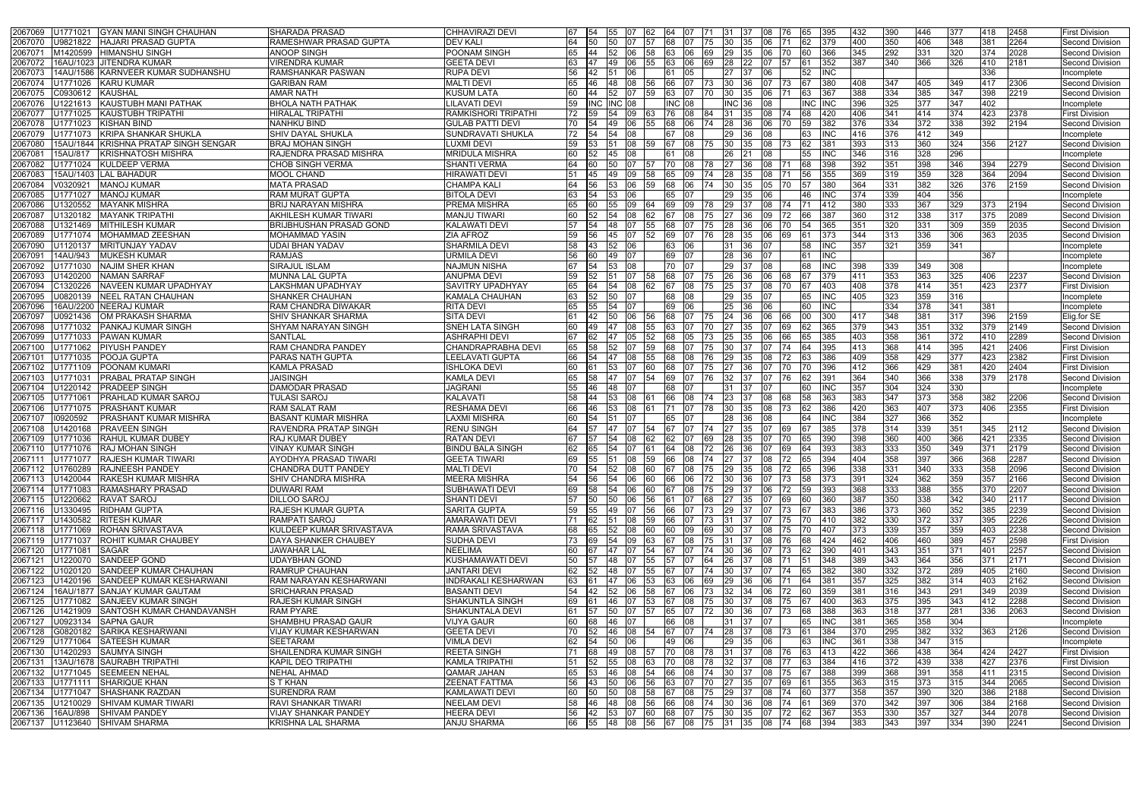| <b>GYAN MANI SINGH CHAUHAN</b><br>2067069<br>U1771021            | SHARADA PRASAD                                    | <b>CHHAVIRAZI DEVI</b>                  | 67<br>- 154     |           | <b>55</b>  | 107<br>62                                                                     | 64    | 07  |              | 31.   | <b>1</b> 37<br>I08     | 176                |           | 395           | 432        | 390          | 446           | 377        | 418        | 2458         | First Division                     |
|------------------------------------------------------------------|---------------------------------------------------|-----------------------------------------|-----------------|-----------|------------|-------------------------------------------------------------------------------|-------|-----|--------------|-------|------------------------|--------------------|-----------|---------------|------------|--------------|---------------|------------|------------|--------------|------------------------------------|
| <b>HAJARI PRASAD GUPTA</b><br>2067070<br>U9821822                | RAMESHWAR PRASAD GUPTA                            | <b>DEV KALI</b>                         |                 | 50        | 50         |                                                                               | 68    | 07  |              | 30    | 135<br>06              |                    |           | 379           | 400        | 350          | 406           | 348        | 381        | 2264         | Second Division                    |
| 206707<br>M1420599<br><b>HIMANSHU SINGH</b>                      | <b>ANOOP SINGH</b>                                | POONAM SINGH                            |                 | 44        | <b>52</b>  | 58<br>06                                                                      |       | 06  | I69          | 29    | 135.                   | 70                 |           | 366           | 345        | 292          | 331           | 320        | 374        | 2028         | Second Division                    |
| 16AU/1023 JJITENDRA KUMAR<br>2067072                             | VIRENDRA KUMAR                                    | <b>GEETA DEVI</b>                       |                 |           |            | 55                                                                            |       | 06  |              | 28    | 22                     |                    |           | 352           | 387        | 340          | 366           | 326        | 410        | 2181         | Second Division                    |
| 14AU/1586 KARNVEER KUMAR SUDHANSHU<br>206707                     | RAMSHANKAR PASWAN                                 | <b>RUPA DEVI</b>                        |                 |           |            |                                                                               |       | 05  |              |       |                        |                    |           | INC           |            |              |               |            | 336        |              | Incomplete                         |
| U1771026<br><b>KARU KUMAR</b><br>2067074                         | <b>GARIBAN RAM</b>                                | <b>MALTI DEVI</b>                       |                 |           | 48         | 08<br>I56                                                                     | 66    | 07  |              | 30    | 07<br>136              |                    |           | 380           | 408        | 347          | 405           | 349        | 417        | 2306         | <b>Second Division</b>             |
| 2067075<br>C0930612 KAUSHAL                                      | AMAR NATH                                         | <b>KUSUM LATA</b>                       | 60              |           | <b>52</b>  | 107<br><b>159</b>                                                             | 63.   | 07  |              | 30    | 35<br>06               |                    |           | 367           | 388        | 334          | 385           | 347        | 398        | 2219         | Second Division                    |
| KAUSTUBH MANI PATHAK<br>206707<br>J1221613                       | <b>BHOLA NATH PATHAK</b>                          | LILAVATI DEVI                           | 59              |           | NC.        | 08                                                                            | INC.  | 08  |              |       |                        |                    | ΝC        |               | 396        | 325          | 377           | 347        | 402        |              | Incomplete                         |
| U1771025<br><b>KAUSTUBH TRIPATHI</b><br>2067077                  | HIRALAL TRIPATHI                                  | RAMKISHORI TRIPATHI                     | 72              |           |            |                                                                               |       | 08  |              | 31    | 35                     |                    |           | 420           | 406        | 341          | 414           | 374        | 423        | 2378         | <b>First Division</b>              |
| U1771023<br><b>KISHAN BIND</b><br>2067078                        | NANHKU BIND                                       | <b>GULAB PATTI DEVI</b>                 | 70              |           |            |                                                                               |       | 06  |              | 28    |                        |                    |           | 382           | 376        | 334          | 372           | 338        | 392        | 2194         | Second Division                    |
| <b>KRIPA SHANKAR SHUKLA</b><br>2067079<br>U1771073               | SHIV DAYAL SHUKLA                                 | <b>SUNDRAVATI SHUKLA</b>                | 72              | 54        | 54         | 08                                                                            |       | 80  |              | 29.   | 36                     |                    |           | <b>INC</b>    | 416        | 376          | 412           | 349        |            |              | Incomplete                         |
| 2067080<br>15AU/1844 KRISHNA PRATAP SINGH SENGAR                 | BRAJ MOHAN SINGH                                  | <b>LUXMI DEVI</b>                       |                 | 153       |            | 08<br>159                                                                     | 67    | 08  | 75           | 30    | 08<br><b>1</b> 35      |                    |           | 381           | 393        | 313          | 360           | 324        | 356        | 2127         | Second Division                    |
| <b>KRISHNATOSH MISHRA</b><br>206708<br>15AU/817                  | RAJENDRA PRASAD MISHRA                            | <b>MRIDULA MISHRA</b>                   | 60              |           |            | 08                                                                            |       | 08  |              |       |                        |                    |           | INC           | 346        | 316          | 328           | 296        |            |              | Incomplete                         |
| KULDEEP VERMA<br>2067082<br>U1771024                             | <b>CHOB SINGH VERMA</b>                           | <b>SHANTI VERMA</b>                     |                 |           |            |                                                                               |       | 08  |              | 27    | I36                    |                    |           | 398           | 392        | 351          | 398           | 346        | 394        | 2279         | Second Division                    |
| 15AU/1403 LAL BAHADUR<br>2067083                                 | <b>MOOL CHAND</b>                                 | <b>HIRAWATI DEVI</b>                    |                 |           |            |                                                                               |       | 09  |              | 28    |                        |                    |           | 355           | 369        | 319          | 359           | 328        | 364        | 2094         | <b>Second Division</b>             |
| <b>MANOJ KUMAR</b><br>2067084<br>V0320921                        | <b>MATA PRASAD</b>                                | <b>CHAMPA KALI</b>                      |                 | 56.       | 153        | 06<br><b>159</b>                                                              | 68.   | 06  |              | 30    | I35.<br>05.            | 170                |           | 380           | 364        | 331          | 382           | 326        | 376        | 2159         | Second Division                    |
| 2067085<br>U1771027<br><b>MANOJ KUMAR</b>                        | RAM MURAT GUPTA                                   | <b>BITOLA DEVI</b>                      |                 |           |            |                                                                               |       |     |              | 29    |                        |                    |           | <b>INC</b>    | 374        | 339          | 404           | 356        |            |              | Incomplete                         |
| U1320552<br><b>MAYANK MISHRA</b><br>2067086                      | BRIJ NARAYAN MISHRA                               | <b>PREMA MISHRA</b>                     | 65              | I60.      | 55         | 09<br>64                                                                      | 69    | 09  |              | 29    |                        |                    |           | 412           | 380        | 333          | 367           | 329        | 373        | 2194         | Second Division                    |
| U1320182<br><b>MAYANK TRIPATH</b><br>206708                      | AKHILESH KUMAR TIWARI                             | <b>MANJU TIWARI</b>                     |                 |           |            |                                                                               |       |     |              |       |                        |                    |           | 387           | 360        | 312          | 338           | 317        | 375        | 2089         | Second Division                    |
| U1321469<br><b>MITHILESH KUMAR</b><br>2067088                    | <b>BRIJBHUSHAN PRASAD GOND</b>                    | <b>KALAWATI DEVI</b>                    | 57              | 54        | 48         | 55<br>07                                                                      | 68    | 07  |              | 28    | 36                     |                    |           | 365           | 351        | 320          | 331           | 309        | 359        | 2035         | <b>Second Division</b>             |
| 2067089<br>J1771074<br><b>IMOHAMMAD ZEESHAN</b>                  | <b>MOHAMMAD YASIN</b>                             | <b>ZIA AFROZ</b>                        |                 |           |            |                                                                               |       |     |              |       |                        |                    |           | 373           | 344        | 313          | 336           | 306        | 363        | 2035         | Second Division                    |
| <b>MRITUNJAY YADAV</b><br>2067090<br>U1120137                    | UDAI BHAN YADAV                                   | SHARMILA DEVI                           | 58              |           | 52         | იი                                                                            | 63    | 06  |              | 31    | 07<br>I36              |                    |           | INC           | 357        | 321          | 359           | 341        |            |              | Incomplete                         |
| <b>IMUKESH KUMAR</b><br>14AU/943<br>206709 <sup>-</sup>          | RAMJAS                                            | URMILA DEVI                             | 56              |           | 49         |                                                                               | 69    | 07  |              | 28    | I36                    |                    |           | INC           |            |              |               |            | 367        |              | ncomplete                          |
| <b>NAJIM SHER KHAN</b><br>2067092<br>U1771030                    | SIRAJUL ISLAM                                     | <b>NAJMUN NISHA</b>                     | 67              |           | 153        | 08                                                                            | 70.   | 107 |              | 29.   |                        |                    | 68        | INC           | 398        | 339          | 349           | 308        |            |              | Incomplete                         |
| 2067093<br>NAMAN SARRAF<br>J1420200                              | <b>MUNNA LAL GUPTA</b>                            | <b>ANUPMA DEVI</b>                      |                 |           |            | 158                                                                           |       | 07  |              | 26    | I36                    |                    |           | 379           | 411        | 353          | 363           | 325        | 406        | 2237         | Second Division                    |
| C1320226<br>NAVEEN KUMAR UPADHYAY<br>2067094                     | LAKSHMAN UPADHYAY                                 | <b>SAVITRY UPADHYAY</b>                 | 65              |           |            |                                                                               |       | 08  |              | 25    | 37.<br>08              | 170                |           | 403           | 408        | 378          | 414           | 351        | 423        | 2377         | <b>First Division</b>              |
| <b>NEEL RATAN CHAUHAN</b><br>2067095<br>J0820139                 | SHANKER CHAUHAN                                   | KAMALA CHAUHAN                          | 63              |           | 50         |                                                                               | 68    | 80  |              | 29.   | 35                     |                    |           | INC           | 405        | 323          | 359           | 316        |            |              | Incomplete                         |
| 16AU/2200 NEERAJ KUMAR<br>2067096                                | RAM CHANDRA DIWAKAR                               | <b>RITA DEVI</b>                        | 65              |           |            |                                                                               | 69    | 06  |              | 25    |                        |                    |           | INC           |            | 334          | 378           | 341        | 381        |              | Incomplete                         |
| <b>OM PRAKASH SHARMA</b><br>206709<br>J0921436                   | SHIV SHANKAR SHARMA                               | <b>SITA DEVI</b>                        |                 | 42        | 50         | 06<br><b>156</b>                                                              |       |     |              | 24    | 136<br>06              | 166                |           | 300           | 417        | 348          | 381           | 317        | 396        | 2159         | Elig.for SE                        |
| 2067098<br>J1771032<br><b>PANKAJ KUMAR SINGH</b>                 | SHYAM NARAYAN SINGH                               | <b>SNEH LATA SINGH</b>                  |                 |           |            |                                                                               |       |     |              |       |                        |                    |           | 365           | 379        | 343          | 351           | 332        | 379        | 2149         | <b>Second Division</b>             |
| U1771033<br>2067099<br><b>IPAWAN KUMAR</b>                       | SANTLAL                                           | <b>ASHRAPHI DEVI</b>                    |                 |           |            |                                                                               |       | 05  |              | 25    |                        |                    |           | 385           | 403        | 358          | 361           | 372        | 410        | 2289         | Second Division                    |
| 2067100<br>U1771062<br><b>IPIYUSH PANDEY</b>                     | RAM CHANDRA PANDEY                                | CHANDRAPRABHA DEVI                      | 65              |           |            |                                                                               |       |     |              |       |                        |                    |           | 395           | 413        | 368          | 414           | 395        | 421        | 2406         | <b>First Division</b>              |
| U1771035<br><b>POOJA GUPTA</b><br>2067101                        | PARAS NATH GUPTA                                  | <b>LEELAVATI GUPTA</b>                  | 66              | 54        | 47         | 08<br>55                                                                      |       |     |              | 29    | 35                     |                    |           | 386           | 409        | 358          | 429           | 377        | 423        | 2382         | First Division                     |
| 2067102<br>J1771109<br>POONAM KUMARI                             | KAMLA PRASAD                                      | <b>ISHLOKA DEVI</b>                     |                 |           |            |                                                                               |       |     |              |       |                        |                    |           | 396           | 412        | 366          | 429           | 381        | 420        | 2404         | <b>First Division</b>              |
| U1771031<br>PRABAL PRATAP SINGH<br>2067103                       | JAISINGH                                          | KAMLA DEVI                              | 65              |           |            |                                                                               |       |     |              | 32.   |                        |                    |           | 391           | 364        | 340          | 366           | 338        | 379        | 2178         | <b>Second Division</b>             |
| U1220142<br><b>IPRADEEP SINGH</b><br>2067104                     | DAMODAR PRASAD                                    | JAGRANI                                 |                 |           | 48         |                                                                               |       |     |              |       |                        |                    |           | INC           | 357        | 304          | 324           | 330        |            |              | Incomplete                         |
| <b>PRAHLAD KUMAR SAROJ</b><br>2067105<br>U1771061                | TULASI SAROJ                                      | KALAVATI                                | 58              |           | 153        | 08                                                                            | 66    | I08 |              | 23    | 08<br>137.             | 168                |           | 363           | 383        | 347          | 373           | 358        | 382        | 2206         | Second Division                    |
| 2067106<br>IPRASHANT KUMAR<br>J1771075                           | RAM SALAT RAM                                     | <b>RESHAMA DEVI</b>                     | 66              | 46        | 153        | 08                                                                            |       | 07  |              | 30    | 35                     |                    |           | 386           | 420        | 363          | 407           | 373        | 406        | 2355         | <b>First Division</b>              |
| 10920592<br><b>PRASHANT KUMAR MISHRA</b><br>2067107              | <b>BASANT KUMAR MISHRA</b>                        | <b>LAXMI MISHRA</b>                     | 60              |           |            |                                                                               |       |     |              | 28    |                        |                    |           | INC           | 384        | 327          | 366           | 352        |            |              | Incomplete                         |
| U1420168<br><b>PRAVEEN SINGH</b><br>2067108                      | <b>RAVENDRA PRATAP SINGH</b>                      | <b>RENU SINGH</b>                       |                 |           |            | 154                                                                           |       | 07  |              | 27    | 35                     |                    |           | 385           | 378        | 314          | 339           | 351        | 345        | 2112         | Second Division                    |
| 2067109<br>U1771036<br><b>RAHUL KUMAR DUBEY</b>                  | RAJ KUMAR DUBEY                                   | <b>RATAN DEVI</b>                       |                 |           | 54         | 08<br>62                                                                      |       | 07  | 69           | 28    | 35                     |                    |           | 390           | 398        | 360          | 400           | 366        | 421        | 2335         | <b>Second Division</b>             |
|                                                                  |                                                   |                                         |                 |           |            |                                                                               |       |     |              |       |                        |                    |           |               |            |              |               | 349        | 371        |              |                                    |
|                                                                  |                                                   |                                         |                 |           |            |                                                                               |       |     |              |       |                        |                    |           |               |            |              |               | 366        |            |              |                                    |
| 2067110<br>U1771076 RAJ MOHAN SINGH                              | VINAY KUMAR SINGH                                 | <b>BINDU BALA SINGH</b>                 | 165             |           | 54         | 07 61                                                                         | 64    | 08  | $ 72\rangle$ | 26    | 07<br><b>36</b>        | 69                 |           | 393           | 383        | 333          | 350           | 333        |            | 2179         | Second Division                    |
| 2067111 U1771077 RAJESH KUMAR TIWARI                             | AYODHYA PRASAD TIWARI                             | <b>GEETA TIWARI</b>                     | 69<br>155       |           |            | 51 08 59                                                                      | 66 08 |     |              |       | 74  27  37  08  72     |                    | - 165     | 394           | 404        | 358          | 397           |            | 368        | 2287         | <b>Second Division</b>             |
| 2067112 U1760289 RAJNEESH PANDEY                                 | CHANDRA DUTT PANDEY                               | MALTI DEVI                              | 54<br>70        |           |            | 52 08 60                                                                      |       |     |              |       | 67 08 75 29 35 08 72   |                    | 65        | 396           | 338        | 331          | 340           |            | 358        | 2096         | Second Division                    |
| <b>RAKESH KUMAR MISHRA</b><br>2067113<br>U1420044                | SHIV CHANDRA MISHRA                               | <b>MEERA MISHRA</b>                     |                 | 56        | 54         | 06 60                                                                         | 66 06 |     | 72           | 30 36 | 07                     | 173                | 158.      | 373           | 391        | 324          | 362           | 359        | 357        | 2166         | Second Division                    |
| U1771083<br><b>RAMASHARY PRASAD</b><br>2067114                   | <b>DUWARI RAM</b>                                 | SUBHAWATI DEVI                          | 69              | 58        |            | 54 06 60                                                                      | 67 08 |     |              |       | 75   29   37   06   72 |                    | 59        | 393           | 368        | 333          | 388           | 355        | 370        | 2207         | Second Division                    |
| 2067115<br>U1220662<br><b>RAVAT SAROJ</b>                        | DILLOO SAROJ                                      | <b>SHANTI DEVI</b>                      |                 | 50        | 50         | $\overline{06}$ 56                                                            | 61 07 |     | 68 27 35     |       |                        | $\overline{07}$ 69 |           | 360           | 387        | 350          | 338           | 342        | 340        | 2117         | Second Division                    |
| 2067116 U1330495 RIDHAM GUPTA                                    | RAJESH KUMAR GUPTA                                | <b>SARITA GUPTA</b>                     | 59              | - 55      | 49         | 07<br>56                                                                      | 66 07 |     |              |       | <b>73 29 37 07 73</b>  |                    |           | 383           | 386        | 373          | 360           | 352        | 385        | 2239         | Second Division                    |
| U1430582 RITESH KUMAR<br>2067117                                 | RAMPATI SAROJ                                     | <b>AMARAWATI DEVI</b>                   | 71.             | 62        |            | 51 08 59                                                                      | 66 07 |     |              |       | 73  31  37  07  75     |                    | I70 -     | 410           | 382        | 330          | 372           | 337        | 395        | 2226         | Second Division                    |
| 2067118 U1771069 ROHAN SRIVASTAVA                                | KULDEEP KUMAR SRIVASTAVA                          | RAMA SRIVASTAVA                         | 68              | 65        | 52         | $ 08\rangle$<br>60                                                            | 60 09 |     | 69           | 30    | 37                     | 08 75              | 170.      | 407           | 373        | 339          | 357           | 359        | 403        | 2238         | <b>Second Division</b>             |
| 2067119<br><b>ROHIT KUMAR CHAUBEY</b><br>U1771037                | <b>DAYA SHANKER CHAUBEY</b>                       | <b>SUDHA DEVI</b>                       | 73              | 69        |            | 54 09 63 67 08 75 31 37 08 76                                                 |       |     |              |       |                        |                    | 168.      | 424           | 462        | 406          | 460           | 389        | 457        | 2598         | <b>First Division</b>              |
| 2067120 U1771081<br>SAGAR                                        | <b>JAWAHAR LAL</b>                                | <b>NEELIMA</b>                          | 60              |           | <b>47</b>  | I07<br><b>54</b>                                                              | 67    | 107 | 74           |       | 30 36 07 73            |                    |           | 390           | 401        | $343$        | 351           | 371        | 401        | 2257         | Second Division                    |
| U1220070<br>SANDEEP GOND<br>2067121                              | <b>UDAYBHAN GOND</b>                              | KUSHAMAWATI DEVI                        | 50              |           |            | 48 07 55                                                                      | 57 07 |     |              |       | 64 26 37 08 71         |                    |           | 348           | 389        | 343          | 364           | 356        | 371        | 2171         | Second Division                    |
| 2067122 U1020120 SANDEEP KUMAR CHAUHAN                           | <b>RAMRUP CHAUHAN</b>                             | <b>JANTARI DEVI</b>                     | 62              | <b>52</b> | 48         | 107<br>55                                                                     | 67    | 07  | 174          | 30    | <b>137</b>             | 07 74              | 65        | 382           | 380        | 332          | $ 372\rangle$ | 289        | 405        | 2160         | <b>Second Division</b>             |
| 2067123 U1420196 SANDEEP KUMAR KESHARWANI                        | RAM NARAYAN KESHARWANI                            | <b>INDRAKALI KESHARWAN</b>              | 63<br><b>61</b> |           |            | 47 06 53                                                                      | 63 06 |     | 69 29 36     |       |                        | 06 71              | 64        | 381           | 357        | 325          | 382           | 314        | 403        | 2162         | Second Division                    |
| 2067124 16AU/1877 SANJAY KUMAR GAUTAM                            | <b>SRICHARAN PRASAD</b>                           | <b>BASANTI DEVI</b>                     | 54              | <b>42</b> | 52         | 06<br>58                                                                      | 67    | 06  | 173          | 32 34 | 06                     |                    |           | 359           | 381        | 316          | 343           | 291        | 349        | 2039         | <b>Second Division</b>             |
| U1771082 SANJEEV KUMAR SINGH<br>2067125                          | RAJESH KUMAR SINGH                                | <b>SHAKUNTLA SINGH</b>                  | 69              | <b>61</b> |            | 46 07 53                                                                      | 67 08 |     |              |       | 75  30  37  08  75     |                    |           | 1400          | 363        | 375          | 395           | 343        | 412        | 2288         | Second Division                    |
| 2067126<br>U1421909 SANTOSH KUMAR CHANDAVANSH                    | <b>RAM PYARE</b>                                  | <b>SHAKUNTALA DEVI</b>                  | 61              | 157       | 50         | 107<br>157                                                                    | 65    | 07  | 72           | 30    | 36<br>07               | 173                | 68        | 388           | 363        | 318          | 377           | 281        | 336        | 2063         | Second Division                    |
| U0923134 SAPNA GAUR<br>2067127                                   | SHAMBHU PRASAD GAUR                               | <b>VIJYA GAUR</b>                       | 60              | 68        | 46 07      |                                                                               | 66 08 |     |              |       | 31 37 07               |                    | 165.      | <b>INC</b>    | 381        | 365          | 358           | 304        |            |              | Incomplete                         |
| 2067128<br>G0820182 SARIKA KESHARWANI                            | VIJAY KUMAR KESHARWAN                             | <b>GEETA DEVI</b>                       | 70<br>- 152     |           |            | 46 08 54                                                                      | 67 07 |     |              |       | 74   28   37   08   73 |                    | I61 I     | 384           | 370        | 295          | 382           | 332        | 363        | 2126         | Second Division                    |
| U1771064 SATEESH KUMAR<br>2067129                                | SEETARAM                                          | <b>VIMLA DEVI</b>                       | 62 54           |           | 50         | 06                                                                            | 49 06 |     |              | 29 35 | 06                     |                    | 63        | <b>IINC</b>   | 361        | 338          | 347           | 315        |            |              | Incomplete                         |
| 2067130<br>U1420293 SAUMYA SINGH                                 | SHAILENDRA KUMAR SINGH                            | <b>REETA SINGH</b>                      |                 | 68        |            | 49 08 57 70 08                                                                |       |     |              |       | 78  31  37  08  76     |                    |           | 413           | 422        | 366          | 438           | 364        | 424        | 2427         | First Division                     |
| 2067131   13AU/1678   SAURABH TRIPATHI                           | KAPIL DEO TRIPATHI                                | <b>KAMLA TRIPATHI</b>                   | 51              | 52        | 55         | 08 <br>63                                                                     | 70 08 |     | 178          | 32 37 | 08                     | <b>177</b>         |           | 384           | 416        | 372          | 439           | 338        | 427        | 2376         | <b>First Division</b>              |
| 2067132<br>U1771045 SEEMEEN NEHAL                                | <b>NEHAL AHMAD</b>                                | <b>QAMAR JAHAN</b>                      | 65              | 53        |            | 46  08  54  66  08  74  30  37  08  75                                        |       |     |              |       |                        |                    |           | 388           | 399        | 368          | 391           | 358        | 411        | 2315         | <b>Second Division</b>             |
| 2067133 U1771111 SHARIQUE KHAN                                   | S T KHAN                                          | <b>ZEENAT FATTMA</b>                    | 56              | 43        | <b>150</b> | 06 56                                                                         | 63 07 |     | l 70         | 27 35 |                        | 07 69              |           | 355           | 363        | 315          | 373           | 315        | 344        | 2065         | <b>Second Division</b>             |
| 2067134 U1771047 SHASHANK RAZDAN                                 | <b>SURENDRA RAM</b>                               | <b>KAMLAWATI DEVI</b>                   | 60              | <b>50</b> |            | 50 08 58 67 08 75 29 37 08 74                                                 |       |     |              |       |                        |                    | <b>60</b> | 377           | 358        | 357          | 390           | 320        | 386        | 2188         | Second Division                    |
| 2067135<br>U1210029 SHIVAM KUMAR TIWARI                          | RAVI SHANKAR TIWARI                               | <b>NEELAM DEVI</b>                      | 58<br><b>46</b> |           | 48 08      | 56                                                                            | 66 08 |     | 174          | 30    | 08<br>36               | 174                |           | 369           | 370        | $342$        | 397           | 306        | 384        | 2168         | Second Division                    |
| 2067136 16AU/898 SHIVAM PANDEY<br>2067137 U1123640 SHIVAM SHARMA | <b>VIJAY SHANKAR PANDEY</b><br>KRISHNA LAL SHARMA | <b>HEERA DEVI</b><br><b>ANJU SHARMA</b> |                 |           |            | 56 42 53 07 60 68 07 75 30 35 07 72<br>66 55 48 08 56 67 08 75 31 35 08 74 68 |       |     |              |       |                        |                    |           | 62 367<br>394 | 353<br>383 | 330<br>$343$ | 357<br>397    | 327<br>334 | 344<br>390 | 2078<br>2241 | Second Division<br>Second Division |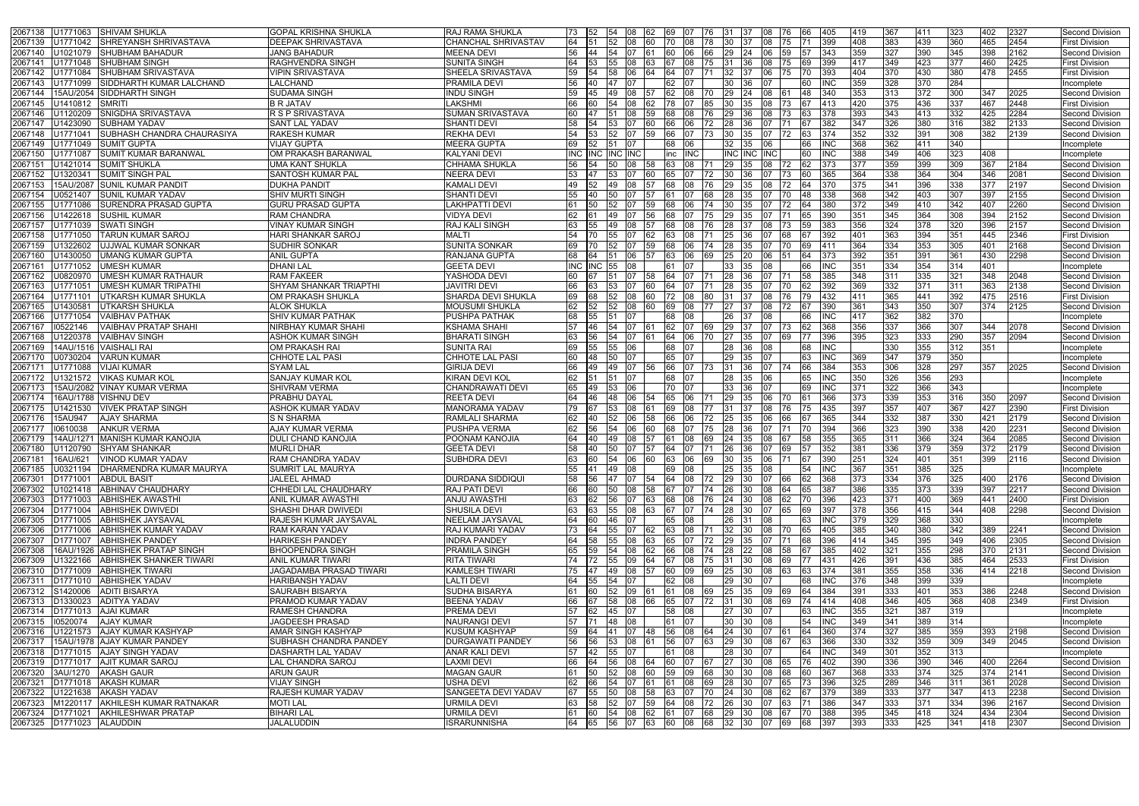| 2067138<br>U1771063 ISHIVAM SHUKLA                                                          | <b>GOPAL KRISHNA SHUKLA</b>                        | <b>RAJ RAMA SHUKLA</b>                       |          | 73 52          | 154                  | <b>108</b>       | l62        | 169 107                                        |                  | 176 131          | -137         | 108          | 176<br>I66             | 1405       | 419        | 367        | <b>1411</b> | 323        | 402        | 2327         | Second Division                      |
|---------------------------------------------------------------------------------------------|----------------------------------------------------|----------------------------------------------|----------|----------------|----------------------|------------------|------------|------------------------------------------------|------------------|------------------|--------------|--------------|------------------------|------------|------------|------------|-------------|------------|------------|--------------|--------------------------------------|
| SHREYANSH SHRIVASTAVA<br>U1771042<br>2067139                                                | DEEPAK SHRIVASTAVA                                 | CHANCHAL SHRIVASTAV                          | 64       |                | 52                   | 08               | 60         | 70<br><b>08</b>                                | 78               | <b>130</b>       |              | 08           | 175                    | 399        | 408        | 383        | 439         | 360        | 465        | 2454         | First Division                       |
| J1021079<br><b>SHUBHAM BAHADUR</b><br>2067140                                               | <b>JANG BAHADUR</b>                                | <b>MEENA DEVI</b>                            | 56       | 44             | 54                   | 07               |            | 60<br>06.                                      | 66.              | $ 29\rangle$     | 24           | 106          | 59                     | 343        | 359        |            | 390         | 345        | 398        | 2162         | Second Division                      |
| U1771048 SHUBHAM SINGH<br>2067141                                                           | <b>RAGHVENDRA SINGH</b>                            | <b>SUNITA SINGH</b>                          | 64       |                |                      |                  |            |                                                | 75.              | 131              |              | 08           |                        |            | 417        | 349        | 423         | 377        | 460        | 2425         | <b>First Division</b>                |
| U1771084<br><b>SHUBHAM SRIVASTAVA</b><br>2067142                                            | <b>VIPIN SRIVASTAVA</b>                            | SHEELA SRIVASTAVA                            | 59       |                | 58                   | 06               |            | 64                                             |                  | 32               |              | 106          |                        | 393        | 404        |            | 430         | 380        | 478        | 2455         | <b>First Division</b>                |
| J1771099<br><b>SIDDHARTH KUMAR LALCHAND</b><br>2067143                                      | <b>LALCHAND</b>                                    | <b>PRAMILA DEVI</b>                          | 56       | 40             |                      |                  |            | 62                                             |                  |                  |              |              | 60                     |            | 359        | 328        | 370         | 284        |            |              | Incomplete                           |
| 15AU/2054 SIDDHARTH SINGH<br>2067144                                                        | <b>SUDAMA SINGH</b>                                | <b>INDU SINGH</b>                            | 59       | 45             | 49                   | 08               |            | 62 108                                         | 70.              | <b>29</b>        | I24          | 108          | 48                     | 340        | 353        | 313        | 372         | 300        | 347        | 2025         | Second Division                      |
| 2067145<br>J1410812<br><b>SMRITI</b>                                                        | <b>B R JATAV</b>                                   | LAKSHMI                                      |          |                |                      |                  |            |                                                |                  |                  |              |              |                        |            | 420        | 375        | 436         | 337        | 467        | 2448         | <b>First Division</b>                |
| SNIGDHA SRIVASTAVA<br>U1120209<br>2067146                                                   | R S P SRIVASTAVA                                   | SUMAN SRIVASTAVA                             | 60       |                |                      | 08               |            | 68                                             |                  | 29               |              | 08           |                        |            | 393        | 343        | 413         | 332        | 425        | 2284         | Second Division                      |
| J1423090<br><b>SUBHAM YADAV</b><br>206714                                                   | <b>SANT LAL YADAV</b>                              | <b>SHANTI DEVI</b>                           |          |                |                      |                  |            |                                                |                  |                  |              |              |                        |            | 347        | 326        | 380         | 316        | 382        | 2133         | Second Division                      |
| SUBHASH CHANDRA CHAURASIYA<br>U1771041<br>2067148                                           | <b>RAKESH KUMAR</b>                                | <b>REKHA DEVI</b>                            | 54       |                | 52                   |                  | 59.        | 66<br><b>07</b>                                |                  | 30               | 35           |              | 72<br>163.             | 374        | 352        | 332        | 391         | 308        | 382        | 2139         | <b>Second Division</b>               |
| <b>SUMIT GUPTA</b><br>2067149<br>J1771049                                                   | <b>VIJAY GUPTA</b><br>OM PRAKASH BARANWAL          | <b>MEERA GUPTA</b>                           | 69       | 52             | I51 I                | 107              |            | 68<br><b>06</b>                                |                  |                  | 32 35        | 106          | 66                     |            | 368        | 362<br>349 | 411         | 340        |            |              | Incomplete                           |
| <b>SUMIT KUMAR BARANWAL</b><br>2067150<br>U1771087                                          |                                                    | <b>KALYANI DEVI</b>                          |          | <b>INC INC</b> |                      | INC <b>I</b> INC |            | inc INC                                        |                  |                  | INC INC INC  |              | 60                     |            | 388<br>377 | 359        | 406         | 323        | 408        |              | Incomplete<br>Second Division        |
| <b>SUMIT SHUKLA</b><br>2067151<br>J1421014<br><b>SUMIT SINGH PAL</b><br>2067152<br>U1320341 | <b>UMA KANT SHUKLA</b><br><b>SANTOSH KUMAR PAL</b> | CHHAMA SHUKLA<br><b>NEERA DEVI</b>           | 56<br>53 |                |                      | 08               |            | 63<br>08                                       |                  | 29               | 35           | 08           |                        | 373        | 364        | 338        | 399<br>364  | 309<br>304 | 367<br>346 | 2184<br>2081 | <b>Second Division</b>               |
| 15AU/2087<br><b>SUNIL KUMAR PANDIT</b><br>2067153                                           | <b>DUKHA PANDIT</b>                                | <b>KAMALI DEVI</b>                           | 49       | <b>152</b>     | 49                   | 08               |            | 168                                            |                  | l29              | 35           | 08           | 72                     |            | 375        | 341        | 396         | 338        | 377        | 2197         | Second Division                      |
| <b>SUNIL KUMAR YADAV</b><br>2067154<br>J0521407                                             | <b>SHIV MURTI SINGH</b>                            | <b>SHANTI DEVI</b>                           |          |                |                      |                  |            |                                                |                  |                  |              |              |                        |            | 368        | 342        | 403         | 307        | 397        | 2155         | <b>Second Division</b>               |
| <b>SURENDRA PRASAD GUPTA</b><br>2067155<br>J1771086                                         | <b>GURU PRASAD GUPTA</b>                           | <b>LAKHPATTI DEVI</b>                        |          | 150            | 52                   |                  | 59         |                                                |                  | I30              | 35           |              |                        |            | 372        | 349        | 410         | 342        | 407        | 2260         | Second Division                      |
| J1422618<br><b>SUSHIL KUMAR</b><br>2067156                                                  | <b>RAM CHANDRA</b>                                 | <b>VIDYA DEVI</b>                            | 62       |                |                      |                  |            |                                                |                  | 29               | 35           |              |                        | 390        | 351        | 345        | 364         | 308        | 394        | 2152         | <b>Second Division</b>               |
| <b>SWATI SINGH</b><br>J1771039<br>2067157                                                   | <b>VINAY KUMAR SINGH</b>                           | <b>RAJ KALI SINGH</b>                        | 63       | 55             | $-49$                | 08               |            | 68                                             | 76.              | 28               |              | 08           | 73<br>59               | 383        | 356        | 324        | 378         | 320        | 396        | 2157         | <b>Second Division</b>               |
| <b>TARUN KUMAR SAROJ</b><br>2067158<br>J177105C                                             | <b>HARI SHANKAR SAROJ</b>                          | <b>MALTI</b>                                 |          |                |                      |                  |            |                                                |                  | 25               |              |              |                        |            | 401        | 363        | 394         | 351        | 445        | 2346         | <b>First Division</b>                |
| J1322602<br>UJJWAL KUMAR SONKAR<br>2067159                                                  | <b>SUDHIR SONKAR</b>                               | <b>SUNITA SONKAR</b>                         |          |                |                      |                  |            |                                                |                  | 28               | 35           |              |                        | 411        | 364        | 334        | 353         | 305        | 401        | 2168         | <b>Second Division</b>               |
| J1430050<br><b>UMANG KUMAR GUPTA</b><br>2067160                                             | <b>ANIL GUPTA</b>                                  | RANJANA GUPTA                                |          |                |                      | 06               |            | 63                                             |                  | 25               |              |              |                        |            | 392        |            | 391         | 361        | 430        | 2298         | <b>Second Division</b>               |
| <b>UMESH KUMAR</b><br>2067161<br>U1771052                                                   | <b>DHANI LAL</b>                                   | <b>GEETA DEVI</b>                            | INC.     |                | IINC.<br>155         | 08               |            | 61                                             |                  | 33               | 35           | 08           | 66                     | INC        | 351        | 334        | 354         | 314        | 401        |              | Incomplete                           |
| 0820970/<br><b>UMESH KUMAR RATHAUR</b><br>2067162                                           | <b>RAM FAKEER</b>                                  | YASHODA DEVI                                 |          |                |                      |                  | 58         | 64                                             |                  | I28              | I36.         |              | 58                     | 385        | 348        | 311        | 335         | 321        | 348        | 2048         | Second Division                      |
| J1771051<br>UMESH KUMAR TRIPATHI<br>2067163                                                 | <b>SHYAM SHANKAR TRIAPTHI</b>                      | <b>JAVITRI DEVI</b>                          | 66       |                |                      |                  |            | 64                                             |                  | 28               | 35           |              |                        |            | 369        | 332        | 371         | 311        | 363        | 2138         | <b>Second Division</b>               |
| UTKARSH KUMAR SHUKLA<br>2067164<br>J1771101                                                 | <b>OM PRAKASH SHUKLA</b>                           | SHARDA DEVI SHUKLA                           | 69       |                | 52.                  | 08               |            | 80                                             |                  |                  |              | 108          |                        | 432        | 411        | 365        | 441         | 392        | 475        | 2516         | <b>First Division</b>                |
| <b>UTKARSH SHUKLA</b><br>U143058<br>2067165                                                 | <b>ALOK SHUKLA</b>                                 | <b>MOUSUMI SHUKLA</b>                        | 62       |                |                      | 08               |            | 69                                             |                  |                  |              | 08           |                        |            | 361        | 343        | 350         | 307        | 374        | 2125         | Second Division                      |
| <b>VAIBHAV PATHAK</b><br>U1771054<br>2067166                                                | <b>SHIV KUMAR PATHAK</b>                           | <b>PUSHPA PATHAK</b>                         | 68       | 155            | 51                   | 07               |            | 68<br>108                                      |                  | 26               | 37.          | 108          | 66                     |            | 417        | 362        | 382         | 370        |            |              | Incomplete                           |
| 2067167<br>10522146<br><b>VAIBHAV PRATAP SHAHI</b>                                          | <b>NIRBHAY KUMAR SHAHI</b>                         | <b>KSHAMA SHAHI</b>                          |          | 46             |                      |                  |            | 62                                             |                  | 29               |              |              |                        |            | 356        | 337        | 366         | 307        | 344        | 2078         | <b>Second Division</b>               |
| J1220378<br><b>VAIBHAV SINGH</b><br>2067168                                                 | <b>ASHOK KUMAR SINGH</b>                           | <b>BHARATI SINGH</b>                         | 63       | 56             | 54                   | 107              |            | 64<br>106                                      |                  | <b>27</b>        | <b>35</b>    |              | 69                     | 396        | 395        | 323        | 333         | 290        | 357        | 2094         | Second Division                      |
| <b>VAISHALI RAI</b><br>14AU/1516<br>2067169                                                 | OM PRAKASH RAI                                     | <b>SUNITA RAI</b>                            | 69       | 55             | 55                   | 06               |            | 68                                             |                  | 28               |              |              | 68                     |            |            | 330        | 355         | 312        | 351        |              | Incomplete                           |
| <b>VARUN KUMAR</b><br>J0730204<br>2067170                                                   | CHHOTE LAL PASI                                    | <b>CHHOTE LAL PASI</b>                       | 60       | l48.           | 50                   |                  |            | 65                                             |                  | 29               | 35           |              | 63                     | INC        | 369        | 347        | 379         | 350        |            |              | Incomplete                           |
| 206717<br>J1771088<br><b>VIJAI KUMAR</b>                                                    | SYAM LAL                                           | <b>GIRIJA DEVI</b>                           | 66       | 49             | 49.                  |                  |            | 66                                             |                  |                  |              |              |                        |            | 353        | 306        | 328         | 297        | 357        | 2025         | Second Division                      |
| U1321572 VIKAS KUMAR KOL<br>2067172                                                         | <b>SANJAY KUMAR KOL</b>                            | KIRAN DEVI KOL                               | 62       |                |                      |                  |            | 68                                             |                  | 28               | 35           | 06           | 65                     |            | 350        | 326        | 356         | 293        |            |              | Incomplete                           |
| 15AU/2082 VINAY KUMAR VERMA<br>2067173                                                      | SHIVRAM VERMA                                      | CHANDRAWATI DEVI                             | 65<br>64 | 149            | 53                   | 106              |            | 70                                             |                  | 33               | 136.         |              | 69                     |            | 371        | 322<br>339 | 366         | 343<br>316 |            |              | Incomplete<br>Second Division        |
| 16AU/1788 VISHNU DEV<br>2067174<br><b>VIVEK PRATAP SINGH</b>                                | <b>PRABHU DAYAL</b><br><b>ASHOK KUMAR YADAV</b>    | <b>REETA DEVI</b><br><b>MANORAMA YADAV</b>   | 79       | 46             | 48                   | 06               |            | 65 06                                          |                  | <b>29</b><br>131 | 35           | 106          | '70<br>ჩ'<br>76        | 366        | 373<br>397 |            | 353<br>407  | 367        | 350        | 2097<br>2390 | First Division                       |
| 2067175<br>J1421530<br>15AU947<br><b>AJAY SHARMA</b><br>2067176                             | <b>S N SHARMA</b>                                  | RAMLALI SHARMA                               | 62       | 40             | 53.                  | 08<br>06         |            | 69<br>80<br>66                                 |                  | 25               |              | 108          |                        | 435        | 344        | 332        | 387         | 330        | 427<br>421 | 2179         | <b>Second Division</b>               |
| 10610038<br><b>ANKUR VERMA</b><br>206717                                                    | <b>AJAY KUMAR VERMA</b>                            | PUSHPA VERMA                                 | 62       |                |                      | 06               |            | 68                                             |                  | 28               |              |              |                        | 394        | 366        | 323        | 390         | 338        | 420        | 2231         | <b>Second Division</b>               |
| 14AU/1271 MANISH KUMAR KANOJIA<br>2067179                                                   | <b>DULI CHAND KANOJIA</b>                          | POONAM KANOJIA                               | 64       | 40             | 49                   | 08               |            | 61<br>08                                       |                  | 24               | 35           | 08           |                        |            | 365        | 311        | 366         | 324        | 364        | 2085         | <b>Second Division</b>               |
| 2067180<br>U1120790 SHYAM SHANKAR                                                           | <b>MURLI DHAR</b>                                  | <b>GEETA DEVI</b>                            |          | <b>1</b> 40    | 50                   |                  | 07 57      | 64 07                                          |                  | 71 26            | <b>36</b>    | 107          | 69<br>57               | 352        | 381        | 336        | 379         | 359        | 372        | 2179         | Second Division                      |
| 2067181<br>16AU/621   VINOD KUMAR YADAV                                                     | RAM CHANDRA YADAV                                  | <b>SUBHDRA DEVI</b>                          | 63       | - 160          | 154                  | 06               | 60         | 63 06                                          | 69               | 30 35            |              | 06 71        | <b>67</b>              | 390        | 251        | 324        | 1401        | 351        | 399        | 2116         | <b>Second Division</b>               |
| 2067185<br>U0321194   DHARMENDRA KUMAR MAURYA                                               | <b>SUMRIT LAL MAURYA</b>                           |                                              |          | 55 41          |                      | 49 08            |            | 69 08                                          |                  |                  | 25 35        | $ 08\rangle$ | 54                     | <b>INC</b> | 367        | 351        | 385         | 325        |            |              | Incomplete                           |
| <b>ABDUL BASIT</b><br>D1771001<br>2067301                                                   | <b>JALEEL AHMAD</b>                                | <b>DURDANA SIDDIQUI</b>                      |          | 58 56          | 47                   | 107              | 54         | 64 08                                          |                  | 72 29 30         |              | 107          | 66<br>62               | 368        | 373        | 334        | 376         | 325        | 400        | 2176         | Second Division                      |
| <b>ABHINAV CHAUDHARY</b><br>2067302<br>U1021418                                             | CHHEDI LAL CHAUDHARY                               | <b>RAJ PATI DEVI</b>                         | 66       | <b>60</b>      | 50                   | 08               | 58         | 67<br>$ 07\rangle$                             |                  | 74 26            | <b>130</b>   | 08           | <b>64</b><br>65        | 387        | 386        | 335        | 373         | 339        | 397        | 2217         | <b>Second Division</b>               |
| <b>ABHISHEK AWASTHI</b><br>2067303<br>D1771003                                              | ANIL KUMAR AWASTHI                                 | <b>ANJU AWASTHI</b>                          | 63       | 62             | 56                   | <b>O7</b>        | <b>63</b>  | 68 08                                          |                  | 76 24 30         |              | 08 62        | 170                    | 396        | 423        | 371        | 400         | 369        | 441        | 2400         | <b>First Division</b>                |
| D1771004 ABHISHEK DWIVEDI<br>2067304                                                        | <b>SHASHI DHAR DWIVEDI</b>                         | <b>SHUSILA DEVI</b>                          |          | 63 63          |                      | 55 08            | 63         | 67 07                                          |                  | 74 28 30         |              | 107          | <b>65</b><br><b>69</b> | 397        | 378        | 356        | 415         | 344        | 408        | 2298         | Second Division                      |
| <b>ABHISHEK JAYSAVAL</b><br>2067305<br>D1771005                                             | IRAJESH KUMAR JAYSAVAL                             | <b>NEELAM JAYSAVAL</b>                       |          | 64 60          |                      | 46 07            |            | 65 08                                          |                  | 26 31            |              | 108          | 63                     | INC        | 379        | 329        | 368         | 330        |            |              | Incomplete                           |
| D1771006 ABHISHEK KUMAR YADAV<br>2067306                                                    | <b>RAM KARAN YADAV</b>                             | RAJ KUMARI YADAV                             |          | 73 64          | 55                   | 07               | 62         | 63 08                                          |                  | 71 32 30         |              | 08           | 170<br>65              | 405        | 385        | 340        | 380         | 342        | 389        | 2241         | <b>Second Division</b>               |
| D1771007<br><b>ABHISHEK PANDEY</b><br>2067307                                               | <b>HARIKESH PANDEY</b>                             | <b>INDRA PANDEY</b>                          |          |                | 64 58 55 08 63       |                  |            | 65 107                                         |                  | 72 29 35         |              | 107 171      |                        | 68 396     | 414        | 345        | 395         | 349        | 406        | 2305         | Second Division                      |
| 16AU/1926 ABHISHEK PRATAP SINGH<br>2067308                                                  | <b>BHOOPENDRA SINGH</b>                            | PRAMILA SINGH                                | 65       | 59             | 54                   | 08               | 62         | 66<br>$ 08\rangle$                             |                  | 74 28            | $ 22\rangle$ | 08 58        |                        | 385        | 402        | 321        | 355         | 298        | 370        | 2131         | <b>Second Division</b>               |
| U1322166 ABHISHEK SHANKER TIWARI<br>2067309                                                 | <b>ANIL KUMAR TIWARI</b>                           | <b>RITA TIWARI</b>                           |          |                | $\sqrt{74}$ 72 55 09 |                  | 64         | 67<br>08                                       |                  | 75 31            | <b>30</b>    | 08           | 69                     | 431        | 426        | 391        | 436         | 385        | 464        | 2533         | <b>First Division</b>                |
| D1771009 ABHISHEK TIWARI<br>2067310                                                         | JAGADAMBA PRASAD TIWARI                            | <b>KAMLESH TIWARI</b>                        |          | 75 47          | 49                   | 08               |            | 60<br>$ 09\rangle$                             | 69               | 25               | 30           | 108          | 63<br>63               | 374        | 381        | 355        | 358         | 336        | 414        | 2218         | Second Division                      |
| D1771010 ABHISHEK YADAV<br>2067311                                                          | <b>HARIBANSH YADAV</b>                             | <b>LALTI DEVI</b>                            |          |                | 64 55 54 07          |                  |            | 62 08                                          |                  | 29 30            |              | 107          | 68                     | <b>INC</b> | 376        | 348        | 399         | 339        |            |              | Incomplete                           |
| S1420006<br>ADITI BISARYA<br>2067312                                                        | <b>SAURABH BISARYA</b>                             | <b>SUDHA BISARYA</b>                         |          | <b>60</b>      | 52                   | <b>O</b> 9       |            | 61<br><b>08</b>                                | 69               | 25 35            |              | 09           | 169                    | 384        | 391        | 333        | 401         | 353        | 386        | 2248         | Second Division                      |
| D1330023 ADITYA YADAV<br>2067313                                                            | <b>PRAMOD KUMAR YADAV</b>                          | <b>BEENA YADAV</b>                           | 66       | -167           | 58                   | $ 08\rangle$     | 66         | 65 07                                          | 72               | - 131            | <b>130</b>   | 08           | <b>69</b><br>74        | 414        | 408        | 346        | 405         | 368        | 408        | 2349         | <b>First Division</b>                |
| <b>AJAI KUMAR</b><br>D1771013<br>2067314                                                    | <b>RAMESH CHANDRA</b>                              | <b>PREMA DEVI</b>                            | 57       | 62             | 45                   |                  |            | 58 08                                          |                  | 27               | 30-          |              | 63                     | INC        | 355        | 321        | 387         | 319        |            |              | Incomplete                           |
| 10520074<br><b>AJAY KUMAR</b><br>2067315<br>U1221573<br><b>AJAY KUMAR KASHYAP</b>           | JAGDEESH PRASAD<br><b>AMAR SINGH KASHYAP</b>       | <b>NAURANGI DEVI</b><br><b>KUSUM KASHYAP</b> |          | 57 71<br>59 64 |                      | 48 08            |            | 61 07                                          |                  | 30<br>24 30      | - 130        | 108<br>107   | 54                     | <b>INC</b> | 349<br>374 | 341<br>327 | 389<br>385  | 314        | 393        | 2198         | Incomplete<br><b>Second Division</b> |
| 2067316<br>15AU/1978 AJAY KUMAR PANDEY<br>2067317                                           | <b>SUBHASH CHANDRA PANDEY</b>                      | <b>DURGAWATI PANDEY</b>                      |          | 56 56          |                      | 41 07<br>53 08   | <b>148</b> | 56 08<br>56 07                                 | I64<br><b>63</b> | 29 30            |              | - 161<br>08  | 64<br>167<br>63        | 360<br>366 | 330        | 332        | 359         | 359<br>309 | 349        | 2045         | Second Division                      |
| <b>AJAY SINGH YADAV</b><br>D1771015<br>2067318                                              | DASHARTH LAL YADAV                                 | <b>ANAR KALI DEVI</b>                        |          | 57 42          | 55                   | 107              |            | 61 08                                          |                  | 28 30            |              | 107          | 64                     | <b>INC</b> | 349        | 301        | 352         | 313        |            |              | Incomplete                           |
| D1771017 AJIT KUMAR SAROJ<br>2067319                                                        | <b>LAL CHANDRA SAROJ</b>                           | <b>LAXMI DEVI</b>                            | 66       | -64            | 56                   | 08               | 64         | 60 07                                          | 67               | 127              | <b>30</b>    | 108          | <b>65</b><br>76        | 402        | 390        | 336        | 390         | 346        | 400        | 2264         | Second Division                      |
| <b>AKASH GAUR</b><br>3AU/1270<br>2067320                                                    | <b>ARUN GAUR</b>                                   | <b>MAGAN GAUR</b>                            | 61       |                | 50 52 08 60          |                  |            | 59 09                                          |                  | 68 30 30         |              | 08 68        | <b>60</b>              | 367        | 368        | 333        | 374         | 325        | 374        | 2141         | Second Division                      |
| D1771018 AKASH KUMAR<br>2067321                                                             | <b>VIJAY SINGH</b>                                 | USHA DEVI                                    |          | 62 66          | 154                  | 107              |            | <b>61</b><br> 08                               | 69               | <b>28</b>        | <b>130</b>   | 107          | I65                    |            | 325        | 289        | 346         | 311        | 361        | 2028         | Second Division                      |
| U1221638 AKASH YADAV<br>2067322                                                             | <b>RAJESH KUMAR YADAV</b>                          | SANGEETA DEVI YADAV                          |          | 67 55          |                      | 50 08 58         |            | 63 07                                          |                  | 70 24 30         |              | 08 62        | 67                     | 379        | 389        | 333        | 377         | 347        | 413        | 2238         | Second Division                      |
| M1220117 AKHILESH KUMAR RATNAKAR<br>2067323                                                 | <b>MOTI LAL</b>                                    | <b>URMILA DEVI</b>                           |          | 63 58          | 52                   | 107              | 59         | 64 08                                          |                  | 72 26            | <b>30</b>    | 107          | 63                     | 1386       | 347        | 333        | 371         | 334        | 396        | 2167         | <b>Second Division</b>               |
| D1771021 AKHILESHWAR PRATAP<br>2067324                                                      | <b>BIHARI LAL</b>                                  | <b>URMILA DEVI</b>                           |          |                |                      |                  |            | 61  60  54  08  62  61  07  68  29  30  08  67 |                  |                  |              |              |                        | 70 388     | 395        | 345        | 418         | 324        | 434        | 2304         | Second Division                      |
| 2067325 D1771023 ALAUDDIN                                                                   | JALALUDDIN                                         | <b>ISRARUNNISHA</b>                          |          |                |                      |                  |            | 64 65 56 07 63 60 08 68 32 30                  |                  |                  |              | 07 69        | 68                     | 397        | 393        | 333        | 425         | 341        | 418        | 2307         | Second Division                      |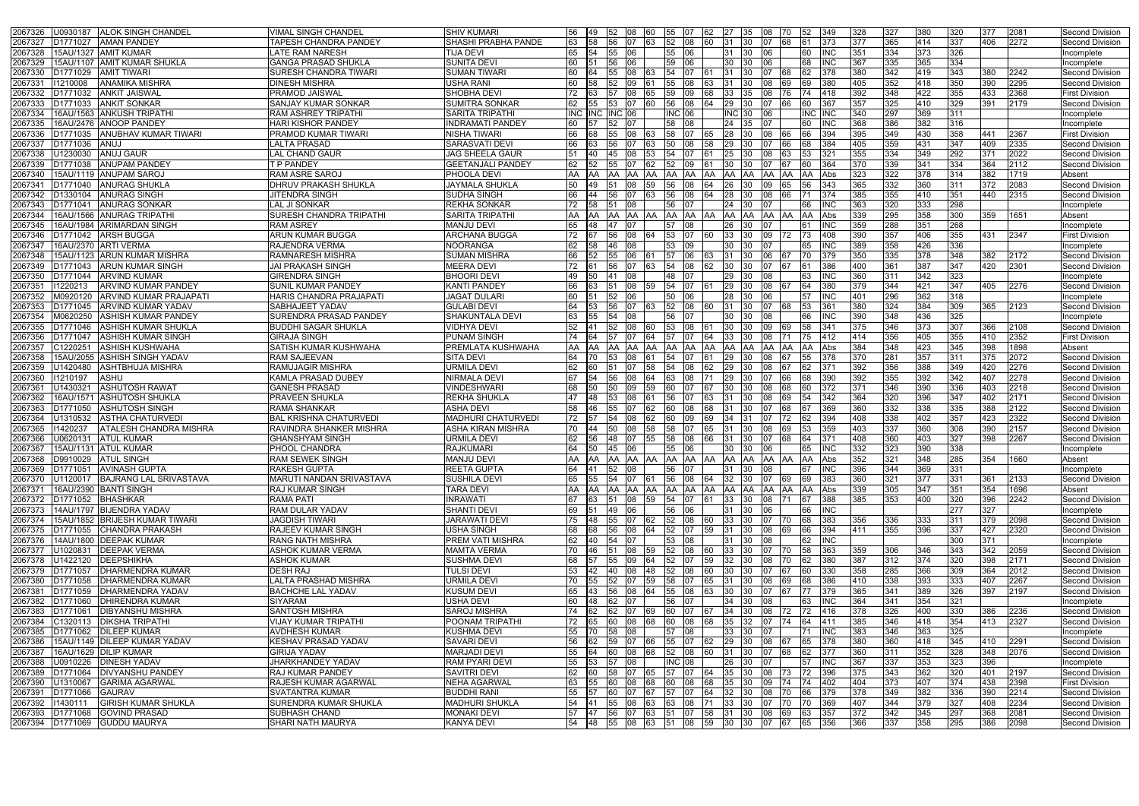| 365<br>414<br>337<br><b>SHASHI PRABHA PANDE</b><br>58<br>52 08<br>406<br>2272<br>2067327<br>D1771027<br><b>AMAN PANDEY</b><br>TAPESH CHANDRA PANDEY<br>56<br>በ7<br><b>63</b><br>60<br>31<br>373<br><b>377</b><br>Second Division<br>- 130<br>በ7<br>68<br>161<br>2067328<br>334<br>373<br>15AU/1327 AMIT KUMAR<br><b>LATE RAM NARESH</b><br><b>TIJA DEVI</b><br>351<br>326<br>65<br>54<br>INC<br>Incomplete<br><b>55</b><br>06<br>55<br>06<br>31<br>- 130<br>365<br>334<br>2067329<br>15AU/1107 AMIT KUMAR SHUKLA<br><b>GANGA PRASAD SHUKLA</b><br><b>SUNITA DEVI</b><br>60<br>59<br>06<br>INC.<br>367<br>335<br>30<br>Incomplete<br>419<br>342<br>343<br>380<br>380<br>2242<br>01771029<br><b>AMIT TIWARI</b><br>SURESH CHANDRA TIWARI<br><b>SUMAN TIWARI</b><br>31<br>Second Division<br>2067330<br>08<br>63<br>54<br>418<br>350<br><b>USHA RANI</b><br>352<br>390<br>2295<br>2067331<br>1210008<br><b>ANAMIKA MISHRA</b><br><b>DINESH MISHRA</b><br>405<br><b>Second Division</b><br>55<br>31<br>380<br>422<br><b>ANKIT JAISWAL</b><br><b>PRAMOD JAISWAL</b><br><b>SHOBHA DEVI</b><br>348<br>355<br>433<br>2368<br><b>First Division</b><br>2067332<br>D1771032<br>57<br>108<br>65<br>33<br>418<br>392<br>72.<br>163<br>59<br>09<br>68<br><b>1</b> 35<br>76.<br>2067333<br><b>SUMITRA SONKAR</b><br>357<br>325<br>410<br>329<br>391<br>2179<br>01771033<br><b>ANKIT SONKAR</b><br><b>SANJAY KUMAR SONKAR</b><br>80<br>29<br>Second Division<br>56<br>369<br><b>SARITA TRIPATHI</b><br>340<br>297<br>311<br>2067334<br><b>ANKUSH TRIPATHI</b><br><b>RAM ASHREY TRIPATHI</b><br>INC HNC HNC<br><b>INC 06</b><br>INC 130<br>IINC<br>INC<br>16AU/1563<br>Incomplete<br>106<br>382<br>368<br>386<br>316<br>2067335<br>16AU/2476 ANOOP PANDEY<br><b>HARI KISHOR PANDEY</b><br><b>INDRAMATI PANDEY</b><br>58<br>24<br>Incomplete<br>349<br>430<br>358<br><b>ANUBHAV KUMAR TIWARI</b><br><b>PRAMOD KUMAR TIWARI</b><br><b>NISHA TIWARI</b><br>28<br>394<br>395<br>441<br>2367<br><b>First Division</b><br>2067336<br>D1771035<br>55<br>08<br>58<br>163<br>107<br><b>1</b> 30<br>08<br>405<br>359<br>431<br>347<br>2335<br>206733<br>ANUJ<br><b>LALTA PRASAD</b><br><b>SARASVATI DEVI</b><br>29<br>384<br>409<br>Second Division<br>D1771036<br>56<br>163<br>50<br>I08<br>-130<br>66<br>355<br>334<br>349<br>292<br>2022<br>2067338<br>ANUJ GAUR<br><b>LAL CHAND GAUR</b><br><b>JAG SHEELA GAUR</b><br>25<br>321<br>371<br>J1230030<br>08<br>53<br>54<br>Second Division<br>339<br>341<br>334<br>364<br>370<br>2112<br><b>ANUPAM PANDEY</b><br><b>T P PANDEY</b><br><b>GEETANJALI PANDEY</b><br>2067339<br>)1771038<br>62.<br>09<br>30<br>364<br>Second Division<br>I52<br>2067340<br>322<br>378<br>314<br>382<br>15AU/1119 ANUPAM SAROJ<br><b>RAM ASRE SAROJ</b><br>PHOOLA DEVI<br>1719<br>323<br>Absent<br>AA<br>IAA.<br>ΑA<br>IAA<br>332<br>360<br>206734<br><b>ANURAG SHUKLA</b><br><b>DHRUV PRAKASH SHUKLA</b><br><b>JAYMALA SHUKLA</b><br>365<br>311<br>2083<br>Second Division<br>343<br>372<br>01771040<br>149<br>59<br>26<br>56<br>410<br><b>SUDHA SINGH</b><br>385<br>355<br>351<br>440<br>2315<br>2067342<br>01330104<br><b>ANURAG SINGH</b><br><b>JITENDRA SINGH</b><br>28<br>374<br>Second Division<br>63<br>56<br>08<br>333<br>298<br>320<br>D1771041<br><b>ANURAG SONKAR</b><br><b>LAL JI SONKAR</b><br><b>REKHA SONKAR</b><br>24<br><b>INC</b><br>363<br>2067343<br>08<br>56<br>Incomplete<br>358<br>295<br>300<br>359<br>2067344<br>16AU/1566 ANURAG TRIPATH<br><b>SURESH CHANDRA TRIPATHI</b><br><b>SARITA TRIPATHI</b><br>AA AA<br>AA AA<br>339<br>1651<br>Absent<br>AA<br>AA IAA<br>IAA<br>Abs<br>-IAA<br>359<br>288<br>351<br>268<br>2067345<br>16AU/1984 ARIMARDAN SINGH<br><b>RAM ASREY</b><br><b>MANJU DEVI</b><br>65<br>47<br>INC.<br><b>48</b><br>08<br>26<br>Incomplete<br>57<br>l61<br>2067346<br><b>ARUN KUMAR BUGGA</b><br>390<br>357<br>406<br>355<br>01771042<br><b>ARSH BUGGA</b><br><b>ARCHANA BUGGA</b><br>33<br>431<br>2347<br><b>First Division</b><br>08<br>NOORANGA<br>INC.<br>389<br>358<br>426<br>336<br>206734<br>16AU/2370<br><b>ARTI VERMA</b><br><b>RAJENDRA VERMA</b><br>09<br>30<br>Incomplete<br>I53.<br>335<br>378<br>348<br>06<br>350<br>382<br>2172<br>2067348<br>15AU/1123<br><b>ARUN KUMAR MISHRA</b><br><b>RAMNARESH MISHRA</b><br><b>SUMAN MISHRA</b><br>Second Division<br>387<br>400<br>361<br>347<br>420<br>2301<br>2067349<br><b>ARUN KUMAR SINGH</b><br><b>JAI PRAKASH SINGH</b><br><b>MEERA DEVI</b><br>386<br><b>Second Division</b><br>D1771043<br><b>56</b><br>163<br>54<br>I08<br>30<br>-130-<br>הו<br>161<br>342<br>323<br>2067350<br><b>BHOORI DEVI</b><br>360<br><b>ARVIND KUMAR</b><br><b>GIRENDRA SINGH</b><br>29<br><b>INC</b><br>311<br>01771044<br>49<br>50<br>108<br>l48<br>Incomplete<br>I41<br>07<br>163<br>-130-<br>421<br><b>ARVIND KUMAR PANDEY</b><br>379<br>344<br>347<br>405<br>2067351<br>1220213<br><b>SUNIL KUMAR PANDEY</b><br><b>KANTI PANDEY</b><br>66<br>29<br>380<br>2276<br><b>Second Division</b><br>63.<br>08<br>54<br>362<br>296<br>401<br>318<br>2067352<br>M0920120<br><b>ARVIND KUMAR PRAJAPAT</b><br>HARIS CHANDRA PRAJAPATI<br><b>JAGAT DULARI</b><br>28<br>60<br>52<br>06<br>INC<br>Incomplete<br>I50<br>384<br><b>GULABI DEVI</b><br>380<br>324<br>309<br>365<br>2123<br>2067353<br>D1771045<br><b>ARVIND KUMAR YADAV</b><br><b>SABHAJEET YADAV</b><br>52 08<br>31<br><b>Second Division</b><br>36٬<br>-130<br>436<br>325<br>2067354<br><b>ASHISH KUMAR PANDEY</b><br><b>SURENDRA PRASAD PANDEY</b><br>SHAKUNTALA DEVI<br>390<br>348<br>M0620250<br>54<br>08<br>30<br>INC<br>Incomplete<br>56<br>-130<br>2067355<br>346<br>373<br>307<br>01771046<br><b>ASHISH KUMAR SHUKLA</b><br><b>BUDDHI SAGAR SHUKLA</b><br><b>VIDHYA DEVI</b><br>30<br>375<br>366<br>2108<br><b>Second Division</b><br>53<br>08<br>405<br>2352<br>414<br>356<br>355<br>410<br><b>ASHISH KUMAR SINGH</b><br><b>GIRAJA SINGH</b><br><b>PUNAM SINGH</b><br>33<br>412<br><b>First Division</b><br>2067356<br>01771047<br><b>64</b><br>l57<br>348<br>423<br>345<br>398<br>1898<br><b>SATISH KUMAR KUSHWAHA</b><br><b>PREMLATA KUSHWAHA</b><br>384<br>Absent<br>206735<br>:1220251<br><b>ASHISH KUSHWAHA</b><br>AA<br>Abs<br>AA.<br>ΙAΑ<br>AA.<br>357<br>2067358<br><b>ASHISH SINGH YADAV</b><br><b>RAM SAJEEVAN</b><br><b>SITA DEVI</b><br>281<br>311<br>375<br>2072<br>Second Division<br>5AU/2055<br>64<br>378<br>370<br>53<br>29<br>08<br>2067359<br><b>RAMUJAGIR MISHRA</b><br>URMILA DEVI<br>392<br>356<br>388<br>349<br>420<br>2276<br>J1420480<br><b>ASHTBHUJA MISHRA</b><br>29<br>Second Division<br>355<br>392<br>342<br>407<br>2278<br>NIRMALA DEVI<br>390<br>392<br>2067360<br>1210197<br><b>ASHU</b><br><b>KAMLA PRASAD DUBEY</b><br>29<br>08<br>Second Division<br>390<br>371<br>346<br>336<br>403<br>2218<br>J143032 $^{\prime}$<br><b>ASHUTOSH RAWAT</b><br>2067361<br><b>GANESH PRASAD</b><br>VINDESHWARI<br>30<br>Second Division<br>09<br>I59<br>I60 I<br>396<br>320<br>347<br>402<br>2171<br>2067362<br>16AU/1571 ASHUTOSH SHUKLA<br><b>PRAVEEN SHUKLA</b><br><b>REKHA SHUKLA</b><br>08<br>342<br>364<br><b>Second Division</b><br>47<br>148<br>53<br>56<br>31<br>07<br>-130<br>69.<br>332<br>338<br>335<br>2067363<br><b>ASHUTOSH SINGH</b><br><b>ASHA DEVI</b><br>360<br>388<br>2122<br>01771050<br>RAMA SHANKAR<br>58<br>46<br>Second Division<br>55<br>62<br>08<br>31<br>369<br>68<br>60.<br>402<br>2067364<br><b>BAL KRISHNA CHATURVEDI</b><br><b>MADHURI CHATURVEDI</b><br>408<br>338<br>357<br>423<br>2322<br><b>ASTHA CHATURVEDI</b><br>72<br>34<br>394<br><b>Second Division</b><br>J1310532<br>08<br>62<br>09<br>360<br><b>ASHA KIRAN MISHRA</b><br>337<br>308<br>390<br>2157<br>142023<br><b>ATALESH CHANDRA MISHRA</b><br><b>RAVINDRA SHANKER MISHRA</b><br>403<br>2067365<br>58<br>31<br><b>Second Division</b><br>08<br>58<br>403<br>URMILA DEVI<br>408<br>360<br>327<br>398<br>2267<br>2067366<br>J0620131<br><b>ATUL KUMAR</b><br><b>GHANSHYAM SINGH</b><br>58<br>08<br>31<br><b>Second Division</b><br>48<br>155<br><b>1</b> 30<br>390<br>323<br>338<br>2067367<br>15AU/1131 ATUL KUMAR<br><b>PHOOL CHANDRA</b><br><b>RAJKUMARI</b><br><b>50</b><br>45<br> 06 <br>55 06<br>30 30<br><b>INC</b><br>332<br>06<br>65<br>Incomplete<br>2067368 D9910029 ATUL SINGH<br><b>RAM SEWEK SINGH</b><br><b>MANJU DEVI</b><br>348<br>354<br>1660<br>Absent<br>352<br>1321<br>285<br>52 08<br>31 30<br><b>INC</b><br>344<br>369<br>331<br>2067369 D1771051 AVINASH GUPTA<br><b>RAKESH GUPTA</b><br><b>REETA GUPTA</b><br>64 41<br>56 07<br>67<br>396<br>08<br>Incomplete<br>BAJRANG LAL SRIVASTAVA<br>MARUTI NANDAN SRIVASTAVA<br><b>SUSHILA DEVI</b><br>56 08<br>32 30<br>360<br>321<br>377<br>331<br>2133<br>2067370<br>U1120017<br>65<br>55<br>54 07 61<br>64<br>69<br>383<br>361<br>Second Division<br>07<br>69<br>16AU/2390 BANTI SINGH<br><b>RAJ KUMAR SINGH</b><br><b>TARA DEVI</b><br>305<br>347<br>351<br>354<br>1696<br>2067371<br>Abs<br>339<br>Absent<br>2067372<br>D1771052 BHASHKAR<br><b>RAMA PATI</b><br><b>INRAWATI</b><br>33 30<br>388<br>385<br>353<br>400<br>320<br>396<br>2242<br>63<br>08 59<br>54 07<br>08 71<br>67<br>Second Division<br><b>51</b><br><b>61</b><br><b>RAM DULAR YADAV</b><br><b>SHANTI DEVI</b><br>49 06<br><b>INC</b><br>277<br>327<br>2067373 14AU/1797 BIJENDRA YADAV<br>69<br>56 06<br>31 30<br>- 151<br>06<br><b>66</b><br>Incomplete<br>55 07 62 52 08 60 33 30 07 70<br>356<br>336<br>333<br>311<br>15AU/1852 BRIJESH KUMAR TIWARI<br><b>JAGDISH TIWARI</b><br><b>JARAWATI DEVI</b><br>75 48<br>68<br>383<br>379<br>2098<br>2067374<br>Second Division<br>396<br>355<br>D1771055 CHANDRA PRAKASH<br><b>RAJEEV KUMAR SINGH</b><br><b>USHA SINGH</b><br>56<br> 08<br>64<br>52 07<br>59<br>31 30<br>08<br>69<br>66<br>394<br>411<br>337<br>427<br>2320<br>2067375<br>68<br>68<br>Second Division<br>2067376<br><b>RANG NATH MISHRA</b><br><b>PREM VATI MISHRA</b><br><b>INC</b><br>300<br>371<br>14AU/1800 DEEPAK KUMAR<br>62<br><b>40</b><br>54 07<br>53 08<br>31 30<br>Incomplete<br>08<br>62<br>2067377<br>363<br>359<br>346<br>343<br>342<br>2059<br>U1020831   DEEPAK VERMA<br><b>ASHOK KUMAR VERMA</b><br><b>MAMTA VERMA</b><br>70<br><b>46</b><br>08 59<br>52 08<br>33 30<br>58<br>306<br>Second Division<br><b>60</b><br>07<br>170<br>312<br>374<br><b>ASHOK KUMAR</b><br><b>SUSHMA DEVI</b><br>55 09 64<br>59<br>32 30<br>387<br>320<br>398<br>2171<br>2067378<br>U1422120 DEEPSHIKHA<br>68<br>57<br>52 07<br>08 70<br>380<br>Second Division<br><b>62</b><br><b>DESH RAJ</b><br><b>TULSI DEVI</b><br>358<br>285<br>366<br>309<br>364<br>2012<br>2067379<br>D1771057 DHARMENDRA KUMAR<br>40<br> 08<br>48<br>52 08<br>60<br>30<br>30<br>330<br>Second Division<br><b>142</b><br>07<br>67<br>D1771058 DHARMENDRA KUMAR<br><b>LALTA PRASHAD MISHRA</b><br><b>URMILA DEVI</b><br>338<br>393<br>333<br>2267<br>2067380<br>70 55 52 07 59 58 07<br>65 31 30<br>08 69<br>68<br>386<br>410<br>407<br>Second Division<br><b>KUSUM DEVI</b><br>365<br>389<br>326<br>2067381<br>D1771059<br><b>DHARMENDRA YADAV</b><br><b>BACHCHE LAL YADAV</b><br>65<br>56<br>08 64<br>55 08<br>30<br>379<br>341<br>397<br>2197<br>Second Division<br><b>143</b><br><b>63</b><br><b>1</b> 30<br>07<br>67<br><b>DHIRENDRA KUMAR</b><br><b>USHA DEVI</b><br>62 07<br>34 30<br><b>INC</b><br>364<br>341<br>354<br>321<br>2067382<br>D1771060<br><b>SIYARAM</b><br>60<br><b>48</b><br>56 07<br>08<br><b>63</b><br>Incomplete<br>400<br><b>SANTOSH MISHRA</b><br><b>SAROJ MISHRA</b><br>34 30<br>326<br>330<br>2236<br>2067383<br>D1771061<br><b>DIBYANSHU MISHRA</b><br>74<br>62<br>62 07<br>69<br>60 07<br>416<br>378<br>386<br>Second Division<br>08<br>72<br><b>DIKSHA TRIPATHI</b><br><b>VIJAY KUMAR TRIPATHI</b><br>POONAM TRIPATHI<br>60 08 68<br>35 32 07 74<br>385<br>346<br>418<br>354<br>413<br>2327<br>2067384<br>C1320113<br>65<br>60 08<br>68<br>64<br><b>411</b><br>Second Division<br>72<br>$\overline{325}$<br>2067385<br>55 70<br>33 30<br>383<br>346<br>363<br>D1771062 DILEEP KUMAR<br><b>AVDHESH KUMAR</b><br><b>KUSHMA DEVI</b><br>58 08<br>57 08<br><b>INC</b><br>07<br>Incomplete<br>I71<br>15AU/1149 DILEEP KUMAR YADAV<br>59 07 66<br>55 07<br>29 30<br>380<br>360<br>418<br>345<br>2291<br>2067386<br>IKESHAV PRASAD YADAV<br><b>SAVARI DEVI</b><br>56 62<br>62<br>08 67<br><b>65</b><br>378<br>410<br>Second Division<br>360<br>352<br>328<br>348<br>2076<br>16AU/1629 DILIP KUMAR<br><b>GIRIJA YADAV</b><br><b>MARJADI DEVI</b><br>55<br>60 08 68<br>52 08<br>$31 \, 30$<br>07<br>68<br>311<br>2067387<br><b>164</b><br><b>60</b><br><b>62</b><br>377<br>Second Division<br>353<br>2067388<br>U0910226 DINESH YADAV<br>JHARKHANDEY YADAV<br>RAM PYARI DEVI<br>55<br><b>INC 08</b><br>367<br>337<br>323<br>396<br>53<br> 08<br>26 30<br><b>IINC</b><br>Incomplete<br><b>57</b><br>07<br>157<br>2067389<br>362<br><b>RAJ KUMAR PANDEY</b><br><b>SAVITRI DEVI</b><br>35 30 08 73<br>375<br>343<br>320<br>D1771064<br><b>DIVYANSHU PANDEY</b><br>62<br><b>60</b><br>58 07 65<br>57 07<br>396<br>401<br>2197<br>Second Division<br><b>64</b><br>$ 72\rangle$<br>407<br>374<br>2067390<br>U1310067<br><b>GARIMA AGARWAL</b><br><b>RAJESH KUMAR AGARWAL</b><br><b>NEHA AGARWAL</b><br>63<br>55<br>08 68<br>60 08<br>35 30<br>404<br>373<br>438<br>2398<br><b>First Division</b><br><b>60</b><br>68<br>09<br>74<br>402<br>382<br><b>BUDDHI RANI</b><br>64 32 30<br>349<br>336<br>2214<br>2067391<br>D1771066 GAURAV<br><b>SVATANTRA KUMAR</b><br>55<br>- 157<br>60 07 67 57 07<br>378<br>390<br>08 70<br><b>66</b><br>379<br>Second Division<br>379<br><b>GIRISH KUMAR SHUKLA</b><br><b>MADHURI SHUKLA</b><br>71 33 30<br>344<br>327<br>408<br>2234<br>11430111<br><b>SURENDRA KUMAR SHUKLA</b><br>54 41<br>55 08 63<br>63 08<br>07 70<br>170<br>369<br>407<br>Second Division<br>2067392<br>2067393 D1771068 GOVIND PRASAD<br><b>SUBHASH CHAND</b><br><b>MONAKI DEVI</b><br>57 47 56 07 63 51 07 58 31 30 08 69<br>342<br>345<br>297<br>2081<br>63 357<br>372<br>368<br>Second Division<br>358<br>295<br>2067394 D1771069 GUDDU MAURYA<br><b>KANYA DEVI</b><br>$54$ 48<br>55 08 63 51 08 59 30 30<br>07 67<br>366<br>337<br>386<br>2098<br><b>SHARI NATH MAURYA</b><br>65<br>356<br>Second Division | <b>ALOK SINGH CHANDEL</b><br>2067326<br>U0930187 | <b>VIMAL SINGH CHANDEL</b> | <b>SHIV KUMARI</b> | 56 | <b>149</b> | 52 08 | 160 | 55 07 | <b>62</b> | 27   35 | 08<br>I70 I | 152 | 349 | 328 | 327 | 380 | 320 | 377 | 2081 | Second Division |
|--------------------------------------------------------------------------------------------------------------------------------------------------------------------------------------------------------------------------------------------------------------------------------------------------------------------------------------------------------------------------------------------------------------------------------------------------------------------------------------------------------------------------------------------------------------------------------------------------------------------------------------------------------------------------------------------------------------------------------------------------------------------------------------------------------------------------------------------------------------------------------------------------------------------------------------------------------------------------------------------------------------------------------------------------------------------------------------------------------------------------------------------------------------------------------------------------------------------------------------------------------------------------------------------------------------------------------------------------------------------------------------------------------------------------------------------------------------------------------------------------------------------------------------------------------------------------------------------------------------------------------------------------------------------------------------------------------------------------------------------------------------------------------------------------------------------------------------------------------------------------------------------------------------------------------------------------------------------------------------------------------------------------------------------------------------------------------------------------------------------------------------------------------------------------------------------------------------------------------------------------------------------------------------------------------------------------------------------------------------------------------------------------------------------------------------------------------------------------------------------------------------------------------------------------------------------------------------------------------------------------------------------------------------------------------------------------------------------------------------------------------------------------------------------------------------------------------------------------------------------------------------------------------------------------------------------------------------------------------------------------------------------------------------------------------------------------------------------------------------------------------------------------------------------------------------------------------------------------------------------------------------------------------------------------------------------------------------------------------------------------------------------------------------------------------------------------------------------------------------------------------------------------------------------------------------------------------------------------------------------------------------------------------------------------------------------------------------------------------------------------------------------------------------------------------------------------------------------------------------------------------------------------------------------------------------------------------------------------------------------------------------------------------------------------------------------------------------------------------------------------------------------------------------------------------------------------------------------------------------------------------------------------------------------------------------------------------------------------------------------------------------------------------------------------------------------------------------------------------------------------------------------------------------------------------------------------------------------------------------------------------------------------------------------------------------------------------------------------------------------------------------------------------------------------------------------------------------------------------------------------------------------------------------------------------------------------------------------------------------------------------------------------------------------------------------------------------------------------------------------------------------------------------------------------------------------------------------------------------------------------------------------------------------------------------------------------------------------------------------------------------------------------------------------------------------------------------------------------------------------------------------------------------------------------------------------------------------------------------------------------------------------------------------------------------------------------------------------------------------------------------------------------------------------------------------------------------------------------------------------------------------------------------------------------------------------------------------------------------------------------------------------------------------------------------------------------------------------------------------------------------------------------------------------------------------------------------------------------------------------------------------------------------------------------------------------------------------------------------------------------------------------------------------------------------------------------------------------------------------------------------------------------------------------------------------------------------------------------------------------------------------------------------------------------------------------------------------------------------------------------------------------------------------------------------------------------------------------------------------------------------------------------------------------------------------------------------------------------------------------------------------------------------------------------------------------------------------------------------------------------------------------------------------------------------------------------------------------------------------------------------------------------------------------------------------------------------------------------------------------------------------------------------------------------------------------------------------------------------------------------------------------------------------------------------------------------------------------------------------------------------------------------------------------------------------------------------------------------------------------------------------------------------------------------------------------------------------------------------------------------------------------------------------------------------------------------------------------------------------------------------------------------------------------------------------------------------------------------------------------------------------------------------------------------------------------------------------------------------------------------------------------------------------------------------------------------------------------------------------------------------------------------------------------------------------------------------------------------------------------------------------------------------------------------------------------------------------------------------------------------------------------------------------------------------------------------------------------------------------------------------------------------------------------------------------------------------------------------------------------------------------------------------------------------------------------------------------------------------------------------------------------------------------------------------------------------------------------------------------------------------------------------------------------------------------------------------------------------------------------------------------------------------------------------------------------------------------------------------------------------------------------------------------------------------------------------------------------------------------------------------------------------------------------------------------------------------------------------------------------------------------------------------------------------------------------------------------------------------------------------------------------------------------------------------------------------------------------------------------------------------------------------------------------------------------------------------------------------------------------------------------------------------------------------------------------------------------------------------------------------------------------------------------------------------------------------------------------------------------------------------------------------------------------------------------------------------------------------------------------------------------------------------------------------------------------------------------------------------------------------------------------------------------------------------------------------------------------------------------------------------------------------------------------------------------------------------------------------------------------------------------------------------------------------------------------------------------------------------------------------------------------------------------------------------------------------------------------------------------------------------------------------------------------------------------------------------------------------------------------------------------------------------------------------------------------------------------------------------------------------------------------------------------------------------------------------------------------------------------------------------------------------------------------------------------------------------------------------------------------------------------------------------------------------------------------------------------------------------------------------------------------------------------------------------------------------------------------------------------------------------------------------------------------------------------------------------------------------------------------------------------------------------------------------------------------------------------------------------------------------------------------------------------------------------------------------------------------------------------------------------------------------------------------------------------------------------------------------------------------------------------------------------------------------------------------------------------------------------------------------------------------------------------------------------------------------------------------------------------------------------------------------------------------------------------------------------------------------------------------------------------------------------------------------------------------------------------------------------------------------------------------------------------------------------------------------------------------------------------------------------------------------------------------------------------------------------------------------------------------------------------------------------------------------------------------------------------------------------------------------------------------------------------------------------------------------------------------------------------------------------------------------------------------------------------------------------------------------------------------------------------------------------------------------------------------------------------------------------------------------------------------------------------------------------------------------------------------------------------------------------------------------------------------------------------------------------------------------------------------------------------------------------------------------------------------------------------------------------------------------------------------------------------------------------------------------------------------------------------------------------------------------------------------------------------------------------------------------------------------------------------------------------------------------------------------------------------------------------------|--------------------------------------------------|----------------------------|--------------------|----|------------|-------|-----|-------|-----------|---------|-------------|-----|-----|-----|-----|-----|-----|-----|------|-----------------|
|                                                                                                                                                                                                                                                                                                                                                                                                                                                                                                                                                                                                                                                                                                                                                                                                                                                                                                                                                                                                                                                                                                                                                                                                                                                                                                                                                                                                                                                                                                                                                                                                                                                                                                                                                                                                                                                                                                                                                                                                                                                                                                                                                                                                                                                                                                                                                                                                                                                                                                                                                                                                                                                                                                                                                                                                                                                                                                                                                                                                                                                                                                                                                                                                                                                                                                                                                                                                                                                                                                                                                                                                                                                                                                                                                                                                                                                                                                                                                                                                                                                                                                                                                                                                                                                                                                                                                                                                                                                                                                                                                                                                                                                                                                                                                                                                                                                                                                                                                                                                                                                                                                                                                                                                                                                                                                                                                                                                                                                                                                                                                                                                                                                                                                                                                                                                                                                                                                                                                                                                                                                                                                                                                                                                                                                                                                                                                                                                                                                                                                                                                                                                                                                                                                                                                                                                                                                                                                                                                                                                                                                                                                                                                                                                                                                                                                                                                                                                                                                                                                                                                                                                                                                                                                                                                                                                                                                                                                                                                                                                                                                                                                                                                                                                                                                                                                                                                                                                                                                                                                                                                                                                                                                                                                                                                                                                                                                                                                                                                                                                                                                                                                                                                                                                                                                                                                                                                                                                                                                                                                                                                                                                                                                                                                                                                                                                                                                                                                                                                                                                                                                                                                                                                                                                                                                                                                                                                                                                                                                                                                                                                                                                                                                                                                                                                                                                                                                                                                                                                                                                                                                                                                                                                                                                                                                                                                                                                                                                                                                                                                                                                                                                                                                                                                                                                                                                                                                                                                                                                                                                                                                                                                                                                                                                                                                                                                                                                                                                                                                                                                                                                                                                                                                                                                                                                                                                                                                                                                                                                                                                                                                                                                                                                                                                                                                                                                                                                                                                                                                                                                                                                                                                                                                                                                                                                                                                                                                                                                                                                                                                                                                                                                                                                                                                                                      |                                                  |                            |                    |    |            |       |     |       |           |         |             |     |     |     |     |     |     |     |      |                 |
|                                                                                                                                                                                                                                                                                                                                                                                                                                                                                                                                                                                                                                                                                                                                                                                                                                                                                                                                                                                                                                                                                                                                                                                                                                                                                                                                                                                                                                                                                                                                                                                                                                                                                                                                                                                                                                                                                                                                                                                                                                                                                                                                                                                                                                                                                                                                                                                                                                                                                                                                                                                                                                                                                                                                                                                                                                                                                                                                                                                                                                                                                                                                                                                                                                                                                                                                                                                                                                                                                                                                                                                                                                                                                                                                                                                                                                                                                                                                                                                                                                                                                                                                                                                                                                                                                                                                                                                                                                                                                                                                                                                                                                                                                                                                                                                                                                                                                                                                                                                                                                                                                                                                                                                                                                                                                                                                                                                                                                                                                                                                                                                                                                                                                                                                                                                                                                                                                                                                                                                                                                                                                                                                                                                                                                                                                                                                                                                                                                                                                                                                                                                                                                                                                                                                                                                                                                                                                                                                                                                                                                                                                                                                                                                                                                                                                                                                                                                                                                                                                                                                                                                                                                                                                                                                                                                                                                                                                                                                                                                                                                                                                                                                                                                                                                                                                                                                                                                                                                                                                                                                                                                                                                                                                                                                                                                                                                                                                                                                                                                                                                                                                                                                                                                                                                                                                                                                                                                                                                                                                                                                                                                                                                                                                                                                                                                                                                                                                                                                                                                                                                                                                                                                                                                                                                                                                                                                                                                                                                                                                                                                                                                                                                                                                                                                                                                                                                                                                                                                                                                                                                                                                                                                                                                                                                                                                                                                                                                                                                                                                                                                                                                                                                                                                                                                                                                                                                                                                                                                                                                                                                                                                                                                                                                                                                                                                                                                                                                                                                                                                                                                                                                                                                                                                                                                                                                                                                                                                                                                                                                                                                                                                                                                                                                                                                                                                                                                                                                                                                                                                                                                                                                                                                                                                                                                                                                                                                                                                                                                                                                                                                                                                                                                                                                                                                      |                                                  |                            |                    |    |            |       |     |       |           |         |             |     |     |     |     |     |     |     |      |                 |
|                                                                                                                                                                                                                                                                                                                                                                                                                                                                                                                                                                                                                                                                                                                                                                                                                                                                                                                                                                                                                                                                                                                                                                                                                                                                                                                                                                                                                                                                                                                                                                                                                                                                                                                                                                                                                                                                                                                                                                                                                                                                                                                                                                                                                                                                                                                                                                                                                                                                                                                                                                                                                                                                                                                                                                                                                                                                                                                                                                                                                                                                                                                                                                                                                                                                                                                                                                                                                                                                                                                                                                                                                                                                                                                                                                                                                                                                                                                                                                                                                                                                                                                                                                                                                                                                                                                                                                                                                                                                                                                                                                                                                                                                                                                                                                                                                                                                                                                                                                                                                                                                                                                                                                                                                                                                                                                                                                                                                                                                                                                                                                                                                                                                                                                                                                                                                                                                                                                                                                                                                                                                                                                                                                                                                                                                                                                                                                                                                                                                                                                                                                                                                                                                                                                                                                                                                                                                                                                                                                                                                                                                                                                                                                                                                                                                                                                                                                                                                                                                                                                                                                                                                                                                                                                                                                                                                                                                                                                                                                                                                                                                                                                                                                                                                                                                                                                                                                                                                                                                                                                                                                                                                                                                                                                                                                                                                                                                                                                                                                                                                                                                                                                                                                                                                                                                                                                                                                                                                                                                                                                                                                                                                                                                                                                                                                                                                                                                                                                                                                                                                                                                                                                                                                                                                                                                                                                                                                                                                                                                                                                                                                                                                                                                                                                                                                                                                                                                                                                                                                                                                                                                                                                                                                                                                                                                                                                                                                                                                                                                                                                                                                                                                                                                                                                                                                                                                                                                                                                                                                                                                                                                                                                                                                                                                                                                                                                                                                                                                                                                                                                                                                                                                                                                                                                                                                                                                                                                                                                                                                                                                                                                                                                                                                                                                                                                                                                                                                                                                                                                                                                                                                                                                                                                                                                                                                                                                                                                                                                                                                                                                                                                                                                                                                                                                                      |                                                  |                            |                    |    |            |       |     |       |           |         |             |     |     |     |     |     |     |     |      |                 |
|                                                                                                                                                                                                                                                                                                                                                                                                                                                                                                                                                                                                                                                                                                                                                                                                                                                                                                                                                                                                                                                                                                                                                                                                                                                                                                                                                                                                                                                                                                                                                                                                                                                                                                                                                                                                                                                                                                                                                                                                                                                                                                                                                                                                                                                                                                                                                                                                                                                                                                                                                                                                                                                                                                                                                                                                                                                                                                                                                                                                                                                                                                                                                                                                                                                                                                                                                                                                                                                                                                                                                                                                                                                                                                                                                                                                                                                                                                                                                                                                                                                                                                                                                                                                                                                                                                                                                                                                                                                                                                                                                                                                                                                                                                                                                                                                                                                                                                                                                                                                                                                                                                                                                                                                                                                                                                                                                                                                                                                                                                                                                                                                                                                                                                                                                                                                                                                                                                                                                                                                                                                                                                                                                                                                                                                                                                                                                                                                                                                                                                                                                                                                                                                                                                                                                                                                                                                                                                                                                                                                                                                                                                                                                                                                                                                                                                                                                                                                                                                                                                                                                                                                                                                                                                                                                                                                                                                                                                                                                                                                                                                                                                                                                                                                                                                                                                                                                                                                                                                                                                                                                                                                                                                                                                                                                                                                                                                                                                                                                                                                                                                                                                                                                                                                                                                                                                                                                                                                                                                                                                                                                                                                                                                                                                                                                                                                                                                                                                                                                                                                                                                                                                                                                                                                                                                                                                                                                                                                                                                                                                                                                                                                                                                                                                                                                                                                                                                                                                                                                                                                                                                                                                                                                                                                                                                                                                                                                                                                                                                                                                                                                                                                                                                                                                                                                                                                                                                                                                                                                                                                                                                                                                                                                                                                                                                                                                                                                                                                                                                                                                                                                                                                                                                                                                                                                                                                                                                                                                                                                                                                                                                                                                                                                                                                                                                                                                                                                                                                                                                                                                                                                                                                                                                                                                                                                                                                                                                                                                                                                                                                                                                                                                                                                                                                                                      |                                                  |                            |                    |    |            |       |     |       |           |         |             |     |     |     |     |     |     |     |      |                 |
|                                                                                                                                                                                                                                                                                                                                                                                                                                                                                                                                                                                                                                                                                                                                                                                                                                                                                                                                                                                                                                                                                                                                                                                                                                                                                                                                                                                                                                                                                                                                                                                                                                                                                                                                                                                                                                                                                                                                                                                                                                                                                                                                                                                                                                                                                                                                                                                                                                                                                                                                                                                                                                                                                                                                                                                                                                                                                                                                                                                                                                                                                                                                                                                                                                                                                                                                                                                                                                                                                                                                                                                                                                                                                                                                                                                                                                                                                                                                                                                                                                                                                                                                                                                                                                                                                                                                                                                                                                                                                                                                                                                                                                                                                                                                                                                                                                                                                                                                                                                                                                                                                                                                                                                                                                                                                                                                                                                                                                                                                                                                                                                                                                                                                                                                                                                                                                                                                                                                                                                                                                                                                                                                                                                                                                                                                                                                                                                                                                                                                                                                                                                                                                                                                                                                                                                                                                                                                                                                                                                                                                                                                                                                                                                                                                                                                                                                                                                                                                                                                                                                                                                                                                                                                                                                                                                                                                                                                                                                                                                                                                                                                                                                                                                                                                                                                                                                                                                                                                                                                                                                                                                                                                                                                                                                                                                                                                                                                                                                                                                                                                                                                                                                                                                                                                                                                                                                                                                                                                                                                                                                                                                                                                                                                                                                                                                                                                                                                                                                                                                                                                                                                                                                                                                                                                                                                                                                                                                                                                                                                                                                                                                                                                                                                                                                                                                                                                                                                                                                                                                                                                                                                                                                                                                                                                                                                                                                                                                                                                                                                                                                                                                                                                                                                                                                                                                                                                                                                                                                                                                                                                                                                                                                                                                                                                                                                                                                                                                                                                                                                                                                                                                                                                                                                                                                                                                                                                                                                                                                                                                                                                                                                                                                                                                                                                                                                                                                                                                                                                                                                                                                                                                                                                                                                                                                                                                                                                                                                                                                                                                                                                                                                                                                                                                                                                      |                                                  |                            |                    |    |            |       |     |       |           |         |             |     |     |     |     |     |     |     |      |                 |
|                                                                                                                                                                                                                                                                                                                                                                                                                                                                                                                                                                                                                                                                                                                                                                                                                                                                                                                                                                                                                                                                                                                                                                                                                                                                                                                                                                                                                                                                                                                                                                                                                                                                                                                                                                                                                                                                                                                                                                                                                                                                                                                                                                                                                                                                                                                                                                                                                                                                                                                                                                                                                                                                                                                                                                                                                                                                                                                                                                                                                                                                                                                                                                                                                                                                                                                                                                                                                                                                                                                                                                                                                                                                                                                                                                                                                                                                                                                                                                                                                                                                                                                                                                                                                                                                                                                                                                                                                                                                                                                                                                                                                                                                                                                                                                                                                                                                                                                                                                                                                                                                                                                                                                                                                                                                                                                                                                                                                                                                                                                                                                                                                                                                                                                                                                                                                                                                                                                                                                                                                                                                                                                                                                                                                                                                                                                                                                                                                                                                                                                                                                                                                                                                                                                                                                                                                                                                                                                                                                                                                                                                                                                                                                                                                                                                                                                                                                                                                                                                                                                                                                                                                                                                                                                                                                                                                                                                                                                                                                                                                                                                                                                                                                                                                                                                                                                                                                                                                                                                                                                                                                                                                                                                                                                                                                                                                                                                                                                                                                                                                                                                                                                                                                                                                                                                                                                                                                                                                                                                                                                                                                                                                                                                                                                                                                                                                                                                                                                                                                                                                                                                                                                                                                                                                                                                                                                                                                                                                                                                                                                                                                                                                                                                                                                                                                                                                                                                                                                                                                                                                                                                                                                                                                                                                                                                                                                                                                                                                                                                                                                                                                                                                                                                                                                                                                                                                                                                                                                                                                                                                                                                                                                                                                                                                                                                                                                                                                                                                                                                                                                                                                                                                                                                                                                                                                                                                                                                                                                                                                                                                                                                                                                                                                                                                                                                                                                                                                                                                                                                                                                                                                                                                                                                                                                                                                                                                                                                                                                                                                                                                                                                                                                                                                                                                                      |                                                  |                            |                    |    |            |       |     |       |           |         |             |     |     |     |     |     |     |     |      |                 |
|                                                                                                                                                                                                                                                                                                                                                                                                                                                                                                                                                                                                                                                                                                                                                                                                                                                                                                                                                                                                                                                                                                                                                                                                                                                                                                                                                                                                                                                                                                                                                                                                                                                                                                                                                                                                                                                                                                                                                                                                                                                                                                                                                                                                                                                                                                                                                                                                                                                                                                                                                                                                                                                                                                                                                                                                                                                                                                                                                                                                                                                                                                                                                                                                                                                                                                                                                                                                                                                                                                                                                                                                                                                                                                                                                                                                                                                                                                                                                                                                                                                                                                                                                                                                                                                                                                                                                                                                                                                                                                                                                                                                                                                                                                                                                                                                                                                                                                                                                                                                                                                                                                                                                                                                                                                                                                                                                                                                                                                                                                                                                                                                                                                                                                                                                                                                                                                                                                                                                                                                                                                                                                                                                                                                                                                                                                                                                                                                                                                                                                                                                                                                                                                                                                                                                                                                                                                                                                                                                                                                                                                                                                                                                                                                                                                                                                                                                                                                                                                                                                                                                                                                                                                                                                                                                                                                                                                                                                                                                                                                                                                                                                                                                                                                                                                                                                                                                                                                                                                                                                                                                                                                                                                                                                                                                                                                                                                                                                                                                                                                                                                                                                                                                                                                                                                                                                                                                                                                                                                                                                                                                                                                                                                                                                                                                                                                                                                                                                                                                                                                                                                                                                                                                                                                                                                                                                                                                                                                                                                                                                                                                                                                                                                                                                                                                                                                                                                                                                                                                                                                                                                                                                                                                                                                                                                                                                                                                                                                                                                                                                                                                                                                                                                                                                                                                                                                                                                                                                                                                                                                                                                                                                                                                                                                                                                                                                                                                                                                                                                                                                                                                                                                                                                                                                                                                                                                                                                                                                                                                                                                                                                                                                                                                                                                                                                                                                                                                                                                                                                                                                                                                                                                                                                                                                                                                                                                                                                                                                                                                                                                                                                                                                                                                                                                                                      |                                                  |                            |                    |    |            |       |     |       |           |         |             |     |     |     |     |     |     |     |      |                 |
|                                                                                                                                                                                                                                                                                                                                                                                                                                                                                                                                                                                                                                                                                                                                                                                                                                                                                                                                                                                                                                                                                                                                                                                                                                                                                                                                                                                                                                                                                                                                                                                                                                                                                                                                                                                                                                                                                                                                                                                                                                                                                                                                                                                                                                                                                                                                                                                                                                                                                                                                                                                                                                                                                                                                                                                                                                                                                                                                                                                                                                                                                                                                                                                                                                                                                                                                                                                                                                                                                                                                                                                                                                                                                                                                                                                                                                                                                                                                                                                                                                                                                                                                                                                                                                                                                                                                                                                                                                                                                                                                                                                                                                                                                                                                                                                                                                                                                                                                                                                                                                                                                                                                                                                                                                                                                                                                                                                                                                                                                                                                                                                                                                                                                                                                                                                                                                                                                                                                                                                                                                                                                                                                                                                                                                                                                                                                                                                                                                                                                                                                                                                                                                                                                                                                                                                                                                                                                                                                                                                                                                                                                                                                                                                                                                                                                                                                                                                                                                                                                                                                                                                                                                                                                                                                                                                                                                                                                                                                                                                                                                                                                                                                                                                                                                                                                                                                                                                                                                                                                                                                                                                                                                                                                                                                                                                                                                                                                                                                                                                                                                                                                                                                                                                                                                                                                                                                                                                                                                                                                                                                                                                                                                                                                                                                                                                                                                                                                                                                                                                                                                                                                                                                                                                                                                                                                                                                                                                                                                                                                                                                                                                                                                                                                                                                                                                                                                                                                                                                                                                                                                                                                                                                                                                                                                                                                                                                                                                                                                                                                                                                                                                                                                                                                                                                                                                                                                                                                                                                                                                                                                                                                                                                                                                                                                                                                                                                                                                                                                                                                                                                                                                                                                                                                                                                                                                                                                                                                                                                                                                                                                                                                                                                                                                                                                                                                                                                                                                                                                                                                                                                                                                                                                                                                                                                                                                                                                                                                                                                                                                                                                                                                                                                                                                                                                      |                                                  |                            |                    |    |            |       |     |       |           |         |             |     |     |     |     |     |     |     |      |                 |
|                                                                                                                                                                                                                                                                                                                                                                                                                                                                                                                                                                                                                                                                                                                                                                                                                                                                                                                                                                                                                                                                                                                                                                                                                                                                                                                                                                                                                                                                                                                                                                                                                                                                                                                                                                                                                                                                                                                                                                                                                                                                                                                                                                                                                                                                                                                                                                                                                                                                                                                                                                                                                                                                                                                                                                                                                                                                                                                                                                                                                                                                                                                                                                                                                                                                                                                                                                                                                                                                                                                                                                                                                                                                                                                                                                                                                                                                                                                                                                                                                                                                                                                                                                                                                                                                                                                                                                                                                                                                                                                                                                                                                                                                                                                                                                                                                                                                                                                                                                                                                                                                                                                                                                                                                                                                                                                                                                                                                                                                                                                                                                                                                                                                                                                                                                                                                                                                                                                                                                                                                                                                                                                                                                                                                                                                                                                                                                                                                                                                                                                                                                                                                                                                                                                                                                                                                                                                                                                                                                                                                                                                                                                                                                                                                                                                                                                                                                                                                                                                                                                                                                                                                                                                                                                                                                                                                                                                                                                                                                                                                                                                                                                                                                                                                                                                                                                                                                                                                                                                                                                                                                                                                                                                                                                                                                                                                                                                                                                                                                                                                                                                                                                                                                                                                                                                                                                                                                                                                                                                                                                                                                                                                                                                                                                                                                                                                                                                                                                                                                                                                                                                                                                                                                                                                                                                                                                                                                                                                                                                                                                                                                                                                                                                                                                                                                                                                                                                                                                                                                                                                                                                                                                                                                                                                                                                                                                                                                                                                                                                                                                                                                                                                                                                                                                                                                                                                                                                                                                                                                                                                                                                                                                                                                                                                                                                                                                                                                                                                                                                                                                                                                                                                                                                                                                                                                                                                                                                                                                                                                                                                                                                                                                                                                                                                                                                                                                                                                                                                                                                                                                                                                                                                                                                                                                                                                                                                                                                                                                                                                                                                                                                                                                                                                                                                                      |                                                  |                            |                    |    |            |       |     |       |           |         |             |     |     |     |     |     |     |     |      |                 |
|                                                                                                                                                                                                                                                                                                                                                                                                                                                                                                                                                                                                                                                                                                                                                                                                                                                                                                                                                                                                                                                                                                                                                                                                                                                                                                                                                                                                                                                                                                                                                                                                                                                                                                                                                                                                                                                                                                                                                                                                                                                                                                                                                                                                                                                                                                                                                                                                                                                                                                                                                                                                                                                                                                                                                                                                                                                                                                                                                                                                                                                                                                                                                                                                                                                                                                                                                                                                                                                                                                                                                                                                                                                                                                                                                                                                                                                                                                                                                                                                                                                                                                                                                                                                                                                                                                                                                                                                                                                                                                                                                                                                                                                                                                                                                                                                                                                                                                                                                                                                                                                                                                                                                                                                                                                                                                                                                                                                                                                                                                                                                                                                                                                                                                                                                                                                                                                                                                                                                                                                                                                                                                                                                                                                                                                                                                                                                                                                                                                                                                                                                                                                                                                                                                                                                                                                                                                                                                                                                                                                                                                                                                                                                                                                                                                                                                                                                                                                                                                                                                                                                                                                                                                                                                                                                                                                                                                                                                                                                                                                                                                                                                                                                                                                                                                                                                                                                                                                                                                                                                                                                                                                                                                                                                                                                                                                                                                                                                                                                                                                                                                                                                                                                                                                                                                                                                                                                                                                                                                                                                                                                                                                                                                                                                                                                                                                                                                                                                                                                                                                                                                                                                                                                                                                                                                                                                                                                                                                                                                                                                                                                                                                                                                                                                                                                                                                                                                                                                                                                                                                                                                                                                                                                                                                                                                                                                                                                                                                                                                                                                                                                                                                                                                                                                                                                                                                                                                                                                                                                                                                                                                                                                                                                                                                                                                                                                                                                                                                                                                                                                                                                                                                                                                                                                                                                                                                                                                                                                                                                                                                                                                                                                                                                                                                                                                                                                                                                                                                                                                                                                                                                                                                                                                                                                                                                                                                                                                                                                                                                                                                                                                                                                                                                                                                                                      |                                                  |                            |                    |    |            |       |     |       |           |         |             |     |     |     |     |     |     |     |      |                 |
|                                                                                                                                                                                                                                                                                                                                                                                                                                                                                                                                                                                                                                                                                                                                                                                                                                                                                                                                                                                                                                                                                                                                                                                                                                                                                                                                                                                                                                                                                                                                                                                                                                                                                                                                                                                                                                                                                                                                                                                                                                                                                                                                                                                                                                                                                                                                                                                                                                                                                                                                                                                                                                                                                                                                                                                                                                                                                                                                                                                                                                                                                                                                                                                                                                                                                                                                                                                                                                                                                                                                                                                                                                                                                                                                                                                                                                                                                                                                                                                                                                                                                                                                                                                                                                                                                                                                                                                                                                                                                                                                                                                                                                                                                                                                                                                                                                                                                                                                                                                                                                                                                                                                                                                                                                                                                                                                                                                                                                                                                                                                                                                                                                                                                                                                                                                                                                                                                                                                                                                                                                                                                                                                                                                                                                                                                                                                                                                                                                                                                                                                                                                                                                                                                                                                                                                                                                                                                                                                                                                                                                                                                                                                                                                                                                                                                                                                                                                                                                                                                                                                                                                                                                                                                                                                                                                                                                                                                                                                                                                                                                                                                                                                                                                                                                                                                                                                                                                                                                                                                                                                                                                                                                                                                                                                                                                                                                                                                                                                                                                                                                                                                                                                                                                                                                                                                                                                                                                                                                                                                                                                                                                                                                                                                                                                                                                                                                                                                                                                                                                                                                                                                                                                                                                                                                                                                                                                                                                                                                                                                                                                                                                                                                                                                                                                                                                                                                                                                                                                                                                                                                                                                                                                                                                                                                                                                                                                                                                                                                                                                                                                                                                                                                                                                                                                                                                                                                                                                                                                                                                                                                                                                                                                                                                                                                                                                                                                                                                                                                                                                                                                                                                                                                                                                                                                                                                                                                                                                                                                                                                                                                                                                                                                                                                                                                                                                                                                                                                                                                                                                                                                                                                                                                                                                                                                                                                                                                                                                                                                                                                                                                                                                                                                                                                                                                      |                                                  |                            |                    |    |            |       |     |       |           |         |             |     |     |     |     |     |     |     |      |                 |
|                                                                                                                                                                                                                                                                                                                                                                                                                                                                                                                                                                                                                                                                                                                                                                                                                                                                                                                                                                                                                                                                                                                                                                                                                                                                                                                                                                                                                                                                                                                                                                                                                                                                                                                                                                                                                                                                                                                                                                                                                                                                                                                                                                                                                                                                                                                                                                                                                                                                                                                                                                                                                                                                                                                                                                                                                                                                                                                                                                                                                                                                                                                                                                                                                                                                                                                                                                                                                                                                                                                                                                                                                                                                                                                                                                                                                                                                                                                                                                                                                                                                                                                                                                                                                                                                                                                                                                                                                                                                                                                                                                                                                                                                                                                                                                                                                                                                                                                                                                                                                                                                                                                                                                                                                                                                                                                                                                                                                                                                                                                                                                                                                                                                                                                                                                                                                                                                                                                                                                                                                                                                                                                                                                                                                                                                                                                                                                                                                                                                                                                                                                                                                                                                                                                                                                                                                                                                                                                                                                                                                                                                                                                                                                                                                                                                                                                                                                                                                                                                                                                                                                                                                                                                                                                                                                                                                                                                                                                                                                                                                                                                                                                                                                                                                                                                                                                                                                                                                                                                                                                                                                                                                                                                                                                                                                                                                                                                                                                                                                                                                                                                                                                                                                                                                                                                                                                                                                                                                                                                                                                                                                                                                                                                                                                                                                                                                                                                                                                                                                                                                                                                                                                                                                                                                                                                                                                                                                                                                                                                                                                                                                                                                                                                                                                                                                                                                                                                                                                                                                                                                                                                                                                                                                                                                                                                                                                                                                                                                                                                                                                                                                                                                                                                                                                                                                                                                                                                                                                                                                                                                                                                                                                                                                                                                                                                                                                                                                                                                                                                                                                                                                                                                                                                                                                                                                                                                                                                                                                                                                                                                                                                                                                                                                                                                                                                                                                                                                                                                                                                                                                                                                                                                                                                                                                                                                                                                                                                                                                                                                                                                                                                                                                                                                                                                                      |                                                  |                            |                    |    |            |       |     |       |           |         |             |     |     |     |     |     |     |     |      |                 |
|                                                                                                                                                                                                                                                                                                                                                                                                                                                                                                                                                                                                                                                                                                                                                                                                                                                                                                                                                                                                                                                                                                                                                                                                                                                                                                                                                                                                                                                                                                                                                                                                                                                                                                                                                                                                                                                                                                                                                                                                                                                                                                                                                                                                                                                                                                                                                                                                                                                                                                                                                                                                                                                                                                                                                                                                                                                                                                                                                                                                                                                                                                                                                                                                                                                                                                                                                                                                                                                                                                                                                                                                                                                                                                                                                                                                                                                                                                                                                                                                                                                                                                                                                                                                                                                                                                                                                                                                                                                                                                                                                                                                                                                                                                                                                                                                                                                                                                                                                                                                                                                                                                                                                                                                                                                                                                                                                                                                                                                                                                                                                                                                                                                                                                                                                                                                                                                                                                                                                                                                                                                                                                                                                                                                                                                                                                                                                                                                                                                                                                                                                                                                                                                                                                                                                                                                                                                                                                                                                                                                                                                                                                                                                                                                                                                                                                                                                                                                                                                                                                                                                                                                                                                                                                                                                                                                                                                                                                                                                                                                                                                                                                                                                                                                                                                                                                                                                                                                                                                                                                                                                                                                                                                                                                                                                                                                                                                                                                                                                                                                                                                                                                                                                                                                                                                                                                                                                                                                                                                                                                                                                                                                                                                                                                                                                                                                                                                                                                                                                                                                                                                                                                                                                                                                                                                                                                                                                                                                                                                                                                                                                                                                                                                                                                                                                                                                                                                                                                                                                                                                                                                                                                                                                                                                                                                                                                                                                                                                                                                                                                                                                                                                                                                                                                                                                                                                                                                                                                                                                                                                                                                                                                                                                                                                                                                                                                                                                                                                                                                                                                                                                                                                                                                                                                                                                                                                                                                                                                                                                                                                                                                                                                                                                                                                                                                                                                                                                                                                                                                                                                                                                                                                                                                                                                                                                                                                                                                                                                                                                                                                                                                                                                                                                                                                                                      |                                                  |                            |                    |    |            |       |     |       |           |         |             |     |     |     |     |     |     |     |      |                 |
|                                                                                                                                                                                                                                                                                                                                                                                                                                                                                                                                                                                                                                                                                                                                                                                                                                                                                                                                                                                                                                                                                                                                                                                                                                                                                                                                                                                                                                                                                                                                                                                                                                                                                                                                                                                                                                                                                                                                                                                                                                                                                                                                                                                                                                                                                                                                                                                                                                                                                                                                                                                                                                                                                                                                                                                                                                                                                                                                                                                                                                                                                                                                                                                                                                                                                                                                                                                                                                                                                                                                                                                                                                                                                                                                                                                                                                                                                                                                                                                                                                                                                                                                                                                                                                                                                                                                                                                                                                                                                                                                                                                                                                                                                                                                                                                                                                                                                                                                                                                                                                                                                                                                                                                                                                                                                                                                                                                                                                                                                                                                                                                                                                                                                                                                                                                                                                                                                                                                                                                                                                                                                                                                                                                                                                                                                                                                                                                                                                                                                                                                                                                                                                                                                                                                                                                                                                                                                                                                                                                                                                                                                                                                                                                                                                                                                                                                                                                                                                                                                                                                                                                                                                                                                                                                                                                                                                                                                                                                                                                                                                                                                                                                                                                                                                                                                                                                                                                                                                                                                                                                                                                                                                                                                                                                                                                                                                                                                                                                                                                                                                                                                                                                                                                                                                                                                                                                                                                                                                                                                                                                                                                                                                                                                                                                                                                                                                                                                                                                                                                                                                                                                                                                                                                                                                                                                                                                                                                                                                                                                                                                                                                                                                                                                                                                                                                                                                                                                                                                                                                                                                                                                                                                                                                                                                                                                                                                                                                                                                                                                                                                                                                                                                                                                                                                                                                                                                                                                                                                                                                                                                                                                                                                                                                                                                                                                                                                                                                                                                                                                                                                                                                                                                                                                                                                                                                                                                                                                                                                                                                                                                                                                                                                                                                                                                                                                                                                                                                                                                                                                                                                                                                                                                                                                                                                                                                                                                                                                                                                                                                                                                                                                                                                                                                                                                      |                                                  |                            |                    |    |            |       |     |       |           |         |             |     |     |     |     |     |     |     |      |                 |
|                                                                                                                                                                                                                                                                                                                                                                                                                                                                                                                                                                                                                                                                                                                                                                                                                                                                                                                                                                                                                                                                                                                                                                                                                                                                                                                                                                                                                                                                                                                                                                                                                                                                                                                                                                                                                                                                                                                                                                                                                                                                                                                                                                                                                                                                                                                                                                                                                                                                                                                                                                                                                                                                                                                                                                                                                                                                                                                                                                                                                                                                                                                                                                                                                                                                                                                                                                                                                                                                                                                                                                                                                                                                                                                                                                                                                                                                                                                                                                                                                                                                                                                                                                                                                                                                                                                                                                                                                                                                                                                                                                                                                                                                                                                                                                                                                                                                                                                                                                                                                                                                                                                                                                                                                                                                                                                                                                                                                                                                                                                                                                                                                                                                                                                                                                                                                                                                                                                                                                                                                                                                                                                                                                                                                                                                                                                                                                                                                                                                                                                                                                                                                                                                                                                                                                                                                                                                                                                                                                                                                                                                                                                                                                                                                                                                                                                                                                                                                                                                                                                                                                                                                                                                                                                                                                                                                                                                                                                                                                                                                                                                                                                                                                                                                                                                                                                                                                                                                                                                                                                                                                                                                                                                                                                                                                                                                                                                                                                                                                                                                                                                                                                                                                                                                                                                                                                                                                                                                                                                                                                                                                                                                                                                                                                                                                                                                                                                                                                                                                                                                                                                                                                                                                                                                                                                                                                                                                                                                                                                                                                                                                                                                                                                                                                                                                                                                                                                                                                                                                                                                                                                                                                                                                                                                                                                                                                                                                                                                                                                                                                                                                                                                                                                                                                                                                                                                                                                                                                                                                                                                                                                                                                                                                                                                                                                                                                                                                                                                                                                                                                                                                                                                                                                                                                                                                                                                                                                                                                                                                                                                                                                                                                                                                                                                                                                                                                                                                                                                                                                                                                                                                                                                                                                                                                                                                                                                                                                                                                                                                                                                                                                                                                                                                                                                                      |                                                  |                            |                    |    |            |       |     |       |           |         |             |     |     |     |     |     |     |     |      |                 |
|                                                                                                                                                                                                                                                                                                                                                                                                                                                                                                                                                                                                                                                                                                                                                                                                                                                                                                                                                                                                                                                                                                                                                                                                                                                                                                                                                                                                                                                                                                                                                                                                                                                                                                                                                                                                                                                                                                                                                                                                                                                                                                                                                                                                                                                                                                                                                                                                                                                                                                                                                                                                                                                                                                                                                                                                                                                                                                                                                                                                                                                                                                                                                                                                                                                                                                                                                                                                                                                                                                                                                                                                                                                                                                                                                                                                                                                                                                                                                                                                                                                                                                                                                                                                                                                                                                                                                                                                                                                                                                                                                                                                                                                                                                                                                                                                                                                                                                                                                                                                                                                                                                                                                                                                                                                                                                                                                                                                                                                                                                                                                                                                                                                                                                                                                                                                                                                                                                                                                                                                                                                                                                                                                                                                                                                                                                                                                                                                                                                                                                                                                                                                                                                                                                                                                                                                                                                                                                                                                                                                                                                                                                                                                                                                                                                                                                                                                                                                                                                                                                                                                                                                                                                                                                                                                                                                                                                                                                                                                                                                                                                                                                                                                                                                                                                                                                                                                                                                                                                                                                                                                                                                                                                                                                                                                                                                                                                                                                                                                                                                                                                                                                                                                                                                                                                                                                                                                                                                                                                                                                                                                                                                                                                                                                                                                                                                                                                                                                                                                                                                                                                                                                                                                                                                                                                                                                                                                                                                                                                                                                                                                                                                                                                                                                                                                                                                                                                                                                                                                                                                                                                                                                                                                                                                                                                                                                                                                                                                                                                                                                                                                                                                                                                                                                                                                                                                                                                                                                                                                                                                                                                                                                                                                                                                                                                                                                                                                                                                                                                                                                                                                                                                                                                                                                                                                                                                                                                                                                                                                                                                                                                                                                                                                                                                                                                                                                                                                                                                                                                                                                                                                                                                                                                                                                                                                                                                                                                                                                                                                                                                                                                                                                                                                                                                                                      |                                                  |                            |                    |    |            |       |     |       |           |         |             |     |     |     |     |     |     |     |      |                 |
|                                                                                                                                                                                                                                                                                                                                                                                                                                                                                                                                                                                                                                                                                                                                                                                                                                                                                                                                                                                                                                                                                                                                                                                                                                                                                                                                                                                                                                                                                                                                                                                                                                                                                                                                                                                                                                                                                                                                                                                                                                                                                                                                                                                                                                                                                                                                                                                                                                                                                                                                                                                                                                                                                                                                                                                                                                                                                                                                                                                                                                                                                                                                                                                                                                                                                                                                                                                                                                                                                                                                                                                                                                                                                                                                                                                                                                                                                                                                                                                                                                                                                                                                                                                                                                                                                                                                                                                                                                                                                                                                                                                                                                                                                                                                                                                                                                                                                                                                                                                                                                                                                                                                                                                                                                                                                                                                                                                                                                                                                                                                                                                                                                                                                                                                                                                                                                                                                                                                                                                                                                                                                                                                                                                                                                                                                                                                                                                                                                                                                                                                                                                                                                                                                                                                                                                                                                                                                                                                                                                                                                                                                                                                                                                                                                                                                                                                                                                                                                                                                                                                                                                                                                                                                                                                                                                                                                                                                                                                                                                                                                                                                                                                                                                                                                                                                                                                                                                                                                                                                                                                                                                                                                                                                                                                                                                                                                                                                                                                                                                                                                                                                                                                                                                                                                                                                                                                                                                                                                                                                                                                                                                                                                                                                                                                                                                                                                                                                                                                                                                                                                                                                                                                                                                                                                                                                                                                                                                                                                                                                                                                                                                                                                                                                                                                                                                                                                                                                                                                                                                                                                                                                                                                                                                                                                                                                                                                                                                                                                                                                                                                                                                                                                                                                                                                                                                                                                                                                                                                                                                                                                                                                                                                                                                                                                                                                                                                                                                                                                                                                                                                                                                                                                                                                                                                                                                                                                                                                                                                                                                                                                                                                                                                                                                                                                                                                                                                                                                                                                                                                                                                                                                                                                                                                                                                                                                                                                                                                                                                                                                                                                                                                                                                                                                                                                      |                                                  |                            |                    |    |            |       |     |       |           |         |             |     |     |     |     |     |     |     |      |                 |
|                                                                                                                                                                                                                                                                                                                                                                                                                                                                                                                                                                                                                                                                                                                                                                                                                                                                                                                                                                                                                                                                                                                                                                                                                                                                                                                                                                                                                                                                                                                                                                                                                                                                                                                                                                                                                                                                                                                                                                                                                                                                                                                                                                                                                                                                                                                                                                                                                                                                                                                                                                                                                                                                                                                                                                                                                                                                                                                                                                                                                                                                                                                                                                                                                                                                                                                                                                                                                                                                                                                                                                                                                                                                                                                                                                                                                                                                                                                                                                                                                                                                                                                                                                                                                                                                                                                                                                                                                                                                                                                                                                                                                                                                                                                                                                                                                                                                                                                                                                                                                                                                                                                                                                                                                                                                                                                                                                                                                                                                                                                                                                                                                                                                                                                                                                                                                                                                                                                                                                                                                                                                                                                                                                                                                                                                                                                                                                                                                                                                                                                                                                                                                                                                                                                                                                                                                                                                                                                                                                                                                                                                                                                                                                                                                                                                                                                                                                                                                                                                                                                                                                                                                                                                                                                                                                                                                                                                                                                                                                                                                                                                                                                                                                                                                                                                                                                                                                                                                                                                                                                                                                                                                                                                                                                                                                                                                                                                                                                                                                                                                                                                                                                                                                                                                                                                                                                                                                                                                                                                                                                                                                                                                                                                                                                                                                                                                                                                                                                                                                                                                                                                                                                                                                                                                                                                                                                                                                                                                                                                                                                                                                                                                                                                                                                                                                                                                                                                                                                                                                                                                                                                                                                                                                                                                                                                                                                                                                                                                                                                                                                                                                                                                                                                                                                                                                                                                                                                                                                                                                                                                                                                                                                                                                                                                                                                                                                                                                                                                                                                                                                                                                                                                                                                                                                                                                                                                                                                                                                                                                                                                                                                                                                                                                                                                                                                                                                                                                                                                                                                                                                                                                                                                                                                                                                                                                                                                                                                                                                                                                                                                                                                                                                                                                                                                                      |                                                  |                            |                    |    |            |       |     |       |           |         |             |     |     |     |     |     |     |     |      |                 |
|                                                                                                                                                                                                                                                                                                                                                                                                                                                                                                                                                                                                                                                                                                                                                                                                                                                                                                                                                                                                                                                                                                                                                                                                                                                                                                                                                                                                                                                                                                                                                                                                                                                                                                                                                                                                                                                                                                                                                                                                                                                                                                                                                                                                                                                                                                                                                                                                                                                                                                                                                                                                                                                                                                                                                                                                                                                                                                                                                                                                                                                                                                                                                                                                                                                                                                                                                                                                                                                                                                                                                                                                                                                                                                                                                                                                                                                                                                                                                                                                                                                                                                                                                                                                                                                                                                                                                                                                                                                                                                                                                                                                                                                                                                                                                                                                                                                                                                                                                                                                                                                                                                                                                                                                                                                                                                                                                                                                                                                                                                                                                                                                                                                                                                                                                                                                                                                                                                                                                                                                                                                                                                                                                                                                                                                                                                                                                                                                                                                                                                                                                                                                                                                                                                                                                                                                                                                                                                                                                                                                                                                                                                                                                                                                                                                                                                                                                                                                                                                                                                                                                                                                                                                                                                                                                                                                                                                                                                                                                                                                                                                                                                                                                                                                                                                                                                                                                                                                                                                                                                                                                                                                                                                                                                                                                                                                                                                                                                                                                                                                                                                                                                                                                                                                                                                                                                                                                                                                                                                                                                                                                                                                                                                                                                                                                                                                                                                                                                                                                                                                                                                                                                                                                                                                                                                                                                                                                                                                                                                                                                                                                                                                                                                                                                                                                                                                                                                                                                                                                                                                                                                                                                                                                                                                                                                                                                                                                                                                                                                                                                                                                                                                                                                                                                                                                                                                                                                                                                                                                                                                                                                                                                                                                                                                                                                                                                                                                                                                                                                                                                                                                                                                                                                                                                                                                                                                                                                                                                                                                                                                                                                                                                                                                                                                                                                                                                                                                                                                                                                                                                                                                                                                                                                                                                                                                                                                                                                                                                                                                                                                                                                                                                                                                                                                                                      |                                                  |                            |                    |    |            |       |     |       |           |         |             |     |     |     |     |     |     |     |      |                 |
|                                                                                                                                                                                                                                                                                                                                                                                                                                                                                                                                                                                                                                                                                                                                                                                                                                                                                                                                                                                                                                                                                                                                                                                                                                                                                                                                                                                                                                                                                                                                                                                                                                                                                                                                                                                                                                                                                                                                                                                                                                                                                                                                                                                                                                                                                                                                                                                                                                                                                                                                                                                                                                                                                                                                                                                                                                                                                                                                                                                                                                                                                                                                                                                                                                                                                                                                                                                                                                                                                                                                                                                                                                                                                                                                                                                                                                                                                                                                                                                                                                                                                                                                                                                                                                                                                                                                                                                                                                                                                                                                                                                                                                                                                                                                                                                                                                                                                                                                                                                                                                                                                                                                                                                                                                                                                                                                                                                                                                                                                                                                                                                                                                                                                                                                                                                                                                                                                                                                                                                                                                                                                                                                                                                                                                                                                                                                                                                                                                                                                                                                                                                                                                                                                                                                                                                                                                                                                                                                                                                                                                                                                                                                                                                                                                                                                                                                                                                                                                                                                                                                                                                                                                                                                                                                                                                                                                                                                                                                                                                                                                                                                                                                                                                                                                                                                                                                                                                                                                                                                                                                                                                                                                                                                                                                                                                                                                                                                                                                                                                                                                                                                                                                                                                                                                                                                                                                                                                                                                                                                                                                                                                                                                                                                                                                                                                                                                                                                                                                                                                                                                                                                                                                                                                                                                                                                                                                                                                                                                                                                                                                                                                                                                                                                                                                                                                                                                                                                                                                                                                                                                                                                                                                                                                                                                                                                                                                                                                                                                                                                                                                                                                                                                                                                                                                                                                                                                                                                                                                                                                                                                                                                                                                                                                                                                                                                                                                                                                                                                                                                                                                                                                                                                                                                                                                                                                                                                                                                                                                                                                                                                                                                                                                                                                                                                                                                                                                                                                                                                                                                                                                                                                                                                                                                                                                                                                                                                                                                                                                                                                                                                                                                                                                                                                                                                      |                                                  |                            |                    |    |            |       |     |       |           |         |             |     |     |     |     |     |     |     |      |                 |
|                                                                                                                                                                                                                                                                                                                                                                                                                                                                                                                                                                                                                                                                                                                                                                                                                                                                                                                                                                                                                                                                                                                                                                                                                                                                                                                                                                                                                                                                                                                                                                                                                                                                                                                                                                                                                                                                                                                                                                                                                                                                                                                                                                                                                                                                                                                                                                                                                                                                                                                                                                                                                                                                                                                                                                                                                                                                                                                                                                                                                                                                                                                                                                                                                                                                                                                                                                                                                                                                                                                                                                                                                                                                                                                                                                                                                                                                                                                                                                                                                                                                                                                                                                                                                                                                                                                                                                                                                                                                                                                                                                                                                                                                                                                                                                                                                                                                                                                                                                                                                                                                                                                                                                                                                                                                                                                                                                                                                                                                                                                                                                                                                                                                                                                                                                                                                                                                                                                                                                                                                                                                                                                                                                                                                                                                                                                                                                                                                                                                                                                                                                                                                                                                                                                                                                                                                                                                                                                                                                                                                                                                                                                                                                                                                                                                                                                                                                                                                                                                                                                                                                                                                                                                                                                                                                                                                                                                                                                                                                                                                                                                                                                                                                                                                                                                                                                                                                                                                                                                                                                                                                                                                                                                                                                                                                                                                                                                                                                                                                                                                                                                                                                                                                                                                                                                                                                                                                                                                                                                                                                                                                                                                                                                                                                                                                                                                                                                                                                                                                                                                                                                                                                                                                                                                                                                                                                                                                                                                                                                                                                                                                                                                                                                                                                                                                                                                                                                                                                                                                                                                                                                                                                                                                                                                                                                                                                                                                                                                                                                                                                                                                                                                                                                                                                                                                                                                                                                                                                                                                                                                                                                                                                                                                                                                                                                                                                                                                                                                                                                                                                                                                                                                                                                                                                                                                                                                                                                                                                                                                                                                                                                                                                                                                                                                                                                                                                                                                                                                                                                                                                                                                                                                                                                                                                                                                                                                                                                                                                                                                                                                                                                                                                                                                                                                                      |                                                  |                            |                    |    |            |       |     |       |           |         |             |     |     |     |     |     |     |     |      |                 |
|                                                                                                                                                                                                                                                                                                                                                                                                                                                                                                                                                                                                                                                                                                                                                                                                                                                                                                                                                                                                                                                                                                                                                                                                                                                                                                                                                                                                                                                                                                                                                                                                                                                                                                                                                                                                                                                                                                                                                                                                                                                                                                                                                                                                                                                                                                                                                                                                                                                                                                                                                                                                                                                                                                                                                                                                                                                                                                                                                                                                                                                                                                                                                                                                                                                                                                                                                                                                                                                                                                                                                                                                                                                                                                                                                                                                                                                                                                                                                                                                                                                                                                                                                                                                                                                                                                                                                                                                                                                                                                                                                                                                                                                                                                                                                                                                                                                                                                                                                                                                                                                                                                                                                                                                                                                                                                                                                                                                                                                                                                                                                                                                                                                                                                                                                                                                                                                                                                                                                                                                                                                                                                                                                                                                                                                                                                                                                                                                                                                                                                                                                                                                                                                                                                                                                                                                                                                                                                                                                                                                                                                                                                                                                                                                                                                                                                                                                                                                                                                                                                                                                                                                                                                                                                                                                                                                                                                                                                                                                                                                                                                                                                                                                                                                                                                                                                                                                                                                                                                                                                                                                                                                                                                                                                                                                                                                                                                                                                                                                                                                                                                                                                                                                                                                                                                                                                                                                                                                                                                                                                                                                                                                                                                                                                                                                                                                                                                                                                                                                                                                                                                                                                                                                                                                                                                                                                                                                                                                                                                                                                                                                                                                                                                                                                                                                                                                                                                                                                                                                                                                                                                                                                                                                                                                                                                                                                                                                                                                                                                                                                                                                                                                                                                                                                                                                                                                                                                                                                                                                                                                                                                                                                                                                                                                                                                                                                                                                                                                                                                                                                                                                                                                                                                                                                                                                                                                                                                                                                                                                                                                                                                                                                                                                                                                                                                                                                                                                                                                                                                                                                                                                                                                                                                                                                                                                                                                                                                                                                                                                                                                                                                                                                                                                                                                                                      |                                                  |                            |                    |    |            |       |     |       |           |         |             |     |     |     |     |     |     |     |      |                 |
|                                                                                                                                                                                                                                                                                                                                                                                                                                                                                                                                                                                                                                                                                                                                                                                                                                                                                                                                                                                                                                                                                                                                                                                                                                                                                                                                                                                                                                                                                                                                                                                                                                                                                                                                                                                                                                                                                                                                                                                                                                                                                                                                                                                                                                                                                                                                                                                                                                                                                                                                                                                                                                                                                                                                                                                                                                                                                                                                                                                                                                                                                                                                                                                                                                                                                                                                                                                                                                                                                                                                                                                                                                                                                                                                                                                                                                                                                                                                                                                                                                                                                                                                                                                                                                                                                                                                                                                                                                                                                                                                                                                                                                                                                                                                                                                                                                                                                                                                                                                                                                                                                                                                                                                                                                                                                                                                                                                                                                                                                                                                                                                                                                                                                                                                                                                                                                                                                                                                                                                                                                                                                                                                                                                                                                                                                                                                                                                                                                                                                                                                                                                                                                                                                                                                                                                                                                                                                                                                                                                                                                                                                                                                                                                                                                                                                                                                                                                                                                                                                                                                                                                                                                                                                                                                                                                                                                                                                                                                                                                                                                                                                                                                                                                                                                                                                                                                                                                                                                                                                                                                                                                                                                                                                                                                                                                                                                                                                                                                                                                                                                                                                                                                                                                                                                                                                                                                                                                                                                                                                                                                                                                                                                                                                                                                                                                                                                                                                                                                                                                                                                                                                                                                                                                                                                                                                                                                                                                                                                                                                                                                                                                                                                                                                                                                                                                                                                                                                                                                                                                                                                                                                                                                                                                                                                                                                                                                                                                                                                                                                                                                                                                                                                                                                                                                                                                                                                                                                                                                                                                                                                                                                                                                                                                                                                                                                                                                                                                                                                                                                                                                                                                                                                                                                                                                                                                                                                                                                                                                                                                                                                                                                                                                                                                                                                                                                                                                                                                                                                                                                                                                                                                                                                                                                                                                                                                                                                                                                                                                                                                                                                                                                                                                                                                                                                      |                                                  |                            |                    |    |            |       |     |       |           |         |             |     |     |     |     |     |     |     |      |                 |
|                                                                                                                                                                                                                                                                                                                                                                                                                                                                                                                                                                                                                                                                                                                                                                                                                                                                                                                                                                                                                                                                                                                                                                                                                                                                                                                                                                                                                                                                                                                                                                                                                                                                                                                                                                                                                                                                                                                                                                                                                                                                                                                                                                                                                                                                                                                                                                                                                                                                                                                                                                                                                                                                                                                                                                                                                                                                                                                                                                                                                                                                                                                                                                                                                                                                                                                                                                                                                                                                                                                                                                                                                                                                                                                                                                                                                                                                                                                                                                                                                                                                                                                                                                                                                                                                                                                                                                                                                                                                                                                                                                                                                                                                                                                                                                                                                                                                                                                                                                                                                                                                                                                                                                                                                                                                                                                                                                                                                                                                                                                                                                                                                                                                                                                                                                                                                                                                                                                                                                                                                                                                                                                                                                                                                                                                                                                                                                                                                                                                                                                                                                                                                                                                                                                                                                                                                                                                                                                                                                                                                                                                                                                                                                                                                                                                                                                                                                                                                                                                                                                                                                                                                                                                                                                                                                                                                                                                                                                                                                                                                                                                                                                                                                                                                                                                                                                                                                                                                                                                                                                                                                                                                                                                                                                                                                                                                                                                                                                                                                                                                                                                                                                                                                                                                                                                                                                                                                                                                                                                                                                                                                                                                                                                                                                                                                                                                                                                                                                                                                                                                                                                                                                                                                                                                                                                                                                                                                                                                                                                                                                                                                                                                                                                                                                                                                                                                                                                                                                                                                                                                                                                                                                                                                                                                                                                                                                                                                                                                                                                                                                                                                                                                                                                                                                                                                                                                                                                                                                                                                                                                                                                                                                                                                                                                                                                                                                                                                                                                                                                                                                                                                                                                                                                                                                                                                                                                                                                                                                                                                                                                                                                                                                                                                                                                                                                                                                                                                                                                                                                                                                                                                                                                                                                                                                                                                                                                                                                                                                                                                                                                                                                                                                                                                                                                                      |                                                  |                            |                    |    |            |       |     |       |           |         |             |     |     |     |     |     |     |     |      |                 |
|                                                                                                                                                                                                                                                                                                                                                                                                                                                                                                                                                                                                                                                                                                                                                                                                                                                                                                                                                                                                                                                                                                                                                                                                                                                                                                                                                                                                                                                                                                                                                                                                                                                                                                                                                                                                                                                                                                                                                                                                                                                                                                                                                                                                                                                                                                                                                                                                                                                                                                                                                                                                                                                                                                                                                                                                                                                                                                                                                                                                                                                                                                                                                                                                                                                                                                                                                                                                                                                                                                                                                                                                                                                                                                                                                                                                                                                                                                                                                                                                                                                                                                                                                                                                                                                                                                                                                                                                                                                                                                                                                                                                                                                                                                                                                                                                                                                                                                                                                                                                                                                                                                                                                                                                                                                                                                                                                                                                                                                                                                                                                                                                                                                                                                                                                                                                                                                                                                                                                                                                                                                                                                                                                                                                                                                                                                                                                                                                                                                                                                                                                                                                                                                                                                                                                                                                                                                                                                                                                                                                                                                                                                                                                                                                                                                                                                                                                                                                                                                                                                                                                                                                                                                                                                                                                                                                                                                                                                                                                                                                                                                                                                                                                                                                                                                                                                                                                                                                                                                                                                                                                                                                                                                                                                                                                                                                                                                                                                                                                                                                                                                                                                                                                                                                                                                                                                                                                                                                                                                                                                                                                                                                                                                                                                                                                                                                                                                                                                                                                                                                                                                                                                                                                                                                                                                                                                                                                                                                                                                                                                                                                                                                                                                                                                                                                                                                                                                                                                                                                                                                                                                                                                                                                                                                                                                                                                                                                                                                                                                                                                                                                                                                                                                                                                                                                                                                                                                                                                                                                                                                                                                                                                                                                                                                                                                                                                                                                                                                                                                                                                                                                                                                                                                                                                                                                                                                                                                                                                                                                                                                                                                                                                                                                                                                                                                                                                                                                                                                                                                                                                                                                                                                                                                                                                                                                                                                                                                                                                                                                                                                                                                                                                                                                                                                                                      |                                                  |                            |                    |    |            |       |     |       |           |         |             |     |     |     |     |     |     |     |      |                 |
|                                                                                                                                                                                                                                                                                                                                                                                                                                                                                                                                                                                                                                                                                                                                                                                                                                                                                                                                                                                                                                                                                                                                                                                                                                                                                                                                                                                                                                                                                                                                                                                                                                                                                                                                                                                                                                                                                                                                                                                                                                                                                                                                                                                                                                                                                                                                                                                                                                                                                                                                                                                                                                                                                                                                                                                                                                                                                                                                                                                                                                                                                                                                                                                                                                                                                                                                                                                                                                                                                                                                                                                                                                                                                                                                                                                                                                                                                                                                                                                                                                                                                                                                                                                                                                                                                                                                                                                                                                                                                                                                                                                                                                                                                                                                                                                                                                                                                                                                                                                                                                                                                                                                                                                                                                                                                                                                                                                                                                                                                                                                                                                                                                                                                                                                                                                                                                                                                                                                                                                                                                                                                                                                                                                                                                                                                                                                                                                                                                                                                                                                                                                                                                                                                                                                                                                                                                                                                                                                                                                                                                                                                                                                                                                                                                                                                                                                                                                                                                                                                                                                                                                                                                                                                                                                                                                                                                                                                                                                                                                                                                                                                                                                                                                                                                                                                                                                                                                                                                                                                                                                                                                                                                                                                                                                                                                                                                                                                                                                                                                                                                                                                                                                                                                                                                                                                                                                                                                                                                                                                                                                                                                                                                                                                                                                                                                                                                                                                                                                                                                                                                                                                                                                                                                                                                                                                                                                                                                                                                                                                                                                                                                                                                                                                                                                                                                                                                                                                                                                                                                                                                                                                                                                                                                                                                                                                                                                                                                                                                                                                                                                                                                                                                                                                                                                                                                                                                                                                                                                                                                                                                                                                                                                                                                                                                                                                                                                                                                                                                                                                                                                                                                                                                                                                                                                                                                                                                                                                                                                                                                                                                                                                                                                                                                                                                                                                                                                                                                                                                                                                                                                                                                                                                                                                                                                                                                                                                                                                                                                                                                                                                                                                                                                                                                                                                      |                                                  |                            |                    |    |            |       |     |       |           |         |             |     |     |     |     |     |     |     |      |                 |
|                                                                                                                                                                                                                                                                                                                                                                                                                                                                                                                                                                                                                                                                                                                                                                                                                                                                                                                                                                                                                                                                                                                                                                                                                                                                                                                                                                                                                                                                                                                                                                                                                                                                                                                                                                                                                                                                                                                                                                                                                                                                                                                                                                                                                                                                                                                                                                                                                                                                                                                                                                                                                                                                                                                                                                                                                                                                                                                                                                                                                                                                                                                                                                                                                                                                                                                                                                                                                                                                                                                                                                                                                                                                                                                                                                                                                                                                                                                                                                                                                                                                                                                                                                                                                                                                                                                                                                                                                                                                                                                                                                                                                                                                                                                                                                                                                                                                                                                                                                                                                                                                                                                                                                                                                                                                                                                                                                                                                                                                                                                                                                                                                                                                                                                                                                                                                                                                                                                                                                                                                                                                                                                                                                                                                                                                                                                                                                                                                                                                                                                                                                                                                                                                                                                                                                                                                                                                                                                                                                                                                                                                                                                                                                                                                                                                                                                                                                                                                                                                                                                                                                                                                                                                                                                                                                                                                                                                                                                                                                                                                                                                                                                                                                                                                                                                                                                                                                                                                                                                                                                                                                                                                                                                                                                                                                                                                                                                                                                                                                                                                                                                                                                                                                                                                                                                                                                                                                                                                                                                                                                                                                                                                                                                                                                                                                                                                                                                                                                                                                                                                                                                                                                                                                                                                                                                                                                                                                                                                                                                                                                                                                                                                                                                                                                                                                                                                                                                                                                                                                                                                                                                                                                                                                                                                                                                                                                                                                                                                                                                                                                                                                                                                                                                                                                                                                                                                                                                                                                                                                                                                                                                                                                                                                                                                                                                                                                                                                                                                                                                                                                                                                                                                                                                                                                                                                                                                                                                                                                                                                                                                                                                                                                                                                                                                                                                                                                                                                                                                                                                                                                                                                                                                                                                                                                                                                                                                                                                                                                                                                                                                                                                                                                                                                                                                                      |                                                  |                            |                    |    |            |       |     |       |           |         |             |     |     |     |     |     |     |     |      |                 |
|                                                                                                                                                                                                                                                                                                                                                                                                                                                                                                                                                                                                                                                                                                                                                                                                                                                                                                                                                                                                                                                                                                                                                                                                                                                                                                                                                                                                                                                                                                                                                                                                                                                                                                                                                                                                                                                                                                                                                                                                                                                                                                                                                                                                                                                                                                                                                                                                                                                                                                                                                                                                                                                                                                                                                                                                                                                                                                                                                                                                                                                                                                                                                                                                                                                                                                                                                                                                                                                                                                                                                                                                                                                                                                                                                                                                                                                                                                                                                                                                                                                                                                                                                                                                                                                                                                                                                                                                                                                                                                                                                                                                                                                                                                                                                                                                                                                                                                                                                                                                                                                                                                                                                                                                                                                                                                                                                                                                                                                                                                                                                                                                                                                                                                                                                                                                                                                                                                                                                                                                                                                                                                                                                                                                                                                                                                                                                                                                                                                                                                                                                                                                                                                                                                                                                                                                                                                                                                                                                                                                                                                                                                                                                                                                                                                                                                                                                                                                                                                                                                                                                                                                                                                                                                                                                                                                                                                                                                                                                                                                                                                                                                                                                                                                                                                                                                                                                                                                                                                                                                                                                                                                                                                                                                                                                                                                                                                                                                                                                                                                                                                                                                                                                                                                                                                                                                                                                                                                                                                                                                                                                                                                                                                                                                                                                                                                                                                                                                                                                                                                                                                                                                                                                                                                                                                                                                                                                                                                                                                                                                                                                                                                                                                                                                                                                                                                                                                                                                                                                                                                                                                                                                                                                                                                                                                                                                                                                                                                                                                                                                                                                                                                                                                                                                                                                                                                                                                                                                                                                                                                                                                                                                                                                                                                                                                                                                                                                                                                                                                                                                                                                                                                                                                                                                                                                                                                                                                                                                                                                                                                                                                                                                                                                                                                                                                                                                                                                                                                                                                                                                                                                                                                                                                                                                                                                                                                                                                                                                                                                                                                                                                                                                                                                                                                                                      |                                                  |                            |                    |    |            |       |     |       |           |         |             |     |     |     |     |     |     |     |      |                 |
|                                                                                                                                                                                                                                                                                                                                                                                                                                                                                                                                                                                                                                                                                                                                                                                                                                                                                                                                                                                                                                                                                                                                                                                                                                                                                                                                                                                                                                                                                                                                                                                                                                                                                                                                                                                                                                                                                                                                                                                                                                                                                                                                                                                                                                                                                                                                                                                                                                                                                                                                                                                                                                                                                                                                                                                                                                                                                                                                                                                                                                                                                                                                                                                                                                                                                                                                                                                                                                                                                                                                                                                                                                                                                                                                                                                                                                                                                                                                                                                                                                                                                                                                                                                                                                                                                                                                                                                                                                                                                                                                                                                                                                                                                                                                                                                                                                                                                                                                                                                                                                                                                                                                                                                                                                                                                                                                                                                                                                                                                                                                                                                                                                                                                                                                                                                                                                                                                                                                                                                                                                                                                                                                                                                                                                                                                                                                                                                                                                                                                                                                                                                                                                                                                                                                                                                                                                                                                                                                                                                                                                                                                                                                                                                                                                                                                                                                                                                                                                                                                                                                                                                                                                                                                                                                                                                                                                                                                                                                                                                                                                                                                                                                                                                                                                                                                                                                                                                                                                                                                                                                                                                                                                                                                                                                                                                                                                                                                                                                                                                                                                                                                                                                                                                                                                                                                                                                                                                                                                                                                                                                                                                                                                                                                                                                                                                                                                                                                                                                                                                                                                                                                                                                                                                                                                                                                                                                                                                                                                                                                                                                                                                                                                                                                                                                                                                                                                                                                                                                                                                                                                                                                                                                                                                                                                                                                                                                                                                                                                                                                                                                                                                                                                                                                                                                                                                                                                                                                                                                                                                                                                                                                                                                                                                                                                                                                                                                                                                                                                                                                                                                                                                                                                                                                                                                                                                                                                                                                                                                                                                                                                                                                                                                                                                                                                                                                                                                                                                                                                                                                                                                                                                                                                                                                                                                                                                                                                                                                                                                                                                                                                                                                                                                                                                                                                      |                                                  |                            |                    |    |            |       |     |       |           |         |             |     |     |     |     |     |     |     |      |                 |
|                                                                                                                                                                                                                                                                                                                                                                                                                                                                                                                                                                                                                                                                                                                                                                                                                                                                                                                                                                                                                                                                                                                                                                                                                                                                                                                                                                                                                                                                                                                                                                                                                                                                                                                                                                                                                                                                                                                                                                                                                                                                                                                                                                                                                                                                                                                                                                                                                                                                                                                                                                                                                                                                                                                                                                                                                                                                                                                                                                                                                                                                                                                                                                                                                                                                                                                                                                                                                                                                                                                                                                                                                                                                                                                                                                                                                                                                                                                                                                                                                                                                                                                                                                                                                                                                                                                                                                                                                                                                                                                                                                                                                                                                                                                                                                                                                                                                                                                                                                                                                                                                                                                                                                                                                                                                                                                                                                                                                                                                                                                                                                                                                                                                                                                                                                                                                                                                                                                                                                                                                                                                                                                                                                                                                                                                                                                                                                                                                                                                                                                                                                                                                                                                                                                                                                                                                                                                                                                                                                                                                                                                                                                                                                                                                                                                                                                                                                                                                                                                                                                                                                                                                                                                                                                                                                                                                                                                                                                                                                                                                                                                                                                                                                                                                                                                                                                                                                                                                                                                                                                                                                                                                                                                                                                                                                                                                                                                                                                                                                                                                                                                                                                                                                                                                                                                                                                                                                                                                                                                                                                                                                                                                                                                                                                                                                                                                                                                                                                                                                                                                                                                                                                                                                                                                                                                                                                                                                                                                                                                                                                                                                                                                                                                                                                                                                                                                                                                                                                                                                                                                                                                                                                                                                                                                                                                                                                                                                                                                                                                                                                                                                                                                                                                                                                                                                                                                                                                                                                                                                                                                                                                                                                                                                                                                                                                                                                                                                                                                                                                                                                                                                                                                                                                                                                                                                                                                                                                                                                                                                                                                                                                                                                                                                                                                                                                                                                                                                                                                                                                                                                                                                                                                                                                                                                                                                                                                                                                                                                                                                                                                                                                                                                                                                                                                                      |                                                  |                            |                    |    |            |       |     |       |           |         |             |     |     |     |     |     |     |     |      |                 |
|                                                                                                                                                                                                                                                                                                                                                                                                                                                                                                                                                                                                                                                                                                                                                                                                                                                                                                                                                                                                                                                                                                                                                                                                                                                                                                                                                                                                                                                                                                                                                                                                                                                                                                                                                                                                                                                                                                                                                                                                                                                                                                                                                                                                                                                                                                                                                                                                                                                                                                                                                                                                                                                                                                                                                                                                                                                                                                                                                                                                                                                                                                                                                                                                                                                                                                                                                                                                                                                                                                                                                                                                                                                                                                                                                                                                                                                                                                                                                                                                                                                                                                                                                                                                                                                                                                                                                                                                                                                                                                                                                                                                                                                                                                                                                                                                                                                                                                                                                                                                                                                                                                                                                                                                                                                                                                                                                                                                                                                                                                                                                                                                                                                                                                                                                                                                                                                                                                                                                                                                                                                                                                                                                                                                                                                                                                                                                                                                                                                                                                                                                                                                                                                                                                                                                                                                                                                                                                                                                                                                                                                                                                                                                                                                                                                                                                                                                                                                                                                                                                                                                                                                                                                                                                                                                                                                                                                                                                                                                                                                                                                                                                                                                                                                                                                                                                                                                                                                                                                                                                                                                                                                                                                                                                                                                                                                                                                                                                                                                                                                                                                                                                                                                                                                                                                                                                                                                                                                                                                                                                                                                                                                                                                                                                                                                                                                                                                                                                                                                                                                                                                                                                                                                                                                                                                                                                                                                                                                                                                                                                                                                                                                                                                                                                                                                                                                                                                                                                                                                                                                                                                                                                                                                                                                                                                                                                                                                                                                                                                                                                                                                                                                                                                                                                                                                                                                                                                                                                                                                                                                                                                                                                                                                                                                                                                                                                                                                                                                                                                                                                                                                                                                                                                                                                                                                                                                                                                                                                                                                                                                                                                                                                                                                                                                                                                                                                                                                                                                                                                                                                                                                                                                                                                                                                                                                                                                                                                                                                                                                                                                                                                                                                                                                                                                                                      |                                                  |                            |                    |    |            |       |     |       |           |         |             |     |     |     |     |     |     |     |      |                 |
|                                                                                                                                                                                                                                                                                                                                                                                                                                                                                                                                                                                                                                                                                                                                                                                                                                                                                                                                                                                                                                                                                                                                                                                                                                                                                                                                                                                                                                                                                                                                                                                                                                                                                                                                                                                                                                                                                                                                                                                                                                                                                                                                                                                                                                                                                                                                                                                                                                                                                                                                                                                                                                                                                                                                                                                                                                                                                                                                                                                                                                                                                                                                                                                                                                                                                                                                                                                                                                                                                                                                                                                                                                                                                                                                                                                                                                                                                                                                                                                                                                                                                                                                                                                                                                                                                                                                                                                                                                                                                                                                                                                                                                                                                                                                                                                                                                                                                                                                                                                                                                                                                                                                                                                                                                                                                                                                                                                                                                                                                                                                                                                                                                                                                                                                                                                                                                                                                                                                                                                                                                                                                                                                                                                                                                                                                                                                                                                                                                                                                                                                                                                                                                                                                                                                                                                                                                                                                                                                                                                                                                                                                                                                                                                                                                                                                                                                                                                                                                                                                                                                                                                                                                                                                                                                                                                                                                                                                                                                                                                                                                                                                                                                                                                                                                                                                                                                                                                                                                                                                                                                                                                                                                                                                                                                                                                                                                                                                                                                                                                                                                                                                                                                                                                                                                                                                                                                                                                                                                                                                                                                                                                                                                                                                                                                                                                                                                                                                                                                                                                                                                                                                                                                                                                                                                                                                                                                                                                                                                                                                                                                                                                                                                                                                                                                                                                                                                                                                                                                                                                                                                                                                                                                                                                                                                                                                                                                                                                                                                                                                                                                                                                                                                                                                                                                                                                                                                                                                                                                                                                                                                                                                                                                                                                                                                                                                                                                                                                                                                                                                                                                                                                                                                                                                                                                                                                                                                                                                                                                                                                                                                                                                                                                                                                                                                                                                                                                                                                                                                                                                                                                                                                                                                                                                                                                                                                                                                                                                                                                                                                                                                                                                                                                                                                                                                      |                                                  |                            |                    |    |            |       |     |       |           |         |             |     |     |     |     |     |     |     |      |                 |
|                                                                                                                                                                                                                                                                                                                                                                                                                                                                                                                                                                                                                                                                                                                                                                                                                                                                                                                                                                                                                                                                                                                                                                                                                                                                                                                                                                                                                                                                                                                                                                                                                                                                                                                                                                                                                                                                                                                                                                                                                                                                                                                                                                                                                                                                                                                                                                                                                                                                                                                                                                                                                                                                                                                                                                                                                                                                                                                                                                                                                                                                                                                                                                                                                                                                                                                                                                                                                                                                                                                                                                                                                                                                                                                                                                                                                                                                                                                                                                                                                                                                                                                                                                                                                                                                                                                                                                                                                                                                                                                                                                                                                                                                                                                                                                                                                                                                                                                                                                                                                                                                                                                                                                                                                                                                                                                                                                                                                                                                                                                                                                                                                                                                                                                                                                                                                                                                                                                                                                                                                                                                                                                                                                                                                                                                                                                                                                                                                                                                                                                                                                                                                                                                                                                                                                                                                                                                                                                                                                                                                                                                                                                                                                                                                                                                                                                                                                                                                                                                                                                                                                                                                                                                                                                                                                                                                                                                                                                                                                                                                                                                                                                                                                                                                                                                                                                                                                                                                                                                                                                                                                                                                                                                                                                                                                                                                                                                                                                                                                                                                                                                                                                                                                                                                                                                                                                                                                                                                                                                                                                                                                                                                                                                                                                                                                                                                                                                                                                                                                                                                                                                                                                                                                                                                                                                                                                                                                                                                                                                                                                                                                                                                                                                                                                                                                                                                                                                                                                                                                                                                                                                                                                                                                                                                                                                                                                                                                                                                                                                                                                                                                                                                                                                                                                                                                                                                                                                                                                                                                                                                                                                                                                                                                                                                                                                                                                                                                                                                                                                                                                                                                                                                                                                                                                                                                                                                                                                                                                                                                                                                                                                                                                                                                                                                                                                                                                                                                                                                                                                                                                                                                                                                                                                                                                                                                                                                                                                                                                                                                                                                                                                                                                                                                                                                                      |                                                  |                            |                    |    |            |       |     |       |           |         |             |     |     |     |     |     |     |     |      |                 |
|                                                                                                                                                                                                                                                                                                                                                                                                                                                                                                                                                                                                                                                                                                                                                                                                                                                                                                                                                                                                                                                                                                                                                                                                                                                                                                                                                                                                                                                                                                                                                                                                                                                                                                                                                                                                                                                                                                                                                                                                                                                                                                                                                                                                                                                                                                                                                                                                                                                                                                                                                                                                                                                                                                                                                                                                                                                                                                                                                                                                                                                                                                                                                                                                                                                                                                                                                                                                                                                                                                                                                                                                                                                                                                                                                                                                                                                                                                                                                                                                                                                                                                                                                                                                                                                                                                                                                                                                                                                                                                                                                                                                                                                                                                                                                                                                                                                                                                                                                                                                                                                                                                                                                                                                                                                                                                                                                                                                                                                                                                                                                                                                                                                                                                                                                                                                                                                                                                                                                                                                                                                                                                                                                                                                                                                                                                                                                                                                                                                                                                                                                                                                                                                                                                                                                                                                                                                                                                                                                                                                                                                                                                                                                                                                                                                                                                                                                                                                                                                                                                                                                                                                                                                                                                                                                                                                                                                                                                                                                                                                                                                                                                                                                                                                                                                                                                                                                                                                                                                                                                                                                                                                                                                                                                                                                                                                                                                                                                                                                                                                                                                                                                                                                                                                                                                                                                                                                                                                                                                                                                                                                                                                                                                                                                                                                                                                                                                                                                                                                                                                                                                                                                                                                                                                                                                                                                                                                                                                                                                                                                                                                                                                                                                                                                                                                                                                                                                                                                                                                                                                                                                                                                                                                                                                                                                                                                                                                                                                                                                                                                                                                                                                                                                                                                                                                                                                                                                                                                                                                                                                                                                                                                                                                                                                                                                                                                                                                                                                                                                                                                                                                                                                                                                                                                                                                                                                                                                                                                                                                                                                                                                                                                                                                                                                                                                                                                                                                                                                                                                                                                                                                                                                                                                                                                                                                                                                                                                                                                                                                                                                                                                                                                                                                                                                                                      |                                                  |                            |                    |    |            |       |     |       |           |         |             |     |     |     |     |     |     |     |      |                 |
|                                                                                                                                                                                                                                                                                                                                                                                                                                                                                                                                                                                                                                                                                                                                                                                                                                                                                                                                                                                                                                                                                                                                                                                                                                                                                                                                                                                                                                                                                                                                                                                                                                                                                                                                                                                                                                                                                                                                                                                                                                                                                                                                                                                                                                                                                                                                                                                                                                                                                                                                                                                                                                                                                                                                                                                                                                                                                                                                                                                                                                                                                                                                                                                                                                                                                                                                                                                                                                                                                                                                                                                                                                                                                                                                                                                                                                                                                                                                                                                                                                                                                                                                                                                                                                                                                                                                                                                                                                                                                                                                                                                                                                                                                                                                                                                                                                                                                                                                                                                                                                                                                                                                                                                                                                                                                                                                                                                                                                                                                                                                                                                                                                                                                                                                                                                                                                                                                                                                                                                                                                                                                                                                                                                                                                                                                                                                                                                                                                                                                                                                                                                                                                                                                                                                                                                                                                                                                                                                                                                                                                                                                                                                                                                                                                                                                                                                                                                                                                                                                                                                                                                                                                                                                                                                                                                                                                                                                                                                                                                                                                                                                                                                                                                                                                                                                                                                                                                                                                                                                                                                                                                                                                                                                                                                                                                                                                                                                                                                                                                                                                                                                                                                                                                                                                                                                                                                                                                                                                                                                                                                                                                                                                                                                                                                                                                                                                                                                                                                                                                                                                                                                                                                                                                                                                                                                                                                                                                                                                                                                                                                                                                                                                                                                                                                                                                                                                                                                                                                                                                                                                                                                                                                                                                                                                                                                                                                                                                                                                                                                                                                                                                                                                                                                                                                                                                                                                                                                                                                                                                                                                                                                                                                                                                                                                                                                                                                                                                                                                                                                                                                                                                                                                                                                                                                                                                                                                                                                                                                                                                                                                                                                                                                                                                                                                                                                                                                                                                                                                                                                                                                                                                                                                                                                                                                                                                                                                                                                                                                                                                                                                                                                                                                                                                                                                      |                                                  |                            |                    |    |            |       |     |       |           |         |             |     |     |     |     |     |     |     |      |                 |
|                                                                                                                                                                                                                                                                                                                                                                                                                                                                                                                                                                                                                                                                                                                                                                                                                                                                                                                                                                                                                                                                                                                                                                                                                                                                                                                                                                                                                                                                                                                                                                                                                                                                                                                                                                                                                                                                                                                                                                                                                                                                                                                                                                                                                                                                                                                                                                                                                                                                                                                                                                                                                                                                                                                                                                                                                                                                                                                                                                                                                                                                                                                                                                                                                                                                                                                                                                                                                                                                                                                                                                                                                                                                                                                                                                                                                                                                                                                                                                                                                                                                                                                                                                                                                                                                                                                                                                                                                                                                                                                                                                                                                                                                                                                                                                                                                                                                                                                                                                                                                                                                                                                                                                                                                                                                                                                                                                                                                                                                                                                                                                                                                                                                                                                                                                                                                                                                                                                                                                                                                                                                                                                                                                                                                                                                                                                                                                                                                                                                                                                                                                                                                                                                                                                                                                                                                                                                                                                                                                                                                                                                                                                                                                                                                                                                                                                                                                                                                                                                                                                                                                                                                                                                                                                                                                                                                                                                                                                                                                                                                                                                                                                                                                                                                                                                                                                                                                                                                                                                                                                                                                                                                                                                                                                                                                                                                                                                                                                                                                                                                                                                                                                                                                                                                                                                                                                                                                                                                                                                                                                                                                                                                                                                                                                                                                                                                                                                                                                                                                                                                                                                                                                                                                                                                                                                                                                                                                                                                                                                                                                                                                                                                                                                                                                                                                                                                                                                                                                                                                                                                                                                                                                                                                                                                                                                                                                                                                                                                                                                                                                                                                                                                                                                                                                                                                                                                                                                                                                                                                                                                                                                                                                                                                                                                                                                                                                                                                                                                                                                                                                                                                                                                                                                                                                                                                                                                                                                                                                                                                                                                                                                                                                                                                                                                                                                                                                                                                                                                                                                                                                                                                                                                                                                                                                                                                                                                                                                                                                                                                                                                                                                                                                                                                                                                                      |                                                  |                            |                    |    |            |       |     |       |           |         |             |     |     |     |     |     |     |     |      |                 |
|                                                                                                                                                                                                                                                                                                                                                                                                                                                                                                                                                                                                                                                                                                                                                                                                                                                                                                                                                                                                                                                                                                                                                                                                                                                                                                                                                                                                                                                                                                                                                                                                                                                                                                                                                                                                                                                                                                                                                                                                                                                                                                                                                                                                                                                                                                                                                                                                                                                                                                                                                                                                                                                                                                                                                                                                                                                                                                                                                                                                                                                                                                                                                                                                                                                                                                                                                                                                                                                                                                                                                                                                                                                                                                                                                                                                                                                                                                                                                                                                                                                                                                                                                                                                                                                                                                                                                                                                                                                                                                                                                                                                                                                                                                                                                                                                                                                                                                                                                                                                                                                                                                                                                                                                                                                                                                                                                                                                                                                                                                                                                                                                                                                                                                                                                                                                                                                                                                                                                                                                                                                                                                                                                                                                                                                                                                                                                                                                                                                                                                                                                                                                                                                                                                                                                                                                                                                                                                                                                                                                                                                                                                                                                                                                                                                                                                                                                                                                                                                                                                                                                                                                                                                                                                                                                                                                                                                                                                                                                                                                                                                                                                                                                                                                                                                                                                                                                                                                                                                                                                                                                                                                                                                                                                                                                                                                                                                                                                                                                                                                                                                                                                                                                                                                                                                                                                                                                                                                                                                                                                                                                                                                                                                                                                                                                                                                                                                                                                                                                                                                                                                                                                                                                                                                                                                                                                                                                                                                                                                                                                                                                                                                                                                                                                                                                                                                                                                                                                                                                                                                                                                                                                                                                                                                                                                                                                                                                                                                                                                                                                                                                                                                                                                                                                                                                                                                                                                                                                                                                                                                                                                                                                                                                                                                                                                                                                                                                                                                                                                                                                                                                                                                                                                                                                                                                                                                                                                                                                                                                                                                                                                                                                                                                                                                                                                                                                                                                                                                                                                                                                                                                                                                                                                                                                                                                                                                                                                                                                                                                                                                                                                                                                                                                                                                                                      |                                                  |                            |                    |    |            |       |     |       |           |         |             |     |     |     |     |     |     |     |      |                 |
|                                                                                                                                                                                                                                                                                                                                                                                                                                                                                                                                                                                                                                                                                                                                                                                                                                                                                                                                                                                                                                                                                                                                                                                                                                                                                                                                                                                                                                                                                                                                                                                                                                                                                                                                                                                                                                                                                                                                                                                                                                                                                                                                                                                                                                                                                                                                                                                                                                                                                                                                                                                                                                                                                                                                                                                                                                                                                                                                                                                                                                                                                                                                                                                                                                                                                                                                                                                                                                                                                                                                                                                                                                                                                                                                                                                                                                                                                                                                                                                                                                                                                                                                                                                                                                                                                                                                                                                                                                                                                                                                                                                                                                                                                                                                                                                                                                                                                                                                                                                                                                                                                                                                                                                                                                                                                                                                                                                                                                                                                                                                                                                                                                                                                                                                                                                                                                                                                                                                                                                                                                                                                                                                                                                                                                                                                                                                                                                                                                                                                                                                                                                                                                                                                                                                                                                                                                                                                                                                                                                                                                                                                                                                                                                                                                                                                                                                                                                                                                                                                                                                                                                                                                                                                                                                                                                                                                                                                                                                                                                                                                                                                                                                                                                                                                                                                                                                                                                                                                                                                                                                                                                                                                                                                                                                                                                                                                                                                                                                                                                                                                                                                                                                                                                                                                                                                                                                                                                                                                                                                                                                                                                                                                                                                                                                                                                                                                                                                                                                                                                                                                                                                                                                                                                                                                                                                                                                                                                                                                                                                                                                                                                                                                                                                                                                                                                                                                                                                                                                                                                                                                                                                                                                                                                                                                                                                                                                                                                                                                                                                                                                                                                                                                                                                                                                                                                                                                                                                                                                                                                                                                                                                                                                                                                                                                                                                                                                                                                                                                                                                                                                                                                                                                                                                                                                                                                                                                                                                                                                                                                                                                                                                                                                                                                                                                                                                                                                                                                                                                                                                                                                                                                                                                                                                                                                                                                                                                                                                                                                                                                                                                                                                                                                                                                                                                      |                                                  |                            |                    |    |            |       |     |       |           |         |             |     |     |     |     |     |     |     |      |                 |
|                                                                                                                                                                                                                                                                                                                                                                                                                                                                                                                                                                                                                                                                                                                                                                                                                                                                                                                                                                                                                                                                                                                                                                                                                                                                                                                                                                                                                                                                                                                                                                                                                                                                                                                                                                                                                                                                                                                                                                                                                                                                                                                                                                                                                                                                                                                                                                                                                                                                                                                                                                                                                                                                                                                                                                                                                                                                                                                                                                                                                                                                                                                                                                                                                                                                                                                                                                                                                                                                                                                                                                                                                                                                                                                                                                                                                                                                                                                                                                                                                                                                                                                                                                                                                                                                                                                                                                                                                                                                                                                                                                                                                                                                                                                                                                                                                                                                                                                                                                                                                                                                                                                                                                                                                                                                                                                                                                                                                                                                                                                                                                                                                                                                                                                                                                                                                                                                                                                                                                                                                                                                                                                                                                                                                                                                                                                                                                                                                                                                                                                                                                                                                                                                                                                                                                                                                                                                                                                                                                                                                                                                                                                                                                                                                                                                                                                                                                                                                                                                                                                                                                                                                                                                                                                                                                                                                                                                                                                                                                                                                                                                                                                                                                                                                                                                                                                                                                                                                                                                                                                                                                                                                                                                                                                                                                                                                                                                                                                                                                                                                                                                                                                                                                                                                                                                                                                                                                                                                                                                                                                                                                                                                                                                                                                                                                                                                                                                                                                                                                                                                                                                                                                                                                                                                                                                                                                                                                                                                                                                                                                                                                                                                                                                                                                                                                                                                                                                                                                                                                                                                                                                                                                                                                                                                                                                                                                                                                                                                                                                                                                                                                                                                                                                                                                                                                                                                                                                                                                                                                                                                                                                                                                                                                                                                                                                                                                                                                                                                                                                                                                                                                                                                                                                                                                                                                                                                                                                                                                                                                                                                                                                                                                                                                                                                                                                                                                                                                                                                                                                                                                                                                                                                                                                                                                                                                                                                                                                                                                                                                                                                                                                                                                                                                                                                                      |                                                  |                            |                    |    |            |       |     |       |           |         |             |     |     |     |     |     |     |     |      |                 |
|                                                                                                                                                                                                                                                                                                                                                                                                                                                                                                                                                                                                                                                                                                                                                                                                                                                                                                                                                                                                                                                                                                                                                                                                                                                                                                                                                                                                                                                                                                                                                                                                                                                                                                                                                                                                                                                                                                                                                                                                                                                                                                                                                                                                                                                                                                                                                                                                                                                                                                                                                                                                                                                                                                                                                                                                                                                                                                                                                                                                                                                                                                                                                                                                                                                                                                                                                                                                                                                                                                                                                                                                                                                                                                                                                                                                                                                                                                                                                                                                                                                                                                                                                                                                                                                                                                                                                                                                                                                                                                                                                                                                                                                                                                                                                                                                                                                                                                                                                                                                                                                                                                                                                                                                                                                                                                                                                                                                                                                                                                                                                                                                                                                                                                                                                                                                                                                                                                                                                                                                                                                                                                                                                                                                                                                                                                                                                                                                                                                                                                                                                                                                                                                                                                                                                                                                                                                                                                                                                                                                                                                                                                                                                                                                                                                                                                                                                                                                                                                                                                                                                                                                                                                                                                                                                                                                                                                                                                                                                                                                                                                                                                                                                                                                                                                                                                                                                                                                                                                                                                                                                                                                                                                                                                                                                                                                                                                                                                                                                                                                                                                                                                                                                                                                                                                                                                                                                                                                                                                                                                                                                                                                                                                                                                                                                                                                                                                                                                                                                                                                                                                                                                                                                                                                                                                                                                                                                                                                                                                                                                                                                                                                                                                                                                                                                                                                                                                                                                                                                                                                                                                                                                                                                                                                                                                                                                                                                                                                                                                                                                                                                                                                                                                                                                                                                                                                                                                                                                                                                                                                                                                                                                                                                                                                                                                                                                                                                                                                                                                                                                                                                                                                                                                                                                                                                                                                                                                                                                                                                                                                                                                                                                                                                                                                                                                                                                                                                                                                                                                                                                                                                                                                                                                                                                                                                                                                                                                                                                                                                                                                                                                                                                                                                                                                                                      |                                                  |                            |                    |    |            |       |     |       |           |         |             |     |     |     |     |     |     |     |      |                 |
|                                                                                                                                                                                                                                                                                                                                                                                                                                                                                                                                                                                                                                                                                                                                                                                                                                                                                                                                                                                                                                                                                                                                                                                                                                                                                                                                                                                                                                                                                                                                                                                                                                                                                                                                                                                                                                                                                                                                                                                                                                                                                                                                                                                                                                                                                                                                                                                                                                                                                                                                                                                                                                                                                                                                                                                                                                                                                                                                                                                                                                                                                                                                                                                                                                                                                                                                                                                                                                                                                                                                                                                                                                                                                                                                                                                                                                                                                                                                                                                                                                                                                                                                                                                                                                                                                                                                                                                                                                                                                                                                                                                                                                                                                                                                                                                                                                                                                                                                                                                                                                                                                                                                                                                                                                                                                                                                                                                                                                                                                                                                                                                                                                                                                                                                                                                                                                                                                                                                                                                                                                                                                                                                                                                                                                                                                                                                                                                                                                                                                                                                                                                                                                                                                                                                                                                                                                                                                                                                                                                                                                                                                                                                                                                                                                                                                                                                                                                                                                                                                                                                                                                                                                                                                                                                                                                                                                                                                                                                                                                                                                                                                                                                                                                                                                                                                                                                                                                                                                                                                                                                                                                                                                                                                                                                                                                                                                                                                                                                                                                                                                                                                                                                                                                                                                                                                                                                                                                                                                                                                                                                                                                                                                                                                                                                                                                                                                                                                                                                                                                                                                                                                                                                                                                                                                                                                                                                                                                                                                                                                                                                                                                                                                                                                                                                                                                                                                                                                                                                                                                                                                                                                                                                                                                                                                                                                                                                                                                                                                                                                                                                                                                                                                                                                                                                                                                                                                                                                                                                                                                                                                                                                                                                                                                                                                                                                                                                                                                                                                                                                                                                                                                                                                                                                                                                                                                                                                                                                                                                                                                                                                                                                                                                                                                                                                                                                                                                                                                                                                                                                                                                                                                                                                                                                                                                                                                                                                                                                                                                                                                                                                                                                                                                                                                                                                      |                                                  |                            |                    |    |            |       |     |       |           |         |             |     |     |     |     |     |     |     |      |                 |
|                                                                                                                                                                                                                                                                                                                                                                                                                                                                                                                                                                                                                                                                                                                                                                                                                                                                                                                                                                                                                                                                                                                                                                                                                                                                                                                                                                                                                                                                                                                                                                                                                                                                                                                                                                                                                                                                                                                                                                                                                                                                                                                                                                                                                                                                                                                                                                                                                                                                                                                                                                                                                                                                                                                                                                                                                                                                                                                                                                                                                                                                                                                                                                                                                                                                                                                                                                                                                                                                                                                                                                                                                                                                                                                                                                                                                                                                                                                                                                                                                                                                                                                                                                                                                                                                                                                                                                                                                                                                                                                                                                                                                                                                                                                                                                                                                                                                                                                                                                                                                                                                                                                                                                                                                                                                                                                                                                                                                                                                                                                                                                                                                                                                                                                                                                                                                                                                                                                                                                                                                                                                                                                                                                                                                                                                                                                                                                                                                                                                                                                                                                                                                                                                                                                                                                                                                                                                                                                                                                                                                                                                                                                                                                                                                                                                                                                                                                                                                                                                                                                                                                                                                                                                                                                                                                                                                                                                                                                                                                                                                                                                                                                                                                                                                                                                                                                                                                                                                                                                                                                                                                                                                                                                                                                                                                                                                                                                                                                                                                                                                                                                                                                                                                                                                                                                                                                                                                                                                                                                                                                                                                                                                                                                                                                                                                                                                                                                                                                                                                                                                                                                                                                                                                                                                                                                                                                                                                                                                                                                                                                                                                                                                                                                                                                                                                                                                                                                                                                                                                                                                                                                                                                                                                                                                                                                                                                                                                                                                                                                                                                                                                                                                                                                                                                                                                                                                                                                                                                                                                                                                                                                                                                                                                                                                                                                                                                                                                                                                                                                                                                                                                                                                                                                                                                                                                                                                                                                                                                                                                                                                                                                                                                                                                                                                                                                                                                                                                                                                                                                                                                                                                                                                                                                                                                                                                                                                                                                                                                                                                                                                                                                                                                                                                                                                                      |                                                  |                            |                    |    |            |       |     |       |           |         |             |     |     |     |     |     |     |     |      |                 |
|                                                                                                                                                                                                                                                                                                                                                                                                                                                                                                                                                                                                                                                                                                                                                                                                                                                                                                                                                                                                                                                                                                                                                                                                                                                                                                                                                                                                                                                                                                                                                                                                                                                                                                                                                                                                                                                                                                                                                                                                                                                                                                                                                                                                                                                                                                                                                                                                                                                                                                                                                                                                                                                                                                                                                                                                                                                                                                                                                                                                                                                                                                                                                                                                                                                                                                                                                                                                                                                                                                                                                                                                                                                                                                                                                                                                                                                                                                                                                                                                                                                                                                                                                                                                                                                                                                                                                                                                                                                                                                                                                                                                                                                                                                                                                                                                                                                                                                                                                                                                                                                                                                                                                                                                                                                                                                                                                                                                                                                                                                                                                                                                                                                                                                                                                                                                                                                                                                                                                                                                                                                                                                                                                                                                                                                                                                                                                                                                                                                                                                                                                                                                                                                                                                                                                                                                                                                                                                                                                                                                                                                                                                                                                                                                                                                                                                                                                                                                                                                                                                                                                                                                                                                                                                                                                                                                                                                                                                                                                                                                                                                                                                                                                                                                                                                                                                                                                                                                                                                                                                                                                                                                                                                                                                                                                                                                                                                                                                                                                                                                                                                                                                                                                                                                                                                                                                                                                                                                                                                                                                                                                                                                                                                                                                                                                                                                                                                                                                                                                                                                                                                                                                                                                                                                                                                                                                                                                                                                                                                                                                                                                                                                                                                                                                                                                                                                                                                                                                                                                                                                                                                                                                                                                                                                                                                                                                                                                                                                                                                                                                                                                                                                                                                                                                                                                                                                                                                                                                                                                                                                                                                                                                                                                                                                                                                                                                                                                                                                                                                                                                                                                                                                                                                                                                                                                                                                                                                                                                                                                                                                                                                                                                                                                                                                                                                                                                                                                                                                                                                                                                                                                                                                                                                                                                                                                                                                                                                                                                                                                                                                                                                                                                                                                                                                                                      |                                                  |                            |                    |    |            |       |     |       |           |         |             |     |     |     |     |     |     |     |      |                 |
|                                                                                                                                                                                                                                                                                                                                                                                                                                                                                                                                                                                                                                                                                                                                                                                                                                                                                                                                                                                                                                                                                                                                                                                                                                                                                                                                                                                                                                                                                                                                                                                                                                                                                                                                                                                                                                                                                                                                                                                                                                                                                                                                                                                                                                                                                                                                                                                                                                                                                                                                                                                                                                                                                                                                                                                                                                                                                                                                                                                                                                                                                                                                                                                                                                                                                                                                                                                                                                                                                                                                                                                                                                                                                                                                                                                                                                                                                                                                                                                                                                                                                                                                                                                                                                                                                                                                                                                                                                                                                                                                                                                                                                                                                                                                                                                                                                                                                                                                                                                                                                                                                                                                                                                                                                                                                                                                                                                                                                                                                                                                                                                                                                                                                                                                                                                                                                                                                                                                                                                                                                                                                                                                                                                                                                                                                                                                                                                                                                                                                                                                                                                                                                                                                                                                                                                                                                                                                                                                                                                                                                                                                                                                                                                                                                                                                                                                                                                                                                                                                                                                                                                                                                                                                                                                                                                                                                                                                                                                                                                                                                                                                                                                                                                                                                                                                                                                                                                                                                                                                                                                                                                                                                                                                                                                                                                                                                                                                                                                                                                                                                                                                                                                                                                                                                                                                                                                                                                                                                                                                                                                                                                                                                                                                                                                                                                                                                                                                                                                                                                                                                                                                                                                                                                                                                                                                                                                                                                                                                                                                                                                                                                                                                                                                                                                                                                                                                                                                                                                                                                                                                                                                                                                                                                                                                                                                                                                                                                                                                                                                                                                                                                                                                                                                                                                                                                                                                                                                                                                                                                                                                                                                                                                                                                                                                                                                                                                                                                                                                                                                                                                                                                                                                                                                                                                                                                                                                                                                                                                                                                                                                                                                                                                                                                                                                                                                                                                                                                                                                                                                                                                                                                                                                                                                                                                                                                                                                                                                                                                                                                                                                                                                                                                                                                                                                      |                                                  |                            |                    |    |            |       |     |       |           |         |             |     |     |     |     |     |     |     |      |                 |
|                                                                                                                                                                                                                                                                                                                                                                                                                                                                                                                                                                                                                                                                                                                                                                                                                                                                                                                                                                                                                                                                                                                                                                                                                                                                                                                                                                                                                                                                                                                                                                                                                                                                                                                                                                                                                                                                                                                                                                                                                                                                                                                                                                                                                                                                                                                                                                                                                                                                                                                                                                                                                                                                                                                                                                                                                                                                                                                                                                                                                                                                                                                                                                                                                                                                                                                                                                                                                                                                                                                                                                                                                                                                                                                                                                                                                                                                                                                                                                                                                                                                                                                                                                                                                                                                                                                                                                                                                                                                                                                                                                                                                                                                                                                                                                                                                                                                                                                                                                                                                                                                                                                                                                                                                                                                                                                                                                                                                                                                                                                                                                                                                                                                                                                                                                                                                                                                                                                                                                                                                                                                                                                                                                                                                                                                                                                                                                                                                                                                                                                                                                                                                                                                                                                                                                                                                                                                                                                                                                                                                                                                                                                                                                                                                                                                                                                                                                                                                                                                                                                                                                                                                                                                                                                                                                                                                                                                                                                                                                                                                                                                                                                                                                                                                                                                                                                                                                                                                                                                                                                                                                                                                                                                                                                                                                                                                                                                                                                                                                                                                                                                                                                                                                                                                                                                                                                                                                                                                                                                                                                                                                                                                                                                                                                                                                                                                                                                                                                                                                                                                                                                                                                                                                                                                                                                                                                                                                                                                                                                                                                                                                                                                                                                                                                                                                                                                                                                                                                                                                                                                                                                                                                                                                                                                                                                                                                                                                                                                                                                                                                                                                                                                                                                                                                                                                                                                                                                                                                                                                                                                                                                                                                                                                                                                                                                                                                                                                                                                                                                                                                                                                                                                                                                                                                                                                                                                                                                                                                                                                                                                                                                                                                                                                                                                                                                                                                                                                                                                                                                                                                                                                                                                                                                                                                                                                                                                                                                                                                                                                                                                                                                                                                                                                                                                                      |                                                  |                            |                    |    |            |       |     |       |           |         |             |     |     |     |     |     |     |     |      |                 |
|                                                                                                                                                                                                                                                                                                                                                                                                                                                                                                                                                                                                                                                                                                                                                                                                                                                                                                                                                                                                                                                                                                                                                                                                                                                                                                                                                                                                                                                                                                                                                                                                                                                                                                                                                                                                                                                                                                                                                                                                                                                                                                                                                                                                                                                                                                                                                                                                                                                                                                                                                                                                                                                                                                                                                                                                                                                                                                                                                                                                                                                                                                                                                                                                                                                                                                                                                                                                                                                                                                                                                                                                                                                                                                                                                                                                                                                                                                                                                                                                                                                                                                                                                                                                                                                                                                                                                                                                                                                                                                                                                                                                                                                                                                                                                                                                                                                                                                                                                                                                                                                                                                                                                                                                                                                                                                                                                                                                                                                                                                                                                                                                                                                                                                                                                                                                                                                                                                                                                                                                                                                                                                                                                                                                                                                                                                                                                                                                                                                                                                                                                                                                                                                                                                                                                                                                                                                                                                                                                                                                                                                                                                                                                                                                                                                                                                                                                                                                                                                                                                                                                                                                                                                                                                                                                                                                                                                                                                                                                                                                                                                                                                                                                                                                                                                                                                                                                                                                                                                                                                                                                                                                                                                                                                                                                                                                                                                                                                                                                                                                                                                                                                                                                                                                                                                                                                                                                                                                                                                                                                                                                                                                                                                                                                                                                                                                                                                                                                                                                                                                                                                                                                                                                                                                                                                                                                                                                                                                                                                                                                                                                                                                                                                                                                                                                                                                                                                                                                                                                                                                                                                                                                                                                                                                                                                                                                                                                                                                                                                                                                                                                                                                                                                                                                                                                                                                                                                                                                                                                                                                                                                                                                                                                                                                                                                                                                                                                                                                                                                                                                                                                                                                                                                                                                                                                                                                                                                                                                                                                                                                                                                                                                                                                                                                                                                                                                                                                                                                                                                                                                                                                                                                                                                                                                                                                                                                                                                                                                                                                                                                                                                                                                                                                                                                                                      |                                                  |                            |                    |    |            |       |     |       |           |         |             |     |     |     |     |     |     |     |      |                 |
|                                                                                                                                                                                                                                                                                                                                                                                                                                                                                                                                                                                                                                                                                                                                                                                                                                                                                                                                                                                                                                                                                                                                                                                                                                                                                                                                                                                                                                                                                                                                                                                                                                                                                                                                                                                                                                                                                                                                                                                                                                                                                                                                                                                                                                                                                                                                                                                                                                                                                                                                                                                                                                                                                                                                                                                                                                                                                                                                                                                                                                                                                                                                                                                                                                                                                                                                                                                                                                                                                                                                                                                                                                                                                                                                                                                                                                                                                                                                                                                                                                                                                                                                                                                                                                                                                                                                                                                                                                                                                                                                                                                                                                                                                                                                                                                                                                                                                                                                                                                                                                                                                                                                                                                                                                                                                                                                                                                                                                                                                                                                                                                                                                                                                                                                                                                                                                                                                                                                                                                                                                                                                                                                                                                                                                                                                                                                                                                                                                                                                                                                                                                                                                                                                                                                                                                                                                                                                                                                                                                                                                                                                                                                                                                                                                                                                                                                                                                                                                                                                                                                                                                                                                                                                                                                                                                                                                                                                                                                                                                                                                                                                                                                                                                                                                                                                                                                                                                                                                                                                                                                                                                                                                                                                                                                                                                                                                                                                                                                                                                                                                                                                                                                                                                                                                                                                                                                                                                                                                                                                                                                                                                                                                                                                                                                                                                                                                                                                                                                                                                                                                                                                                                                                                                                                                                                                                                                                                                                                                                                                                                                                                                                                                                                                                                                                                                                                                                                                                                                                                                                                                                                                                                                                                                                                                                                                                                                                                                                                                                                                                                                                                                                                                                                                                                                                                                                                                                                                                                                                                                                                                                                                                                                                                                                                                                                                                                                                                                                                                                                                                                                                                                                                                                                                                                                                                                                                                                                                                                                                                                                                                                                                                                                                                                                                                                                                                                                                                                                                                                                                                                                                                                                                                                                                                                                                                                                                                                                                                                                                                                                                                                                                                                                                                                                                                      |                                                  |                            |                    |    |            |       |     |       |           |         |             |     |     |     |     |     |     |     |      |                 |
|                                                                                                                                                                                                                                                                                                                                                                                                                                                                                                                                                                                                                                                                                                                                                                                                                                                                                                                                                                                                                                                                                                                                                                                                                                                                                                                                                                                                                                                                                                                                                                                                                                                                                                                                                                                                                                                                                                                                                                                                                                                                                                                                                                                                                                                                                                                                                                                                                                                                                                                                                                                                                                                                                                                                                                                                                                                                                                                                                                                                                                                                                                                                                                                                                                                                                                                                                                                                                                                                                                                                                                                                                                                                                                                                                                                                                                                                                                                                                                                                                                                                                                                                                                                                                                                                                                                                                                                                                                                                                                                                                                                                                                                                                                                                                                                                                                                                                                                                                                                                                                                                                                                                                                                                                                                                                                                                                                                                                                                                                                                                                                                                                                                                                                                                                                                                                                                                                                                                                                                                                                                                                                                                                                                                                                                                                                                                                                                                                                                                                                                                                                                                                                                                                                                                                                                                                                                                                                                                                                                                                                                                                                                                                                                                                                                                                                                                                                                                                                                                                                                                                                                                                                                                                                                                                                                                                                                                                                                                                                                                                                                                                                                                                                                                                                                                                                                                                                                                                                                                                                                                                                                                                                                                                                                                                                                                                                                                                                                                                                                                                                                                                                                                                                                                                                                                                                                                                                                                                                                                                                                                                                                                                                                                                                                                                                                                                                                                                                                                                                                                                                                                                                                                                                                                                                                                                                                                                                                                                                                                                                                                                                                                                                                                                                                                                                                                                                                                                                                                                                                                                                                                                                                                                                                                                                                                                                                                                                                                                                                                                                                                                                                                                                                                                                                                                                                                                                                                                                                                                                                                                                                                                                                                                                                                                                                                                                                                                                                                                                                                                                                                                                                                                                                                                                                                                                                                                                                                                                                                                                                                                                                                                                                                                                                                                                                                                                                                                                                                                                                                                                                                                                                                                                                                                                                                                                                                                                                                                                                                                                                                                                                                                                                                                                                                                                      |                                                  |                            |                    |    |            |       |     |       |           |         |             |     |     |     |     |     |     |     |      |                 |
|                                                                                                                                                                                                                                                                                                                                                                                                                                                                                                                                                                                                                                                                                                                                                                                                                                                                                                                                                                                                                                                                                                                                                                                                                                                                                                                                                                                                                                                                                                                                                                                                                                                                                                                                                                                                                                                                                                                                                                                                                                                                                                                                                                                                                                                                                                                                                                                                                                                                                                                                                                                                                                                                                                                                                                                                                                                                                                                                                                                                                                                                                                                                                                                                                                                                                                                                                                                                                                                                                                                                                                                                                                                                                                                                                                                                                                                                                                                                                                                                                                                                                                                                                                                                                                                                                                                                                                                                                                                                                                                                                                                                                                                                                                                                                                                                                                                                                                                                                                                                                                                                                                                                                                                                                                                                                                                                                                                                                                                                                                                                                                                                                                                                                                                                                                                                                                                                                                                                                                                                                                                                                                                                                                                                                                                                                                                                                                                                                                                                                                                                                                                                                                                                                                                                                                                                                                                                                                                                                                                                                                                                                                                                                                                                                                                                                                                                                                                                                                                                                                                                                                                                                                                                                                                                                                                                                                                                                                                                                                                                                                                                                                                                                                                                                                                                                                                                                                                                                                                                                                                                                                                                                                                                                                                                                                                                                                                                                                                                                                                                                                                                                                                                                                                                                                                                                                                                                                                                                                                                                                                                                                                                                                                                                                                                                                                                                                                                                                                                                                                                                                                                                                                                                                                                                                                                                                                                                                                                                                                                                                                                                                                                                                                                                                                                                                                                                                                                                                                                                                                                                                                                                                                                                                                                                                                                                                                                                                                                                                                                                                                                                                                                                                                                                                                                                                                                                                                                                                                                                                                                                                                                                                                                                                                                                                                                                                                                                                                                                                                                                                                                                                                                                                                                                                                                                                                                                                                                                                                                                                                                                                                                                                                                                                                                                                                                                                                                                                                                                                                                                                                                                                                                                                                                                                                                                                                                                                                                                                                                                                                                                                                                                                                                                                                                                                      |                                                  |                            |                    |    |            |       |     |       |           |         |             |     |     |     |     |     |     |     |      |                 |
|                                                                                                                                                                                                                                                                                                                                                                                                                                                                                                                                                                                                                                                                                                                                                                                                                                                                                                                                                                                                                                                                                                                                                                                                                                                                                                                                                                                                                                                                                                                                                                                                                                                                                                                                                                                                                                                                                                                                                                                                                                                                                                                                                                                                                                                                                                                                                                                                                                                                                                                                                                                                                                                                                                                                                                                                                                                                                                                                                                                                                                                                                                                                                                                                                                                                                                                                                                                                                                                                                                                                                                                                                                                                                                                                                                                                                                                                                                                                                                                                                                                                                                                                                                                                                                                                                                                                                                                                                                                                                                                                                                                                                                                                                                                                                                                                                                                                                                                                                                                                                                                                                                                                                                                                                                                                                                                                                                                                                                                                                                                                                                                                                                                                                                                                                                                                                                                                                                                                                                                                                                                                                                                                                                                                                                                                                                                                                                                                                                                                                                                                                                                                                                                                                                                                                                                                                                                                                                                                                                                                                                                                                                                                                                                                                                                                                                                                                                                                                                                                                                                                                                                                                                                                                                                                                                                                                                                                                                                                                                                                                                                                                                                                                                                                                                                                                                                                                                                                                                                                                                                                                                                                                                                                                                                                                                                                                                                                                                                                                                                                                                                                                                                                                                                                                                                                                                                                                                                                                                                                                                                                                                                                                                                                                                                                                                                                                                                                                                                                                                                                                                                                                                                                                                                                                                                                                                                                                                                                                                                                                                                                                                                                                                                                                                                                                                                                                                                                                                                                                                                                                                                                                                                                                                                                                                                                                                                                                                                                                                                                                                                                                                                                                                                                                                                                                                                                                                                                                                                                                                                                                                                                                                                                                                                                                                                                                                                                                                                                                                                                                                                                                                                                                                                                                                                                                                                                                                                                                                                                                                                                                                                                                                                                                                                                                                                                                                                                                                                                                                                                                                                                                                                                                                                                                                                                                                                                                                                                                                                                                                                                                                                                                                                                                                                                                                      |                                                  |                            |                    |    |            |       |     |       |           |         |             |     |     |     |     |     |     |     |      |                 |
|                                                                                                                                                                                                                                                                                                                                                                                                                                                                                                                                                                                                                                                                                                                                                                                                                                                                                                                                                                                                                                                                                                                                                                                                                                                                                                                                                                                                                                                                                                                                                                                                                                                                                                                                                                                                                                                                                                                                                                                                                                                                                                                                                                                                                                                                                                                                                                                                                                                                                                                                                                                                                                                                                                                                                                                                                                                                                                                                                                                                                                                                                                                                                                                                                                                                                                                                                                                                                                                                                                                                                                                                                                                                                                                                                                                                                                                                                                                                                                                                                                                                                                                                                                                                                                                                                                                                                                                                                                                                                                                                                                                                                                                                                                                                                                                                                                                                                                                                                                                                                                                                                                                                                                                                                                                                                                                                                                                                                                                                                                                                                                                                                                                                                                                                                                                                                                                                                                                                                                                                                                                                                                                                                                                                                                                                                                                                                                                                                                                                                                                                                                                                                                                                                                                                                                                                                                                                                                                                                                                                                                                                                                                                                                                                                                                                                                                                                                                                                                                                                                                                                                                                                                                                                                                                                                                                                                                                                                                                                                                                                                                                                                                                                                                                                                                                                                                                                                                                                                                                                                                                                                                                                                                                                                                                                                                                                                                                                                                                                                                                                                                                                                                                                                                                                                                                                                                                                                                                                                                                                                                                                                                                                                                                                                                                                                                                                                                                                                                                                                                                                                                                                                                                                                                                                                                                                                                                                                                                                                                                                                                                                                                                                                                                                                                                                                                                                                                                                                                                                                                                                                                                                                                                                                                                                                                                                                                                                                                                                                                                                                                                                                                                                                                                                                                                                                                                                                                                                                                                                                                                                                                                                                                                                                                                                                                                                                                                                                                                                                                                                                                                                                                                                                                                                                                                                                                                                                                                                                                                                                                                                                                                                                                                                                                                                                                                                                                                                                                                                                                                                                                                                                                                                                                                                                                                                                                                                                                                                                                                                                                                                                                                                                                                                                                                                                      |                                                  |                            |                    |    |            |       |     |       |           |         |             |     |     |     |     |     |     |     |      |                 |
|                                                                                                                                                                                                                                                                                                                                                                                                                                                                                                                                                                                                                                                                                                                                                                                                                                                                                                                                                                                                                                                                                                                                                                                                                                                                                                                                                                                                                                                                                                                                                                                                                                                                                                                                                                                                                                                                                                                                                                                                                                                                                                                                                                                                                                                                                                                                                                                                                                                                                                                                                                                                                                                                                                                                                                                                                                                                                                                                                                                                                                                                                                                                                                                                                                                                                                                                                                                                                                                                                                                                                                                                                                                                                                                                                                                                                                                                                                                                                                                                                                                                                                                                                                                                                                                                                                                                                                                                                                                                                                                                                                                                                                                                                                                                                                                                                                                                                                                                                                                                                                                                                                                                                                                                                                                                                                                                                                                                                                                                                                                                                                                                                                                                                                                                                                                                                                                                                                                                                                                                                                                                                                                                                                                                                                                                                                                                                                                                                                                                                                                                                                                                                                                                                                                                                                                                                                                                                                                                                                                                                                                                                                                                                                                                                                                                                                                                                                                                                                                                                                                                                                                                                                                                                                                                                                                                                                                                                                                                                                                                                                                                                                                                                                                                                                                                                                                                                                                                                                                                                                                                                                                                                                                                                                                                                                                                                                                                                                                                                                                                                                                                                                                                                                                                                                                                                                                                                                                                                                                                                                                                                                                                                                                                                                                                                                                                                                                                                                                                                                                                                                                                                                                                                                                                                                                                                                                                                                                                                                                                                                                                                                                                                                                                                                                                                                                                                                                                                                                                                                                                                                                                                                                                                                                                                                                                                                                                                                                                                                                                                                                                                                                                                                                                                                                                                                                                                                                                                                                                                                                                                                                                                                                                                                                                                                                                                                                                                                                                                                                                                                                                                                                                                                                                                                                                                                                                                                                                                                                                                                                                                                                                                                                                                                                                                                                                                                                                                                                                                                                                                                                                                                                                                                                                                                                                                                                                                                                                                                                                                                                                                                                                                                                                                                                                                                      |                                                  |                            |                    |    |            |       |     |       |           |         |             |     |     |     |     |     |     |     |      |                 |
|                                                                                                                                                                                                                                                                                                                                                                                                                                                                                                                                                                                                                                                                                                                                                                                                                                                                                                                                                                                                                                                                                                                                                                                                                                                                                                                                                                                                                                                                                                                                                                                                                                                                                                                                                                                                                                                                                                                                                                                                                                                                                                                                                                                                                                                                                                                                                                                                                                                                                                                                                                                                                                                                                                                                                                                                                                                                                                                                                                                                                                                                                                                                                                                                                                                                                                                                                                                                                                                                                                                                                                                                                                                                                                                                                                                                                                                                                                                                                                                                                                                                                                                                                                                                                                                                                                                                                                                                                                                                                                                                                                                                                                                                                                                                                                                                                                                                                                                                                                                                                                                                                                                                                                                                                                                                                                                                                                                                                                                                                                                                                                                                                                                                                                                                                                                                                                                                                                                                                                                                                                                                                                                                                                                                                                                                                                                                                                                                                                                                                                                                                                                                                                                                                                                                                                                                                                                                                                                                                                                                                                                                                                                                                                                                                                                                                                                                                                                                                                                                                                                                                                                                                                                                                                                                                                                                                                                                                                                                                                                                                                                                                                                                                                                                                                                                                                                                                                                                                                                                                                                                                                                                                                                                                                                                                                                                                                                                                                                                                                                                                                                                                                                                                                                                                                                                                                                                                                                                                                                                                                                                                                                                                                                                                                                                                                                                                                                                                                                                                                                                                                                                                                                                                                                                                                                                                                                                                                                                                                                                                                                                                                                                                                                                                                                                                                                                                                                                                                                                                                                                                                                                                                                                                                                                                                                                                                                                                                                                                                                                                                                                                                                                                                                                                                                                                                                                                                                                                                                                                                                                                                                                                                                                                                                                                                                                                                                                                                                                                                                                                                                                                                                                                                                                                                                                                                                                                                                                                                                                                                                                                                                                                                                                                                                                                                                                                                                                                                                                                                                                                                                                                                                                                                                                                                                                                                                                                                                                                                                                                                                                                                                                                                                                                                                                                                      |                                                  |                            |                    |    |            |       |     |       |           |         |             |     |     |     |     |     |     |     |      |                 |
|                                                                                                                                                                                                                                                                                                                                                                                                                                                                                                                                                                                                                                                                                                                                                                                                                                                                                                                                                                                                                                                                                                                                                                                                                                                                                                                                                                                                                                                                                                                                                                                                                                                                                                                                                                                                                                                                                                                                                                                                                                                                                                                                                                                                                                                                                                                                                                                                                                                                                                                                                                                                                                                                                                                                                                                                                                                                                                                                                                                                                                                                                                                                                                                                                                                                                                                                                                                                                                                                                                                                                                                                                                                                                                                                                                                                                                                                                                                                                                                                                                                                                                                                                                                                                                                                                                                                                                                                                                                                                                                                                                                                                                                                                                                                                                                                                                                                                                                                                                                                                                                                                                                                                                                                                                                                                                                                                                                                                                                                                                                                                                                                                                                                                                                                                                                                                                                                                                                                                                                                                                                                                                                                                                                                                                                                                                                                                                                                                                                                                                                                                                                                                                                                                                                                                                                                                                                                                                                                                                                                                                                                                                                                                                                                                                                                                                                                                                                                                                                                                                                                                                                                                                                                                                                                                                                                                                                                                                                                                                                                                                                                                                                                                                                                                                                                                                                                                                                                                                                                                                                                                                                                                                                                                                                                                                                                                                                                                                                                                                                                                                                                                                                                                                                                                                                                                                                                                                                                                                                                                                                                                                                                                                                                                                                                                                                                                                                                                                                                                                                                                                                                                                                                                                                                                                                                                                                                                                                                                                                                                                                                                                                                                                                                                                                                                                                                                                                                                                                                                                                                                                                                                                                                                                                                                                                                                                                                                                                                                                                                                                                                                                                                                                                                                                                                                                                                                                                                                                                                                                                                                                                                                                                                                                                                                                                                                                                                                                                                                                                                                                                                                                                                                                                                                                                                                                                                                                                                                                                                                                                                                                                                                                                                                                                                                                                                                                                                                                                                                                                                                                                                                                                                                                                                                                                                                                                                                                                                                                                                                                                                                                                                                                                                                                                                                                      |                                                  |                            |                    |    |            |       |     |       |           |         |             |     |     |     |     |     |     |     |      |                 |
|                                                                                                                                                                                                                                                                                                                                                                                                                                                                                                                                                                                                                                                                                                                                                                                                                                                                                                                                                                                                                                                                                                                                                                                                                                                                                                                                                                                                                                                                                                                                                                                                                                                                                                                                                                                                                                                                                                                                                                                                                                                                                                                                                                                                                                                                                                                                                                                                                                                                                                                                                                                                                                                                                                                                                                                                                                                                                                                                                                                                                                                                                                                                                                                                                                                                                                                                                                                                                                                                                                                                                                                                                                                                                                                                                                                                                                                                                                                                                                                                                                                                                                                                                                                                                                                                                                                                                                                                                                                                                                                                                                                                                                                                                                                                                                                                                                                                                                                                                                                                                                                                                                                                                                                                                                                                                                                                                                                                                                                                                                                                                                                                                                                                                                                                                                                                                                                                                                                                                                                                                                                                                                                                                                                                                                                                                                                                                                                                                                                                                                                                                                                                                                                                                                                                                                                                                                                                                                                                                                                                                                                                                                                                                                                                                                                                                                                                                                                                                                                                                                                                                                                                                                                                                                                                                                                                                                                                                                                                                                                                                                                                                                                                                                                                                                                                                                                                                                                                                                                                                                                                                                                                                                                                                                                                                                                                                                                                                                                                                                                                                                                                                                                                                                                                                                                                                                                                                                                                                                                                                                                                                                                                                                                                                                                                                                                                                                                                                                                                                                                                                                                                                                                                                                                                                                                                                                                                                                                                                                                                                                                                                                                                                                                                                                                                                                                                                                                                                                                                                                                                                                                                                                                                                                                                                                                                                                                                                                                                                                                                                                                                                                                                                                                                                                                                                                                                                                                                                                                                                                                                                                                                                                                                                                                                                                                                                                                                                                                                                                                                                                                                                                                                                                                                                                                                                                                                                                                                                                                                                                                                                                                                                                                                                                                                                                                                                                                                                                                                                                                                                                                                                                                                                                                                                                                                                                                                                                                                                                                                                                                                                                                                                                                                                                                                                                      |                                                  |                            |                    |    |            |       |     |       |           |         |             |     |     |     |     |     |     |     |      |                 |
|                                                                                                                                                                                                                                                                                                                                                                                                                                                                                                                                                                                                                                                                                                                                                                                                                                                                                                                                                                                                                                                                                                                                                                                                                                                                                                                                                                                                                                                                                                                                                                                                                                                                                                                                                                                                                                                                                                                                                                                                                                                                                                                                                                                                                                                                                                                                                                                                                                                                                                                                                                                                                                                                                                                                                                                                                                                                                                                                                                                                                                                                                                                                                                                                                                                                                                                                                                                                                                                                                                                                                                                                                                                                                                                                                                                                                                                                                                                                                                                                                                                                                                                                                                                                                                                                                                                                                                                                                                                                                                                                                                                                                                                                                                                                                                                                                                                                                                                                                                                                                                                                                                                                                                                                                                                                                                                                                                                                                                                                                                                                                                                                                                                                                                                                                                                                                                                                                                                                                                                                                                                                                                                                                                                                                                                                                                                                                                                                                                                                                                                                                                                                                                                                                                                                                                                                                                                                                                                                                                                                                                                                                                                                                                                                                                                                                                                                                                                                                                                                                                                                                                                                                                                                                                                                                                                                                                                                                                                                                                                                                                                                                                                                                                                                                                                                                                                                                                                                                                                                                                                                                                                                                                                                                                                                                                                                                                                                                                                                                                                                                                                                                                                                                                                                                                                                                                                                                                                                                                                                                                                                                                                                                                                                                                                                                                                                                                                                                                                                                                                                                                                                                                                                                                                                                                                                                                                                                                                                                                                                                                                                                                                                                                                                                                                                                                                                                                                                                                                                                                                                                                                                                                                                                                                                                                                                                                                                                                                                                                                                                                                                                                                                                                                                                                                                                                                                                                                                                                                                                                                                                                                                                                                                                                                                                                                                                                                                                                                                                                                                                                                                                                                                                                                                                                                                                                                                                                                                                                                                                                                                                                                                                                                                                                                                                                                                                                                                                                                                                                                                                                                                                                                                                                                                                                                                                                                                                                                                                                                                                                                                                                                                                                                                                                                                                                      |                                                  |                            |                    |    |            |       |     |       |           |         |             |     |     |     |     |     |     |     |      |                 |
|                                                                                                                                                                                                                                                                                                                                                                                                                                                                                                                                                                                                                                                                                                                                                                                                                                                                                                                                                                                                                                                                                                                                                                                                                                                                                                                                                                                                                                                                                                                                                                                                                                                                                                                                                                                                                                                                                                                                                                                                                                                                                                                                                                                                                                                                                                                                                                                                                                                                                                                                                                                                                                                                                                                                                                                                                                                                                                                                                                                                                                                                                                                                                                                                                                                                                                                                                                                                                                                                                                                                                                                                                                                                                                                                                                                                                                                                                                                                                                                                                                                                                                                                                                                                                                                                                                                                                                                                                                                                                                                                                                                                                                                                                                                                                                                                                                                                                                                                                                                                                                                                                                                                                                                                                                                                                                                                                                                                                                                                                                                                                                                                                                                                                                                                                                                                                                                                                                                                                                                                                                                                                                                                                                                                                                                                                                                                                                                                                                                                                                                                                                                                                                                                                                                                                                                                                                                                                                                                                                                                                                                                                                                                                                                                                                                                                                                                                                                                                                                                                                                                                                                                                                                                                                                                                                                                                                                                                                                                                                                                                                                                                                                                                                                                                                                                                                                                                                                                                                                                                                                                                                                                                                                                                                                                                                                                                                                                                                                                                                                                                                                                                                                                                                                                                                                                                                                                                                                                                                                                                                                                                                                                                                                                                                                                                                                                                                                                                                                                                                                                                                                                                                                                                                                                                                                                                                                                                                                                                                                                                                                                                                                                                                                                                                                                                                                                                                                                                                                                                                                                                                                                                                                                                                                                                                                                                                                                                                                                                                                                                                                                                                                                                                                                                                                                                                                                                                                                                                                                                                                                                                                                                                                                                                                                                                                                                                                                                                                                                                                                                                                                                                                                                                                                                                                                                                                                                                                                                                                                                                                                                                                                                                                                                                                                                                                                                                                                                                                                                                                                                                                                                                                                                                                                                                                                                                                                                                                                                                                                                                                                                                                                                                                                                                                                                                      |                                                  |                            |                    |    |            |       |     |       |           |         |             |     |     |     |     |     |     |     |      |                 |
|                                                                                                                                                                                                                                                                                                                                                                                                                                                                                                                                                                                                                                                                                                                                                                                                                                                                                                                                                                                                                                                                                                                                                                                                                                                                                                                                                                                                                                                                                                                                                                                                                                                                                                                                                                                                                                                                                                                                                                                                                                                                                                                                                                                                                                                                                                                                                                                                                                                                                                                                                                                                                                                                                                                                                                                                                                                                                                                                                                                                                                                                                                                                                                                                                                                                                                                                                                                                                                                                                                                                                                                                                                                                                                                                                                                                                                                                                                                                                                                                                                                                                                                                                                                                                                                                                                                                                                                                                                                                                                                                                                                                                                                                                                                                                                                                                                                                                                                                                                                                                                                                                                                                                                                                                                                                                                                                                                                                                                                                                                                                                                                                                                                                                                                                                                                                                                                                                                                                                                                                                                                                                                                                                                                                                                                                                                                                                                                                                                                                                                                                                                                                                                                                                                                                                                                                                                                                                                                                                                                                                                                                                                                                                                                                                                                                                                                                                                                                                                                                                                                                                                                                                                                                                                                                                                                                                                                                                                                                                                                                                                                                                                                                                                                                                                                                                                                                                                                                                                                                                                                                                                                                                                                                                                                                                                                                                                                                                                                                                                                                                                                                                                                                                                                                                                                                                                                                                                                                                                                                                                                                                                                                                                                                                                                                                                                                                                                                                                                                                                                                                                                                                                                                                                                                                                                                                                                                                                                                                                                                                                                                                                                                                                                                                                                                                                                                                                                                                                                                                                                                                                                                                                                                                                                                                                                                                                                                                                                                                                                                                                                                                                                                                                                                                                                                                                                                                                                                                                                                                                                                                                                                                                                                                                                                                                                                                                                                                                                                                                                                                                                                                                                                                                                                                                                                                                                                                                                                                                                                                                                                                                                                                                                                                                                                                                                                                                                                                                                                                                                                                                                                                                                                                                                                                                                                                                                                                                                                                                                                                                                                                                                                                                                                                                                                                                      |                                                  |                            |                    |    |            |       |     |       |           |         |             |     |     |     |     |     |     |     |      |                 |
|                                                                                                                                                                                                                                                                                                                                                                                                                                                                                                                                                                                                                                                                                                                                                                                                                                                                                                                                                                                                                                                                                                                                                                                                                                                                                                                                                                                                                                                                                                                                                                                                                                                                                                                                                                                                                                                                                                                                                                                                                                                                                                                                                                                                                                                                                                                                                                                                                                                                                                                                                                                                                                                                                                                                                                                                                                                                                                                                                                                                                                                                                                                                                                                                                                                                                                                                                                                                                                                                                                                                                                                                                                                                                                                                                                                                                                                                                                                                                                                                                                                                                                                                                                                                                                                                                                                                                                                                                                                                                                                                                                                                                                                                                                                                                                                                                                                                                                                                                                                                                                                                                                                                                                                                                                                                                                                                                                                                                                                                                                                                                                                                                                                                                                                                                                                                                                                                                                                                                                                                                                                                                                                                                                                                                                                                                                                                                                                                                                                                                                                                                                                                                                                                                                                                                                                                                                                                                                                                                                                                                                                                                                                                                                                                                                                                                                                                                                                                                                                                                                                                                                                                                                                                                                                                                                                                                                                                                                                                                                                                                                                                                                                                                                                                                                                                                                                                                                                                                                                                                                                                                                                                                                                                                                                                                                                                                                                                                                                                                                                                                                                                                                                                                                                                                                                                                                                                                                                                                                                                                                                                                                                                                                                                                                                                                                                                                                                                                                                                                                                                                                                                                                                                                                                                                                                                                                                                                                                                                                                                                                                                                                                                                                                                                                                                                                                                                                                                                                                                                                                                                                                                                                                                                                                                                                                                                                                                                                                                                                                                                                                                                                                                                                                                                                                                                                                                                                                                                                                                                                                                                                                                                                                                                                                                                                                                                                                                                                                                                                                                                                                                                                                                                                                                                                                                                                                                                                                                                                                                                                                                                                                                                                                                                                                                                                                                                                                                                                                                                                                                                                                                                                                                                                                                                                                                                                                                                                                                                                                                                                                                                                                                                                                                                                                                                                      |                                                  |                            |                    |    |            |       |     |       |           |         |             |     |     |     |     |     |     |     |      |                 |
|                                                                                                                                                                                                                                                                                                                                                                                                                                                                                                                                                                                                                                                                                                                                                                                                                                                                                                                                                                                                                                                                                                                                                                                                                                                                                                                                                                                                                                                                                                                                                                                                                                                                                                                                                                                                                                                                                                                                                                                                                                                                                                                                                                                                                                                                                                                                                                                                                                                                                                                                                                                                                                                                                                                                                                                                                                                                                                                                                                                                                                                                                                                                                                                                                                                                                                                                                                                                                                                                                                                                                                                                                                                                                                                                                                                                                                                                                                                                                                                                                                                                                                                                                                                                                                                                                                                                                                                                                                                                                                                                                                                                                                                                                                                                                                                                                                                                                                                                                                                                                                                                                                                                                                                                                                                                                                                                                                                                                                                                                                                                                                                                                                                                                                                                                                                                                                                                                                                                                                                                                                                                                                                                                                                                                                                                                                                                                                                                                                                                                                                                                                                                                                                                                                                                                                                                                                                                                                                                                                                                                                                                                                                                                                                                                                                                                                                                                                                                                                                                                                                                                                                                                                                                                                                                                                                                                                                                                                                                                                                                                                                                                                                                                                                                                                                                                                                                                                                                                                                                                                                                                                                                                                                                                                                                                                                                                                                                                                                                                                                                                                                                                                                                                                                                                                                                                                                                                                                                                                                                                                                                                                                                                                                                                                                                                                                                                                                                                                                                                                                                                                                                                                                                                                                                                                                                                                                                                                                                                                                                                                                                                                                                                                                                                                                                                                                                                                                                                                                                                                                                                                                                                                                                                                                                                                                                                                                                                                                                                                                                                                                                                                                                                                                                                                                                                                                                                                                                                                                                                                                                                                                                                                                                                                                                                                                                                                                                                                                                                                                                                                                                                                                                                                                                                                                                                                                                                                                                                                                                                                                                                                                                                                                                                                                                                                                                                                                                                                                                                                                                                                                                                                                                                                                                                                                                                                                                                                                                                                                                                                                                                                                                                                                                                                                                                                      |                                                  |                            |                    |    |            |       |     |       |           |         |             |     |     |     |     |     |     |     |      |                 |
|                                                                                                                                                                                                                                                                                                                                                                                                                                                                                                                                                                                                                                                                                                                                                                                                                                                                                                                                                                                                                                                                                                                                                                                                                                                                                                                                                                                                                                                                                                                                                                                                                                                                                                                                                                                                                                                                                                                                                                                                                                                                                                                                                                                                                                                                                                                                                                                                                                                                                                                                                                                                                                                                                                                                                                                                                                                                                                                                                                                                                                                                                                                                                                                                                                                                                                                                                                                                                                                                                                                                                                                                                                                                                                                                                                                                                                                                                                                                                                                                                                                                                                                                                                                                                                                                                                                                                                                                                                                                                                                                                                                                                                                                                                                                                                                                                                                                                                                                                                                                                                                                                                                                                                                                                                                                                                                                                                                                                                                                                                                                                                                                                                                                                                                                                                                                                                                                                                                                                                                                                                                                                                                                                                                                                                                                                                                                                                                                                                                                                                                                                                                                                                                                                                                                                                                                                                                                                                                                                                                                                                                                                                                                                                                                                                                                                                                                                                                                                                                                                                                                                                                                                                                                                                                                                                                                                                                                                                                                                                                                                                                                                                                                                                                                                                                                                                                                                                                                                                                                                                                                                                                                                                                                                                                                                                                                                                                                                                                                                                                                                                                                                                                                                                                                                                                                                                                                                                                                                                                                                                                                                                                                                                                                                                                                                                                                                                                                                                                                                                                                                                                                                                                                                                                                                                                                                                                                                                                                                                                                                                                                                                                                                                                                                                                                                                                                                                                                                                                                                                                                                                                                                                                                                                                                                                                                                                                                                                                                                                                                                                                                                                                                                                                                                                                                                                                                                                                                                                                                                                                                                                                                                                                                                                                                                                                                                                                                                                                                                                                                                                                                                                                                                                                                                                                                                                                                                                                                                                                                                                                                                                                                                                                                                                                                                                                                                                                                                                                                                                                                                                                                                                                                                                                                                                                                                                                                                                                                                                                                                                                                                                                                                                                                                                                                                                      |                                                  |                            |                    |    |            |       |     |       |           |         |             |     |     |     |     |     |     |     |      |                 |
|                                                                                                                                                                                                                                                                                                                                                                                                                                                                                                                                                                                                                                                                                                                                                                                                                                                                                                                                                                                                                                                                                                                                                                                                                                                                                                                                                                                                                                                                                                                                                                                                                                                                                                                                                                                                                                                                                                                                                                                                                                                                                                                                                                                                                                                                                                                                                                                                                                                                                                                                                                                                                                                                                                                                                                                                                                                                                                                                                                                                                                                                                                                                                                                                                                                                                                                                                                                                                                                                                                                                                                                                                                                                                                                                                                                                                                                                                                                                                                                                                                                                                                                                                                                                                                                                                                                                                                                                                                                                                                                                                                                                                                                                                                                                                                                                                                                                                                                                                                                                                                                                                                                                                                                                                                                                                                                                                                                                                                                                                                                                                                                                                                                                                                                                                                                                                                                                                                                                                                                                                                                                                                                                                                                                                                                                                                                                                                                                                                                                                                                                                                                                                                                                                                                                                                                                                                                                                                                                                                                                                                                                                                                                                                                                                                                                                                                                                                                                                                                                                                                                                                                                                                                                                                                                                                                                                                                                                                                                                                                                                                                                                                                                                                                                                                                                                                                                                                                                                                                                                                                                                                                                                                                                                                                                                                                                                                                                                                                                                                                                                                                                                                                                                                                                                                                                                                                                                                                                                                                                                                                                                                                                                                                                                                                                                                                                                                                                                                                                                                                                                                                                                                                                                                                                                                                                                                                                                                                                                                                                                                                                                                                                                                                                                                                                                                                                                                                                                                                                                                                                                                                                                                                                                                                                                                                                                                                                                                                                                                                                                                                                                                                                                                                                                                                                                                                                                                                                                                                                                                                                                                                                                                                                                                                                                                                                                                                                                                                                                                                                                                                                                                                                                                                                                                                                                                                                                                                                                                                                                                                                                                                                                                                                                                                                                                                                                                                                                                                                                                                                                                                                                                                                                                                                                                                                                                                                                                                                                                                                                                                                                                                                                                                                                                                                                                      |                                                  |                            |                    |    |            |       |     |       |           |         |             |     |     |     |     |     |     |     |      |                 |
|                                                                                                                                                                                                                                                                                                                                                                                                                                                                                                                                                                                                                                                                                                                                                                                                                                                                                                                                                                                                                                                                                                                                                                                                                                                                                                                                                                                                                                                                                                                                                                                                                                                                                                                                                                                                                                                                                                                                                                                                                                                                                                                                                                                                                                                                                                                                                                                                                                                                                                                                                                                                                                                                                                                                                                                                                                                                                                                                                                                                                                                                                                                                                                                                                                                                                                                                                                                                                                                                                                                                                                                                                                                                                                                                                                                                                                                                                                                                                                                                                                                                                                                                                                                                                                                                                                                                                                                                                                                                                                                                                                                                                                                                                                                                                                                                                                                                                                                                                                                                                                                                                                                                                                                                                                                                                                                                                                                                                                                                                                                                                                                                                                                                                                                                                                                                                                                                                                                                                                                                                                                                                                                                                                                                                                                                                                                                                                                                                                                                                                                                                                                                                                                                                                                                                                                                                                                                                                                                                                                                                                                                                                                                                                                                                                                                                                                                                                                                                                                                                                                                                                                                                                                                                                                                                                                                                                                                                                                                                                                                                                                                                                                                                                                                                                                                                                                                                                                                                                                                                                                                                                                                                                                                                                                                                                                                                                                                                                                                                                                                                                                                                                                                                                                                                                                                                                                                                                                                                                                                                                                                                                                                                                                                                                                                                                                                                                                                                                                                                                                                                                                                                                                                                                                                                                                                                                                                                                                                                                                                                                                                                                                                                                                                                                                                                                                                                                                                                                                                                                                                                                                                                                                                                                                                                                                                                                                                                                                                                                                                                                                                                                                                                                                                                                                                                                                                                                                                                                                                                                                                                                                                                                                                                                                                                                                                                                                                                                                                                                                                                                                                                                                                                                                                                                                                                                                                                                                                                                                                                                                                                                                                                                                                                                                                                                                                                                                                                                                                                                                                                                                                                                                                                                                                                                                                                                                                                                                                                                                                                                                                                                                                                                                                                                                                                                      |                                                  |                            |                    |    |            |       |     |       |           |         |             |     |     |     |     |     |     |     |      |                 |
|                                                                                                                                                                                                                                                                                                                                                                                                                                                                                                                                                                                                                                                                                                                                                                                                                                                                                                                                                                                                                                                                                                                                                                                                                                                                                                                                                                                                                                                                                                                                                                                                                                                                                                                                                                                                                                                                                                                                                                                                                                                                                                                                                                                                                                                                                                                                                                                                                                                                                                                                                                                                                                                                                                                                                                                                                                                                                                                                                                                                                                                                                                                                                                                                                                                                                                                                                                                                                                                                                                                                                                                                                                                                                                                                                                                                                                                                                                                                                                                                                                                                                                                                                                                                                                                                                                                                                                                                                                                                                                                                                                                                                                                                                                                                                                                                                                                                                                                                                                                                                                                                                                                                                                                                                                                                                                                                                                                                                                                                                                                                                                                                                                                                                                                                                                                                                                                                                                                                                                                                                                                                                                                                                                                                                                                                                                                                                                                                                                                                                                                                                                                                                                                                                                                                                                                                                                                                                                                                                                                                                                                                                                                                                                                                                                                                                                                                                                                                                                                                                                                                                                                                                                                                                                                                                                                                                                                                                                                                                                                                                                                                                                                                                                                                                                                                                                                                                                                                                                                                                                                                                                                                                                                                                                                                                                                                                                                                                                                                                                                                                                                                                                                                                                                                                                                                                                                                                                                                                                                                                                                                                                                                                                                                                                                                                                                                                                                                                                                                                                                                                                                                                                                                                                                                                                                                                                                                                                                                                                                                                                                                                                                                                                                                                                                                                                                                                                                                                                                                                                                                                                                                                                                                                                                                                                                                                                                                                                                                                                                                                                                                                                                                                                                                                                                                                                                                                                                                                                                                                                                                                                                                                                                                                                                                                                                                                                                                                                                                                                                                                                                                                                                                                                                                                                                                                                                                                                                                                                                                                                                                                                                                                                                                                                                                                                                                                                                                                                                                                                                                                                                                                                                                                                                                                                                                                                                                                                                                                                                                                                                                                                                                                                                                                                                                                                      |                                                  |                            |                    |    |            |       |     |       |           |         |             |     |     |     |     |     |     |     |      |                 |
|                                                                                                                                                                                                                                                                                                                                                                                                                                                                                                                                                                                                                                                                                                                                                                                                                                                                                                                                                                                                                                                                                                                                                                                                                                                                                                                                                                                                                                                                                                                                                                                                                                                                                                                                                                                                                                                                                                                                                                                                                                                                                                                                                                                                                                                                                                                                                                                                                                                                                                                                                                                                                                                                                                                                                                                                                                                                                                                                                                                                                                                                                                                                                                                                                                                                                                                                                                                                                                                                                                                                                                                                                                                                                                                                                                                                                                                                                                                                                                                                                                                                                                                                                                                                                                                                                                                                                                                                                                                                                                                                                                                                                                                                                                                                                                                                                                                                                                                                                                                                                                                                                                                                                                                                                                                                                                                                                                                                                                                                                                                                                                                                                                                                                                                                                                                                                                                                                                                                                                                                                                                                                                                                                                                                                                                                                                                                                                                                                                                                                                                                                                                                                                                                                                                                                                                                                                                                                                                                                                                                                                                                                                                                                                                                                                                                                                                                                                                                                                                                                                                                                                                                                                                                                                                                                                                                                                                                                                                                                                                                                                                                                                                                                                                                                                                                                                                                                                                                                                                                                                                                                                                                                                                                                                                                                                                                                                                                                                                                                                                                                                                                                                                                                                                                                                                                                                                                                                                                                                                                                                                                                                                                                                                                                                                                                                                                                                                                                                                                                                                                                                                                                                                                                                                                                                                                                                                                                                                                                                                                                                                                                                                                                                                                                                                                                                                                                                                                                                                                                                                                                                                                                                                                                                                                                                                                                                                                                                                                                                                                                                                                                                                                                                                                                                                                                                                                                                                                                                                                                                                                                                                                                                                                                                                                                                                                                                                                                                                                                                                                                                                                                                                                                                                                                                                                                                                                                                                                                                                                                                                                                                                                                                                                                                                                                                                                                                                                                                                                                                                                                                                                                                                                                                                                                                                                                                                                                                                                                                                                                                                                                                                                                                                                                                                                                                      |                                                  |                            |                    |    |            |       |     |       |           |         |             |     |     |     |     |     |     |     |      |                 |
|                                                                                                                                                                                                                                                                                                                                                                                                                                                                                                                                                                                                                                                                                                                                                                                                                                                                                                                                                                                                                                                                                                                                                                                                                                                                                                                                                                                                                                                                                                                                                                                                                                                                                                                                                                                                                                                                                                                                                                                                                                                                                                                                                                                                                                                                                                                                                                                                                                                                                                                                                                                                                                                                                                                                                                                                                                                                                                                                                                                                                                                                                                                                                                                                                                                                                                                                                                                                                                                                                                                                                                                                                                                                                                                                                                                                                                                                                                                                                                                                                                                                                                                                                                                                                                                                                                                                                                                                                                                                                                                                                                                                                                                                                                                                                                                                                                                                                                                                                                                                                                                                                                                                                                                                                                                                                                                                                                                                                                                                                                                                                                                                                                                                                                                                                                                                                                                                                                                                                                                                                                                                                                                                                                                                                                                                                                                                                                                                                                                                                                                                                                                                                                                                                                                                                                                                                                                                                                                                                                                                                                                                                                                                                                                                                                                                                                                                                                                                                                                                                                                                                                                                                                                                                                                                                                                                                                                                                                                                                                                                                                                                                                                                                                                                                                                                                                                                                                                                                                                                                                                                                                                                                                                                                                                                                                                                                                                                                                                                                                                                                                                                                                                                                                                                                                                                                                                                                                                                                                                                                                                                                                                                                                                                                                                                                                                                                                                                                                                                                                                                                                                                                                                                                                                                                                                                                                                                                                                                                                                                                                                                                                                                                                                                                                                                                                                                                                                                                                                                                                                                                                                                                                                                                                                                                                                                                                                                                                                                                                                                                                                                                                                                                                                                                                                                                                                                                                                                                                                                                                                                                                                                                                                                                                                                                                                                                                                                                                                                                                                                                                                                                                                                                                                                                                                                                                                                                                                                                                                                                                                                                                                                                                                                                                                                                                                                                                                                                                                                                                                                                                                                                                                                                                                                                                                                                                                                                                                                                                                                                                                                                                                                                                                                                                                                                                      |                                                  |                            |                    |    |            |       |     |       |           |         |             |     |     |     |     |     |     |     |      |                 |
|                                                                                                                                                                                                                                                                                                                                                                                                                                                                                                                                                                                                                                                                                                                                                                                                                                                                                                                                                                                                                                                                                                                                                                                                                                                                                                                                                                                                                                                                                                                                                                                                                                                                                                                                                                                                                                                                                                                                                                                                                                                                                                                                                                                                                                                                                                                                                                                                                                                                                                                                                                                                                                                                                                                                                                                                                                                                                                                                                                                                                                                                                                                                                                                                                                                                                                                                                                                                                                                                                                                                                                                                                                                                                                                                                                                                                                                                                                                                                                                                                                                                                                                                                                                                                                                                                                                                                                                                                                                                                                                                                                                                                                                                                                                                                                                                                                                                                                                                                                                                                                                                                                                                                                                                                                                                                                                                                                                                                                                                                                                                                                                                                                                                                                                                                                                                                                                                                                                                                                                                                                                                                                                                                                                                                                                                                                                                                                                                                                                                                                                                                                                                                                                                                                                                                                                                                                                                                                                                                                                                                                                                                                                                                                                                                                                                                                                                                                                                                                                                                                                                                                                                                                                                                                                                                                                                                                                                                                                                                                                                                                                                                                                                                                                                                                                                                                                                                                                                                                                                                                                                                                                                                                                                                                                                                                                                                                                                                                                                                                                                                                                                                                                                                                                                                                                                                                                                                                                                                                                                                                                                                                                                                                                                                                                                                                                                                                                                                                                                                                                                                                                                                                                                                                                                                                                                                                                                                                                                                                                                                                                                                                                                                                                                                                                                                                                                                                                                                                                                                                                                                                                                                                                                                                                                                                                                                                                                                                                                                                                                                                                                                                                                                                                                                                                                                                                                                                                                                                                                                                                                                                                                                                                                                                                                                                                                                                                                                                                                                                                                                                                                                                                                                                                                                                                                                                                                                                                                                                                                                                                                                                                                                                                                                                                                                                                                                                                                                                                                                                                                                                                                                                                                                                                                                                                                                                                                                                                                                                                                                                                                                                                                                                                                                                                                                                      |                                                  |                            |                    |    |            |       |     |       |           |         |             |     |     |     |     |     |     |     |      |                 |
|                                                                                                                                                                                                                                                                                                                                                                                                                                                                                                                                                                                                                                                                                                                                                                                                                                                                                                                                                                                                                                                                                                                                                                                                                                                                                                                                                                                                                                                                                                                                                                                                                                                                                                                                                                                                                                                                                                                                                                                                                                                                                                                                                                                                                                                                                                                                                                                                                                                                                                                                                                                                                                                                                                                                                                                                                                                                                                                                                                                                                                                                                                                                                                                                                                                                                                                                                                                                                                                                                                                                                                                                                                                                                                                                                                                                                                                                                                                                                                                                                                                                                                                                                                                                                                                                                                                                                                                                                                                                                                                                                                                                                                                                                                                                                                                                                                                                                                                                                                                                                                                                                                                                                                                                                                                                                                                                                                                                                                                                                                                                                                                                                                                                                                                                                                                                                                                                                                                                                                                                                                                                                                                                                                                                                                                                                                                                                                                                                                                                                                                                                                                                                                                                                                                                                                                                                                                                                                                                                                                                                                                                                                                                                                                                                                                                                                                                                                                                                                                                                                                                                                                                                                                                                                                                                                                                                                                                                                                                                                                                                                                                                                                                                                                                                                                                                                                                                                                                                                                                                                                                                                                                                                                                                                                                                                                                                                                                                                                                                                                                                                                                                                                                                                                                                                                                                                                                                                                                                                                                                                                                                                                                                                                                                                                                                                                                                                                                                                                                                                                                                                                                                                                                                                                                                                                                                                                                                                                                                                                                                                                                                                                                                                                                                                                                                                                                                                                                                                                                                                                                                                                                                                                                                                                                                                                                                                                                                                                                                                                                                                                                                                                                                                                                                                                                                                                                                                                                                                                                                                                                                                                                                                                                                                                                                                                                                                                                                                                                                                                                                                                                                                                                                                                                                                                                                                                                                                                                                                                                                                                                                                                                                                                                                                                                                                                                                                                                                                                                                                                                                                                                                                                                                                                                                                                                                                                                                                                                                                                                                                                                                                                                                                                                                                                                                                      |                                                  |                            |                    |    |            |       |     |       |           |         |             |     |     |     |     |     |     |     |      |                 |
|                                                                                                                                                                                                                                                                                                                                                                                                                                                                                                                                                                                                                                                                                                                                                                                                                                                                                                                                                                                                                                                                                                                                                                                                                                                                                                                                                                                                                                                                                                                                                                                                                                                                                                                                                                                                                                                                                                                                                                                                                                                                                                                                                                                                                                                                                                                                                                                                                                                                                                                                                                                                                                                                                                                                                                                                                                                                                                                                                                                                                                                                                                                                                                                                                                                                                                                                                                                                                                                                                                                                                                                                                                                                                                                                                                                                                                                                                                                                                                                                                                                                                                                                                                                                                                                                                                                                                                                                                                                                                                                                                                                                                                                                                                                                                                                                                                                                                                                                                                                                                                                                                                                                                                                                                                                                                                                                                                                                                                                                                                                                                                                                                                                                                                                                                                                                                                                                                                                                                                                                                                                                                                                                                                                                                                                                                                                                                                                                                                                                                                                                                                                                                                                                                                                                                                                                                                                                                                                                                                                                                                                                                                                                                                                                                                                                                                                                                                                                                                                                                                                                                                                                                                                                                                                                                                                                                                                                                                                                                                                                                                                                                                                                                                                                                                                                                                                                                                                                                                                                                                                                                                                                                                                                                                                                                                                                                                                                                                                                                                                                                                                                                                                                                                                                                                                                                                                                                                                                                                                                                                                                                                                                                                                                                                                                                                                                                                                                                                                                                                                                                                                                                                                                                                                                                                                                                                                                                                                                                                                                                                                                                                                                                                                                                                                                                                                                                                                                                                                                                                                                                                                                                                                                                                                                                                                                                                                                                                                                                                                                                                                                                                                                                                                                                                                                                                                                                                                                                                                                                                                                                                                                                                                                                                                                                                                                                                                                                                                                                                                                                                                                                                                                                                                                                                                                                                                                                                                                                                                                                                                                                                                                                                                                                                                                                                                                                                                                                                                                                                                                                                                                                                                                                                                                                                                                                                                                                                                                                                                                                                                                                                                                                                                                                                                                                                      |                                                  |                            |                    |    |            |       |     |       |           |         |             |     |     |     |     |     |     |     |      |                 |
|                                                                                                                                                                                                                                                                                                                                                                                                                                                                                                                                                                                                                                                                                                                                                                                                                                                                                                                                                                                                                                                                                                                                                                                                                                                                                                                                                                                                                                                                                                                                                                                                                                                                                                                                                                                                                                                                                                                                                                                                                                                                                                                                                                                                                                                                                                                                                                                                                                                                                                                                                                                                                                                                                                                                                                                                                                                                                                                                                                                                                                                                                                                                                                                                                                                                                                                                                                                                                                                                                                                                                                                                                                                                                                                                                                                                                                                                                                                                                                                                                                                                                                                                                                                                                                                                                                                                                                                                                                                                                                                                                                                                                                                                                                                                                                                                                                                                                                                                                                                                                                                                                                                                                                                                                                                                                                                                                                                                                                                                                                                                                                                                                                                                                                                                                                                                                                                                                                                                                                                                                                                                                                                                                                                                                                                                                                                                                                                                                                                                                                                                                                                                                                                                                                                                                                                                                                                                                                                                                                                                                                                                                                                                                                                                                                                                                                                                                                                                                                                                                                                                                                                                                                                                                                                                                                                                                                                                                                                                                                                                                                                                                                                                                                                                                                                                                                                                                                                                                                                                                                                                                                                                                                                                                                                                                                                                                                                                                                                                                                                                                                                                                                                                                                                                                                                                                                                                                                                                                                                                                                                                                                                                                                                                                                                                                                                                                                                                                                                                                                                                                                                                                                                                                                                                                                                                                                                                                                                                                                                                                                                                                                                                                                                                                                                                                                                                                                                                                                                                                                                                                                                                                                                                                                                                                                                                                                                                                                                                                                                                                                                                                                                                                                                                                                                                                                                                                                                                                                                                                                                                                                                                                                                                                                                                                                                                                                                                                                                                                                                                                                                                                                                                                                                                                                                                                                                                                                                                                                                                                                                                                                                                                                                                                                                                                                                                                                                                                                                                                                                                                                                                                                                                                                                                                                                                                                                                                                                                                                                                                                                                                                                                                                                                                                                                                                      |                                                  |                            |                    |    |            |       |     |       |           |         |             |     |     |     |     |     |     |     |      |                 |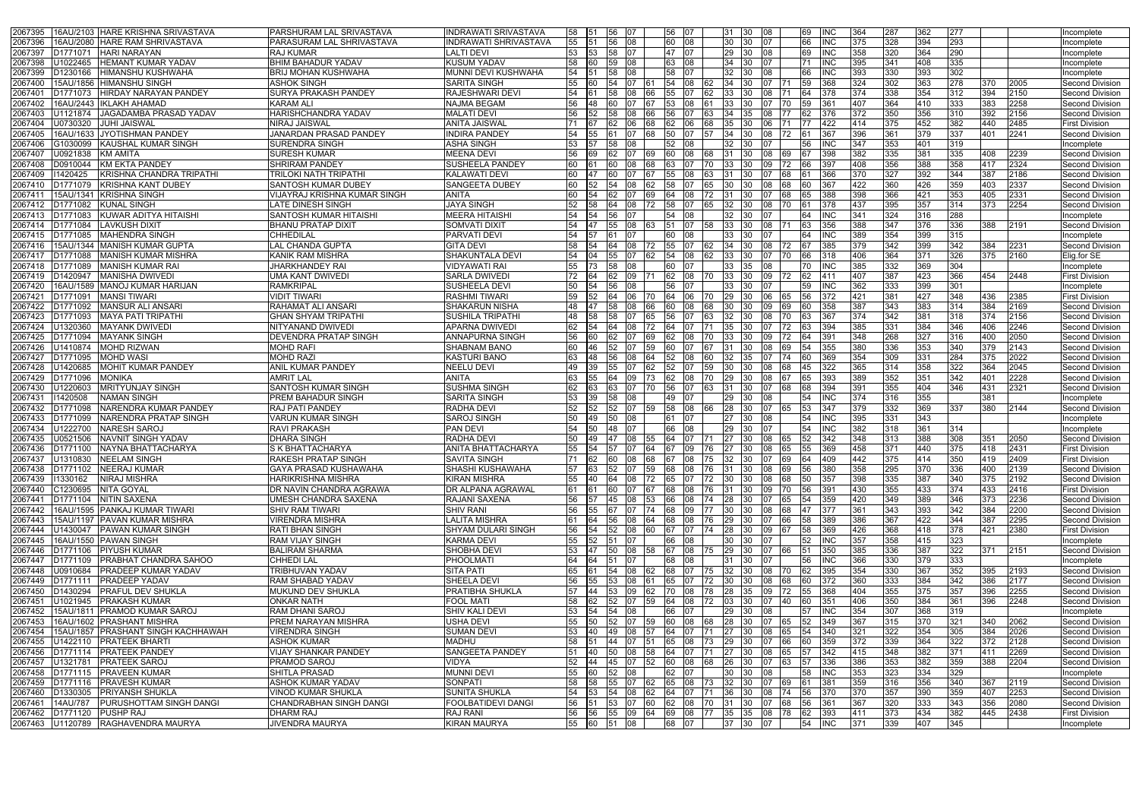| 16AU/2103 HARE KRISHNA SRIVASTAVA<br>2067395                 | PARSHURAM LAL SRIVASTAVA       | <b>INDRAWATI SRIVASTAVA</b> | 58 151           | 56         |             |            | 56 07   |            |                        | 31 30       | 08                         | 69        | <b>INC</b>  | 364 | <b>287</b> | 362 | 277 |     |      | Incomplete             |
|--------------------------------------------------------------|--------------------------------|-----------------------------|------------------|------------|-------------|------------|---------|------------|------------------------|-------------|----------------------------|-----------|-------------|-----|------------|-----|-----|-----|------|------------------------|
| 16AU/2080 HARE RAM SHRIVASTAVA<br>2067396                    | PARASURAM LAL SHRIVASTAVA      | INDRAWATI SHRIVASTAVA       | 55<br><b>151</b> | 56         | 108         |            | 60 08   |            | 30                     | -130        | 07                         | 66        | <b>INC</b>  | 375 | 328        | 394 | 293 |     |      | ncomplete              |
| <b>HARI NARAYAN</b><br>2067397<br>D1771071                   | RAJ KUMAR                      | <b>LALTI DEVI</b>           | 53<br>- 153      | 58         |             |            | 47   07 |            |                        | 29 30       |                            | 69        | <b>INC</b>  | 358 | 320        | 364 | 290 |     |      | Incomplete             |
| U1022465<br><b>HEMANT KUMAR YADAV</b><br>2067398             | <b>BHIM BAHADUR YADAV</b>      | KUSUM YADAV                 | 58               |            | 08          |            | 63 08   |            | 34                     |             |                            |           | <b>INC</b>  | 395 | 341        | 408 | 335 |     |      | Incomplete             |
| D1230166<br><b>HIMANSHU KUSHWAHA</b><br>2067399              | <b>BRIJ MOHAN KUSHWAHA</b>     | MUNNI DEVI KUSHWAHA         | 54               | 58         | 08          |            | 58      |            | 32                     |             |                            |           | INC         | 393 | 330        | 393 | 302 |     |      | Incomplete             |
| 15AU/1856 HIMANSHU SINGH                                     | <b>ASHOK SINGH</b>             | SARITA SINGH                | 55               | 54         |             |            | 54      | 108        | 34                     |             |                            |           | 368         | 324 | 302        | 363 | 278 | 370 | 2005 | <b>Second Division</b> |
| 2067400                                                      |                                |                             |                  |            |             |            |         |            |                        |             |                            |           |             |     |            | 354 |     |     |      |                        |
| 206740<br>D1771073 HIRDAY NARAYAN PANDEY                     | <b>SURYA PRAKASH PANDEY</b>    | <b>RAJESHWARI DEVI</b>      | 54               | <b>58</b>  | 08          | <b>66</b>  | l55 I   |            | 33                     |             |                            |           | 378         | 374 | 338        |     | 312 | 394 | 2150 | <b>Second Division</b> |
| 2067402<br>16AU/2443 IIKLAKH AHAMAD                          | KARAM ALI                      | <b>NAJMA BEGAM</b>          |                  |            |             |            |         |            | 33                     |             |                            |           |             | 407 | 364        | 410 | 333 | 383 | 2258 | <b>Second Division</b> |
| U1121874<br>JAGADAMBA PRASAD YADAV<br>2067403                | HARISHCHANDRA YADAV            | <b>MALATI DEVI</b>          | 56               | 58         | 08          |            | 56      |            | 34                     |             |                            |           | 376         | 372 | 350        | 356 | 310 | 392 | 2156 | Second Division        |
| 2067404<br>J0730320<br><b>JUHI JAISWAL</b>                   | NIRAJ JAISWAL                  | <b>ANITA JAISWAL</b>        |                  |            |             |            |         |            | 35                     |             |                            |           |             | 414 | 375        | 452 | 382 | 440 | 2485 | <b>First Division</b>  |
| 16AU/1633 JYOTISHMAN PANDEY<br>2067405                       | JANARDAN PRASAD PANDEY         | <b>INDIRA PANDEY</b>        |                  |            |             | 168        | 50      | 107        | 34                     | -130        |                            | 161       | 367         | 396 | 361        | 379 | 337 | 401 | 2241 | <b>Second Division</b> |
| 2067406<br><b>KAUSHAL KUMAR SINGH</b><br>G1030099            | SURENDRA SINGH                 | ASHA SINGH                  |                  | 58         | 08          |            | 52      | 08         | 32                     |             |                            |           | IINC        | 347 | 353        | 401 | 319 |     |      | Incomplete             |
| U0921838<br>2067407<br>IKM AMITA                             | SURESH KUMAR                   | <b>MEENA DEVI</b>           | 56<br>69         |            |             | 169        | 60      | 108        | 31                     |             |                            |           | 398         | 382 | 335        | 381 | 335 | 408 | 2239 | Second Division        |
| D0910044<br>KM EKTA PANDEY<br>2067408                        | SHRIRAM PANDEY                 | <b>SUSHEELA PANDEY</b>      |                  |            |             |            |         |            | 33                     |             |                            |           |             | 408 | 356        | 388 | 358 | 417 | 2324 | Second Division        |
| KRISHNA CHANDRA TRIPATHI<br>2067409<br>11420425              | TRILOKI NATH TRIPATHI          | KALAWATI DEVI               |                  |            |             |            |         |            |                        |             |                            |           | 366         | 370 | 327        | 392 | 344 | 387 | 2186 | <b>Second Division</b> |
| D1771079<br><b>KRISHNA KANT DUBEY</b><br>206741              | SANTOSH KUMAR DUBEY            | <b>SANGEETA DUBEY</b>       |                  | 54         |             | 62         | 58.     |            | 30                     |             |                            |           |             | 422 | 360        | 426 | 359 | 403 | 2337 | Second Division        |
| 15AU/1341 KRISHNA SINGH<br>206741                            | VIJAYRAJ KRISHNA KUMAR SINGH   | ANITA                       |                  |            |             |            |         |            | 31                     |             |                            |           |             | 398 | 366        | 421 | 353 | 405 | 2331 | <b>Second Division</b> |
| D1771082 KUNAL SINGH<br>2067412                              | LATE DINESH SINGH              | JAYA SINGH                  |                  |            |             | 72         | 58      |            | 32                     |             |                            |           | 378         | 437 | 395        | 357 | 314 | 373 | 2254 | Second Division        |
|                                                              |                                | <b>MEERA HITAISHI</b>       |                  |            |             |            |         |            |                        |             |                            |           |             |     |            | 316 |     |     |      |                        |
| D1771083<br>KUWAR ADITYA HITAISHI<br>2067413                 | SANTOSH KUMAR HITAISHI         |                             | 54               | 56         |             |            | 54      | 08         | 32                     |             |                            |           | INC         | 341 | 324        |     | 288 |     |      | Incomplete             |
| <b>LAVKUSH DIXIT</b><br>2067414<br>D1771084                  | <b>BHANU PRATAP DIXIT</b>      | SOMVATI DIXIT               | 54               | 55         | 108         | 163        | 51      | <b>07</b>  | 33                     |             | 80                         | 163       | 356         | 388 | 347        | 376 | 336 | 388 | 2191 | <b>Second Division</b> |
| 2067415<br>D1771085<br><b>MAHENDRA SINGH</b>                 | CHHEDILAL                      | PARVATI DEVI                |                  |            |             |            | 60      |            | 33                     |             |                            |           |             | 389 | 354        | 399 | 315 |     |      | Incomplete             |
| 15AU/1344 MANISH KUMAR GUPTA<br>2067416                      | <b>LAL CHANDA GUPTA</b>        | <b>GITA DEVI</b>            | 58               |            | 08          |            | 55      |            | 34                     |             |                            |           | 385         | 379 | 342        | 399 | 342 | 384 | 2231 | Second Division        |
| <b>MANISH KUMAR MISHRA</b><br>206741<br>D <sub>1771088</sub> | KANIK RAM MISHRA               | SHAKUNTALA DEVI             |                  |            |             |            | 54      | 08         | 33                     |             |                            |           | 318         | 406 | 364        | 371 | 326 | 375 | 2160 | Elig.for SE            |
| <b>IMANISH KUMAR RAI</b><br>2067418<br>ID1771089             | <b>JHARKHANDEY RAI</b>         | VIDYAWATI RAI               | 55<br>173.       | 58         | 08          |            | 60      |            | 33                     | 135         |                            |           | <b>INC</b>  | 385 | 332        | 369 | 304 |     |      | Incomplete             |
| 2067419<br>D1420947<br><b>IMANISHA DWIVEDI</b>               | UMA KANT DWIVEDI               | <b>SARLA DWIVEDI</b>        | 164              | 62         |             | 109 171    | 62 108  |            | 33<br>170.             | -130-       | 09.                        | 62        | l411        | 407 | 387        | 423 | 366 | 454 | 2448 | <b>First Division</b>  |
| 16AU/1589 MANOJ KUMAR HARIJAN<br>2067420                     | RAMKRIPAL                      | SUSHEELA DEVI               | 50               |            |             |            | 56      |            | 33                     |             |                            |           | <b>INC</b>  | 362 | 333        | 399 | 301 |     |      | Incomplete             |
| <b>MANSI TIWARI</b><br>2067421<br>D1771091                   | VIDIT TIWARI                   | <b>RASHMI TIWARI</b>        |                  |            | 06          | $\sqrt{0}$ | l64 l   | <b>06</b>  | 29<br>70.              | -130        |                            |           |             | 421 | 381        | 427 | 348 | 436 | 2385 | <b>First Division</b>  |
| D1771092 MANSUR ALI ANSARI<br>2067422                        | RAHAMAT ALI ANSARI             | <b>SHAKARUN NISHA</b>       | 48               |            |             |            |         |            | 30                     |             |                            |           |             | 387 | 343        | 383 | 314 | 384 | 2169 | <b>Second Division</b> |
| <b>MAYA PATI TRIPATHI</b><br>2067423<br>D <sub>1771093</sub> | <b>GHAN SHYAM TRIPATHI</b>     | <b>SUSHILA TRIPATHI</b>     | 48               | <b>58</b>  |             | 65         | I56     |            |                        | $32 \, 130$ |                            |           |             | 374 | 342        | 381 | 318 | 374 | 2156 | <b>Second Division</b> |
| 2067424<br><b>MAYANK DWIVEDI</b><br>U1320360                 | NITYANAND DWIVEDI              | APARNA DWIVEDI              |                  |            |             | 72         |         |            | 35                     |             |                            |           |             | 385 | 331        | 384 | 346 | 406 | 2246 | <b>Second Division</b> |
| D1771094<br><b>MAYANK SINGH</b><br>2067425                   | <b>DEVENDRA PRATAP SINGH</b>   | ANNAPURNA SINGH             | 56               | 62.        |             | 69         |         | 08         | 33<br>I70.             |             |                            |           | 391         | 348 | 268        | 327 | 316 | 400 | 2050 | <b>Second Division</b> |
|                                                              |                                |                             |                  |            |             |            |         |            |                        |             |                            |           |             |     |            |     |     |     |      |                        |
| 2067426<br>U1410874<br><b>MOHD RIZWAN</b>                    | MOHD RAFI                      | <b>SHABNAM BANO</b>         | 60               |            |             |            |         |            |                        |             |                            |           | 355         | 380 | 336        | 353 | 340 | 379 | 2143 | <b>Second Division</b> |
| 2067427<br>D1771095<br><b>MOHD WASI</b>                      | <b>MOHD RAZI</b>               | <b>KASTURI BANO</b>         |                  | 56         | 08          |            |         |            | 32.                    |             |                            |           | 369         | 354 | 309        | 331 | 284 | 375 | 2022 | Second Division        |
| <b>MOHIT KUMAR PANDEY</b><br>2067428<br>U1420685             | <b>ANIL KUMAR PANDEY</b>       | <b>NEELU DEVI</b>           |                  |            |             |            |         |            |                        |             |                            |           |             | 365 | 314        | 358 | 322 | 364 | 2045 | Second Division        |
| D1771096<br><b>MONIKA</b><br>2067429                         | AMRIT LAL                      | ANITA                       |                  |            |             |            | 62      | 08         | 29                     |             |                            |           | 393         | 389 | 352        | 351 | 342 | 401 | 2228 | Second Division        |
| U1220603<br><b>IMRITYUNJAY SINGH</b><br>2067430              | SANTOSH KUMAR SINGH            | <b>SUSHMA SINGH</b>         | 63               | 63         |             |            | 56      | IO 7       | 31                     | -130        |                            |           | 394         | 391 | 355        | 404 | 346 | 431 | 2321 | Second Division        |
| 11420508<br>INAMAN SINGH<br>2067431                          | PREM BAHADUR SINGH             | <b>SARITA SINGH</b>         | 53<br>139        | 58         | 08          |            | 49      | 107        | 29                     | -130        |                            | 54        | <b>IINC</b> | 374 | 316        | 355 |     | 381 |      | Incomplete             |
| NARENDRA KUMAR PANDEY<br>2067432<br>D1771098                 | <b>RAJ PATI PANDEY</b>         | RADHA DEVI                  | 52<br>52         | 52         | I07         | <b>59</b>  | 58 08   |            | 28                     |             | הו<br>65                   | 153       | 347         | 379 | $332$      | 369 | 337 | 380 | 2144 | Second Division        |
| <b>NARENDRA PRATAP SINGH</b><br>2067433<br>D1771099          | VARUN KUMAR SINGH              | <b>SAROJ SINGH</b>          | 50<br>49         | 50         | 08          |            |         |            | 27                     |             |                            | 54        | <b>INC</b>  | 395 | 331        | 343 |     |     |      | Incomplete             |
| U1222700<br><b>NARESH SAROJ</b><br>2067434                   | RAVI PRAKASH                   | <b>PAN DEVI</b>             |                  | 48         |             |            | 66      | 08         | 29                     |             |                            |           |             | 382 | 318        | 361 | 314 |     |      | Incomplete             |
| 2067435<br>U0521506<br>NAVNIT SINGH YADAV                    | <b>DHARA SINGH</b>             | RADHA DEVI                  |                  |            | 08          | 55         | 64      |            | 27                     | 130         |                            |           | 342         | 348 | 313        | 388 | 308 | 351 | 2050 | Second Division        |
| 2067436<br>D1771100 NAYNA BHATTACHARYA                       | S K BHATTACHARYA               | ANITA BHATTACHARYA          | 55 54            | 57 07      |             | 64         | 67 09   |            | 176                    | 27 30       | 08<br>65                   | 55        | 369         | 458 | 371        | 440 | 375 | 418 | 2431 | <b>First Division</b>  |
|                                                              |                                |                             |                  |            |             |            |         |            |                        |             |                            | 64        | 409         | 442 |            | 414 |     |     | 2409 |                        |
| 2067437 U1310830 NEELAM SINGH                                | <b>RAKESH PRATAP SINGH</b>     | SAVITA SINGH                | <b>62</b>        | 60 08      |             |            |         |            | 68 67 08 75 32 30      |             | 07 69                      |           |             |     | 1375       |     | 350 | 419 |      | <b>First Division</b>  |
| 2067438 D1771102 NEERAJ KUMAR                                | GAYA PRASAD KUSHAWAHA          | SHASHI KUSHAWAHA            | 57 63            |            |             | 52 07 59   |         |            | 68 08 76 31 30         |             | 08 69                      | 56        | 380         | 358 | 295        | 370 | 336 | 400 | 2139 | Second Division        |
| <b>NIRAJ MISHRA</b><br>2067439<br>11330162                   | <b>HARIKRISHNA MISHRA</b>      | <b>KIRAN MISHRA</b>         | 55<br><b>140</b> | 64         |             | 08 72      | 65      | 107        | 72<br>30               | <b>30</b>   | 08<br>68                   |           | 357         | 398 | 335        | 387 | 340 | 375 | 2192 | <b>Second Division</b> |
| C1230695 NITA GOYAL<br>2067440                               | DR NAVIN CHANDRA AGRAWA        | DR ALPANA AGRAWAL           | 61<br>-161       | 60         | 07          | 67         | 68 08   |            | <b>76</b><br><b>31</b> | <b>30</b>   | 09<br>l70                  |           | 391         | 430 | 355        | 433 | 374 | 433 | 2416 | <b>First Division</b>  |
| 2067441<br>D1771104 NITIN SAXENA                             | UMESH CHANDRA SAXENA           | RAJANI SAXENA               | 56               | 45         | <b>08</b>   | 53         | 66 08   |            | 174                    | 28 30       | 65<br>07                   |           | 359         | 420 | 349        | 389 | 346 | 373 | 2236 | <b>Second Division</b> |
| 16AU/1595 PANKAJ KUMAR TIWARI<br>2067442                     | <b>SHIV RAM TIWARI</b>         | <b>SHIV RANI</b>            | 56<br>- 155      |            | 107         | l 74       | 68 09   |            | <b>30</b><br>177       | <b>30</b>   | 08 68                      | I47       | 377         | 361 | 343        | 393 | 342 | 384 | 2200 | <b>Second Division</b> |
| 15AU/1197 PAVAN KUMAR MISHRA<br>2067443                      | VIRENDRA MISHRA                | <b>LALITA MISHRA</b>        | 164              |            |             | 56 08 64   | 68 08   |            | 76 29 30               |             | 07<br>66                   | <b>58</b> | 389         | 386 | 367        | 422 | 344 | 387 | 2295 | Second Division        |
| U1430047 PAWAN KUMAR SINGH<br>2067444                        | <b>RATI BHAN SINGH</b>         | SHYAM DULARI SINGH          | 56<br>54         | 52         | 08          | 60         | 67 07   |            | <b>28</b><br>174       | <b>1</b> 30 | 09<br>167                  | 58        | 369         | 426 | 368        | 418 | 378 | 421 | 2380 | <b>First Division</b>  |
| 2067445<br>16AU/1550 PAWAN SINGH                             | <b>RAM VIJAY SINGH</b>         | <b>KARMA DEVI</b>           | 55 52            | 151        | 107         |            | 66 08   |            |                        | 30 30       | I07                        | 52        | <b>INC</b>  | 357 | 358        | 415 | 323 |     |      | Incomplete             |
| 2067446<br>D1771106 PIYUSH KUMAR                             | <b>BALIRAM SHARMA</b>          | SHOBHA DEVI                 | 53<br><b>147</b> | <b>150</b> | 08          | 58         | 67 08   |            | 175                    | 29 30       | 07<br>166                  | 151       | 350         | 385 | 336        | 387 | 322 | 371 | 2151 | Second Division        |
| D1771109 PRABHAT CHANDRA SAHOO<br>2067447                    | CHHEDI LAL                     | <b>PHOOLMATI</b>            | 164<br>64        | 51         | <b>07</b>   |            | 68 08   |            |                        | 31 30       | 07                         | 56        | <b>INC</b>  | 366 | 330        | 379 | 333 |     |      | Incomplete             |
| U0910684   PRADEEP KUMAR YADAV<br>2067448                    | TRIBHUVAN YADAV                | <b>SITA PATI</b>            | 65               | 54         | 08          | 62         | 68 07   |            | 32<br>175              | <b>1</b> 30 | 08                         | 62        | 395         | 354 | 330        | 367 | 352 | 395 | 2193 | Second Division        |
| D1771111   PRADEEP YADAV<br>2067449                          | <b>RAM SHABAD YADAV</b>        | SHEELA DEVI                 | 56 55            |            |             | 53 08 61   | 65 07   |            | 72 30 30               |             | 08 68                      | I60       | <b>372</b>  | 360 | 333        | 384 | 342 | 386 | 2177 | Second Division        |
| 2067450<br>D1430294   PRAFUL DEV SHUKLA                      | MUKUND DEV SHUKLA              | PRATIBHA SHUKLA             | 144              | 153        | 09          | 62         | l70 -   | 108        | 28<br>178              | <b>135</b>  | 09<br>72.                  |           | 368         | 404 | 355        | 375 | 357 | 396 | 2255 | <b>Second Division</b> |
|                                                              |                                |                             |                  |            |             |            |         |            |                        |             |                            |           |             |     |            |     |     |     |      |                        |
| U1021945 PRAKASH KUMAR<br>2067451                            | <b>ONKAR NATH</b>              | <b>FOOL MATI</b>            | 58<br>I62        | 52         | <b>07</b>   | 59         | 64 08   |            | 172                    | 03 30       | 07<br>I40                  |           | 351         | 406 | 350        | 384 | 361 | 396 | 2248 | Second Division        |
| 2067452<br>15AU/1811   PRAMOD KUMAR SAROJ                    | RAM DHANI SAROJ                | SHIV KALI DEVI              | 53<br><b>54</b>  | 54         | 08          |            | 66      | 07         | 29                     | -130        |                            | 157       | <b>INC</b>  | 354 | 307        | 368 | 319 |     |      | Incomplete             |
| 16AU/1602 PRASHANT MISHRA<br>2067453                         | PREM NARAYAN MISHRA            | <b>USHA DEVI</b>            | 55<br><b>150</b> | 52         | 107         | 59         | 60 08   |            | 68                     | 28 30       | 07<br><b>65</b>            | 52        | 349         | 367 | 315        | 370 | 321 | 340 | 2062 | <b>Second Division</b> |
| 2067454<br>15AU/1857 PRASHANT SINGH KACHHAWAH                | <b>VIRENDRA SINGH</b>          | <b>SUMAN DEVI</b>           | 53<br><b>140</b> |            | 49 08       | - 157      | 64 07   | <b>171</b> |                        | 27 30       | 08 65                      | 154       | 340         | 321 | 322        | 354 | 305 | 384 | 2026 | <b>Second Division</b> |
| U1422110 PRATEEK BHARTI<br>2067455                           | ASHOK KUMAR                    | MADHU                       | 58<br>- 151      | <b>144</b> | <b>1</b> 07 | 51         | 65 08   | -173       |                        | 29 30       | 07 66                      |           | 359         | 372 | 339        | 364 | 322 | 372 | 2128 | Second Division        |
| D1771114   PRATEEK PANDEY<br>2067456                         | VIJAY SHANKAR PANDEY           | SANGEETA PANDEY             | <b>140</b>       | 50         | 108         | 58         | 64 07   |            | 171                    | 27 30       | 08<br>65                   | 157       | 342         | 415 | 348        | 382 | 371 | 411 | 2269 | Second Division        |
| 2067457<br>U1321781 PRATEEK SAROJ                            | PRAMOD SAROJ                   | VIDYA                       | 52               | 45         | 107         | 52         | 60 08   |            | 26<br><b>68</b>        | <b>30</b>   | 07<br>63                   | 157       | 336         | 386 | 353        | 382 | 359 | 388 | 2204 | Second Division        |
| 2067458<br>D1771115 PRAVEEN KUMAR                            | SHITLA PRASAD                  | <b>MUNNI DEVI</b>           | 55<br>60         | <b>52</b>  | <b>08</b>   |            | 62 07   |            |                        | 30 30       | 08                         | l58       | <b>INC</b>  | 353 | 323        | 334 | 329 |     |      | Incomplete             |
| D1771116   PRAVESH KUMAR<br>2067459                          | ASHOK KUMAR YADAV              | SONPATI                     | 58<br>158        | <b>55</b>  | 107         | 62         | 65 08   |            | 173                    | 32 30       | 69<br>07                   |           | 1381        | 359 | 316        | 356 | 340 | 367 | 2119 | <b>Second Division</b> |
| 2067460<br>D1330305 PRIYANSH SHUKLA                          | VINOD KUMAR SHUKLA             | <b>SUNITA SHUKLA</b>        | 54<br>153        | 54 08      |             | 62         | 64 07   |            | I71                    | 36 30       | $ 08 $ 74                  |           | 370         | 370 | 357        | 390 | 359 | 407 | 2253 | Second Division        |
| PURUSHOTTAM SINGH DANGI<br>14AU/787<br>2067461               | <b>CHANDRABHAN SINGH DANGI</b> | <b>FOOLBATIDEVI DANGI</b>   | 56<br>- 151      | 53         | 107         | 60         | 62 08   | 70         | 31                     | <b>30</b>   | 07<br>68                   | 56        | 361         | 367 | 320        | 333 | 343 | 356 | 2080 | <b>Second Division</b> |
| 2067462 D1771120 PUSHP RAJ                                   | <b>DHARM RAJ</b>               | <b>RAJ RANI</b>             | 56 56 55 09 64   |            |             |            |         |            |                        |             | 69  08  77  35  35  08  78 | 62 393    |             | 411 | 373        | 434 | 382 | 445 | 2438 | <b>First Division</b>  |
| 2067463 U1120789 RAGHAVENDRA MAURYA                          | <b>JIVENDRA MAURYA</b>         | <b>KIRAN MAURYA</b>         | 55 60            | 51 08      |             |            | 68 07   |            |                        | 37 30       | 07                         | 54        | <b>INC</b>  | 371 | 339        | 407 | 345 |     |      | Incomplete             |
|                                                              |                                |                             |                  |            |             |            |         |            |                        |             |                            |           |             |     |            |     |     |     |      |                        |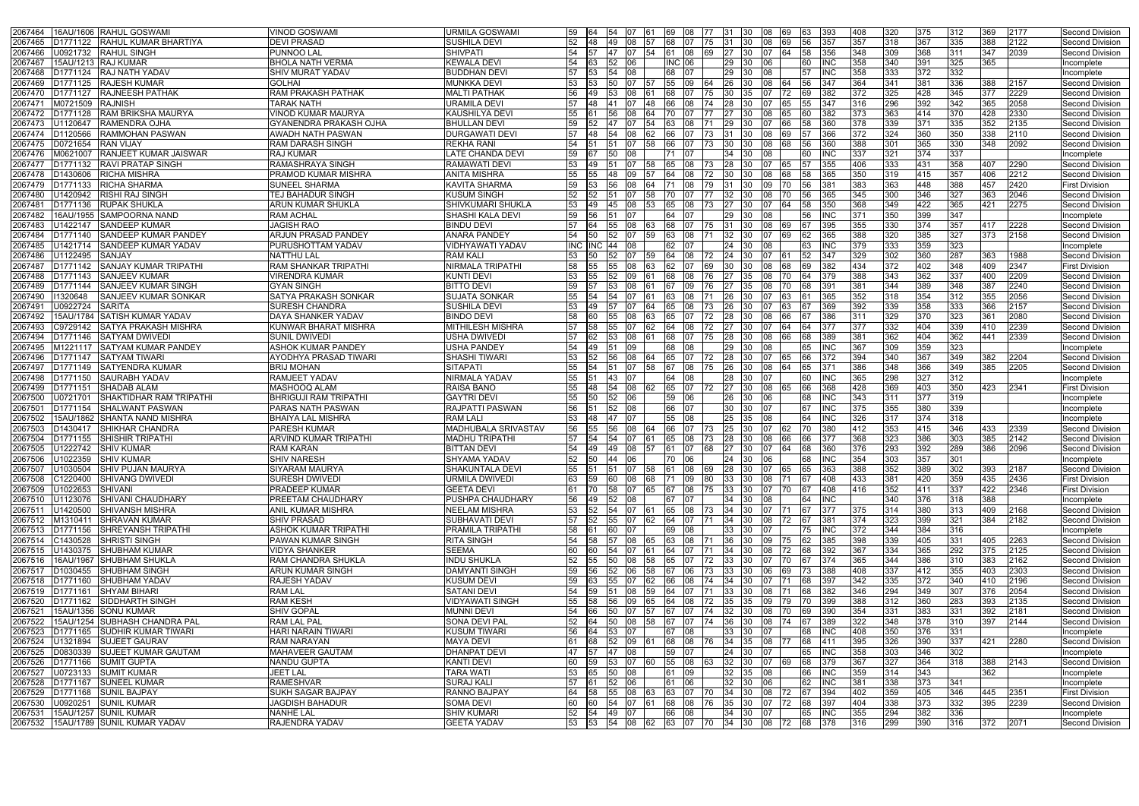| 2067464 16AU/1606 RAHUL GOSWAMI                                         | √INOD GOSWAMI                      | URMILA GOSWAMI                           | 59<br>164            | <b>54</b> |                        |            | 69            | 08 <br>177                                                       | 131      |                |              | 163       | 393               | 408        | 320        | 375        | 312              | 369 | 2177 | Second Division               |
|-------------------------------------------------------------------------|------------------------------------|------------------------------------------|----------------------|-----------|------------------------|------------|---------------|------------------------------------------------------------------|----------|----------------|--------------|-----------|-------------------|------------|------------|------------|------------------|-----|------|-------------------------------|
| <b>RAHUL KUMAR BHARTIYA</b><br>2067465<br>D1771122                      | <b>DEVI PRASAD</b>                 | SUSHILA DEVI                             | <b>48</b><br>52      | 49        | 108                    | <b>57</b>  | 68 07         | 175                                                              | 131      | <b>1</b> 30    | 69.<br>08    |           | 357               | 357        | 318        | 367        | 335              | 388 | 2122 | <b>Second Division</b>        |
| 2067466<br>U0921732<br><b>RAHUL SINGH</b>                               | PUNNOO LAL                         | SHIVPATI                                 |                      | 47 07     |                        | - 154      | 61 08         | 69                                                               | 27       | - 130          | 64           |           | 356               | 348        | 309        | 368        | 311              | 347 | 2039 | Second Division               |
| 15AU/1213 RAJ KUMAR<br>2067467                                          | <b>BHOLA NATH VERMA</b>            | <b>KEWALA DEVI</b>                       | 54<br>-63            | 52        | 106                    |            | <b>INC 06</b> |                                                                  | 29       | 130            | 06           | I60.      | INC.              | 358        | 340        | 391        | 325              | 365 |      | Incomplete                    |
| <b>RAJ NATH YADAV</b><br>2067468<br>D1771124                            | SHIV MURAT YADAV                   | <b>BUDDHAN DEVI</b>                      | 53                   | 54        | 08                     |            | 68            | 07                                                               | 29       |                |              |           |                   | 358        | 333        | 372        | 332              |     |      | Incomplete                    |
| 2067469<br>D1771125 RAJESH KUMAR                                        | GOLHAI                             | <b>MUNKKA DEVI</b>                       |                      |           |                        |            | 55 09         |                                                                  | 26       |                |              |           |                   | 364        | 341        | 381        | 336              | 388 | 2157 | <b>Second Division</b>        |
| 2067470<br><b>RAJNEESH PATHAK</b><br>D1771127                           | RAM PRAKASH PATHAK                 | <b>MALTI PATHAK</b>                      | 49                   | 53        | 08                     |            |               |                                                                  | 30       |                |              |           |                   | 372        | 325        | 428        | 345              | 377 | 2229 | Second Division               |
|                                                                         |                                    |                                          |                      |           |                        |            |               |                                                                  |          |                |              |           |                   |            |            | 392        |                  |     |      |                               |
| 206747<br>M0721509<br><b>RAJNISH</b>                                    | TARAK NATH                         | URAMILA DEVI                             |                      |           |                        | 48         |               |                                                                  | 28       |                |              |           |                   | 316        | 296        |            | 342              | 365 | 2058 | Second Division               |
| D1771128<br><b>RAM BRIKSHA MAURYA</b><br>2067472                        | VINOD KUMAR MAURYA                 | KAUSHILYA DEVI                           | 55                   | 56        | 08                     | 64         |               |                                                                  | 27       |                |              |           |                   | 373        | 363        | 414        | 370              | 428 | 2330 | Second Division               |
| U1120647<br><b>RAMENDRA OJHA</b><br>2067473                             | GYANENDRA PRAKASH OJHA             | <b>BHULLAN DEVI</b>                      | 59                   |           |                        | 54         |               | 08                                                               | 29       |                |              |           |                   | 378        | 339        | 371        | 335              | 352 | 2135 | <b>Second Division</b>        |
| D1120566<br><b>RAMMOHAN PASWAN</b><br>2067474                           | <b>AWADH NATH PASWAN</b>           | <b>DURGAWATI DEVI</b>                    | 57<br><b>48</b>      | 54        | 108                    | $-62$      | 66            | 173                                                              | 31       |                | 69           |           | 366               | 372        | 324        | 360        | 350              | 338 | 2110 | Second Division               |
| 2067475<br>D0721654<br>RAN VIJAY                                        | RAM DARASH SINGH                   | <b>REKHA RANI</b>                        |                      |           |                        | 58         | 66.           |                                                                  |          |                |              |           |                   | 388        | 301        | 365        | 330              | 348 | 2092 | Second Division               |
| <b>RANJEET KUMAR JAISWAR</b><br>2067476<br>M0621007                     | RAJ KUMAR                          | LATE CHANDA DEVI                         | 59                   |           | 08                     |            |               |                                                                  | 34       |                |              |           | INC               | 337        | 321        | 374        | 337              |     |      | Incomplete                    |
| 2067477<br>D1771132<br><b>RAVI PRATAP SINGH</b>                         | RAMASHRAYA SINGH                   | RAMAWATI DEVI                            |                      |           |                        |            |               | 08                                                               | 28       |                |              |           |                   | 406        | 333        | 431        | 358              | 407 | 2290 | Second Division               |
| <b>RICHA MISHRA</b><br>2067478<br>D1430606                              | PRAMOD KUMAR MISHRA                | <b>ANITA MISHRA</b>                      | 55                   | 148       | 09                     |            | 64            | I08                                                              | 30       |                |              |           | 365               | 350        | 319        | 415        | 357              | 406 | 2212 | <b>Second Division</b>        |
| 2067479<br><b>RICHA SHARMA</b><br>D1771133                              | SUNEEL SHARMA                      | <b>KAVITA SHARMA</b>                     | 53.                  | I56       | 108                    | 164        |               | I08<br>179.                                                      | 31       | -130           | 09.<br>70.   |           |                   | 383        | 363        | 448        | 388              | 457 | 2420 | <b>First Division</b>         |
| 2067480<br>U1420942<br><b>RISHI RAJ SINGH</b>                           | TEJ BAHADUR SINGH                  | <b>KUSUM SINGH</b>                       | 52                   |           |                        | 58         |               |                                                                  | 32       |                |              |           |                   | 345        | 300        | 346        | 327              | 363 | 2046 | Second Division               |
| <b>RUPAK SHUKLA</b><br>206748<br>D1771136                               | ARUN KUMAR SHUKLA                  | SHIVKUMARI SHUKLA                        | 49<br>53.            | 45        | 108                    | 53         | 65            | 08                                                               | 27       |                |              |           | 350               | 368        | 349        | 422        | 365              | 421 | 2275 | Second Division               |
| <b>SAMPOORNA NAND</b><br>2067482<br>16AU/1955                           | <b>RAM ACHAL</b>                   | SHASHI KALA DEVI                         | 59                   |           |                        |            | 64            |                                                                  | 29       |                |              |           | INC               | 371        | 350        | 399        | 347              |     |      | Incomplete                    |
| U1422147<br><b>SANDEEP KUMAR</b><br>2067483                             | <b>JAGISH RAO</b>                  | <b>BINDU DEVI</b>                        |                      | 55        | 108                    | - 163      | 68 107        | <b>1</b> 75                                                      | 31       |                | 69<br>08.    |           | 395               | 355        | 330        | 374        | 357              | 417 | 2228 | Second Division               |
| 2067484<br><b>SANDEEP KUMAR PANDEY</b><br>D1771140                      | ARJUN PRASAD PANDEY                | <b>ANARA PANDEY</b>                      |                      |           |                        |            |               |                                                                  | 32       |                |              |           |                   | 388        | 320        | 385        | 327              | 373 | 2158 | <b>Second Division</b>        |
| U1421714<br><b>SANDEEP KUMAR YADAV</b><br>2067485                       | PURUSHOTTAM YADAV                  | VIDHYAWATI YADAV                         | INC IINC 144         |           | 108                    |            | 62            | 107                                                              | 24       |                |              | 163.      | INC               | 379        | 333        | 359        | 323              |     |      | Incomplete                    |
| 2067486<br>U1122495<br><b>SANJAY</b>                                    | <b>NATTHU LAL</b>                  | <b>RAM KALI</b>                          |                      |           |                        |            |               |                                                                  | 24       |                |              |           |                   | 329        | 302        | 360        | 287              | 363 | 1988 | <b>Second Division</b>        |
| 2067487<br><b>SANJAY KUMAR TRIPATHI</b><br>D1771142                     | RAM SHANKAR TRIPATHI               | <b>NIRMALA TRIPATHI</b>                  | 58.                  | 55        | 08                     | 63         |               |                                                                  | 30       |                |              |           | 382               | 434        | 372        | 402        | 348              | 409 | 2347 | <b>First Division</b>         |
|                                                                         |                                    |                                          |                      |           |                        |            |               |                                                                  |          |                |              |           |                   |            |            |            |                  |     |      |                               |
| 2067488<br>D1771143<br><b>SANJEEV KUMAR</b>                             | <b>VIRENDRA KUMAR</b>              | <b>KUNTI DEVI</b>                        |                      |           |                        |            |               |                                                                  |          |                |              |           |                   | 388        | 343        | 362        | 337              | 400 | 2209 | Second Division               |
| D1771144<br><b>SANJEEV KUMAR SINGH</b><br>2067489                       | GYAN SINGH                         | <b>BITTO DEVI</b>                        | 59                   |           |                        |            |               |                                                                  | 27       |                |              |           | 391               | 381        | 344        | 389        | 348              | 387 | 2240 | <b>Second Division</b>        |
| <b>SANJEEV KUMAR SONKAR</b><br>1320648<br>2067490                       | SATYA PRAKASH SONKAR               | <b>SUJATA SONKAR</b>                     | 55                   |           |                        |            |               |                                                                  | 26       |                |              |           |                   | 352        | 318        | 354        | 312              | 355 | 2056 | <b>Second Division</b>        |
| U0922724<br>2067491<br>ISARITA                                          | SURESH CHANDRA                     | <b>SUSHILA DEVI</b>                      | 53<br>149            |           |                        | I64        | 65            | I08                                                              | 26       |                | 63           |           | 369               | 392        | 339        | 358        | 333              | 366 | 2157 | Second Division               |
| <b>SATISH KUMAR YADAV</b><br>2067492<br>15AU/1784                       | DAYA SHANKER YADAV                 | <b>BINDO DEVI</b>                        |                      | 55        | 08                     | 163        | 65.           | 72                                                               | 28       |                | 66           |           | 386               | 311        | 329        | 370        | 323              | 361 | 2080 | Second Division               |
| <b>SATYA PRAKASH MISHRA</b><br>2067493<br>C9729142                      | KUNWAR BHARAT MISHRA               | <b>MITHILESH MISHRA</b>                  |                      |           |                        | 62         |               |                                                                  | 27       |                |              |           |                   | 377        | 332        | 404        | 339              | 410 | 2239 | <b>Second Division</b>        |
| <b>SATYAM DWIVEDI</b><br>2067494<br>D1771146                            | SUNIL DWIVEDI                      | USHA DWIVEDI                             |                      |           | 08                     |            |               |                                                                  | 28       |                |              |           |                   | 381        | 362        | 404        | $\overline{362}$ | 441 | 2339 | Second Division               |
| <b>SATYAM KUMAR PANDEY</b><br>2067495<br>M1221117                       | ASHOK KUMAR PANDEY                 | USHA PANDEY                              | 54<br>49             |           |                        |            | 68            | 08                                                               | 29       |                |              |           | <b>INC</b>        | 367        | 309        | 359        | 323              |     |      | Incomplete                    |
| 2067496<br>D1771147<br><b>SATYAM TIWARI</b>                             | AYODHYA PRASAD TIWARI              | <b>SHASHI TIWARI</b>                     |                      | <b>56</b> | 108                    | <b>64</b>  | 65            |                                                                  | 28       |                |              |           |                   | 394        | 340        | 367        | 349              | 382 | 2204 | Second Division               |
| 2067497<br>D1771149 SATYENDRA KUMAR                                     | <b>BRIJ MOHAN</b>                  | <b>SITAPATI</b>                          | 55                   |           |                        | 158        | 67            | I08                                                              | 26       |                |              |           |                   | 386        | 348        | 366        | 349              | 385 | 2205 | Second Division               |
| D1771150<br><b>SAURABH YADAV</b><br>2067498                             | RAMJEET YADAV                      | NIRMALA YADAV                            | 55<br>-151           | 43        |                        |            | 64            | 08                                                               | 28       |                |              |           | INC.              | 365        | 298        | 327        | 312              |     |      | Incomplete                    |
| <b>SHADAB ALAM</b><br>D1771151<br>2067499                               | <b>MASHOOQ ALAM</b>                | <b>RAISA BANO</b>                        | 55                   | 54        | 108                    | 62         | 65            | 107                                                              | 27       |                | 08           |           | 368               | 428        | 369        | 403        | 350              | 423 | 2341 | <b>First Division</b>         |
| <b>SHAKTIDHAR RAM TRIPATHI</b><br>2067500<br>U0721701                   | <b>BHRIGUJI RAM TRIPATHI</b>       | <b>GAYTRI DEVI</b>                       | 55<br>50             | 52        | 06                     |            | 59 06         |                                                                  | 26       |                |              | 68        | INC.              | 343        | 311        | 377        | 319              |     |      | Incomplete                    |
|                                                                         |                                    |                                          |                      |           |                        |            |               |                                                                  | 30       |                |              |           |                   |            |            |            |                  |     |      |                               |
|                                                                         |                                    |                                          | 56                   |           | 08                     |            | 66 07         |                                                                  |          |                |              |           |                   |            |            |            |                  |     |      |                               |
| 206750<br><b>SHALWANT PASWAN</b><br>D1771154                            | PARAS NATH PASWAN                  | <b>RAJPATTI PASWAN</b><br>RAM LALI       | 148                  | 52        |                        |            |               |                                                                  |          |                |              | 64        | INC.              | 375<br>326 | 355<br>317 | 380        | 339              |     |      | Incomplete                    |
| 15AU/1862<br><b>SHANTA NAND MISHRA</b><br>2067502                       | BHAIYA LAL MISHRA                  |                                          | 53                   |           |                        |            | 55 08         |                                                                  | 25       |                |              |           |                   |            |            | 374        | 318              |     |      | Incomplete                    |
| D1430417<br>2067503<br>ISHIKHAR CHANDRA                                 | PARESH KUMAR                       | MADHUBALA SRIVASTAV                      | 56<br>55             | 56        | 108                    | 164        | 66            | 107<br>173.                                                      | 25       |                |              |           | 380               | 412        | 353        | 415        | 346              | 433 | 2339 | Second Division               |
| 2067504<br>D1771155<br><b>SHISHIR TRIPATHI</b>                          | ARVIND KUMAR TRIPATHI              | <b>MADHU TRIPATHI</b>                    | 57<br>54             | 54        | 07                     | 161        | 65            | <b>08</b><br>173                                                 | 28       |                | 66           |           |                   | 368        | 323        | 386        | 303              | 385 | 2142 | <b>Second Division</b>        |
| 2067505<br>U1222742 SHIV KUMAR                                          | RAM KARAN                          | <b>BITTAN DEVI</b>                       | I49                  |           | 49 08 57               |            | 61 07         | l68                                                              |          | 27 30          | 64<br>07     |           | 360               | 376        | 293        | 392        | 289              | 386 | 2096 | Second Division               |
| 2067506 U1022359 SHIV KUMAR                                             | SHIV NARESH                        | <b>SHYAMA YADAV</b>                      | 52<br>ାଧ             | 44 06     |                        |            | 70 06         |                                                                  |          | $ 24 $ 30      | U6.          |           |                   | 354        | 303        | 357        | 301              |     |      | Incomplete                    |
| U1030504 SHIV PUJAN MAURYA<br>2067507                                   | <b>SIYARAM MAURYA</b>              | SHAKUNTALA DEVI                          | 55 51                | 51 07 58  |                        |            | 61 08         |                                                                  | 69 28 30 |                | 07 65        | <b>65</b> | 363               | 388        | 352        | 389        | 302              | 393 | 2187 | Second Division               |
| 2067508<br>C1220400 SHIVANG DWIVEDI                                     | SURESH DWIVEDI                     | URMILA DWIVEDI                           | 63<br>159            | 60        | 08                     | 68         | 71 09         | <b>80</b>                                                        |          | 33 30          | 08<br>71     |           | 408               | 433        | 381        | 420        | 359              | 435 | 2436 | <b>First Division</b>         |
| U1022653<br>2067509<br>SHIVANI                                          | <b>PRADEEP KUMAR</b>               | <b>GEETA DEVI</b>                        | 61 70                |           |                        |            |               | 58 07 65 67 08 75 33 30                                          |          |                | 07 70        | <b>67</b> | 408               | 416        | 352        | 411        | 337              | 422 | 2346 | <b>First Division</b>         |
| 2067510<br>U1123076<br>SHIVANI CHAUDHARY                                | <b>PREETAM CHAUDHARY</b>           | <b>PUSHPA CHAUDHARY</b>                  | 56<br><b>49</b>      | 52        | 08                     |            | 67            | I07                                                              | 34       |                |              |           | <b>INC</b>        |            | 340        | 376        | 318              | 388 |      | Incomplete                    |
| U1420500<br><b>SHIVANSH MISHRA</b><br>2067511                           | <b>ANIL KUMAR MISHRA</b>           | <b>NEELAM MISHRA</b>                     | <b>152</b><br>53     | 54 07     |                        | - 61       | 65 08         | 173                                                              |          | 34 30          | 07<br>l 71   | 67        | 377               | 375        | 314        | 380        | 313              | 409 | 2168 | Second Division               |
| 2067512<br>M1310411<br><b>SHRAVAN KUMAR</b>                             | <b>SHIV PRASAD</b>                 | SUBHAVATI DEVI                           | 152                  | <b>55</b> |                        | 62         | 64 07         |                                                                  | 34       |                | 08           |           |                   | 374        | 323        | 399        | 321              | 384 | 2182 | Second Division               |
| D1771156 SHREYANSH TRIPATHI<br>2067513                                  | ASHOK KUMAR TRIPATHI               | <b>PRAMILA TRIPATHI</b>                  | 58<br>161            | 60        | 107                    |            | 69 08         |                                                                  |          | 33 30          | 07           | 175       | <b>INC</b>        | 372        | 344        | 384        | 316              |     |      | Incomplete                    |
| 2067514<br>C1430528<br><b>SHRISTI SINGH</b>                             | PAWAN KUMAR SINGH                  | <b>RITA SINGH</b>                        | 54<br><b>1</b> 58    |           | $\overline{157}$ 08 65 |            |               | 63 08 71                                                         |          | 36 30          | 09 75        | <b>62</b> | 385               | 398        | 339        | 405        | 331              | 405 | 2263 | Second Division               |
| U1430375 SHUBHAM KUMAR<br>2067515                                       | VIDYA SHANKER                      | <b>SEEMA</b>                             | 60<br>- 160          |           | 54 07 61               |            | 64 07         | <u>171</u>                                                       |          | 34 30          | 08 72        | 168       | 392               | 367        | 334        | 365        | 292              | 375 | 2125 | Second Division               |
| 16AU/1967 SHUBHAM SHUKLA<br>2067516                                     | RAM CHANDRA SHUKLA                 | <b>INDU SHUKLA</b>                       | 55                   | 50        | 08                     | 58         | 65 07         | 72                                                               |          | 33 30          | 70<br>07     |           | 374               | 365        | 344        | 386        | 310              | 383 | 2162 | Second Division               |
| D1030455 SHUBHAM SINGH<br>2067517                                       | ARUN KUMAR SINGH                   | <b>DAMYANTI SINGH</b>                    | 59<br>156            | 52        | 06                     | 58         | 67 06         | 173                                                              | 133      | <b>30</b>      | 69<br>06     | 173       | 388               | 408        | 337        | 412        | 355              | 403 | 2303 | Second Division               |
| 2067518<br>D1771160<br><b>SHUBHAM YADAV</b>                             | RAJESH YADAV                       | <b>KUSUM DEVI</b>                        | 163                  | 55        |                        |            |               | $\begin{bmatrix} 07 & 62 & 66 & 08 & 74 & 34 & 30 \end{bmatrix}$ |          |                | I71<br>07.   | 168       | 397               | 342        | 335        | 372        | 340              | 410 | 2196 | Second Division               |
| 2067519<br>D1771161 SHYAM BIHARI                                        | <b>RAM LAL</b>                     | <b>SATANI DEVI</b>                       | 59                   |           | 108                    | 59         | 64 07         | 171                                                              | 33       | <b>30</b>      |              |           | 382               | 346        | 294        | 349        | 307              | 376 | 2054 | <b>Second Division</b>        |
| D1771162 SIDDHARTH SINGH<br>2067520                                     | <b>RAM KESH</b>                    | <b>VIDYAWATI SINGH</b>                   | 55<br>158            |           | 56 09 65               |            |               | 64 08 72 35 35                                                   |          |                | 09 79        |           | 399               | 388        | 312        | 360        | 283              | 393 | 2135 | Second Division               |
| 2067521<br>15AU/1356 SONU KUMAR                                         | <b>SHIV GOPAL</b>                  | <b>MUNNI DEVI</b>                        | 54<br><b>166</b>     | 50        | 107                    | 57         | 67 07         | <b>74</b>                                                        | 32 30    |                | 08<br>70     | 69        | 390               | 354        | 331        | 383        | 331              | 392 | 2181 | Second Division               |
| 2067522                                                                 | <b>RAM LAL PAL</b>                 |                                          | 52 64                |           |                        |            |               | 67 07 74 36 30                                                   |          |                | 08 74 67     |           | <b>389</b>        | 322        | 348        | 378        | 310              | 397 | 2144 | Second Division               |
| 15AU/1254 SUBHASH CHANDRA PAL                                           |                                    | SONA DEVI PAL                            | 56<br>164            | 50 08 58  | 07                     |            |               |                                                                  |          |                |              |           |                   |            |            |            |                  |     |      |                               |
| 2067523<br>D1771165 SUDHIR KUMAR TIWARI                                 | HARI NARAIN TIWARI                 | <b>KUSUM TIWARI</b>                      |                      | 53        |                        |            | 67 08         |                                                                  | 33       |                |              |           |                   | 408        | 350        | 376        | 331              |     |      | Incomplete                    |
| 2067524<br>U1321894<br><b>SUJEET GAURAV</b>                             | <b>RAM NARAYAN</b>                 | <b>MAYA DEVI</b>                         | 168<br>61            |           | 52 09 61               |            | 68 08         | 176                                                              |          | 34 35          | 08           | 68        | 411               | 395        | 326        | 390        | 337              | 421 | 2280 | Second Division               |
| 2067525<br>D0830339<br><b>SUJEET KUMAR GAUTAM</b>                       | <b>MAHAVEER GAUTAM</b>             | <b>DHANPAT DEVI</b>                      | 47<br><b>157</b>     | 47 08     |                        |            | 59 07         |                                                                  |          | 24 30          |              | 65        | INC               | 358        | 303        | 346        | 302              |     |      | Incomplete                    |
| <b>SUMIT GUPTA</b><br>2067526<br>D1771166                               | <b>NANDU GUPTA</b>                 | <b>KANTI DEVI</b>                        | 60<br>59             | 53 07     |                        | <b>160</b> | 55 08         | 163.                                                             |          | $32 \, 30$     | 07<br>69     | 68        | 379               | 367        | 327        | 364        | 318              | 388 | 2143 | Second Division               |
| 2067527<br>U0723133<br><b>SUMIT KUMAR</b>                               | <b>JEET LAL</b>                    | <b>TARA WATI</b>                         | 53 65 50 08          |           |                        |            | 61 09         |                                                                  |          | 32 35          | 08           | 66        | <b>INC</b>        | 359        | 314        | 343        |                  | 362 |      | Incomplete                    |
| D1771167 SUNEEL KUMAR<br>2067528                                        | RAMESHVAR                          | <b>SURAJ KALI</b>                        | 57 61                | 52 06     |                        |            | 61 06         |                                                                  |          | 32 30          | 06           | 62        | IINC.             | 381        | 338        | 373        | 341              |     |      | Incomplete                    |
| D1771168 SUNIL BAJPAY<br>2067529                                        | SUKH SAGAR BAJPAY                  | RANNO BAJPAY                             | 64 158               |           | 55 08 63               |            |               | 63 07 70                                                         |          | 34 30          | 08 72        | 167       | 394               | 402        | 359        | 405        | 346              | 445 | 2351 | <b>First Division</b>         |
| 2067530<br><b>SUNIL KUMAR</b><br>U0920251                               | <b>JAGDISH BAHADUR</b>             | <b>SOMA DEVI</b>                         | 60<br><b>160</b>     | 54 07     |                        | <b>61</b>  | 68 08         | <b>76</b>                                                        |          | 35 30          | 07<br>172    | 168       | 397               | 404        | 338        | 373        | 332              | 395 | 2239 | Second Division               |
| 15AU/1257 SUNIL KUMAR<br>2067531<br>2067532 15AU/1789 SUNIL KUMAR YADAV | <b>NANHE LAL</b><br>RAJENDRA YADAV | <b>SHIV KUMARI</b><br><b>GEETA YADAV</b> | 52 54 49 07<br>53 53 |           |                        |            | 66 08         | 54 08 62 63 07 70 34 30                                          |          | $\sqrt{34}$ 30 | IO7<br>08 72 | I65<br>68 | <b>INC</b><br>378 | 355<br>316 | 294<br>299 | 382<br>390 | 336<br>316       | 372 | 2071 | Incomplete<br>Second Division |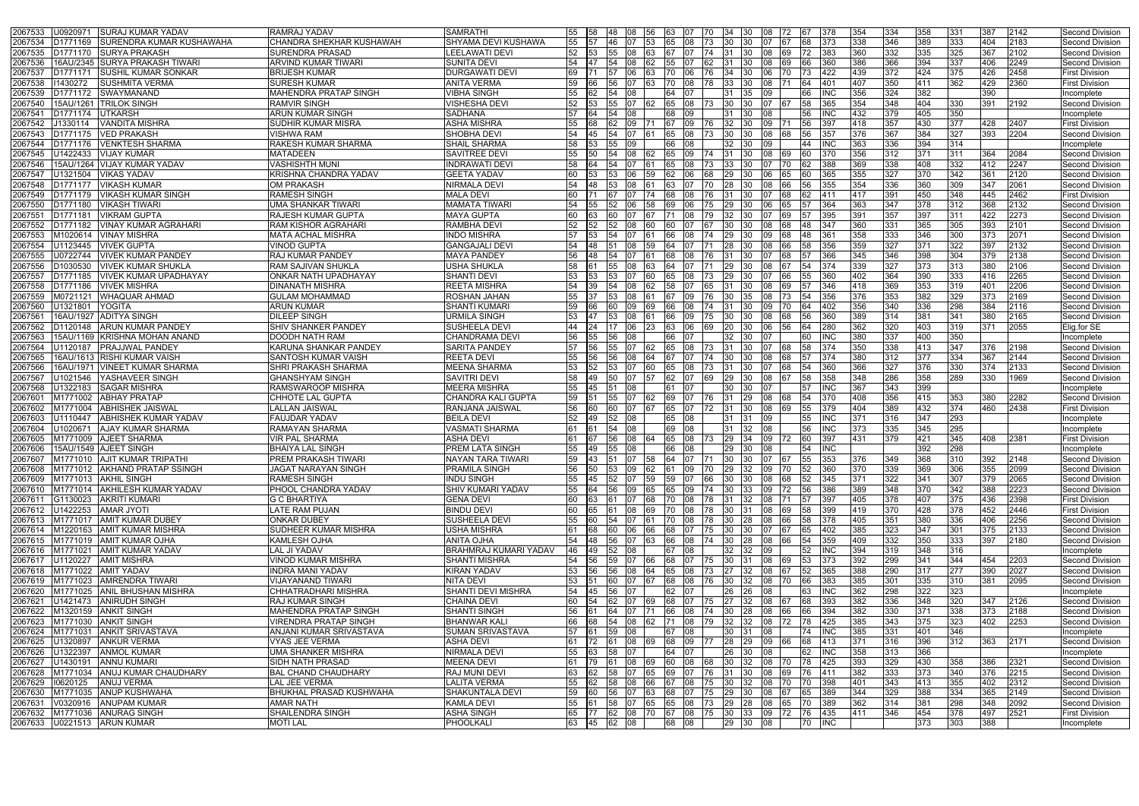| 2067533<br>J0920971<br><b>SURAJ KUMAR YADAV</b>                 | RAMRAJ YADAV                               | SAMRATHI                       | 55        | <b>1</b> 58 | 48          | 08           | 56             | 63 07          |              | 70 34        |                   | <b>1</b> 30<br>08                               |                                                           |           | 378              | 354 | 334   | 358           | 331        | 387        | 2142 | Second Division                           |
|-----------------------------------------------------------------|--------------------------------------------|--------------------------------|-----------|-------------|-------------|--------------|----------------|----------------|--------------|--------------|-------------------|-------------------------------------------------|-----------------------------------------------------------|-----------|------------------|-----|-------|---------------|------------|------------|------|-------------------------------------------|
| <b>SURENDRA KUMAR KUSHAWAHA</b><br>2067534<br>D1771169          | CHANDRA SHEKHAR KUSHAWAH                   | SHYAMA DEVI KUSHAWA            | 55        |             | 46          | 07           | <b>53</b>      | 65 08          |              | 73           | $ 30\rangle$      | 30<br>07                                        |                                                           |           | 373              | 338 | 346   | 389           | 333        | 404        | 2183 | Second Division                           |
| <b>SURYA PRAKASH</b><br>2067535<br>D1771170                     | <b>SURENDRA PRASAD</b>                     | <b>LEELAWATI DEVI</b>          | 52        | - 153       | <b>55</b>   | 108          | 163            | 167            | I07.         | 174          | 31                | l30 l<br>108                                    |                                                           |           | 383              | 360 | 332   | 335           | 325        | 367        | 2102 | Second Division                           |
| 16AU/2345 ISURYA PRAKASH TIWARI<br>2067536                      | <b>ARVIND KUMAR TIWARI</b>                 | SUNITA DEVI                    | 54        |             | 54          | 08           | 62             | 55             | 107          | I62.         | 31                | 30<br>108                                       |                                                           |           | 360              | 386 | 366   | 394           | 337        | 406        | 2249 | Second Division                           |
| 0177117′<br>ISUSHIL KUMAR SONKAR<br>206753                      | <b>BRIJESH KUMAR</b>                       | <b>DURGAWATI DEVI</b>          | 69        |             |             | 06           |                | 70             | 06           | 76.          | 34                | 30<br>06                                        |                                                           |           | 422              | 439 | 372   | 424           | 375        | 426        | 2458 | <b>First Division</b>                     |
| 1430272<br><b>SUSHMITA VERMA</b><br>2067538                     | <b>SURESH KUMAR</b>                        | <b>ANITA VERMA</b>             | 59        |             |             |              |                | 70.            |              |              | 33                |                                                 |                                                           |           |                  | 407 | 350   | 411           | 362        | 429        | 2360 | <b>First Division</b>                     |
| D1771172<br><b>SWAYMANAND</b><br>2067539                        | <b>MAHENDRA PRATAP SINGH</b>               | <b>VIBHA SINGH</b>             | 55        |             | 54          |              |                | 64             |              |              |                   |                                                 |                                                           |           |                  | 356 | 324   | 382           |            | 390        |      | Incomplete                                |
|                                                                 |                                            |                                |           |             |             | 07           |                |                |              |              |                   |                                                 |                                                           |           |                  |     |       |               |            |            |      |                                           |
| 15AU/1261 TRILOK SINGH<br>2067540                               | <b>RAMVIR SINGH</b>                        | <b>VISHESHA DEVI</b>           | 52        |             |             |              |                |                | 08           |              | 30                |                                                 |                                                           |           | 365              | 354 | 348   | 404           | 330        | 391        | 2192 | Second Division                           |
| D1771174 UTKARSH<br>2067541                                     | <b>ARUN KUMAR SINGH</b>                    | <b>SADHANA</b>                 | 57        |             | 54          | 08           |                | 68             | 09           |              |                   |                                                 |                                                           |           |                  | 432 | 379   | 405           | 350        |            |      | Incomplete                                |
| J1330114<br>VANDITA MISHRA<br>2067542                           | <b>SUDHIR KUMAR MISRA</b>                  | <b>ASHA MISHRA</b>             | 55        |             | 62          | 09           |                | 67             | 09           | 176.         | 32                | l09                                             |                                                           |           | 397              | 418 | 357   | 430           | 377        | 428        | 2407 | <b>First Division</b>                     |
| <b>VED PRAKASH</b><br>D1771175<br>2067543                       | <b>VISHWA RAM</b>                          | <b>SHOBHA DEVI</b>             | 54        | 45          | 54          | 07           |                | 65             | 108          |              | 30                | 08<br>30                                        | 68                                                        |           | 357              | 376 | 367   | 384           | 327        | 393        | 2204 | Second Division                           |
| 2067544<br><b>VENKTESH SHARMA</b><br>)1771176                   | <b>RAKESH KUMAR SHARMA</b>                 | <b>SHAIL SHARMA</b>            | 58        |             |             |              |                |                |              |              | 32                |                                                 |                                                           |           |                  | 363 | 336   | 394           | 314        |            |      | Incomplete                                |
| J1422433<br><b>VIJAY KUMAR</b><br>2067545                       | <b>MATADEEN</b>                            | <b>SAVITREE DEVI</b>           | 55        |             |             | 08           |                |                | 09           |              |                   |                                                 |                                                           |           | 370              | 356 | 312   | 371           | 311        | 364        | 2084 | Second Division                           |
| 15AU/1264 VIJAY KUMAR YADAV<br>2067546                          | <b>VASHISHTH MUNI</b>                      | INDRAWATI DEVI                 | 58        |             |             |              |                |                |              |              | 33.               |                                                 |                                                           |           | 388              | 369 | 338   | 408           | 332        | 412        | 2247 | <b>Second Division</b>                    |
| <b>VIKAS YADAV</b><br>2067547<br>U1321504                       | KRISHNA CHANDRA YADAV                      | <b>GEETA YADAV</b>             | 60        |             | 53          | 06           | 59             |                |              |              | 29                | 06                                              |                                                           |           | 365              | 355 | 327   | 370           | 342        | 361        | 2120 | <b>Second Division</b>                    |
| <b>VIKASH KUMAR</b><br>2067548<br>D1771177                      | <b>OM PRAKASH</b>                          | <b>NIRMALA DEVI</b>            | 54        | 48          | 53.         | 08           |                | 63             |              | 70.          | 28                | 30-<br>108                                      |                                                           |           | 355              | 354 | 336   | 360           | 309        | 347        | 2061 | <b>Second Division</b>                    |
| <b>VIKASH KUMAR SINGH</b><br>2067549<br>D1771179                | <b>RAMESH SINGH</b>                        | <b>MALA DEVI</b>               | 60        |             |             |              |                |                |              |              |                   |                                                 |                                                           |           | 411              | 417 | 391   | 450           | 348        | 445        | 2462 | <b>First Division</b>                     |
| 2067550<br>D1771180<br><b>VIKASH TIWARI</b>                     | UMA SHANKAR TIWARI                         | <b>MAMATA TIWARI</b>           | 54        |             | 52.         | 06           |                |                |              |              | 29                |                                                 |                                                           |           | 364              | 363 | 347   | 378           | 312        | 368        | 2132 | Second Division                           |
| D1771181<br><b>VIKRAM GUPTA</b><br>206755′                      | <b>RAJESH KUMAR GUPTA</b>                  | <b>MAYA GUPTA</b>              | 60        |             |             |              |                |                |              |              | 32                |                                                 |                                                           |           |                  | 391 | 357   | 397           | 311        | 422        | 2273 | <b>Second Division</b>                    |
| <b>VINAY KUMAR AGRAHARI</b><br>2067552<br>D1771182              | <b>RAM KISHOR AGRAHARI</b>                 | <b>RAMBHA DEVI</b>             | 52        | 52          | 52          | 108          | 160.           | 60             |              |              | 30                | 30<br>108                                       | l68                                                       |           | 347              | 360 | 331   | 365           | 305        | 393        | 2101 | <b>Second Division</b>                    |
| M1020614<br><b>VINAY MISHRA</b><br>2067553                      | <b>MATA ACHAL MISHRA</b>                   | INDO MISHRA                    | 57        |             |             |              |                |                |              |              | 29                |                                                 |                                                           |           |                  | 358 | 333   | 346           | 300        | 373        | 2071 | <b>Second Division</b>                    |
| U1123445<br><b>VIVEK GUPTA</b><br>2067554                       | <b>VINOD GUPTA</b>                         | <b>GANGAJALI DEVI</b>          | 54        | l48         |             | 08           | 159            |                |              |              | 28                | 30.                                             |                                                           |           | 356              | 359 | 327   | 371           | 322        | 397        | 2132 | Second Division                           |
| J0722744<br>VIVEK KUMAR PANDEY<br>2067555                       | <b>RAJ KUMAR PANDEY</b>                    | <b>MAYA PANDEY</b>             | 56        |             |             |              |                |                |              |              |                   |                                                 |                                                           |           | 366              | 345 | 346   | 398           | 304        | 379        | 2138 | <b>Second Division</b>                    |
| <b>VIVEK KUMAR SHUKLA</b><br>D1030530<br>2067556                | RAM SAJIVAN SHUKLA                         | USHA SHUKLA                    | 58        |             | 55          | 80           |                |                |              |              | 29                |                                                 |                                                           |           | 374              | 339 | 327   | 373           | 313        | 380        | 2106 | Second Division                           |
| 206755<br>)1771185<br><b>VIVEK KUMAR UPADHAYAY</b>              | ONKAR NATH UPADHAYAY                       | SHANTI DEVI                    | 53        |             |             |              |                |                |              |              | 29                |                                                 |                                                           |           |                  | 402 | 364   | 390           | 333        | 416        | 2265 | <b>Second Division</b>                    |
| <b>VIVEK MISHRA</b><br>2067558<br>D1771186                      | <b>DINANATH MISHRA</b>                     | REETA MISHRA                   | 54        |             |             | 08           |                |                |              |              |                   |                                                 |                                                           |           | 346              | 418 | 369   | 353           | 319        | 401        | 2206 | Second Division                           |
| M0721121<br>WHAQUAR AHMAD<br>2067559                            | <b>GULAM MOHAMMAD</b>                      | ROSHAN JAHAN                   | 55        |             |             | 08           |                |                |              | 76.          | 30                | 35                                              |                                                           |           | 356              | 376 | 353   | 382           | 329        | 373        | 2169 |                                           |
| <b>YOGITA</b>                                                   | <b>ARUN KUMAR</b>                          | <b>SHANTI KUMARI</b>           | 59        |             |             | 09           | 69             |                |              |              | 31                | 09                                              |                                                           |           | 402              | 356 | 340   | 336           | 298        | 384        | 2116 | Second Division<br><b>Second Division</b> |
| U1321801<br>2067560                                             |                                            |                                |           |             | 60          |              |                | 66             | 08           |              |                   | 30                                              | 170                                                       |           |                  |     |       |               |            |            |      |                                           |
| <b>ADITYA SINGH</b><br>16AU/1927<br>206756                      | <b>DILEEP SINGH</b>                        | URMILA SINGH                   | 53        |             | 53.         | 08           |                | 66             | 09.          | 75.          | 30                | 30-<br>08                                       |                                                           |           | 360              | 389 | 314   | 381           | 341        | 380        | 2165 | <b>Second Division</b>                    |
| <b>ARUN KUMAR PANDEY</b><br>2067562<br>D1120148                 | <b>SHIV SHANKER PANDEY</b>                 | SUSHEELA DEVI                  | 44        |             |             | 06           |                |                |              |              | 20                |                                                 |                                                           |           | 280              | 362 | 320   | 403           | 319        | 371        | 2055 | Elig.for SE                               |
| 15AU/1169  KRISHNA MOHAN ANAND<br>2067563                       | <b>DOODH NATH RAM</b>                      | CHANDRAMA DEVI                 | 56        |             |             |              |                |                |              |              | 32.               |                                                 |                                                           |           |                  | 380 | 337   | 400           | 350        |            |      | Incomplete                                |
| 2067564<br>J1120187<br><b>PRAJJWAL PANDEY</b>                   | KARUNA SHANKAR PANDEY                      | <b>SARITA PANDEY</b>           | 57        |             |             |              | 62.            |                |              |              |                   |                                                 |                                                           |           | 374              | 350 | 338   | 413           | 347        | 376        | 2198 | Second Division                           |
| 16AU/1613  RISHI KUMAR VAISH<br>2067565                         | <b>SANTOSH KUMAR VAISH</b>                 | <b>REETA DEVI</b>              | 55        |             | 56          | 08           | 64             |                |              |              | 30                |                                                 |                                                           |           | 374              | 380 | 312   | 377           | 334        | 367        | 2144 | <b>Second Division</b>                    |
| 16AU/1971   VINEET KUMAR SHARMA<br>2067566                      | <b>SHRI PRAKASH SHARMA</b>                 | <b>MEENA SHARMA</b>            | 53        |             | 53          |              |                |                |              |              |                   |                                                 |                                                           |           | 360              | 366 | 327   | 376           | 330        | 374        | 2133 | <b>Second Division</b>                    |
| J1021546<br>YASHAVEER SINGH<br>206756                           | <b>GHANSHYAM SINGH</b>                     | SAVITRI DEVI                   | 58        |             | 50          | 07           |                |                |              |              | 29                |                                                 |                                                           |           | 358              | 348 | 286   | 358           | 289        | 330        | 1969 | Second Division                           |
| J1322183<br><b>SAGAR MISHRA</b><br>2067568                      | RAMSWAROOP MISHRA                          | <b>MEERA MISHRA</b>            | 55        |             |             |              |                |                |              |              |                   |                                                 |                                                           |           |                  | 367 | 343   | 399           |            |            |      | Incomplete                                |
| <b>ABHAY PRATAP</b><br>M1771002<br>206760                       | <b>CHHOTE LAL GUPTA</b>                    | CHANDRA KALI GUPTA             | 59        |             | 55          | 07           | 62             | 69             | <b>07</b>    | 76.          | 31                | 08<br>29.                                       |                                                           |           | 370              | 408 | 356   | 415           | 353        | 380        | 2282 | Second Division                           |
| 2067602<br>M1771004<br><b>ABHISHEK JAISWAL</b>                  | <b>LALLAN JAISWAL</b>                      | RANJANA JAISWAL                | 56        |             | 60          | 07           |                | 65             |              |              | 31                | 30<br>108                                       |                                                           |           | 379              | 404 | 389   | 432           | 374        | 460        | 2438 | <b>First Division</b>                     |
| <b>ABHISHEK KUMAR YADAV</b><br>2067603<br>J1110447              | <b>FAUJDAR YADAV</b>                       | <b>BEILA DEVI</b>              | 52        | 49          | 52          | 08           |                | 65             | $ 08\rangle$ |              | 31                | I09                                             |                                                           |           | INC              | 371 | 316   | 347           | 293        |            |      | Incomplete                                |
| <b>AJAY KUMAR SHARMA</b><br>1102067′<br>2067604                 | RAMAYAN SHARMA                             | VASMATI SHARMA                 | <b>61</b> |             | 54          | 108          |                | 69 08          |              |              | 31                | 32                                              |                                                           | 56        | INC              | 373 | 335   | 345           | 295        |            |      | Incomplete                                |
| M1771009 AJEET SHARMA<br>2067605                                | <b>VIR PAL SHARMA</b>                      | ASHA DEVI                      | 61        |             | 56          | 08           |                | 65 08          |              |              | 29                | 09<br>34                                        | 172                                                       | 60        | 397              | 431 | 379   | 421           | 345        | 408        | 2381 | <b>First Division</b>                     |
| 15AU/1549 AJEET SINGH<br>2067606                                | <b>BHAIYA LAL SINGH</b>                    | PREM LATA SINGH                | 55        | 49          | 155         | 08           |                | 66 08          |              |              | 29                | 108<br>130                                      |                                                           |           | <b>INC</b>       |     |       | 392           | 298        |            |      | Incomplete                                |
| 2067607 M1771010 AJIT KUMAR TRIPATHI                            | <b>PREM PRAKASH TIWARI</b>                 | NAYAN TARA TIWARI              | 59 143    |             |             |              |                |                |              |              |                   | 51   07   58   64   07   71   30   30   07   67 |                                                           | 55        | 353              | 376 | 349   | 368           | 310        | 392        | 2148 | Second Division                           |
| 2067608 M1771012 AKHAND PRATAP SSINGH                           | JAGAT NARAYAN SINGH                        | PRAMILA SINGH                  |           |             |             |              |                |                |              |              |                   |                                                 | 56 50 53 09 62 61 09 70 29 32 09 70                       |           | 52 360           | 370 | 339   | 369           | 306        | 355        | 2099 | Second Division                           |
| M1771013 AKHIL SINGH<br>2067609                                 | <b>RAMESH SINGH</b>                        | <b>INDU SINGH</b>              | 55        | <b>145</b>  | 52 07 59    |              |                |                |              |              | 59 07 66 30 30    | 08                                              | 68                                                        |           | 345              | 371 | 322   | 341           | 307        | 379        | 2065 | Second Division                           |
| M1771014 AKHILESH KUMAR YADAV<br>2067610                        | <b>PHOOL CHANDRA YADAV</b>                 | <b>SHIV KUMARI YADAV</b>       |           |             |             |              |                |                |              |              |                   |                                                 | 55   64   56   09   65   65   09   74   30   33   09   72 |           | 56 386           | 389 | 348   | 370           | 342        | 388        | 2223 | Second Division                           |
| <b>AKRITI KUMARI</b><br>G1130023<br>2067611                     | <b>G C BHARTIYA</b>                        | <b>GENA DEVI</b>               | 60        |             | 61          | 07           | <b>68</b>      | 70 08          |              | 78 31        |                   | 32<br><b>08</b>                                 |                                                           |           | 397              | 405 | 378   | 407           | 375        | 436        | 2398 | <b>First Division</b>                     |
| U1422253 AMAR JYOTI<br>2067612                                  | <b>LATE RAM PUJAN</b>                      | <b>BINDU DEVI</b>              | 60        | 165         | 61          | 08 69        |                |                |              | 78 30        |                   | 08<br>I31                                       | 169                                                       |           | 399              | 419 | 370   | 428           | 378        | 452        | 2446 | <b>First Division</b>                     |
| M1771017 AMIT KUMAR DUBEY<br>2067613                            | <b>ONKAR DUBEY</b>                         | <b>SUSHEELA DEVI</b>           | 55        | 160         | 54          | 107          | <b>1</b> 61    | 70   08        |              | 78 30        |                   | 28<br>08                                        | I66.                                                      |           | 378              | 405 | 351   | 380           | 336        | 406        | 2256 | Second Division                           |
| M1220163 AMIT KUMAR MISHRA<br>2067614                           | <b>SUDHEER KUMAR MISHRA</b>                | USHA MISHRA                    | 61        | 68          | 60 06 66    |              |                | 68 07          |              |              | 75 30 30          | 07                                              | 67                                                        | <b>65</b> | 402              | 385 | 323   | 347           | 301        | 375        | 2133 | Second Division                           |
| M1771019 AMIT KUMAR OJHA<br>2067615                             | <b>KAMLESH OJHA</b>                        | <b>ANITA OJHA</b>              | 54        |             | 48 56 07 63 |              |                | 66 08          |              |              | $\sqrt{74}$ 30 28 |                                                 | 08 66                                                     |           | 359              | 409 | $332$ | 350           | 333        | 397        | 2180 | Second Division                           |
| M1771021 AMIT KUMAR YADAV<br>2067616                            | LAL JI YADAV                               | BRAHMRAJ KUMARI YADAV          | 46 49     |             | 52 08       |              |                | 67 08          |              |              |                   | 32 32 09                                        |                                                           |           | <b>INC</b>       | 394 | 319   | 348           | 316        |            |      | Incomplete                                |
| U1120227<br><b>AMIT MISHRA</b><br>2067617                       | <b>VINOD KUMAR MISHRA</b>                  | <b>SHANTI MISHRA</b>           | 54 56     |             | 59          | 07 66        |                |                |              |              |                   | 68 07 75 30 31 08                               | 69                                                        |           | 373              | 392 | 299   | 341           | 344        | 454        | 2203 | Second Division                           |
| M1771022 AMIT YADAV<br>2067618                                  | <b>INDRA MANI YADAV</b>                    | <b>KIRAN YADAV</b>             | 53        | <b>156</b>  | 56          | 08           | 64             | 65 08          |              | <b>73</b> 27 |                   | 32<br>08                                        | 167                                                       | 52        | 365              | 388 | 290   | 317           | 277        | 390        | 2027 | Second Division                           |
| M1771023 AMRENDRA TIWARI<br>2067619                             | <b>VIJAYANAND TIWARI</b>                   | <b>NITA DEVI</b>               | 53        | <b>151</b>  |             |              | 60 07 67 68 08 |                |              |              |                   |                                                 | 76  30  32  08  70                                        | <b>66</b> | 383              | 385 | 301   | 335           | 310        | 381        | 2095 | Second Division                           |
| M1771025 ANIL BHUSHAN MISHRA<br>2067620                         | CHHATRADHARI MISHRA                        | <b>SHANTI DEVI MISHRA</b>      | 54 45     |             | 56          | 107          |                | 62 07          |              |              | 26                | <b>26</b><br>08                                 |                                                           | 63        | INC              | 362 | 298   | 322           | 323        |            |      | Incomplete                                |
| U1421473 ANIRUDH SINGH                                          |                                            |                                | 60 54     |             |             |              |                |                |              |              |                   |                                                 |                                                           |           | 393              | 382 | 336   | 348           | 320        | 347        | 2126 |                                           |
| 2067621                                                         | <b>RAJ KUMAR SINGH</b>                     | <b>CHAINA DEVI</b>             |           |             |             | 62 07 69     |                |                |              |              |                   | 68 07 75 27 32 08                               | 167                                                       | <b>68</b> |                  |     |       |               |            |            |      | Second Division                           |
| M1320159 ANKIT SINGH<br>2067622                                 | MAHENDRA PRATAP SINGH                      | <b>SHANTI SINGH</b>            | 56        |             | 64 07       |              | - 171          | 66 08          |              | 74 30        |                   | 28<br>08                                        | 66                                                        | 66        | 394              | 382 | 330   | 371           | 338        | 373        | 2188 | Second Division                           |
| M1771030 ANKIT SINGH<br>2067623                                 | <b>VIRENDRA PRATAP SINGH</b>               | <b>BHANWAR KALI</b>            | <b>66</b> |             |             |              |                |                |              |              |                   |                                                 | 68 54 08 62 71 08 79 32 32 08 72                          |           | 78 425           | 385 | 343   | 375           | 323        | 402        | 2253 | Second Division                           |
| <b>ANKIT SRIVASTAVA</b><br>2067624<br>M1771031                  | ANJANI KUMAR SRIVASTAVA                    | SUMAN SRIVASTAVA               | 57        | <b>1</b> 61 | 59          | $ 08\rangle$ |                | 67 08          |              |              | 30                | 08                                              |                                                           | 74        | INC              | 385 | 331   | 401           | 346        |            |      | <b>Incomplete</b>                         |
| U1320897<br><b>ANKUR VERMA</b><br>2067625                       | <b>VYAS JEE VERMA</b>                      | <b>ASHA DEVI</b>               | 61        | <b>72</b>   | I61         | 08           | 169            | 68 09          |              | 77           | 28 29             | 09                                              | <b>166</b>                                                | 68        | 413              | 371 | 316   | 396           | 312        | 363        | 2171 | Second Division                           |
| <b>ANMOL KUMAR</b><br>U1322397<br>2067626                       | <b>UMA SHANKER MISHRA</b>                  | <b>NIRMALA DEVI</b>            | 55        | 63          | 58          | 07           |                | 64 07          |              |              | 26 30             | 08                                              |                                                           |           | INC              | 358 | 313   | 366           |            |            |      | Incomplete                                |
| <b>ANNU KUMARI</b><br>U1430191<br>2067627                       | <b>SIDH NATH PRASAD</b>                    | <b>MEENA DEVI</b>              | <b>61</b> |             | 79 61 08 69 |              |                |                |              |              |                   |                                                 | 60 08 68 30 32 08 70                                      | 178       | 425              | 393 | 329   | 430           | 358        | 386        | 2321 | Second Division                           |
| M1771034 ANUJ KUMAR CHAUDHARY<br>2067628                        | <b>BAL CHAND CHAUDHARY</b>                 | <b>RAJ MUNI DEVI</b>           |           |             |             |              |                |                |              |              |                   |                                                 | 63  62  58  07  65  69  07  76  31  30  08  69            |           | 76 411           | 382 | 333   | 373           | 340        | 376        | 2215 | Second Division                           |
| 10620125<br><b>ANUJ VERMA</b><br>2067629                        | LAL JEE VERMA                              | <b>LALITA VERMA</b>            | 55 62     |             | 58 08 66    |              |                | $\sqrt{67}$ 08 |              |              |                   |                                                 | 75 30 32 08 70                                            |           | 398              | 401 | 343   | $ 413\rangle$ | 355        | 402        | 2312 | Second Division                           |
| M1771035 ANUP KUSHWAHA<br>2067630                               | <b>BHUKHAL PRASAD KUSHWAHA</b>             | <b>SHAKUNTALA DEVI</b>         | 59        | <b>160</b>  |             |              |                |                |              |              |                   |                                                 | 56 07 63 68 07 75 29 30 08 67                             | 165.      | 389              | 344 | 329   | 388           | 334        | 365        | 2149 | Second Division                           |
| V0320916 ANUPAM KUMAR<br>2067631                                | <b>AMAR NATH</b>                           | <b>KAMLA DEVI</b>              | 55        |             | 58 07       |              | 65             | 65 08          |              |              | 73 29 28          |                                                 | 08 65                                                     | 170.      | 389              | 362 | 314   | 381           | 298        | 348        | 2092 | <b>Second Division</b>                    |
|                                                                 |                                            |                                |           |             |             |              |                |                |              |              |                   |                                                 |                                                           |           |                  |     |       |               |            |            |      |                                           |
| M1771036 ANURAG SINGH<br>2067632<br>2067633 U0221513 ARUN KUMAR | <b>SHAILENDRA SINGH</b><br><b>MOTI LAL</b> | <b>ASHA SINGH</b><br>PHOOLKALI |           |             | 63 45 62 08 |              |                | 68 08          |              |              | 29 30             | 08                                              | 65  77  62  08  70  67  08  75  30  33  09  72            |           | 76 435<br>70 INC | 411 | 346   | 454<br>373    | 378<br>303 | 497<br>388 | 2521 | <b>First Division</b><br>Incomplete       |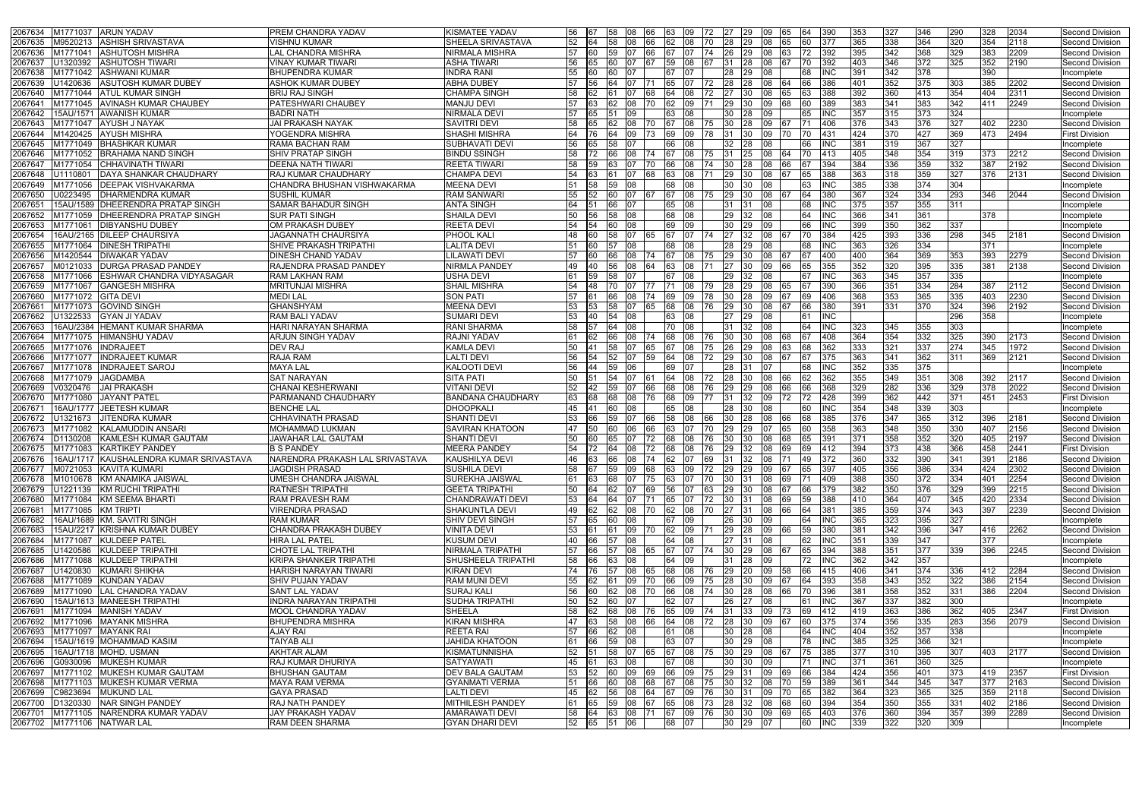| 2067634 M1771037 ARUN YADAV                              | PREM CHANDRA YADAV                         | <b>KISMATEE YADAV</b>           | 56 67 |            | 58 08       | 66                                                         |     | 63 09    | 72 27    |                | 09<br><b>29</b>      | 65         |           | 390        | 353        | 327   | 346 | 290              | 328 | 2034 | <b>Second Division</b>             |
|----------------------------------------------------------|--------------------------------------------|---------------------------------|-------|------------|-------------|------------------------------------------------------------|-----|----------|----------|----------------|----------------------|------------|-----------|------------|------------|-------|-----|------------------|-----|------|------------------------------------|
| M9520213 ASHISH SRIVASTAVA<br>2067635                    | <b>VISHNU KUMAR</b>                        | SHEELA SRIVASTAVA               | 52    | 64         | 58          | $ 08\rangle$<br>66                                         | 62  | 08       |          | 28             | <b>29</b><br>08      |            |           | 377        | 365        | 338   | 364 | 320              | 354 | 2118 | Second Division                    |
| 2067636<br>M1771041<br><b>ASHUTOSH MISHRA</b>            | LAL CHANDRA MISHRA                         | <b>NIRMALA MISHRA</b>           |       |            | 59          |                                                            |     |          |          | 26             |                      |            |           | 392        | 395        | 342   | 368 | 329              | 383 | 2209 | Second Division                    |
| U1320392<br><b>ASHUTOSH TIWARI</b><br>2067637            | √INAY KUMAR TIWARI                         | ASHA TIWARI                     | 56    |            |             |                                                            | 59  | 08       |          | 31             | I28                  |            |           | 392        | 403        | 346   | 372 | 325              | 352 | 2190 | Second Division                    |
| 2067638<br>M1771042<br><b>ASHWANI KUMAR</b>              | <b>BHUPENDRA KUMAR</b>                     | <b>INDRA RANI</b>               |       |            |             |                                                            |     |          |          |                |                      |            |           | INC        | 391        | 342   | 378 |                  | 390 |      | Incomplete                         |
| <b>ASUTOSH KUMAR DUBEY</b><br>2067639<br>U1420636        | ASHOK KUMAR DUBEY                          | <b>ABHA DUBEY</b><br>57         |       |            | 64          |                                                            | 65  | 07       |          | 28             | 08                   |            |           | 386        | 401        | 352   | 375 | 303              | 385 | 2202 | Second Division                    |
| 2067640<br>M1771044 ATUL KUMAR SINGH                     | <b>BRIJ RAJ SINGH</b>                      | <b>CHAMPA SINGH</b>             |       | 162        |             | 168                                                        |     | 08       | 172      | 27             | -130<br>08           |            |           | 388        | 392        | 360   | 413 | 354              | 404 | 2311 | Second Division                    |
| M1771045 AVINASH KUMAR CHAUBEY<br>2067641                | <b>PATESHWARI CHAUBEY</b>                  | <b>MANJU DEVI</b><br>57         |       | 63.        |             | 08                                                         | 62  | 09       |          | 29.            |                      |            |           | 389        | 383        | 341   | 383 | 342              | 411 | 2249 | Second Division                    |
| 15AU/1571 AWANISH KUMAR<br>2067642                       | <b>BADRI NATH</b>                          | <b>NIRMALA DEVI</b>             |       |            |             | 09                                                         |     | 08       |          | 30             |                      |            |           | INC        | 357        | 315   | 373 | $\overline{324}$ |     |      | Incomplete                         |
| M1771047 AYUSH J NAYAK<br>2067643                        | <b>JAI PRAKASH NAYAK</b>                   | SAVITRI DEVI                    | 58    |            |             | 08                                                         |     | 08       |          | 30             |                      |            |           | 406        | 376        | 343   | 376 | 327              | 402 | 2230 | Second Division                    |
| M1420425 AYUSH MISHRA<br>2067644                         | YOGENDRA MISHRA                            | <b>SHASHI MISHRA</b>            |       |            | 64          | <b>1</b> 09<br> 73                                         | 69  | 09       | 178      | 31             | 09<br><b>1</b> 30    | 170        | 70.       | 431        | 424        | 370   | 427 | 369              | 473 | 2494 | <b>First Division</b>              |
| 2067645<br>M1771049 BHASHKAR KUMAR                       | RAMA BACHAN RAM                            | <b>SUBHAVATI DEVI</b>           | 56    | 65         | 58          |                                                            | 66  | 08       |          | 32.            |                      |            |           | INC        | 381        | 319   | 367 | 327              |     |      | Incomplete                         |
| M1771052 BRAHAMA NAND SINGH<br>2067646                   | SHIV PRATAP SINGH                          | <b>BINDU SSINGH</b>             | 58    | 172        | 66          | 08<br>174                                                  | 67  | 08       | 75.      | 31             | I25<br>08            |            |           | l413       | 405        | 348   | 354 | 319              | 373 | 2212 | Second Division                    |
| 2067647<br>M1771054<br><b>CHHAVINATH TIWARI</b>          | <b>DEENA NATH TIWARI</b>                   | <b>REETA TIWARI</b>             | 58    |            |             |                                                            |     | 80       |          | 30             |                      |            |           | 394        | 384        | 336   | 359 | 332              | 387 | 2192 | <b>Second Division</b>             |
| DAYA SHANKAR CHAUDHARY<br>2067648<br>U1110801            | RAJ KUMAR CHAUDHARY                        | <b>CHAMPA DEVI</b>              | 54    | 163.       |             | 68                                                         |     | 08       |          | 29.            | 08<br>130            |            |           | 388        | 363        | 318   | 359 | 327              | 376 | 2131 | Second Division                    |
| 2067649<br>M1771056<br>DEEPAK VISHVAKARMA                | CHANDRA BHUSHAN VISHWAKARMA                | <b>MEENA DEVI</b>               |       |            |             |                                                            |     |          |          |                |                      |            |           |            | 385        | 338   | 374 | 304              |     |      | ncomplete                          |
| <b>IDHARMENDRA KUMAR</b><br>U0223495<br>2067650          | SUSHIL KUMAR                               | <b>RAM SANWARI</b>              | 55    |            |             |                                                            | 67  | 08       |          | 29             | 08                   |            |           | 380        | 367        | 324   | 334 | 293              | 346 | 2044 | Second Division                    |
| 15AU/1589   DHEERENDRA PRATAP SINGH<br>2067651           | SAMAR BAHADUR SINGH                        | <b>ANTA SINGH</b>               |       | 151        | 66          |                                                            | 65  | 08       |          | 31             | 08<br>- 131          |            | 68        | INC        | 375        | 357   | 355 | 311              |     |      | Incomplete                         |
| M1771059 DHEERENDRA PRATAP SINGH<br>2067652              | SUR PATI SINGH                             | SHAILA DEVI                     | 50    | 156        | 58          | 08                                                         | 68  | 08       |          | 29             | <b>32</b><br>08      |            | 64        | <b>INC</b> | 366        | 341   | 361 |                  | 378 |      | Incomplete                         |
| 2067653<br><b>IDIBYANSHU DUBEY</b><br>M1771061           | <b>OM PRAKASH DUBEY</b>                    | <b>REETA DEVI</b>               | 54    | 54         | 160         | 08                                                         | 69. | 09       |          | 30             | <b>129</b>           |            |           |            | 399        | 350   | 362 | 337              |     |      | Incomplete                         |
| 16AU/2165 DILEEP CHAURSIYA<br>2067654                    | JAGANNATH CHAURSIYA                        | <b>PHOOL KALI</b>               | 48    |            |             |                                                            |     |          |          | 27             |                      |            |           | 384        | 425        | 393   | 336 | 298              | 345 | 2181 | Second Division                    |
| <b>DINESH TRIPATHI</b><br>2067655<br>M1771064            | SHIVE PRAKASH TRIPATHI                     | LALITA DEVI                     |       | 60         |             | 08                                                         | 68  | 80       |          | 28             | 29                   |            |           | INC        | 363        | 326   | 334 |                  | 371 |      | Incomplete                         |
| <b>DIWAKAR YADAV</b><br>2067656<br>M1420544              | DINESH CHAND YADAV                         | <b>LILAWATI DEVI</b>            |       |            |             |                                                            |     | 08       |          | 29             |                      |            |           | 400        | 400        | 364   | 369 | 353              | 393 | 2279 | <b>Second Division</b>             |
| M0121033 DURGA PRASAD PANDEY<br>2067657                  | RAJENDRA PRASAD PANDEY                     | <b>NIRMLA PANDEY</b>            | 49    | 140        | <b>56</b>   | 08<br>64                                                   | 63  | 08       |          | 27             | 09                   | <b>166</b> |           | 355        | 352        | 320   | 395 | 335              | 381 | 2138 | <b>Second Division</b>             |
| 2067658<br><b>IESHWAR CHANDRA VIDYASAGAR</b><br>M1771066 | <b>RAM LAKHAN RAM</b>                      | <b>USHA DEVI</b>                |       |            |             |                                                            |     |          |          | 29             | 130                  |            |           | INC        | 363        | 345   | 357 | 335              |     |      |                                    |
|                                                          |                                            |                                 | 54    |            |             | 77                                                         |     |          |          |                |                      |            |           |            |            | 351   | 334 | 284              | 387 | 2112 | Incomplete                         |
| M1771067 GANGESH MISHRA<br>2067659<br>M1771072 GITA DEVI | <b>MRITUNJAI MISHRA</b><br><b>MEDI LAL</b> | SHAIL MISHRA<br><b>SON PATI</b> |       |            |             |                                                            |     | 08<br>)9 |          | 28             | 29<br>08             |            |           | 390<br>406 | 366<br>368 | 353   | 365 | 335              | 403 | 2230 | Second Division<br>Second Division |
| 2067660                                                  |                                            |                                 |       |            |             |                                                            |     |          |          |                |                      |            |           |            |            |       |     |                  |     |      |                                    |
| M1771073 GOVIND SINGH<br>2067661                         | <b>GHANSHYAM</b>                           | <b>MEENA DEVI</b>               | 53    | 53.        | 58          | 07<br>65                                                   | 68  | 08       | 176      | 29             | 08<br>130            |            | 66        | 380        | 391        | 331   | 370 | 324              | 396 | 2192 | Second Division                    |
| U1322533<br>206766<br>IGYAN JI YADAV                     | RAM BALI YADAV                             | <b>SUMARI DEVI</b><br>53        |       | 40         | 54          |                                                            |     | 08       |          | 27             | <b>129</b>           |            |           | <b>INC</b> |            |       |     | 296              | 358 |      | Incomplete                         |
| 16AU/2384 HEMANT KUMAR SHARMA<br>2067663                 | HARI NARAYAN SHARMA                        | <b>RANI SHARMA</b>              | 58    | 157        |             | 08                                                         | 70. | 08       |          | 31             | 32                   |            | 64        | <b>INC</b> | 323        | 345   | 355 | 303              |     |      | Incomplete                         |
| M1771075<br><b>IHIMANSHU YADAV</b><br>2067664            | ARJUN SINGH YADAV                          | RAJNI YADAV                     |       |            |             | 08<br>74                                                   |     | 08       |          | 30             | I30                  |            |           | 408        | 364        | 354   | 332 | $\overline{325}$ | 390 | 2173 | Second Division                    |
| M1771076 INDRAJEET<br>2067665                            | <b>DEV RAJ</b>                             | <b>KAMLA DEVI</b>               | 50    |            | 58          | <b>65</b>                                                  |     | 08       |          | 26             | <b>29</b><br>08      |            |           | 362        | 333        | 321   | 337 | 274              | 345 | 1972 | <b>Second Division</b>             |
| M1771077 IINDRAJEET KUMAR<br>2067666                     | <b>RAJA RAM</b>                            | <b>LALTI DEVI</b>               | 56    | 54         | <b>152</b>  | <b>59</b>                                                  |     | 80       |          | 29             |                      |            |           | 375        | 363        | 341   | 362 | 311              | 369 | 2121 | Second Division                    |
| M1771078 INDRAJEET SAROJ<br>2067667                      | MAYA LAL                                   | <b>KALOOTI DEVI</b>             | 56    |            |             |                                                            |     |          |          |                |                      |            |           | INC        | 352        | 335   | 375 |                  |     |      | Incomplete                         |
| M1771079<br><b>JAGDAMBA</b><br>2067668                   | <b>SAT NARAYAN</b>                         | <b>SITA PATI</b>                | 50    |            | 54          |                                                            |     | 08       |          | 28             |                      |            |           | 362        | 355        | 349   | 351 | 308              | 392 | 2117 | Second Division                    |
| V0320476 JAI PRAKASH<br>2067669                          | CHANAI KESHERWANI                          | <b>VITANI DEVI</b>              |       |            |             | 166                                                        |     | 08       |          | 29             | 29                   |            |           | 368        | 329        | 282   | 336 | 329              | 378 | 2022 | <b>Second Division</b>             |
| M1771080 JAYANT PATEL<br>206767                          | PARMANAND CHAUDHARY                        | <b>BANDANA CHAUDHARY</b>        | 63    | 68         | 68          | 08<br>176                                                  | 68  | 09       |          | 31             | <b>32</b><br>09      | 172        |           | 428        | 399        | 362   | 442 | 371              | 451 | 2453 | <b>First Division</b>              |
| 206767<br>16AU/1777 JEETESH KUMAR                        | <b>BENCHE LAL</b>                          | <b>DHOOPKALI</b>                | 45    |            |             |                                                            | 65  | 80       |          | 28             |                      |            |           |            | 354        | 348   | 339 | 303              |     |      | Incomplete                         |
| 2067672<br>U1321673<br><b>JITENDRA KUMAR</b>             | <b>CHHAVINATH PRASAD</b>                   | <b>SHANTI DEVI</b>              |       |            | 59          |                                                            | 58  | 08       |          | 30             |                      |            |           | 385        | 376        | 347   | 365 | 312              | 396 | 2181 | Second Division                    |
| 2067673<br>M1771082<br>KALAMUDDIN ANSARI                 | MOHAMMAD LUKMAN                            | <b>SAVIRAN KHATOON</b>          |       |            |             | 06                                                         |     |          |          | 29             |                      |            |           | 358        | 363        | 348   | 350 | 330              | 407 | 2156 | Second Division                    |
| <b>KAMLESH KUMAR GAUTAM</b><br>D1130208<br>2067674       | <b>JAWAHAR LAL GAUTAM</b>                  | <b>SHANTI DEVI</b>              | 50    |            | 65          | 72.                                                        | 68  | 08       |          | 30             | 08<br>130            | 68         |           | 391        | 371        | 358   | 352 | 320              | 405 | 2197 | <b>Second Division</b>             |
| 2067675<br>M1771083 KARTIKEY PANDEY                      | B S PANDEY                                 | <b>MEERA PANDEY</b>             |       |            | 164         | 08 72                                                      | 68  | 08       | 76 29 32 |                | 108                  | 169        | 169.      | 412        | 394        | 373   | 438 | 366              | 458 | 2441 | <b>First Division</b>              |
| 2067676_I16AU/1717_IKAUSHALENDRA KUMAR SRIVASTAVA        | NARENDRA PRAKASH LAL SRIVASTAVA            | KAUSHILYA DEVI                  | 46 63 |            |             | 66   08   74   62   07   69   31   32   08   71   49   372 |     |          |          |                |                      |            |           |            | 1360       | 332   | 390 | 341              | 391 | 2186 | Second Division                    |
| 2067677 M0721053 KAVITA KUMARI                           | JAGDISH PRASAD                             | <b>SUSHILA DEVI</b>             |       | 67         |             | 59 09 68                                                   |     |          |          |                | 63 09 72 29 29 09 67 |            | 65        | 397        | 405        | 356   | 386 | 334              | 424 | 2302 | Second Division                    |
| 2067678 M1010678 KM ANAMIKA JAISWAL                      | UMESH CHANDRA JAISWAL                      | <b>SUREKHA JAISWAL</b>          |       | 63         | 68          | <b>75</b><br>107                                           |     | 63 07    | 170 I    | 30 31          |                      | 08 69      |           | 409        | 388        | 350   | 372 | 334              | 401 | 2254 | Second Division                    |
| 2067679<br>U1221139 KM RUCHI TRIPATHI                    | <b>RATNESH TRIPATHI</b>                    | <b>GEETA TRIPATHI</b>           | 50    | <b>64</b>  |             | 62 07 69                                                   |     | 56 07    | 63       | $\sqrt{29}$ 30 |                      | 08 67      | 166       | 379        | 382        | 350   | 376 | 329              | 399 | 2215 | Second Division                    |
| M1771084 KM SEEMA BHARTI<br>2067680                      | <b>RAM PRAVESH RAM</b>                     | CHANDRAWATI DEVI                | 53    | 64         | 64          | 107<br>171                                                 | 65  | 07       | 72       | 30             | 08<br><b>131</b>     | 69         |           | 388        | 410        | 364   | 407 | 345              | 420 | 2334 | <b>Second Division</b>             |
| M1771085 KM TRIPTI<br>2067681                            | VIRENDRA PRASAD                            | SHAKUNTLA DEVI                  | 49    | - 62       |             | 62 08 70                                                   |     | 62 08    | 70       |                | 27 31 08 66          |            |           | 381        | 385        | 359   | 374 | 343              | 397 | 2239 | Second Division                    |
| 16AU/1689 KM. SAVITRI SINGH<br>2067682                   | <b>RAM KUMAR</b>                           | <b>SHIV DEVI SINGH</b>          | 57    | 65         | 60          | 08                                                         | 67  | 09       |          | 26 30          | 09                   |            | 64        | <b>INC</b> | 365        | 323   | 395 | 327              |     |      | Incomplete                         |
| 15AU/2217 KRISHNA KUMAR DUBEY<br>2067683                 | CHANDRA PRAKASH DUBEY                      | <b>VINITA DEVI</b>              | 53    | <b>61</b>  |             | 61 09 70                                                   |     | 62 09    | 171      | 29 28          |                      | 09 66      | 59        | 380        | 381        | $342$ | 396 | 347              | 416 | 2262 | <b>Second Division</b>             |
| M1771087 KULDEEP PATEL<br>2067684                        | HIRA LAL PATEL                             | <b>KUSUM DEVI</b>               | 40    | <b>66</b>  | 57          | 108                                                        | 64  | 08       |          | 27   31        | 08                   |            |           | <b>INC</b> | 351        | 339   | 347 |                  | 377 |      | Incomplete                         |
| U1420586<br>KULDEEP TRIPATHI<br>2067685                  | <b>CHOTE LAL TRIPATHI</b>                  | <b>NIRMALA TRIPATHI</b>         | 57    | <b>166</b> | <b>57</b>   | 108<br><b>65</b>                                           | 67  | 07       |          | 30             | <b>29</b><br>08      | -167       |           | 394        | 388        | 351   | 377 | 339              | 396 | 2245 | Second Division                    |
| M1771088 KULDEEP TRIPATHI<br>2067686                     | KRIPA SHANKER TRIPATHI                     | <b>SHUSHEELA TRIPATHI</b>       | 58    | <b>66</b>  | 63          | 08                                                         |     | 09       |          | 31             | 28                   |            | 72        | <b>INC</b> | 362        | 342   | 357 |                  |     |      | ncomplete                          |
| 2067687<br>U1420830 KUMARI SHIKHA                        | HARISH NARAYAN TIWARI                      | <b>KIRAN DEVI</b>               | 74 76 |            | 157         | 08<br>65                                                   |     | 68 08    | 176.     | 29 20          |                      | 09 58      | I66       | 415        | 406        | 341   | 374 | 336              | 412 | 2284 | <b>Second Division</b>             |
| 2067688<br>M1771089 KUNDAN YADAV                         | SHIV PUJAN YADAV                           | <b>RAM MUNI DEVI</b>            | 55    | 62         |             | 61 09 70                                                   |     | 66 09    | 75 28 30 |                |                      | 09 67      | <b>64</b> | 393        | 358        | 343   | 352 | 322              | 386 | 2154 | Second Division                    |
| M1771090 LAL CHANDRA YADAV<br>2067689                    | SANT LAL YADAV                             | <b>SURAJ KALI</b>               | 56    | 160        | 62          | 08 <br>170                                                 | 66  | 08       |          | 30             | 08<br>128            | 166        |           | 396        | 381        | 358   | 352 | 331              | 386 | 2204 | Second Division                    |
| 15AU/1613 MANEESH TRIPATHI<br>2067690                    | INDRA NARAYAN TRIPATHI                     | <b>SUDHA TRIPATHI</b>           | 50    | 52         | 60          | 107                                                        | 62  | 07       |          | 26 27          | 08                   |            |           | INC        | 367        | 337   | 382 | 300              |     |      | Incomplete                         |
| M1771094 MANISH YADAV<br>2067691                         | <b>MOOL CHANDRA YADAV</b>                  | <b>SHEELA</b>                   | 58    | 62         | 68          | 08 <br>176                                                 |     | 65 09    | 174      | $31 \mid 33$   | 09                   |            | 69        | 412        | 419        | 363   | 386 | 362              | 405 | 2347 | <b>First Division</b>              |
| M1771096 MAYANK MISHRA<br>2067692                        | <b>BHUPENDRA MISHRA</b>                    | <b>KIRAN MISHRA</b>             | 47    | 163        |             | 58 08 66                                                   |     |          |          |                | 64 08 72 28 30 09 67 |            | 60        | 375        | 374        | 356   | 335 | 283              | 356 | 2079 | <b>Second Division</b>             |
| 2067693<br>M1771097 MAYANK RAI                           | AJAY RAI                                   | <b>REETA RAI</b>                | 57    | 66         | 62 08       |                                                            | 61  | 08       |          | 30             | <b>28</b><br>08      |            | 64        | <b>INC</b> | 404        | 352   | 357 | 338              |     |      | Incomplete                         |
| 15AU/1619 MOHAMMAD KASIM<br>2067694                      | TAIYAB ALI                                 | <b>JAHIDA KHATOON</b>           | 61    | <b>166</b> | 59 08       |                                                            |     | 63 07    |          | 30 29          | 08                   |            | 78        | <b>INC</b> | 385        | 325   | 366 | 321              |     |      | Incomplete                         |
| 16AU/1718 MOHD. USMAN<br>2067695                         | AKHTAR ALAM                                | <b>KISMATUNNISHA</b>            | 52    | <b>51</b>  | 58          | <b>65</b>                                                  | 67  | 08       |          | 30             | 08<br><b>129</b>     |            | 75        | 385        | 377        | 310   | 395 | 307              | 403 | 2177 | <b>Second Division</b>             |
| G0930096 MUKESH KUMAR<br>2067696                         | RAJ KUMAR DHURIYA                          | <b>SATYAWATI</b>                | 45    | <b>61</b>  | 63          | <b>08</b>                                                  | 67  | 08       |          | 30             | <b>30</b><br>09      |            | 71        | <b>INC</b> | 371        | 361   | 360 | 325              |     |      | Incomplete                         |
| 2067697<br>M1771102 MUKESH KUMAR GAUTAM                  | <b>BHUSHAN GAUTAM</b>                      | <b>DEV BALA GAUTAM</b>          | 53    | 52         |             | 09<br>169                                                  | 66  | 09       | 175      | 29 31          | 09                   |            |           | 384        | 424        | 356   | 401 | 373              | 419 | 2357 | <b>First Division</b>              |
| M1771103 MUKESH KUMAR VERMA<br>2067698                   | <b>MAYA RAM VERMA</b>                      | <b>GYANMATI VERMA</b>           | 51    | 166        | <b>60</b>   | 08<br>68                                                   |     | 67 08    | 75       | 30             | 32                   | 08 70      |           | 389        | 361        | 344   | 345 | 347              | 377 | 2163 | <b>Second Division</b>             |
| C9823694 MUKUND LAL<br>2067699                           | <b>GAYA PRASAD</b>                         | <b>LALTI DEVI</b>               |       |            |             | 45 62 56 08 64                                             |     | 67 09    | 76 30 31 |                |                      | 09 70      | I65       | 382        | 364        | 323   | 365 | 325              | 359 | 2118 | Second Division                    |
| D1320330 NAR SINGH PANDEY<br>2067700                     | RAJ NATH PANDEY                            | <b>MITHILESH PANDEY</b>         | 61    | 65         |             | 59 08 67                                                   |     | 65 08    | 173      |                | 28 32 08 68          |            | I60 I     | 394        | 354        | 350   | 355 | 331              | 402 | 2186 | <b>Second Division</b>             |
| M1771105 NARENDRA KUMAR YADAV<br>2067701                 | <b>JAY PRAKASH YADAV</b>                   | <b>AMARAWATI DEVI</b>           |       |            |             | 58 64 63 08 71                                             |     | 67 09    |          |                | 76  30  30  09  69   |            | 65 403    |            | 376        | 360   | 394 | 357              | 399 | 2289 | Second Division                    |
| 2067702 M1771106 NATWAR LAL                              | RAM DEEN SHARMA                            | <b>GYAN DHARI DEVI</b>          |       |            | 52 65 51 06 |                                                            |     | 68 07    |          |                | 30 29 07             |            | 60 INC    |            | 339        | $322$ | 320 | 309              |     |      | Incomplete                         |
|                                                          |                                            |                                 |       |            |             |                                                            |     |          |          |                |                      |            |           |            |            |       |     |                  |     |      |                                    |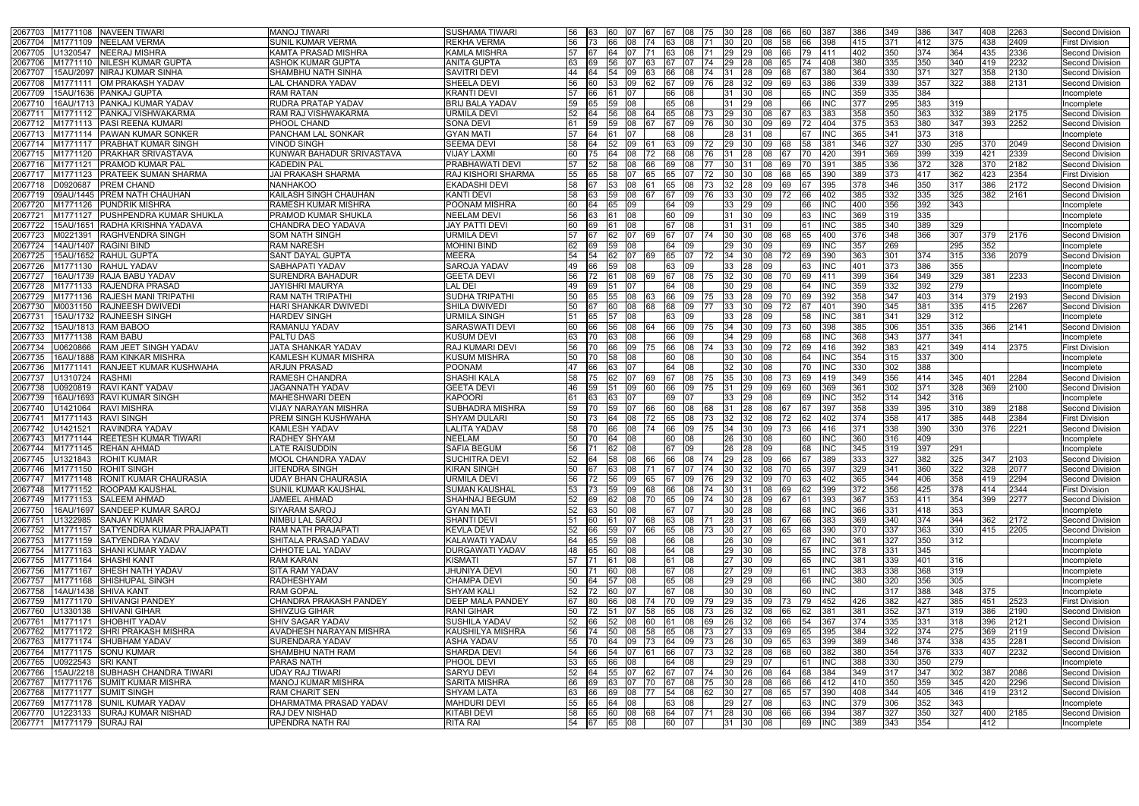| M1771108 NAVEEN TIWARI<br>2067703                                                | <b>MANOJ TIWARI</b>                                     | <b>SUSHAMA TIWARI</b>                         | 56             |            | 60<br>07        | I67                                            |                    | 67 108   | 75 30     |                    | I28<br>08                       | 166       |          | 387               | 386         | 349         | 386              | 347              | 408         | 2263         | Second Division                           |
|----------------------------------------------------------------------------------|---------------------------------------------------------|-----------------------------------------------|----------------|------------|-----------------|------------------------------------------------|--------------------|----------|-----------|--------------------|---------------------------------|-----------|----------|-------------------|-------------|-------------|------------------|------------------|-------------|--------------|-------------------------------------------|
| M1771109 NEELAM VERMA<br>2067704                                                 | <b>SUNIL KUMAR VERMA</b>                                | <b>REKHA VERMA</b>                            | 56             |            | 08              | 74                                             |                    |          |           | 30                 |                                 |           |          | 398               | 415         | 371         | 412              | 375              | 438         | 2409         | <b>First Division</b>                     |
| U1320547 NEERAJ MISHRA<br>2067705                                                | IKAMTA PRASAD MISHRA                                    | <b>KAMLA MISHRA</b>                           | 57             |            | 64<br>107       | I71                                            | 163                | l08      | 171       | $\overline{29}$    | <b>129</b><br>08                | 166       | 79.      | <b>1411</b>       | 402         | 350         | 374              | 364              | 435         | 2336         | Second Division                           |
| 2067706<br>M1771110 NIILESH KUMAR GUPTA                                          | <b>ASHOK KUMAR GUPTA</b>                                | <b>ANITA GUPTA</b>                            | 63             |            | 56              |                                                |                    |          |           | 29                 |                                 |           |          | 1408              | 380         | 335         | 350              | 340              | 419         | 2232         | <b>Second Division</b>                    |
| 2067707<br>15AU/2097  NIRAJ KUMAR SINHA                                          | <b>SHAMBHU NATH SINHA</b>                               | <b>SAVITRI DEVI</b>                           | 44             |            | 09<br>54        |                                                |                    | 08       |           |                    | 28<br>ΩŠ                        |           |          | 380               | 364         | 330         | 371              | 327              | 358         | 2130         | <b>Second Division</b>                    |
| 2067708<br>M1771111<br>OM PRAKASH YADAV                                          | LAL CHANDRA YADAV                                       | SHEELA DEVI                                   | 56             |            | 53<br>09        |                                                |                    |          |           | 28                 |                                 |           |          | 386               | 339         | 339         | 357              | 322              | 388         | 2131         | Second Division                           |
| 2067709<br>15AU/1636  PANKAJ GUPTA                                               | <b>RAM RATAN</b>                                        | <b>KRANTI DEVI</b>                            | 57             | 166.       | 07              |                                                | 66                 |          |           | 31                 | 08<br>30                        |           |          | <b>INC</b>        | 359         | 335         | 384              |                  |             |              | Incomplete                                |
| 206771<br>16AU/1713  PANKAJ KUMAR YADAV                                          | <b>RUDRA PRATAP YADAV</b>                               | <b>BRIJ BALA YADAV</b>                        | 59             |            | 59              |                                                |                    |          |           |                    |                                 |           |          |                   |             | 295         | 383              | 319              |             |              | Incomplete                                |
| M1771112 PANKAJ VISHWAKARMA<br>2067711                                           | <b>RAM RAJ VISHWAKARMA</b>                              | <b>URMILA DEVI</b>                            | 52             |            | 08<br>56        |                                                |                    | 65 108   | 173.      | 29                 | 108<br>30                       |           |          | 383               | 358         | 350<br>353  | 363<br>380       | 332<br>347       | 389         | 2175         | Second Division                           |
| <b>PASI REENA KUMARI</b><br>M1771113<br>2067712<br>M1771114 PAWAN KUMAR SONKER   | PHOOL CHAND<br><b>PANCHAM LAL SONKAR</b>                | SONA DEVI<br><b>GYAN MATI</b>                 | 61<br>57       |            | 59<br>08        |                                                |                    | 09       | 76        | 30<br>28           | 09<br>30.                       |           |          | 404               | 375         | 341         | 373              | 318              | 393         | 2252         | Second Division<br>Incomplete             |
| 2067713<br>M1771117   PRABHAT KUMAR SINGH<br>206771                              | <b>VINOD SINGH</b>                                      | <b>SEEMA DEVI</b>                             | 58             |            | 52.<br>09       |                                                | 68                 | 09       | 172       | 29                 | 08<br>09                        |           |          | INC<br>381        | 365<br>346  | 327         | 330              | 295              | 370         | 2049         | Second Division                           |
| M1771120 PRAKHAR SRIVASTAVA<br>2067715                                           | KUNWAR BAHADUR SRIVASTAVA                               | <b>VIJAY LAXMI</b>                            | 60             |            |                 |                                                |                    |          |           |                    |                                 |           |          | 420               | 391         | 369         | 399              | 339              | 421         | 2339         | <b>Second Division</b>                    |
| M1771121   PRAMOD KUMAR PAL<br>2067716                                           | <b>KADEDIN PAL</b>                                      | <b>PRABHAWATI DEVI</b>                        | 57             |            |                 |                                                |                    |          |           | 30                 |                                 |           |          | 391               | 385         | 336         | 372              | 328              | 370         | 2182         | Second Division                           |
| M1771123 PRATEEK SUMAN SHARMA<br>206771.                                         | <b>JAI PRAKASH SHARMA</b>                               | <b>RAJ KISHORI SHARMA</b>                     | 55             |            |                 | 65                                             |                    |          | 72.       | 30                 |                                 |           |          | 390               | 389         | 373         | 417              | 362              | 423         | 2354         | <b>First Division</b>                     |
| <b>PREM CHAND</b><br>2067718<br>D0920687                                         | <b>NANHAKOO</b>                                         | <b>EKADASHI DEVI</b>                          | 58             |            | 53<br>08        |                                                | 65                 |          |           | 32                 | 09<br>28.                       | 169       |          | 395               | 378         | 346         | 350              | 317              | 386         | 2172         | Second Division                           |
| 09AU/1445 PREM NATH CHAUHAN<br>2067719                                           | KAILASH SINGH CHAUHAN                                   | <b>KANTI DEVI</b>                             | 58             |            | 59<br>08        |                                                |                    |          |           | 33.                |                                 |           |          | 402               | 385         | 332         | 335              | 325              | 382         | 2161         | <b>Second Division</b>                    |
| M1771126 PUNDRIK MISHRA<br>2067720                                               | <b>RAMESH KUMAR MISHRA</b>                              | POONAM MISHRA                                 | 60             |            | 65.<br>09       |                                                | 64                 | 09       |           | 33.                | 09<br>29.                       |           |          | <b>INC</b>        | 400         | 356         | 392              | 343              |             |              | Incomplete                                |
| 2067721<br>M1771127 PUSHPENDRA KUMAR SHUKLA                                      | <b>PRAMOD KUMAR SHUKLA</b>                              | <b>NEELAM DEVI</b>                            | 56             |            |                 |                                                | 60                 | 09       |           | 31                 |                                 |           |          |                   | 369         | 319         | 335              |                  |             |              | ncomplete                                 |
| 15AU/1651 RADHA KRISHNA YADAVA<br>2067722                                        | CHANDRA DEO YADAVA                                      | <b>JAY PATTI DEVI</b>                         | 60             |            | 08              |                                                | 67                 | 08       |           | 31                 | 09                              |           | 61       | <b>INC</b>        | 385         | 340         | 389              | 329              |             |              | Incomplete                                |
| 2067723<br>M0221391<br><b>RAGHVENDRA SINGH</b>                                   | <b>SOM NATH SINGH</b>                                   | <b>URMILA DEVI</b>                            |                |            | 62 -<br>107     | -169                                           | 67 107             |          | 174       | 30                 | 30<br>08                        | 168       |          | 400               | 376         | 348         | 366              | 307              | 379         | 2176         | Second Division                           |
| 14AU/1407 RAGINI BIND<br>2067724                                                 | <b>RAM NARESH</b>                                       | <b>MOHINI BIND</b>                            | 62             | 169        | 59<br>08        |                                                | 64                 | I09      |           | 29.                | 30                              |           |          | INC               | 357         | 269         |                  | 295              | 352         |              | Incomplete                                |
| 15AU/1652  RAHUL GUPTA<br>2067725                                                | <b>SANT DAYAL GUPTA</b>                                 | MEERA                                         | 54             |            | 07<br>62.       |                                                | 65                 | 07       |           | 34                 | 08<br>30                        |           |          | 390               | 363         | 301         | 374              | 315              | 336         | 2079         | Second Division                           |
| 2067726<br>M1771130 RAHUL YADAV                                                  | SABHAPATI YADAV                                         | <b>SAROJA YADAV</b>                           | 49             |            | 59              |                                                |                    |          |           | 33                 |                                 |           |          | INC               | 401         | 373         | 386              | 355              |             |              | Incomplete                                |
| 16AU/1739  RAJA BABU YADAV<br>2067727                                            | <b>SURENDRA BAHADUR</b>                                 | <b>GEETA DEVI</b>                             | 56             |            | 108<br>61.      | 169                                            |                    | 08       |           | 32                 | 30-<br>IO8                      | 170       |          | 411               | 399         | 364         | $\overline{349}$ | 329              | 381         | 2233         | Second Division                           |
| M1771133 RAJENDRA PRASAD<br>2067728                                              | <b>JAYISHRI MAURYA</b>                                  | <b>LAL DEI</b>                                | 49             |            |                 |                                                |                    |          |           | 30                 |                                 |           |          | INC               | 359         | 332<br>347  | 392              | 279              |             |              | Incomplete                                |
| M1771136 RAJESH MANI TRIPATHI<br>2067729<br>M0031150 RAJNEESH DWIVEDI<br>2067730 | <b>RAM NATH TRIPATHI</b><br><b>HARI SHANKAR DWIVEDI</b> | <b>SUDHA TRIPATHI</b><br><b>SHILA DWIVEDI</b> | 50<br>50       |            | 55<br>08<br>08  |                                                | 66<br>68           | 09<br>09 | 175       | 33<br>33           | l09<br>09                       | 170       |          | 392<br>401        | 358<br>390  | 345         | 403<br>381       | 314<br>335       | 379<br>415  | 2193<br>2267 | Second Division<br><b>Second Division</b> |
| 15AU/1732 RAJNEESH SINGH<br>206773 $^{\circ}$                                    | <b>HARDEV SINGH</b>                                     | <b>URMILA SINGH</b>                           | 151            | 65         | 08<br>57        |                                                | 63                 | 09       |           | 33                 | 09<br>28                        |           |          | <b>INC</b>        | 381         | 341         | 329              | 312              |             |              | Incomplete                                |
| 2067732<br>15AU/1813 RAM BABOO                                                   | RAMANUJ YADAV                                           | <b>SARASWATI DEVI</b>                         |                |            | 08              |                                                |                    |          |           | 34                 |                                 |           |          | 398               | 385         | 306         | 351              | 335              | 366         | 2141         | Second Division                           |
| 2067733<br>M1771138<br><b>RAM BABU</b>                                           | <b>PALTU DAS</b>                                        | KUSUM DEVI                                    | 63             |            | 08<br>33        |                                                | 66                 | 09       |           | 34                 | 29                              |           |          | INC               | 368         | 343         | 377              | 341              |             |              | Incomplete                                |
| 2067734<br>J0620866<br><b>RAM JEET SINGH YADAV</b>                               | JATA SHANKAR YADAV                                      | <b>RAJ KUMARI DEVI</b>                        | 56             |            | 09              |                                                |                    |          |           | 33                 |                                 |           |          | 416               | 392         | 383         | 421              | 349              | 414         | 2375         | <b>First Division</b>                     |
| 2067735<br>16AU/1888 RAM KINKAR MISHRA                                           | <b>KAMLESH KUMAR MISHRA</b>                             | <b>KUSUM MISHRA</b>                           | 50             | l70        | 08<br>58        |                                                | 60                 | 108      |           | 30                 | 08<br>30                        |           | 64       | INC               | 354         | 315         | 337              | 300              |             |              | Incomplete                                |
| 2067736<br><b>RANJEET KUMAR KUSHWAHA</b><br>M1771141                             | <b>ARJUN PRASAD</b>                                     | <b>POONAM</b>                                 | 47             | 66         | 07<br>63        |                                                | 64                 | 08       |           | 32                 |                                 |           | 70.      | INC               | 330         | 302         | 388              |                  |             |              | Incomplete                                |
| 2067737<br>U1310724<br><b>RASHMI</b>                                             | <b>RAMESH CHANDRA</b>                                   | SHASHI KALA                                   | 58             |            | 07              |                                                |                    | 08       |           | 35                 | 08                              |           |          | 419               | 349         | 356         | 414              | 345              | 401         | 2284         | Second Division                           |
| U0920819<br><b>RAVI KANT YADAV</b><br>2067738                                    | JAGANNATH YADAV                                         | <b>GEETA DEVI</b>                             | 46             |            | 09              |                                                | 66                 | 09       |           | 31                 | 29<br>09                        |           |          | 369               | 361         | 302         | 371              | $\overline{328}$ | 369         | 2100         | Second Division                           |
| 16AU/1693 RAVI KUMAR SINGH<br>2067739                                            | <b>MAHESHWARI DEEN</b>                                  | <b>KAPOORI</b>                                | 61             |            |                 |                                                |                    |          |           | 33                 |                                 |           |          | INC               | 352         | 314         | 342              | 316              |             |              | Incomplete                                |
| <b>RAVI MISHRA</b><br>206774<br>U1421064                                         | <b>VIJAY NARAYAN MISHRA</b>                             | <b>SUBHADRA MISHRA</b>                        | 59             | 70         | 59<br>07        | 166.                                           | 60.                | 08       | 68        | 31                 | 28<br>08                        |           |          | 397               | 358         | 339         | 395              | 310              | 389         | 2188         | Second Division                           |
| 206774<br>M1771143 RAVI SINGH                                                    | <b>PREM SINGH KUSHWAHA</b>                              | <b>SHYAM DULARI</b>                           | 50             |            | 08<br>64        | 72                                             |                    |          |           | 32                 | 32.                             |           |          | 402               | 374         | 358         | 417              | 385              | 448         | 2384         | <b>First Division</b>                     |
| U1421521<br><b>RAVINDRA YADAV</b><br>2067742                                     | <b>KAMLESH YADAV</b>                                    | <b>LALITA YADAV</b>                           | 58             |            | 66<br>08        | 74                                             | 66                 | 09       | 175       | 34                 | <b>130</b><br>l09               |           |          | 416               | 371         | 338         | 390              | 330              | 376         | 2221         | Second Division                           |
| 2067743<br>M1771144<br><b>REETESH KUMAR TIWARI</b>                               | <b>RADHEY SHYAM</b>                                     | <b>NEELAM</b>                                 | 50             |            | 08<br>64        |                                                | 60                 |          |           | 26                 |                                 |           |          |                   | 360         | 316         | 409              |                  |             |              | Incomplete                                |
| M1771145 REHAN AHMAD<br>2067744<br>2067745 U1321843 ROHIT KUMAR                  | <b>LATE RAISUDDIN</b><br>MOOL CHANDRA YADAV             | <b>SAFIA BEGUM</b><br><b>SUCHITRA DEVI</b>    | 56             |            | 08<br>62        |                                                | 67 09              |          |           | 26                 | 09<br>I28                       |           | 68       | INC.              | 345         | 319         | 397<br>382       | 291              |             | 2103         | Incomplete<br>Second Division             |
| 2067746 M1771150 ROHIT SINGH                                                     | <b>JITENDRA SINGH</b>                                   | <b>KIRAN SINGH</b>                            | 50             |            | 63 08           | 52  64  58  08  66  66  08  74  29  28  09  66 |                    |          |           |                    | 71  67  07  74  30  32  08  70  |           | 167      | <b>389</b><br>397 | 1333<br>329 | 1327<br>341 | 360              | 325<br>322       | 1347<br>328 | 2077         | Second Division                           |
| M1771148 RONIT KUMAR CHAURASIA<br>2067747                                        | <b>UDAY BHAN CHAURASIA</b>                              | URMILA DEVI                                   |                |            |                 | 56 72 56 09 65 67 09 76 29 32 09 70            |                    |          |           |                    |                                 |           | 163.     | 402               | 365         | 344         | 406              | 358              | 419         | 2294         | Second Division                           |
| 2067748 M1771152 ROOPAM KAUSHAL                                                  | <b>SUNIL KUMAR KAUSHAL</b>                              | <b>SUMAN KAUSHAL</b>                          |                |            |                 | 53 73 59 09 68                                 | 66 08              |          | 74 30 31  |                    |                                 | 08 69     | 62       | 399               | 372         | 356         | 425              | 378              | 414         | 2344         | <b>First Division</b>                     |
| 2067749<br>M1771153 SALEEM AHMAD                                                 | <b>JAMEEL AHMAD</b>                                     | <b>SHAHNAJ BEGUM</b>                          | 52 69          |            |                 | 62 08 70                                       | 65 09              |          | 74 30 28  |                    |                                 | 09 67     | 161      | 393               | 367         | 353         | 411              | 354              | 399         | 2277         | Second Division                           |
| 16AU/1697 SANDEEP KUMAR SAROJ<br>2067750                                         | <b>SIYARAM SAROJ</b>                                    | <b>GYAN MATI</b>                              | 52 63          |            | 50<br> 08       |                                                | 67                 | 107      |           | 30                 | 28<br>08                        |           |          | <b>INC</b>        | 366         | 331         | 418              | 353              |             |              | Incomplete                                |
| U1322985 SANJAY KUMAR<br>2067751                                                 | NIMBU LAL SAROJ                                         | <b>SHANTI DEVI</b>                            | 51 60          |            |                 | 61 07 68                                       | 63 08              |          |           |                    | 71  28  31  08  67              |           | 66       | 383               | 369         | 340         | 374              | 344              | 362         | 2172         | Second Division                           |
| 2067752 M1771157 SATYENDRA KUMAR PRAJAPATI                                       | RAM NATH PRAJAPATI                                      | <b>KEVLA DEVI</b>                             | 52             | 66         | 59 07           | 66                                             | 65 08              |          | 73 30     |                    | 08<br><b>27</b>                 | 65        | 68       | 390               | 370         | 337         | 363              | 330              | 415         | 2205         | Second Division                           |
| 2067753<br>M1771159 SATYENDRA YADAV                                              | SHITALA PRASAD YADAV                                    | <b>KALAWATI YADAV</b>                         |                |            | 64 65 59 08     |                                                | 66 08              |          |           | 26 30              | $ 09\rangle$                    |           | 67 INC   |                   | 361         | 327         | 350              | 312              |             |              | Incomplete                                |
| 2067754<br>M1771163 SHANI KUMAR YADAV                                            | CHHOTE LAL YADAV                                        | <b>DURGAWATI YADAV</b>                        | 48 65          |            | 60 08           |                                                | $\overline{64}$ 08 |          |           | 29 30              | 08                              |           | 55       | <b>IINC</b>       | 378         | 331         | 345              |                  |             |              | Incomplete                                |
| 2067755 M1771164 SHASHI KANT                                                     | <b>RAM KARAN</b>                                        | <b>KISMATI</b>                                | 57 71          |            | 08<br>61        |                                                | 61 08              |          |           | 27 30              | 09                              |           | 65       | <b>INC</b>        | 381         | 339         | 401              | 316              |             |              | Incomplete                                |
| M1771167 SHESH NATH YADAV<br>2067756                                             | <b>SITA RAM YADAV</b>                                   | <b>JHUNIYA DEVI</b>                           | 50             |            | 08<br>60        |                                                | 67 08              |          |           | $\overline{27}$ 29 | 109                             |           | 61       | INC               | 383         | 338         | 368              | 319              |             |              | ncomplete                                 |
| M1771168 SHISHUPAL SINGH<br>2067757                                              | <b>RADHESHYAM</b>                                       | <b>CHAMPA DEVI</b>                            | 50             | <b>64</b>  | 08<br>57        |                                                | 65 08              |          |           | 29 29              | $ 08\rangle$                    |           | 66       | <b>INC</b>        | 380         | 320         | 356              | 305              |             |              | Incomplete                                |
| 2067758<br>14AU/1438 SHIVA KANT                                                  | <b>RAM GOPAL</b>                                        | <b>SHYAM KALI</b>                             | 52 72<br>67 80 |            | 07<br><b>60</b> |                                                | 67 08              |          |           | 30 30              | 08                              |           | 60       | <b>INC</b>        |             | 317         | 388              | 348              | 375         |              | Incomplete                                |
| M1771170 SHIVANGI PANDEY<br>2067759<br>U1330138 SHIVANI GIHAR<br>2067760         | CHANDRA PRAKASH PANDEY<br><b>SHIVZUG GIHAR</b>          | <b>DEEP MALA PANDEY</b><br><b>RANI GIHAR</b>  | 50             | 72         |                 | 66 08 74<br>51 07 58                           | 70 09<br>65 08     |          | 73 26 32  |                    | 79  29  35  09  73<br><b>08</b> | 166       | 79<br>62 | 452<br>381        | 426<br>381  | 382<br>352  | 427<br>371       | 385<br>319       | 451<br>386  | 2523<br>2190 | <b>First Division</b><br>Second Division  |
| M1771171 SHOBHIT YADAV<br>2067761                                                | <b>SHIV SAGAR YADAV</b>                                 | <b>SUSHILA YADAV</b>                          | 52             | <b>66</b>  | 52<br> 08       | <b>60</b>                                      | 61 08              |          | 69        | 26                 | 08<br>32                        | <b>66</b> |          | 367               | 374         | 335         | 331              | 318              | 396         | 2121         | <b>Second Division</b>                    |
| M1771172 SHRI PRAKASH MISHRA<br>2067762                                          | <b>AVADHESH NARAYAN MISHRA</b>                          | KAUSHILYA MISHRA                              | 56             |            |                 | 74 50 08 58                                    | 65 08              |          |           |                    | 73   27   33   09   69          |           | 165.     | 395               | 384         | 322         | 374              | 275              | 369         | 2119         | Second Division                           |
| 2067763<br>M1771174 SHUBHAM YADAV                                                | <b>SURENDARA YADAV</b>                                  | ASHA YADAV                                    | 55             | <b>170</b> | 64 09           | - 173                                          | 64 09              |          | 73        | 26 30              | 09                              | 165       |          | 399               | 389         | 346         | 374              | 338              | 435         | 2281         | Second Division                           |
| M1771175 SONU KUMAR<br>2067764                                                   | SHAMBHU NATH RAM                                        | SHARDA DEVI                                   | 54 66          |            |                 | 54 07 61                                       | 66 07              |          | 73 32 28  |                    | 08                              | 168       |          | 382               | 380         | 354         | 376              | 333              | 407         | 2232         | Second Division                           |
| 2067765<br>U0922543 SRI KANT                                                     | <b>PARAS NATH</b>                                       | PHOOL DEVI                                    | 53             | 65         | 08<br>66        |                                                | 64 08              |          |           | 29 29              | 07                              |           | 61       | <b>INC</b>        | 388         | 330         | 350              | 279              |             |              | Incomplete                                |
| 15AU/2218 SUBHASH CHANDRA TIWARI<br>2067766                                      | <b>UDAY RAJ TIWARI</b>                                  | <b>SARYU DEVI</b>                             |                |            |                 | 52 64 55 07 62 67 07 74 30 26 08 64            |                    |          |           |                    |                                 |           | 68       | 384               | 349         | 317         | 347              | 302              | 387         | 2086         | Second Division                           |
| 2067767<br>M1771176 SUMIT KUMAR MISHRA                                           | <b>MANOJ KUMAR MISHRA</b>                               | <b>SARITA MISHRA</b>                          | 66             | 169        | 163<br>107      | 170                                            | 67                 | 08       | 75.       | 30                 | I28<br>08                       | 166       |          | 412               | 410         | 350         | 359              | 345              | 420         | 2296         | Second Division                           |
| M1771177 SUMIT SINGH<br>2067768                                                  | <b>RAM CHARIT SEN</b>                                   | <b>SHYAM LATA</b>                             | 63             | <b>166</b> | 69<br>08        | <b>177</b>                                     | $\overline{54}$ 08 |          | <b>62</b> | 30                 | 08<br>I27                       | <b>65</b> |          | 390               | 408         | 344         | 405              | 346              | 419         | 2312         | Second Division                           |
| M1771178 SUNIL KUMAR YADAV<br>2067769                                            | DHARMATMA PRASAD YADAV                                  | <b>MAHDURI DEVI</b>                           | 55             | 65         | 64<br>08        |                                                | 63 08              |          |           | 29                 | 08<br>27                        |           | 63.      | INC               | 379         | 306         | 352              | 343              |             |              | Incomplete                                |
| U1223133 SURAJ KUMAR NISHAD<br>2067770                                           | <b>RAJ DEV NISHAD</b>                                   | <b>KITABI DEVI</b>                            |                |            |                 | 58 65 60 08 68                                 |                    |          |           |                    | 64 07 71 28 30 08 66            |           | 66       | 394               | 387         | 327         | 350              | 327              | 400         | 2185         | Second Division                           |
| 2067771 M1771179 SURAJ RAI                                                       | UPENDRA NATH RAI                                        | <b>RITA RAI</b>                               | 54 67          |            | 65 08           |                                                | 60 07              |          |           | 31 30              | 08                              |           | 69       | <b>INC</b>        | 389         | 343         | 354              |                  | 412         |              | Incomplete                                |